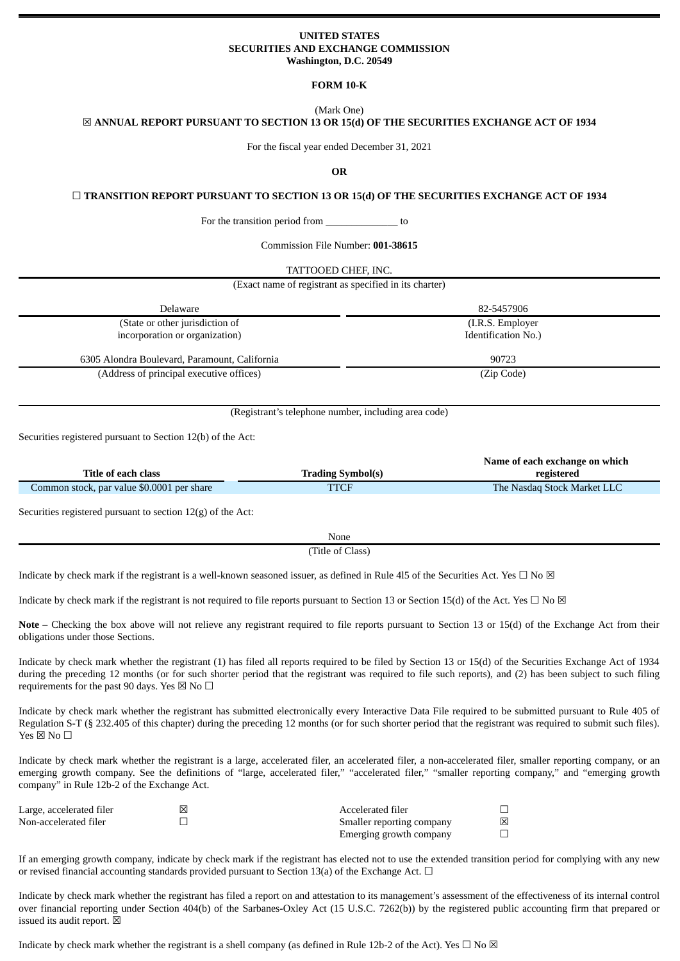### **UNITED STATES SECURITIES AND EXCHANGE COMMISSION Washington, D.C. 20549**

### **FORM 10-K**

# (Mark One)

☒ **ANNUAL REPORT PURSUANT TO SECTION 13 OR 15(d) OF THE SECURITIES EXCHANGE ACT OF 1934**

For the fiscal year ended December 31, 2021

#### **OR**

### ☐ **TRANSITION REPORT PURSUANT TO SECTION 13 OR 15(d) OF THE SECURITIES EXCHANGE ACT OF 1934**

For the transition period from to

Commission File Number: **001-38615**

TATTOOED CHEF, INC.

| (Exact name of registrant as specified in its charter) |                     |  |  |
|--------------------------------------------------------|---------------------|--|--|
| Delaware                                               | 82-5457906          |  |  |
| (State or other jurisdiction of                        | (I.R.S. Employer)   |  |  |
| incorporation or organization)                         | Identification No.) |  |  |
| 6305 Alondra Boulevard, Paramount, California          | 90723               |  |  |
| (Address of principal executive offices)               | (Zip Code)          |  |  |
|                                                        |                     |  |  |

(Registrant's telephone number, including area code)

Securities registered pursuant to Section 12(b) of the Act:

|                                            | Name of each exchange on which |                             |  |
|--------------------------------------------|--------------------------------|-----------------------------|--|
| Title of each class                        | <b>Trading Symbol(s)</b>       | registered                  |  |
| Common stock, par value \$0.0001 per share | <b>TTCF</b>                    | The Nasdag Stock Market LLC |  |

Securities registered pursuant to section 12(g) of the Act:

None

(Title of Class)

Indicate by check mark if the registrant is a well-known seasoned issuer, as defined in Rule 4l5 of the Securities Act. Yes  $\Box$  No  $\boxtimes$ 

Indicate by check mark if the registrant is not required to file reports pursuant to Section 13 or Section 15(d) of the Act. Yes  $\Box$  No  $\boxtimes$ 

**Note** – Checking the box above will not relieve any registrant required to file reports pursuant to Section 13 or 15(d) of the Exchange Act from their obligations under those Sections.

Indicate by check mark whether the registrant (1) has filed all reports required to be filed by Section 13 or 15(d) of the Securities Exchange Act of 1934 during the preceding 12 months (or for such shorter period that the registrant was required to file such reports), and (2) has been subject to such filing requirements for the past 90 days. Yes  $\boxtimes$  No  $\Box$ 

Indicate by check mark whether the registrant has submitted electronically every Interactive Data File required to be submitted pursuant to Rule 405 of Regulation S-T (§ 232.405 of this chapter) during the preceding 12 months (or for such shorter period that the registrant was required to submit such files). Yes  $\boxtimes$  No  $\square$ 

Indicate by check mark whether the registrant is a large, accelerated filer, an accelerated filer, a non-accelerated filer, smaller reporting company, or an emerging growth company. See the definitions of "large, accelerated filer," "accelerated filer," "smaller reporting company," and "emerging growth company" in Rule 12b-2 of the Exchange Act.

| Large, accelerated filer | ⊠ | Accelerated filer         |   |
|--------------------------|---|---------------------------|---|
| Non-accelerated filer    |   | Smaller reporting company | ⊠ |
|                          |   | Emerging growth company   |   |

If an emerging growth company, indicate by check mark if the registrant has elected not to use the extended transition period for complying with any new or revised financial accounting standards provided pursuant to Section 13(a) of the Exchange Act.  $\Box$ 

Indicate by check mark whether the registrant has filed a report on and attestation to its management's assessment of the effectiveness of its internal control over financial reporting under Section 404(b) of the Sarbanes-Oxley Act (15 U.S.C. 7262(b)) by the registered public accounting firm that prepared or issued its audit report.  $\boxtimes$ 

Indicate by check mark whether the registrant is a shell company (as defined in Rule 12b-2 of the Act). Yes  $\Box$  No  $\boxtimes$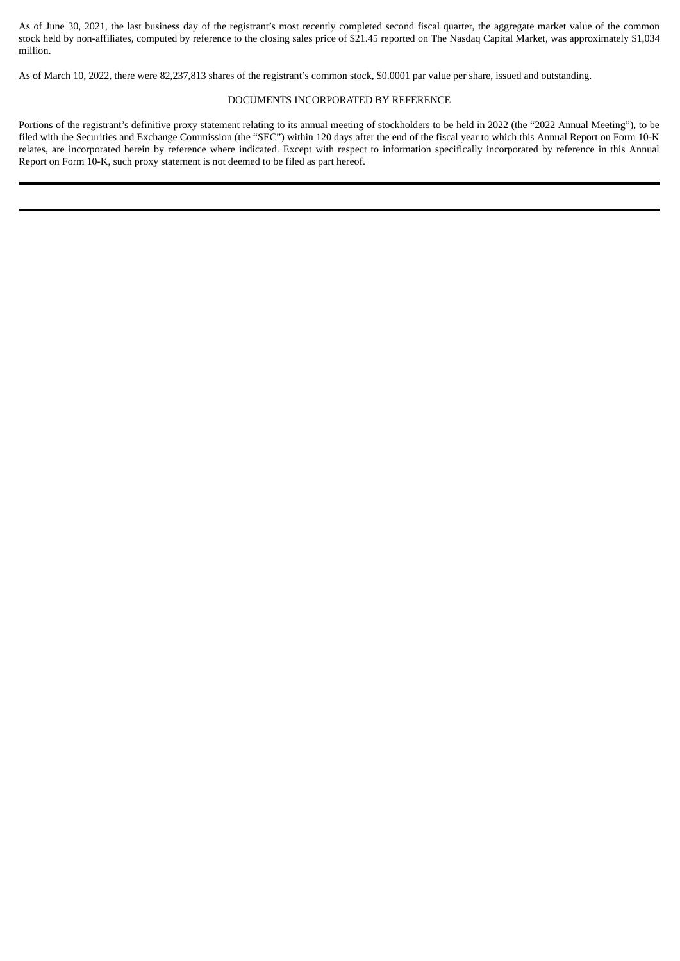As of June 30, 2021, the last business day of the registrant's most recently completed second fiscal quarter, the aggregate market value of the common stock held by non-affiliates, computed by reference to the closing sales price of \$21.45 reported on The Nasdaq Capital Market, was approximately \$1,034 million.

As of March 10, 2022, there were 82,237,813 shares of the registrant's common stock, \$0.0001 par value per share, issued and outstanding.

### DOCUMENTS INCORPORATED BY REFERENCE

Portions of the registrant's definitive proxy statement relating to its annual meeting of stockholders to be held in 2022 (the "2022 Annual Meeting"), to be filed with the Securities and Exchange Commission (the "SEC") within 120 days after the end of the fiscal year to which this Annual Report on Form 10-K relates, are incorporated herein by reference where indicated. Except with respect to information specifically incorporated by reference in this Annual Report on Form 10-K, such proxy statement is not deemed to be filed as part hereof.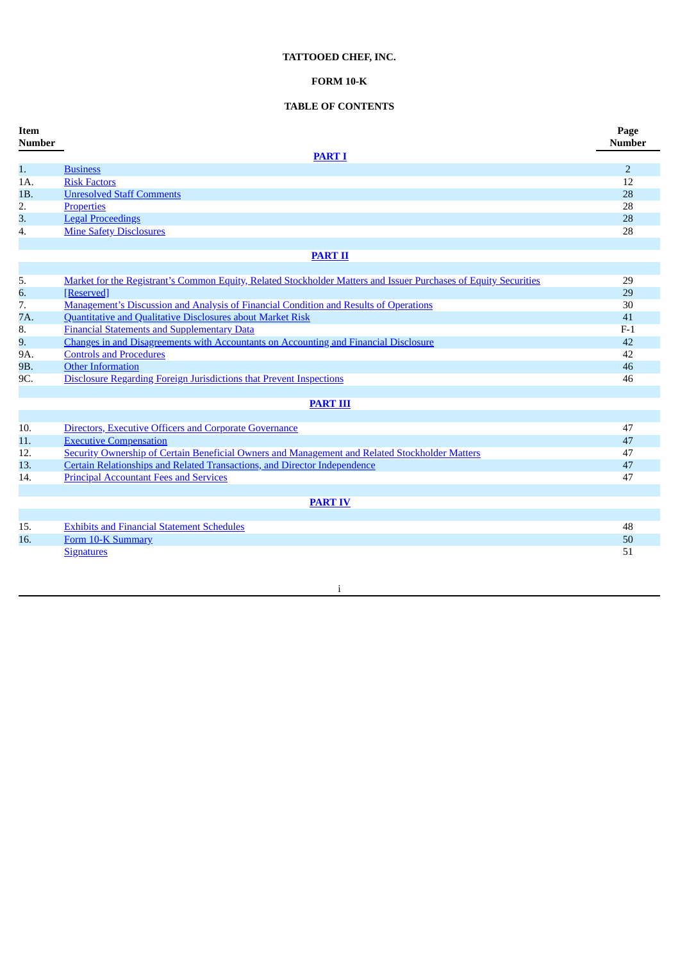## **TATTOOED CHEF, INC.**

## **FORM 10-K**

## **TABLE OF CONTENTS**

| Item<br><b>Number</b> |                                                                                                                  | Page<br><b>Number</b> |
|-----------------------|------------------------------------------------------------------------------------------------------------------|-----------------------|
|                       | <b>PART I</b>                                                                                                    |                       |
| 1.                    | <b>Business</b>                                                                                                  | $\overline{2}$        |
| 1A.                   | <b>Risk Factors</b>                                                                                              | 12                    |
| 1B.                   | <b>Unresolved Staff Comments</b>                                                                                 | 28                    |
| 2.                    | <b>Properties</b>                                                                                                | 28                    |
| 3.                    | <b>Legal Proceedings</b>                                                                                         | 28                    |
| 4.                    | <b>Mine Safety Disclosures</b>                                                                                   | 28                    |
|                       | <b>PART II</b>                                                                                                   |                       |
|                       |                                                                                                                  |                       |
| 5.                    | Market for the Registrant's Common Equity, Related Stockholder Matters and Issuer Purchases of Equity Securities | 29                    |
| 6.                    | [Reserved]                                                                                                       | 29                    |
| 7.                    | <b>Management's Discussion and Analysis of Financial Condition and Results of Operations</b>                     | 30                    |
| 7A.                   | Quantitative and Qualitative Disclosures about Market Risk                                                       | 41                    |
| 8.                    | <b>Financial Statements and Supplementary Data</b>                                                               | $F-1$                 |
| 9.                    | Changes in and Disagreements with Accountants on Accounting and Financial Disclosure                             | 42                    |
| 9A.                   | <b>Controls and Procedures</b>                                                                                   | 42                    |
| 9 <sub>B</sub> .      | <b>Other Information</b>                                                                                         | 46                    |
| 9C.                   | <b>Disclosure Regarding Foreign Jurisdictions that Prevent Inspections</b>                                       | 46                    |
|                       | <b>PART III</b>                                                                                                  |                       |
|                       |                                                                                                                  |                       |
| 10.                   | Directors, Executive Officers and Corporate Governance                                                           | 47                    |
| 11.                   | <b>Executive Compensation</b>                                                                                    | 47                    |
| 12.                   | Security Ownership of Certain Beneficial Owners and Management and Related Stockholder Matters                   | 47                    |
| 13.                   | Certain Relationships and Related Transactions, and Director Independence                                        | 47                    |
| 14.                   | <b>Principal Accountant Fees and Services</b>                                                                    | 47                    |
|                       | <b>PART IV</b>                                                                                                   |                       |
|                       |                                                                                                                  |                       |
| 15.                   | <b>Exhibits and Financial Statement Schedules</b>                                                                | 48                    |
| 16.                   | Form 10-K Summary                                                                                                | 50                    |
|                       | <b>Signatures</b>                                                                                                | 51                    |
|                       | $\mathbf{i}$                                                                                                     |                       |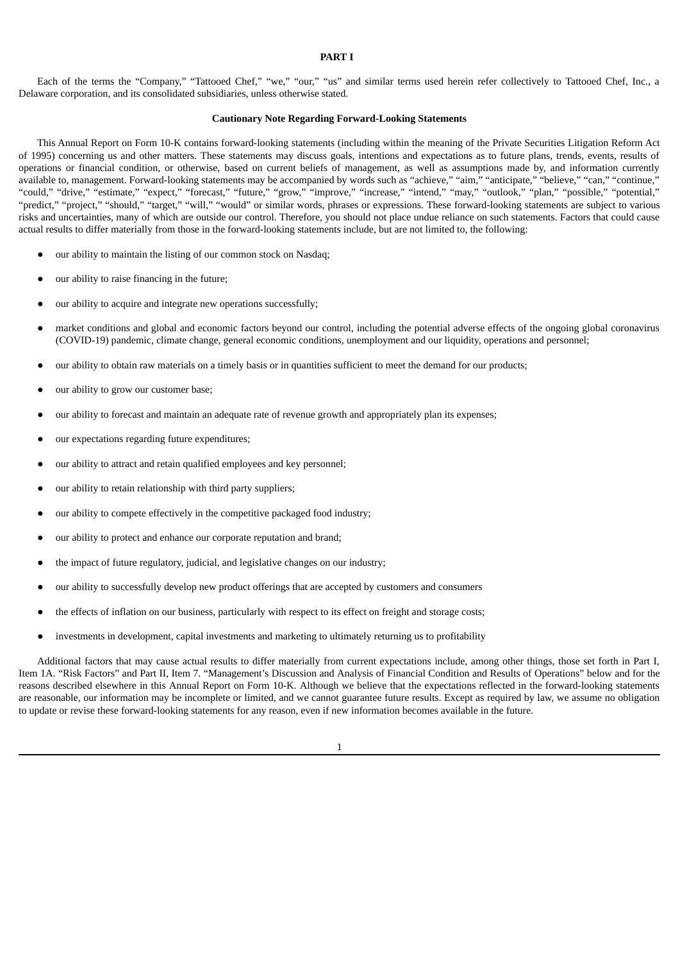#### **PART I**

<span id="page-3-0"></span>Each of the terms the "Company," "Tattooed Chef," "we," "our," "us" and similar terms used herein refer collectively to Tattooed Chef, Inc., a Delaware corporation, and its consolidated subsidiaries, unless otherwise stated.

### **Cautionary Note Regarding Forward-Looking Statements**

This Annual Report on Form 10-K contains forward-looking statements (including within the meaning of the Private Securities Litigation Reform Act of 1995) concerning us and other matters. These statements may discuss goals, intentions and expectations as to future plans, trends, events, results of operations or financial condition, or otherwise, based on current beliefs of management, as well as assumptions made by, and information currently available to, management. Forward-looking statements may be accompanied by words such as "achieve," "aim," "anticipate," "believe," "can," "continue," "could," "drive," "estimate," "expect," "forecast," "future," "grow," "improve," "increase," "intend," "may," "outlook," "plan," "possible," "potential," "predict," "project," "should," "target," "will," "would" or similar words, phrases or expressions. These forward-looking statements are subject to various risks and uncertainties, many of which are outside our control. Therefore, you should not place undue reliance on such statements. Factors that could cause actual results to differ materially from those in the forward-looking statements include, but are not limited to, the following:

- our ability to maintain the listing of our common stock on Nasdaq;
- our ability to raise financing in the future;
- our ability to acquire and integrate new operations successfully;
- market conditions and global and economic factors beyond our control, including the potential adverse effects of the ongoing global coronavirus (COVID-19) pandemic, climate change, general economic conditions, unemployment and our liquidity, operations and personnel;
- our ability to obtain raw materials on a timely basis or in quantities sufficient to meet the demand for our products;
- our ability to grow our customer base;
- our ability to forecast and maintain an adequate rate of revenue growth and appropriately plan its expenses;
- our expectations regarding future expenditures;
- our ability to attract and retain qualified employees and key personnel;
- our ability to retain relationship with third party suppliers;
- our ability to compete effectively in the competitive packaged food industry;
- our ability to protect and enhance our corporate reputation and brand;
- the impact of future regulatory, judicial, and legislative changes on our industry;
- our ability to successfully develop new product offerings that are accepted by customers and consumers
- the effects of inflation on our business, particularly with respect to its effect on freight and storage costs;
- investments in development, capital investments and marketing to ultimately returning us to profitability

Additional factors that may cause actual results to differ materially from current expectations include, among other things, those set forth in Part I, Item 1A. "Risk Factors" and Part II, Item 7. "Management's Discussion and Analysis of Financial Condition and Results of Operations" below and for the reasons described elsewhere in this Annual Report on Form 10-K. Although we believe that the expectations reflected in the forward-looking statements are reasonable, our information may be incomplete or limited, and we cannot guarantee future results. Except as required by law, we assume no obligation to update or revise these forward-looking statements for any reason, even if new information becomes available in the future.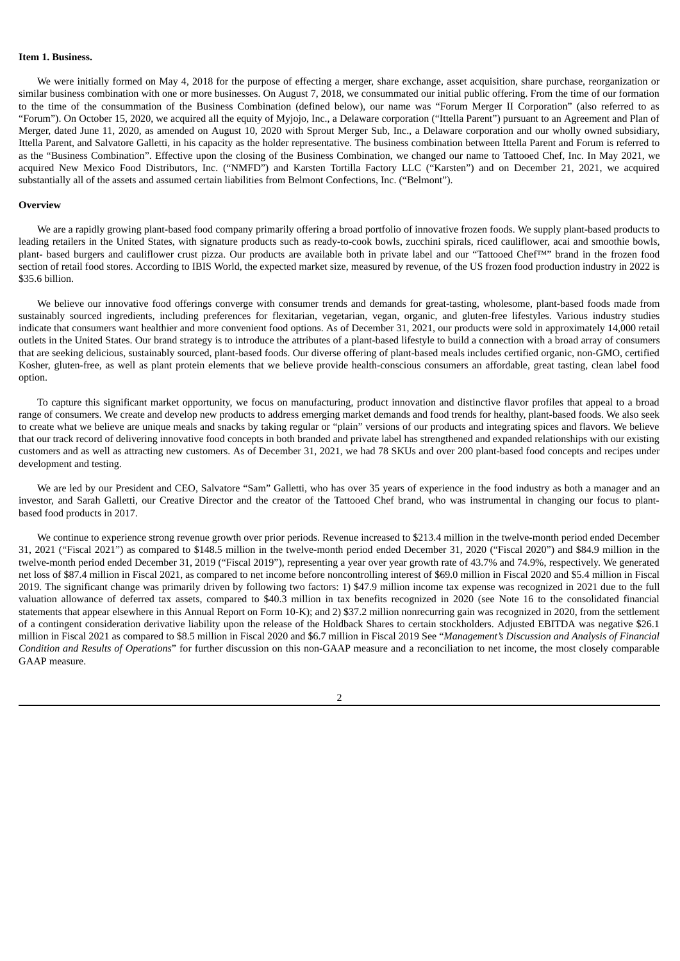### <span id="page-4-0"></span>**Item 1. Business.**

We were initially formed on May 4, 2018 for the purpose of effecting a merger, share exchange, asset acquisition, share purchase, reorganization or similar business combination with one or more businesses. On August 7, 2018, we consummated our initial public offering. From the time of our formation to the time of the consummation of the Business Combination (defined below), our name was "Forum Merger II Corporation" (also referred to as "Forum"). On October 15, 2020, we acquired all the equity of Myjojo, Inc., a Delaware corporation ("Ittella Parent") pursuant to an Agreement and Plan of Merger, dated June 11, 2020, as amended on August 10, 2020 with Sprout Merger Sub, Inc., a Delaware corporation and our wholly owned subsidiary, Ittella Parent, and Salvatore Galletti, in his capacity as the holder representative. The business combination between Ittella Parent and Forum is referred to as the "Business Combination". Effective upon the closing of the Business Combination, we changed our name to Tattooed Chef, Inc. In May 2021, we acquired New Mexico Food Distributors, Inc. ("NMFD") and Karsten Tortilla Factory LLC ("Karsten") and on December 21, 2021, we acquired substantially all of the assets and assumed certain liabilities from Belmont Confections, Inc. ("Belmont").

#### **Overview**

We are a rapidly growing plant-based food company primarily offering a broad portfolio of innovative frozen foods. We supply plant-based products to leading retailers in the United States, with signature products such as ready-to-cook bowls, zucchini spirals, riced cauliflower, acai and smoothie bowls, plant- based burgers and cauliflower crust pizza. Our products are available both in private label and our "Tattooed Chef™" brand in the frozen food section of retail food stores. According to IBIS World, the expected market size, measured by revenue, of the US frozen food production industry in 2022 is \$35.6 billion.

We believe our innovative food offerings converge with consumer trends and demands for great-tasting, wholesome, plant-based foods made from sustainably sourced ingredients, including preferences for flexitarian, vegetarian, vegan, organic, and gluten-free lifestyles. Various industry studies indicate that consumers want healthier and more convenient food options. As of December 31, 2021, our products were sold in approximately 14,000 retail outlets in the United States. Our brand strategy is to introduce the attributes of a plant-based lifestyle to build a connection with a broad array of consumers that are seeking delicious, sustainably sourced, plant-based foods. Our diverse offering of plant-based meals includes certified organic, non-GMO, certified Kosher, gluten-free, as well as plant protein elements that we believe provide health-conscious consumers an affordable, great tasting, clean label food option.

To capture this significant market opportunity, we focus on manufacturing, product innovation and distinctive flavor profiles that appeal to a broad range of consumers. We create and develop new products to address emerging market demands and food trends for healthy, plant-based foods. We also seek to create what we believe are unique meals and snacks by taking regular or "plain" versions of our products and integrating spices and flavors. We believe that our track record of delivering innovative food concepts in both branded and private label has strengthened and expanded relationships with our existing customers and as well as attracting new customers. As of December 31, 2021, we had 78 SKUs and over 200 plant-based food concepts and recipes under development and testing.

We are led by our President and CEO, Salvatore "Sam" Galletti, who has over 35 years of experience in the food industry as both a manager and an investor, and Sarah Galletti, our Creative Director and the creator of the Tattooed Chef brand, who was instrumental in changing our focus to plantbased food products in 2017.

We continue to experience strong revenue growth over prior periods. Revenue increased to \$213.4 million in the twelve-month period ended December 31, 2021 ("Fiscal 2021") as compared to \$148.5 million in the twelve-month period ended December 31, 2020 ("Fiscal 2020") and \$84.9 million in the twelve-month period ended December 31, 2019 ("Fiscal 2019"), representing a year over year growth rate of 43.7% and 74.9%, respectively. We generated net loss of \$87.4 million in Fiscal 2021, as compared to net income before noncontrolling interest of \$69.0 million in Fiscal 2020 and \$5.4 million in Fiscal 2019. The significant change was primarily driven by following two factors: 1) \$47.9 million income tax expense was recognized in 2021 due to the full valuation allowance of deferred tax assets, compared to \$40.3 million in tax benefits recognized in 2020 (see Note 16 to the consolidated financial statements that appear elsewhere in this Annual Report on Form 10-K); and 2) \$37.2 million nonrecurring gain was recognized in 2020, from the settlement of a contingent consideration derivative liability upon the release of the Holdback Shares to certain stockholders. Adjusted EBITDA was negative \$26.1 million in Fiscal 2021 as compared to \$8.5 million in Fiscal 2020 and \$6.7 million in Fiscal 2019 See "*Management's Discussion and Analysis of Financial Condition and Results of Operations*" for further discussion on this non-GAAP measure and a reconciliation to net income, the most closely comparable GAAP measure.

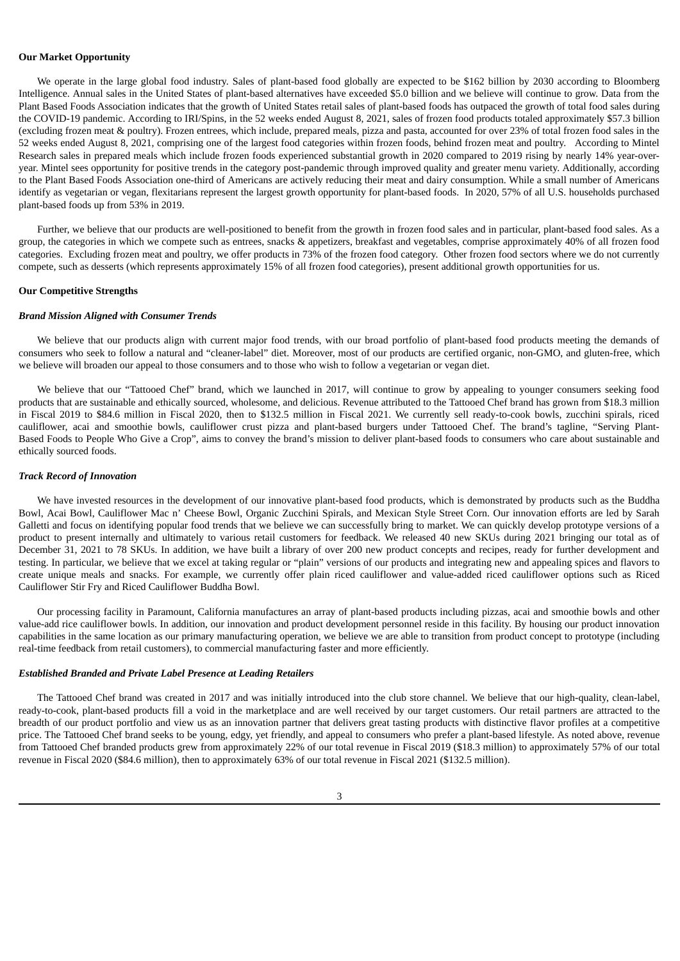### **Our Market Opportunity**

We operate in the large global food industry. Sales of plant-based food globally are expected to be \$162 billion by 2030 according to Bloomberg Intelligence. Annual sales in the United States of plant-based alternatives have exceeded \$5.0 billion and we believe will continue to grow. Data from the Plant Based Foods Association indicates that the growth of United States retail sales of plant-based foods has outpaced the growth of total food sales during the COVID-19 pandemic. According to IRI/Spins, in the 52 weeks ended August 8, 2021, sales of frozen food products totaled approximately \$57.3 billion (excluding frozen meat & poultry). Frozen entrees, which include, prepared meals, pizza and pasta, accounted for over 23% of total frozen food sales in the 52 weeks ended August 8, 2021, comprising one of the largest food categories within frozen foods, behind frozen meat and poultry. According to Mintel Research sales in prepared meals which include frozen foods experienced substantial growth in 2020 compared to 2019 rising by nearly 14% year-overyear. Mintel sees opportunity for positive trends in the category post-pandemic through improved quality and greater menu variety. Additionally, according to the Plant Based Foods Association one-third of Americans are actively reducing their meat and dairy consumption. While a small number of Americans identify as vegetarian or vegan, flexitarians represent the largest growth opportunity for plant-based foods. In 2020, 57% of all U.S. households purchased plant-based foods up from 53% in 2019.

Further, we believe that our products are well-positioned to benefit from the growth in frozen food sales and in particular, plant-based food sales. As a group, the categories in which we compete such as entrees, snacks & appetizers, breakfast and vegetables, comprise approximately 40% of all frozen food categories. Excluding frozen meat and poultry, we offer products in 73% of the frozen food category. Other frozen food sectors where we do not currently compete, such as desserts (which represents approximately 15% of all frozen food categories), present additional growth opportunities for us.

#### **Our Competitive Strengths**

#### *Brand Mission Aligned with Consumer Trends*

We believe that our products align with current major food trends, with our broad portfolio of plant-based food products meeting the demands of consumers who seek to follow a natural and "cleaner-label" diet. Moreover, most of our products are certified organic, non-GMO, and gluten-free, which we believe will broaden our appeal to those consumers and to those who wish to follow a vegetarian or vegan diet.

We believe that our "Tattooed Chef" brand, which we launched in 2017, will continue to grow by appealing to younger consumers seeking food products that are sustainable and ethically sourced, wholesome, and delicious. Revenue attributed to the Tattooed Chef brand has grown from \$18.3 million in Fiscal 2019 to \$84.6 million in Fiscal 2020, then to \$132.5 million in Fiscal 2021. We currently sell ready-to-cook bowls, zucchini spirals, riced cauliflower, acai and smoothie bowls, cauliflower crust pizza and plant-based burgers under Tattooed Chef. The brand's tagline, "Serving Plant-Based Foods to People Who Give a Crop", aims to convey the brand's mission to deliver plant-based foods to consumers who care about sustainable and ethically sourced foods.

#### *Track Record of Innovation*

We have invested resources in the development of our innovative plant-based food products, which is demonstrated by products such as the Buddha Bowl, Acai Bowl, Cauliflower Mac n' Cheese Bowl, Organic Zucchini Spirals, and Mexican Style Street Corn. Our innovation efforts are led by Sarah Galletti and focus on identifying popular food trends that we believe we can successfully bring to market. We can quickly develop prototype versions of a product to present internally and ultimately to various retail customers for feedback. We released 40 new SKUs during 2021 bringing our total as of December 31, 2021 to 78 SKUs. In addition, we have built a library of over 200 new product concepts and recipes, ready for further development and testing. In particular, we believe that we excel at taking regular or "plain" versions of our products and integrating new and appealing spices and flavors to create unique meals and snacks. For example, we currently offer plain riced cauliflower and value-added riced cauliflower options such as Riced Cauliflower Stir Fry and Riced Cauliflower Buddha Bowl.

Our processing facility in Paramount, California manufactures an array of plant-based products including pizzas, acai and smoothie bowls and other value-add rice cauliflower bowls. In addition, our innovation and product development personnel reside in this facility. By housing our product innovation capabilities in the same location as our primary manufacturing operation, we believe we are able to transition from product concept to prototype (including real-time feedback from retail customers), to commercial manufacturing faster and more efficiently.

#### *Established Branded and Private Label Presence at Leading Retailers*

The Tattooed Chef brand was created in 2017 and was initially introduced into the club store channel. We believe that our high-quality, clean-label, ready-to-cook, plant-based products fill a void in the marketplace and are well received by our target customers. Our retail partners are attracted to the breadth of our product portfolio and view us as an innovation partner that delivers great tasting products with distinctive flavor profiles at a competitive price. The Tattooed Chef brand seeks to be young, edgy, yet friendly, and appeal to consumers who prefer a plant-based lifestyle. As noted above, revenue from Tattooed Chef branded products grew from approximately 22% of our total revenue in Fiscal 2019 (\$18.3 million) to approximately 57% of our total revenue in Fiscal 2020 (\$84.6 million), then to approximately 63% of our total revenue in Fiscal 2021 (\$132.5 million).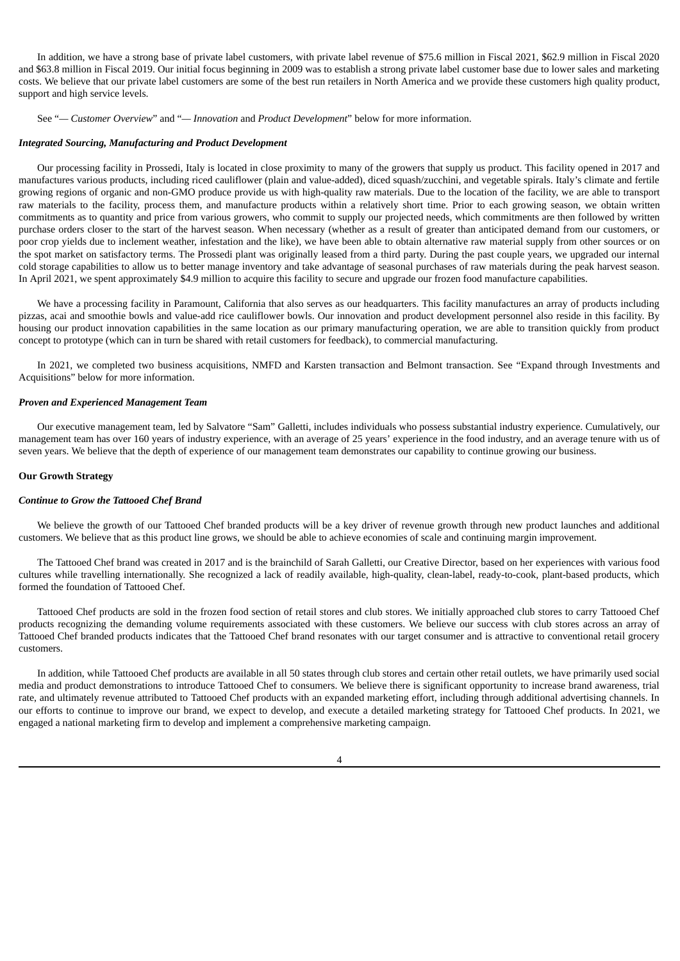In addition, we have a strong base of private label customers, with private label revenue of \$75.6 million in Fiscal 2021, \$62.9 million in Fiscal 2020 and \$63.8 million in Fiscal 2019. Our initial focus beginning in 2009 was to establish a strong private label customer base due to lower sales and marketing costs. We believe that our private label customers are some of the best run retailers in North America and we provide these customers high quality product, support and high service levels.

See "*— Customer Overview*" and "*— Innovation* and *Product Development*" below for more information.

#### *Integrated Sourcing, Manufacturing and Product Development*

Our processing facility in Prossedi, Italy is located in close proximity to many of the growers that supply us product. This facility opened in 2017 and manufactures various products, including riced cauliflower (plain and value-added), diced squash/zucchini, and vegetable spirals. Italy's climate and fertile growing regions of organic and non-GMO produce provide us with high-quality raw materials. Due to the location of the facility, we are able to transport raw materials to the facility, process them, and manufacture products within a relatively short time. Prior to each growing season, we obtain written commitments as to quantity and price from various growers, who commit to supply our projected needs, which commitments are then followed by written purchase orders closer to the start of the harvest season. When necessary (whether as a result of greater than anticipated demand from our customers, or poor crop yields due to inclement weather, infestation and the like), we have been able to obtain alternative raw material supply from other sources or on the spot market on satisfactory terms. The Prossedi plant was originally leased from a third party. During the past couple years, we upgraded our internal cold storage capabilities to allow us to better manage inventory and take advantage of seasonal purchases of raw materials during the peak harvest season. In April 2021, we spent approximately \$4.9 million to acquire this facility to secure and upgrade our frozen food manufacture capabilities.

We have a processing facility in Paramount, California that also serves as our headquarters. This facility manufactures an array of products including pizzas, acai and smoothie bowls and value-add rice cauliflower bowls. Our innovation and product development personnel also reside in this facility. By housing our product innovation capabilities in the same location as our primary manufacturing operation, we are able to transition quickly from product concept to prototype (which can in turn be shared with retail customers for feedback), to commercial manufacturing.

In 2021, we completed two business acquisitions, NMFD and Karsten transaction and Belmont transaction. See "Expand through Investments and Acquisitions" below for more information.

#### *Proven and Experienced Management Team*

Our executive management team, led by Salvatore "Sam" Galletti, includes individuals who possess substantial industry experience. Cumulatively, our management team has over 160 years of industry experience, with an average of 25 years' experience in the food industry, and an average tenure with us of seven years. We believe that the depth of experience of our management team demonstrates our capability to continue growing our business.

#### **Our Growth Strategy**

#### *Continue to Grow the Tattooed Chef Brand*

We believe the growth of our Tattooed Chef branded products will be a key driver of revenue growth through new product launches and additional customers. We believe that as this product line grows, we should be able to achieve economies of scale and continuing margin improvement.

The Tattooed Chef brand was created in 2017 and is the brainchild of Sarah Galletti, our Creative Director, based on her experiences with various food cultures while travelling internationally. She recognized a lack of readily available, high-quality, clean-label, ready-to-cook, plant-based products, which formed the foundation of Tattooed Chef.

Tattooed Chef products are sold in the frozen food section of retail stores and club stores. We initially approached club stores to carry Tattooed Chef products recognizing the demanding volume requirements associated with these customers. We believe our success with club stores across an array of Tattooed Chef branded products indicates that the Tattooed Chef brand resonates with our target consumer and is attractive to conventional retail grocery customers.

In addition, while Tattooed Chef products are available in all 50 states through club stores and certain other retail outlets, we have primarily used social media and product demonstrations to introduce Tattooed Chef to consumers. We believe there is significant opportunity to increase brand awareness, trial rate, and ultimately revenue attributed to Tattooed Chef products with an expanded marketing effort, including through additional advertising channels. In our efforts to continue to improve our brand, we expect to develop, and execute a detailed marketing strategy for Tattooed Chef products. In 2021, we engaged a national marketing firm to develop and implement a comprehensive marketing campaign.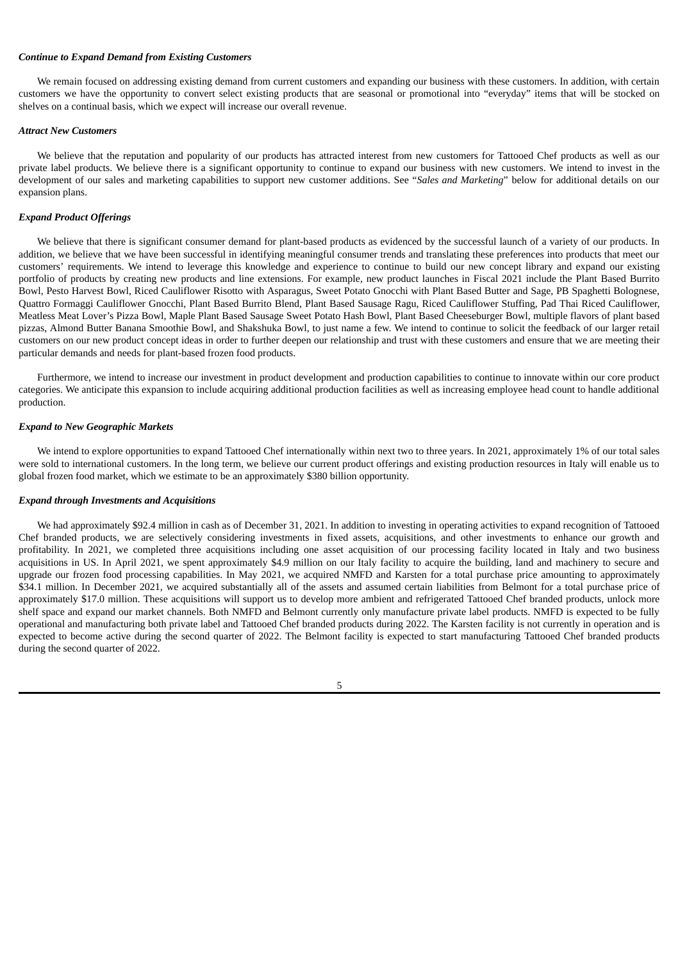### *Continue to Expand Demand from Existing Customers*

We remain focused on addressing existing demand from current customers and expanding our business with these customers. In addition, with certain customers we have the opportunity to convert select existing products that are seasonal or promotional into "everyday" items that will be stocked on shelves on a continual basis, which we expect will increase our overall revenue.

### *Attract New Customers*

We believe that the reputation and popularity of our products has attracted interest from new customers for Tattooed Chef products as well as our private label products. We believe there is a significant opportunity to continue to expand our business with new customers. We intend to invest in the development of our sales and marketing capabilities to support new customer additions. See "*Sales and Marketing*" below for additional details on our expansion plans.

### *Expand Product Offerings*

We believe that there is significant consumer demand for plant-based products as evidenced by the successful launch of a variety of our products. In addition, we believe that we have been successful in identifying meaningful consumer trends and translating these preferences into products that meet our customers' requirements. We intend to leverage this knowledge and experience to continue to build our new concept library and expand our existing portfolio of products by creating new products and line extensions. For example, new product launches in Fiscal 2021 include the Plant Based Burrito Bowl, Pesto Harvest Bowl, Riced Cauliflower Risotto with Asparagus, Sweet Potato Gnocchi with Plant Based Butter and Sage, PB Spaghetti Bolognese, Quattro Formaggi Cauliflower Gnocchi, Plant Based Burrito Blend, Plant Based Sausage Ragu, Riced Cauliflower Stuffing, Pad Thai Riced Cauliflower, Meatless Meat Lover's Pizza Bowl, Maple Plant Based Sausage Sweet Potato Hash Bowl, Plant Based Cheeseburger Bowl, multiple flavors of plant based pizzas, Almond Butter Banana Smoothie Bowl, and Shakshuka Bowl, to just name a few. We intend to continue to solicit the feedback of our larger retail customers on our new product concept ideas in order to further deepen our relationship and trust with these customers and ensure that we are meeting their particular demands and needs for plant-based frozen food products.

Furthermore, we intend to increase our investment in product development and production capabilities to continue to innovate within our core product categories. We anticipate this expansion to include acquiring additional production facilities as well as increasing employee head count to handle additional production.

#### *Expand to New Geographic Markets*

We intend to explore opportunities to expand Tattooed Chef internationally within next two to three years. In 2021, approximately 1% of our total sales were sold to international customers. In the long term, we believe our current product offerings and existing production resources in Italy will enable us to global frozen food market, which we estimate to be an approximately \$380 billion opportunity.

#### *Expand through Investments and Acquisitions*

We had approximately \$92.4 million in cash as of December 31, 2021. In addition to investing in operating activities to expand recognition of Tattooed Chef branded products, we are selectively considering investments in fixed assets, acquisitions, and other investments to enhance our growth and profitability. In 2021, we completed three acquisitions including one asset acquisition of our processing facility located in Italy and two business acquisitions in US. In April 2021, we spent approximately \$4.9 million on our Italy facility to acquire the building, land and machinery to secure and upgrade our frozen food processing capabilities. In May 2021, we acquired NMFD and Karsten for a total purchase price amounting to approximately \$34.1 million. In December 2021, we acquired substantially all of the assets and assumed certain liabilities from Belmont for a total purchase price of approximately \$17.0 million. These acquisitions will support us to develop more ambient and refrigerated Tattooed Chef branded products, unlock more shelf space and expand our market channels. Both NMFD and Belmont currently only manufacture private label products. NMFD is expected to be fully operational and manufacturing both private label and Tattooed Chef branded products during 2022. The Karsten facility is not currently in operation and is expected to become active during the second quarter of 2022. The Belmont facility is expected to start manufacturing Tattooed Chef branded products during the second quarter of 2022.

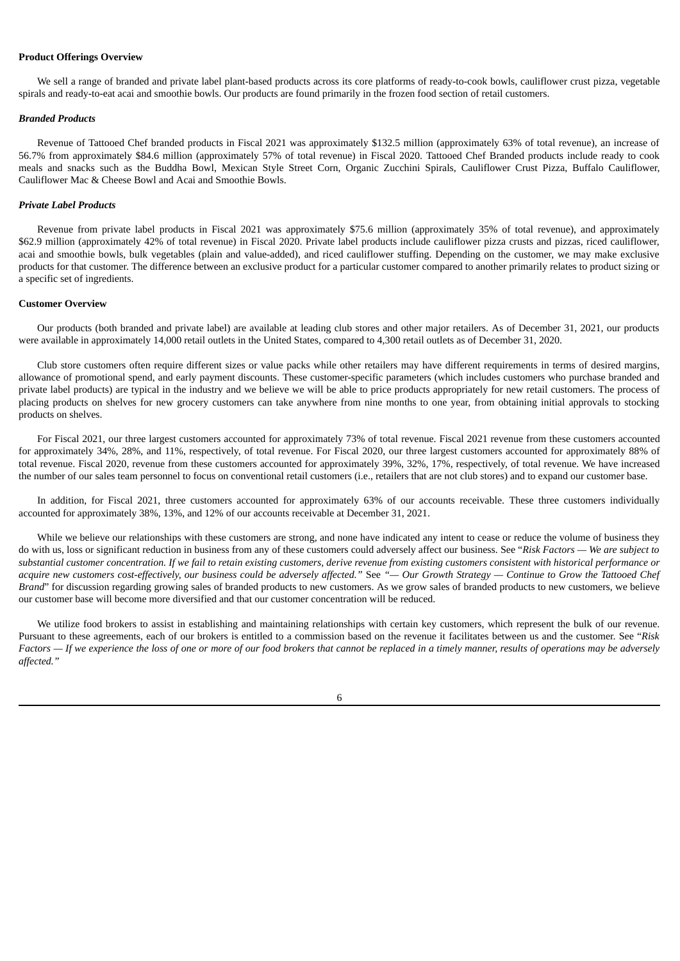### **Product Offerings Overview**

We sell a range of branded and private label plant-based products across its core platforms of ready-to-cook bowls, cauliflower crust pizza, vegetable spirals and ready-to-eat acai and smoothie bowls. Our products are found primarily in the frozen food section of retail customers.

### *Branded Products*

Revenue of Tattooed Chef branded products in Fiscal 2021 was approximately \$132.5 million (approximately 63% of total revenue), an increase of 56.7% from approximately \$84.6 million (approximately 57% of total revenue) in Fiscal 2020. Tattooed Chef Branded products include ready to cook meals and snacks such as the Buddha Bowl, Mexican Style Street Corn, Organic Zucchini Spirals, Cauliflower Crust Pizza, Buffalo Cauliflower, Cauliflower Mac & Cheese Bowl and Acai and Smoothie Bowls.

### *Private Label Products*

Revenue from private label products in Fiscal 2021 was approximately \$75.6 million (approximately 35% of total revenue), and approximately \$62.9 million (approximately 42% of total revenue) in Fiscal 2020. Private label products include cauliflower pizza crusts and pizzas, riced cauliflower, acai and smoothie bowls, bulk vegetables (plain and value-added), and riced cauliflower stuffing. Depending on the customer, we may make exclusive products for that customer. The difference between an exclusive product for a particular customer compared to another primarily relates to product sizing or a specific set of ingredients.

#### **Customer Overview**

Our products (both branded and private label) are available at leading club stores and other major retailers. As of December 31, 2021, our products were available in approximately 14,000 retail outlets in the United States, compared to 4,300 retail outlets as of December 31, 2020.

Club store customers often require different sizes or value packs while other retailers may have different requirements in terms of desired margins, allowance of promotional spend, and early payment discounts. These customer-specific parameters (which includes customers who purchase branded and private label products) are typical in the industry and we believe we will be able to price products appropriately for new retail customers. The process of placing products on shelves for new grocery customers can take anywhere from nine months to one year, from obtaining initial approvals to stocking products on shelves.

For Fiscal 2021, our three largest customers accounted for approximately 73% of total revenue. Fiscal 2021 revenue from these customers accounted for approximately 34%, 28%, and 11%, respectively, of total revenue. For Fiscal 2020, our three largest customers accounted for approximately 88% of total revenue. Fiscal 2020, revenue from these customers accounted for approximately 39%, 32%, 17%, respectively, of total revenue. We have increased the number of our sales team personnel to focus on conventional retail customers (i.e., retailers that are not club stores) and to expand our customer base.

In addition, for Fiscal 2021, three customers accounted for approximately 63% of our accounts receivable. These three customers individually accounted for approximately 38%, 13%, and 12% of our accounts receivable at December 31, 2021.

While we believe our relationships with these customers are strong, and none have indicated any intent to cease or reduce the volume of business they do with us, loss or significant reduction in business from any of these customers could adversely affect our business. See "*Risk Factors — We are subject to* substantial customer concentration. If we fail to retain existing customers, derive revenue from existing customers consistent with historical performance or acquire new customers cost-effectively, our business could be adversely affected." See "- Our Growth Strategy - Continue to Grow the Tattooed Chef *Brand*" for discussion regarding growing sales of branded products to new customers. As we grow sales of branded products to new customers, we believe our customer base will become more diversified and that our customer concentration will be reduced.

We utilize food brokers to assist in establishing and maintaining relationships with certain key customers, which represent the bulk of our revenue. Pursuant to these agreements, each of our brokers is entitled to a commission based on the revenue it facilitates between us and the customer. See "*Risk* Factors — If we experience the loss of one or more of our food brokers that cannot be replaced in a timely manner, results of operations may be adversely *affected."*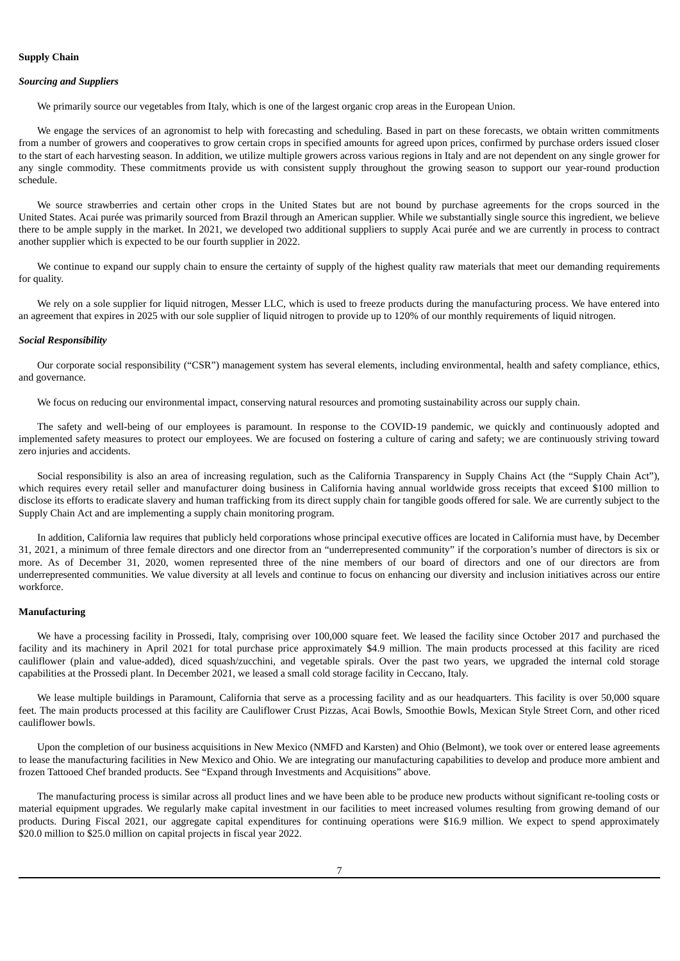### **Supply Chain**

#### *Sourcing and Suppliers*

We primarily source our vegetables from Italy, which is one of the largest organic crop areas in the European Union.

We engage the services of an agronomist to help with forecasting and scheduling. Based in part on these forecasts, we obtain written commitments from a number of growers and cooperatives to grow certain crops in specified amounts for agreed upon prices, confirmed by purchase orders issued closer to the start of each harvesting season. In addition, we utilize multiple growers across various regions in Italy and are not dependent on any single grower for any single commodity. These commitments provide us with consistent supply throughout the growing season to support our year-round production schedule.

We source strawberries and certain other crops in the United States but are not bound by purchase agreements for the crops sourced in the United States. Acai purée was primarily sourced from Brazil through an American supplier. While we substantially single source this ingredient, we believe there to be ample supply in the market. In 2021, we developed two additional suppliers to supply Acai purée and we are currently in process to contract another supplier which is expected to be our fourth supplier in 2022.

We continue to expand our supply chain to ensure the certainty of supply of the highest quality raw materials that meet our demanding requirements for quality.

We rely on a sole supplier for liquid nitrogen, Messer LLC, which is used to freeze products during the manufacturing process. We have entered into an agreement that expires in 2025 with our sole supplier of liquid nitrogen to provide up to 120% of our monthly requirements of liquid nitrogen.

#### *Social Responsibility*

Our corporate social responsibility ("CSR") management system has several elements, including environmental, health and safety compliance, ethics, and governance.

We focus on reducing our environmental impact, conserving natural resources and promoting sustainability across our supply chain.

The safety and well-being of our employees is paramount. In response to the COVID-19 pandemic, we quickly and continuously adopted and implemented safety measures to protect our employees. We are focused on fostering a culture of caring and safety; we are continuously striving toward zero injuries and accidents.

Social responsibility is also an area of increasing regulation, such as the California Transparency in Supply Chains Act (the "Supply Chain Act"), which requires every retail seller and manufacturer doing business in California having annual worldwide gross receipts that exceed \$100 million to disclose its efforts to eradicate slavery and human trafficking from its direct supply chain for tangible goods offered for sale. We are currently subject to the Supply Chain Act and are implementing a supply chain monitoring program.

In addition, California law requires that publicly held corporations whose principal executive offices are located in California must have, by December 31, 2021, a minimum of three female directors and one director from an "underrepresented community" if the corporation's number of directors is six or more. As of December 31, 2020, women represented three of the nine members of our board of directors and one of our directors are from underrepresented communities. We value diversity at all levels and continue to focus on enhancing our diversity and inclusion initiatives across our entire workforce.

### **Manufacturing**

We have a processing facility in Prossedi, Italy, comprising over 100,000 square feet. We leased the facility since October 2017 and purchased the facility and its machinery in April 2021 for total purchase price approximately \$4.9 million. The main products processed at this facility are riced cauliflower (plain and value-added), diced squash/zucchini, and vegetable spirals. Over the past two years, we upgraded the internal cold storage capabilities at the Prossedi plant. In December 2021, we leased a small cold storage facility in Ceccano, Italy.

We lease multiple buildings in Paramount, California that serve as a processing facility and as our headquarters. This facility is over 50,000 square feet. The main products processed at this facility are Cauliflower Crust Pizzas, Acai Bowls, Smoothie Bowls, Mexican Style Street Corn, and other riced cauliflower bowls.

Upon the completion of our business acquisitions in New Mexico (NMFD and Karsten) and Ohio (Belmont), we took over or entered lease agreements to lease the manufacturing facilities in New Mexico and Ohio. We are integrating our manufacturing capabilities to develop and produce more ambient and frozen Tattooed Chef branded products. See "Expand through Investments and Acquisitions" above.

The manufacturing process is similar across all product lines and we have been able to be produce new products without significant re-tooling costs or material equipment upgrades. We regularly make capital investment in our facilities to meet increased volumes resulting from growing demand of our products. During Fiscal 2021, our aggregate capital expenditures for continuing operations were \$16.9 million. We expect to spend approximately \$20.0 million to \$25.0 million on capital projects in fiscal year 2022.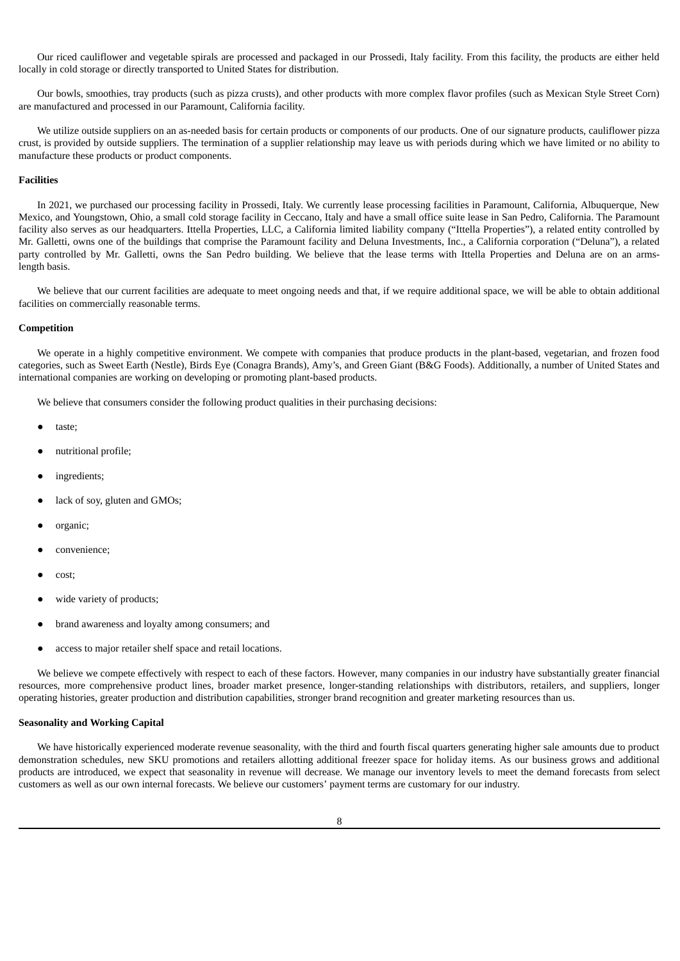Our riced cauliflower and vegetable spirals are processed and packaged in our Prossedi, Italy facility. From this facility, the products are either held locally in cold storage or directly transported to United States for distribution.

Our bowls, smoothies, tray products (such as pizza crusts), and other products with more complex flavor profiles (such as Mexican Style Street Corn) are manufactured and processed in our Paramount, California facility.

We utilize outside suppliers on an as-needed basis for certain products or components of our products. One of our signature products, cauliflower pizza crust, is provided by outside suppliers. The termination of a supplier relationship may leave us with periods during which we have limited or no ability to manufacture these products or product components.

### **Facilities**

In 2021, we purchased our processing facility in Prossedi, Italy. We currently lease processing facilities in Paramount, California, Albuquerque, New Mexico, and Youngstown, Ohio, a small cold storage facility in Ceccano, Italy and have a small office suite lease in San Pedro, California. The Paramount facility also serves as our headquarters. Ittella Properties, LLC, a California limited liability company ("Ittella Properties"), a related entity controlled by Mr. Galletti, owns one of the buildings that comprise the Paramount facility and Deluna Investments, Inc., a California corporation ("Deluna"), a related party controlled by Mr. Galletti, owns the San Pedro building. We believe that the lease terms with Ittella Properties and Deluna are on an armslength basis.

We believe that our current facilities are adequate to meet ongoing needs and that, if we require additional space, we will be able to obtain additional facilities on commercially reasonable terms.

### **Competition**

We operate in a highly competitive environment. We compete with companies that produce products in the plant-based, vegetarian, and frozen food categories, such as Sweet Earth (Nestle), Birds Eye (Conagra Brands), Amy's, and Green Giant (B&G Foods). Additionally, a number of United States and international companies are working on developing or promoting plant-based products.

We believe that consumers consider the following product qualities in their purchasing decisions:

- taste:
- nutritional profile;
- ingredients;
- lack of soy, gluten and GMOs;
- organic;
- convenience:
- cost:
- wide variety of products;
- brand awareness and loyalty among consumers; and
- access to major retailer shelf space and retail locations.

We believe we compete effectively with respect to each of these factors. However, many companies in our industry have substantially greater financial resources, more comprehensive product lines, broader market presence, longer-standing relationships with distributors, retailers, and suppliers, longer operating histories, greater production and distribution capabilities, stronger brand recognition and greater marketing resources than us.

#### **Seasonality and Working Capital**

We have historically experienced moderate revenue seasonality, with the third and fourth fiscal quarters generating higher sale amounts due to product demonstration schedules, new SKU promotions and retailers allotting additional freezer space for holiday items. As our business grows and additional products are introduced, we expect that seasonality in revenue will decrease. We manage our inventory levels to meet the demand forecasts from select customers as well as our own internal forecasts. We believe our customers' payment terms are customary for our industry.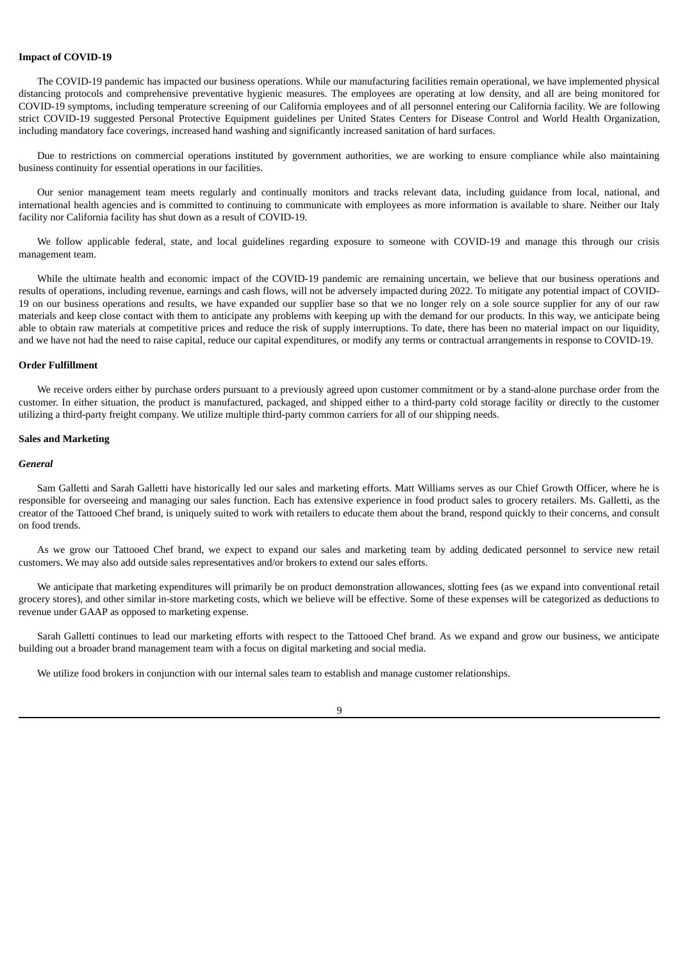#### **Impact of COVID-19**

The COVID-19 pandemic has impacted our business operations. While our manufacturing facilities remain operational, we have implemented physical distancing protocols and comprehensive preventative hygienic measures. The employees are operating at low density, and all are being monitored for COVID-19 symptoms, including temperature screening of our California employees and of all personnel entering our California facility. We are following strict COVID-19 suggested Personal Protective Equipment guidelines per United States Centers for Disease Control and World Health Organization, including mandatory face coverings, increased hand washing and significantly increased sanitation of hard surfaces.

Due to restrictions on commercial operations instituted by government authorities, we are working to ensure compliance while also maintaining business continuity for essential operations in our facilities.

Our senior management team meets regularly and continually monitors and tracks relevant data, including guidance from local, national, and international health agencies and is committed to continuing to communicate with employees as more information is available to share. Neither our Italy facility nor California facility has shut down as a result of COVID-19.

We follow applicable federal, state, and local guidelines regarding exposure to someone with COVID-19 and manage this through our crisis management team.

While the ultimate health and economic impact of the COVID-19 pandemic are remaining uncertain, we believe that our business operations and results of operations, including revenue, earnings and cash flows, will not be adversely impacted during 2022. To mitigate any potential impact of COVID-19 on our business operations and results, we have expanded our supplier base so that we no longer rely on a sole source supplier for any of our raw materials and keep close contact with them to anticipate any problems with keeping up with the demand for our products. In this way, we anticipate being able to obtain raw materials at competitive prices and reduce the risk of supply interruptions. To date, there has been no material impact on our liquidity, and we have not had the need to raise capital, reduce our capital expenditures, or modify any terms or contractual arrangements in response to COVID-19.

### **Order Fulfillment**

We receive orders either by purchase orders pursuant to a previously agreed upon customer commitment or by a stand-alone purchase order from the customer. In either situation, the product is manufactured, packaged, and shipped either to a third-party cold storage facility or directly to the customer utilizing a third-party freight company. We utilize multiple third-party common carriers for all of our shipping needs.

#### **Sales and Marketing**

#### *General*

Sam Galletti and Sarah Galletti have historically led our sales and marketing efforts. Matt Williams serves as our Chief Growth Officer, where he is responsible for overseeing and managing our sales function. Each has extensive experience in food product sales to grocery retailers. Ms. Galletti, as the creator of the Tattooed Chef brand, is uniquely suited to work with retailers to educate them about the brand, respond quickly to their concerns, and consult on food trends.

As we grow our Tattooed Chef brand, we expect to expand our sales and marketing team by adding dedicated personnel to service new retail customers. We may also add outside sales representatives and/or brokers to extend our sales efforts.

We anticipate that marketing expenditures will primarily be on product demonstration allowances, slotting fees (as we expand into conventional retail grocery stores), and other similar in-store marketing costs, which we believe will be effective. Some of these expenses will be categorized as deductions to revenue under GAAP as opposed to marketing expense.

Sarah Galletti continues to lead our marketing efforts with respect to the Tattooed Chef brand. As we expand and grow our business, we anticipate building out a broader brand management team with a focus on digital marketing and social media.

We utilize food brokers in conjunction with our internal sales team to establish and manage customer relationships.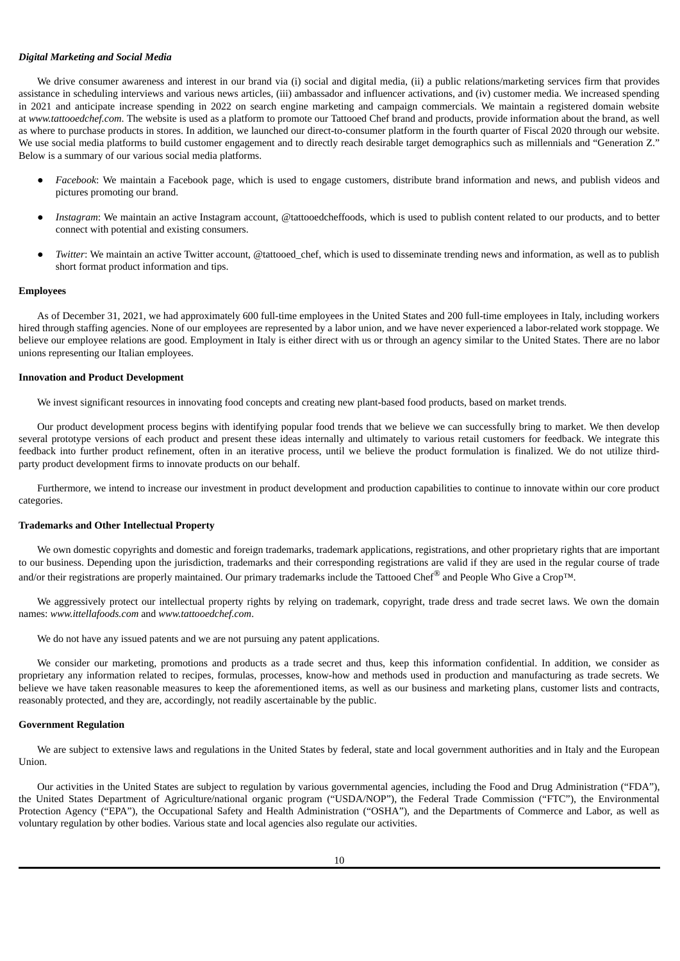### *Digital Marketing and Social Media*

We drive consumer awareness and interest in our brand via (i) social and digital media, (ii) a public relations/marketing services firm that provides assistance in scheduling interviews and various news articles, (iii) ambassador and influencer activations, and (iv) customer media. We increased spending in 2021 and anticipate increase spending in 2022 on search engine marketing and campaign commercials. We maintain a registered domain website at *www.tattooedchef.com*. The website is used as a platform to promote our Tattooed Chef brand and products, provide information about the brand, as well as where to purchase products in stores. In addition, we launched our direct-to-consumer platform in the fourth quarter of Fiscal 2020 through our website. We use social media platforms to build customer engagement and to directly reach desirable target demographics such as millennials and "Generation Z." Below is a summary of our various social media platforms.

- Facebook: We maintain a Facebook page, which is used to engage customers, distribute brand information and news, and publish videos and pictures promoting our brand.
- Instagram: We maintain an active Instagram account, @tattooedcheffoods, which is used to publish content related to our products, and to better connect with potential and existing consumers.
- *Twitter*: We maintain an active Twitter account, @tattooed\_chef, which is used to disseminate trending news and information, as well as to publish short format product information and tips.

#### **Employees**

As of December 31, 2021, we had approximately 600 full-time employees in the United States and 200 full-time employees in Italy, including workers hired through staffing agencies. None of our employees are represented by a labor union, and we have never experienced a labor-related work stoppage. We believe our employee relations are good. Employment in Italy is either direct with us or through an agency similar to the United States. There are no labor unions representing our Italian employees.

#### **Innovation and Product Development**

We invest significant resources in innovating food concepts and creating new plant-based food products, based on market trends.

Our product development process begins with identifying popular food trends that we believe we can successfully bring to market. We then develop several prototype versions of each product and present these ideas internally and ultimately to various retail customers for feedback. We integrate this feedback into further product refinement, often in an iterative process, until we believe the product formulation is finalized. We do not utilize thirdparty product development firms to innovate products on our behalf.

Furthermore, we intend to increase our investment in product development and production capabilities to continue to innovate within our core product categories.

#### **Trademarks and Other Intellectual Property**

We own domestic copyrights and domestic and foreign trademarks, trademark applications, registrations, and other proprietary rights that are important to our business. Depending upon the jurisdiction, trademarks and their corresponding registrations are valid if they are used in the regular course of trade and/or their registrations are properly maintained. Our primary trademarks include the Tattooed Chef*®* and People Who Give a Crop™.

We aggressively protect our intellectual property rights by relying on trademark, copyright, trade dress and trade secret laws. We own the domain names: *www.ittellafoods.com* and *www.tattooedchef.com*.

We do not have any issued patents and we are not pursuing any patent applications.

We consider our marketing, promotions and products as a trade secret and thus, keep this information confidential. In addition, we consider as proprietary any information related to recipes, formulas, processes, know-how and methods used in production and manufacturing as trade secrets. We believe we have taken reasonable measures to keep the aforementioned items, as well as our business and marketing plans, customer lists and contracts, reasonably protected, and they are, accordingly, not readily ascertainable by the public.

#### **Government Regulation**

We are subject to extensive laws and regulations in the United States by federal, state and local government authorities and in Italy and the European Union.

Our activities in the United States are subject to regulation by various governmental agencies, including the Food and Drug Administration ("FDA"), the United States Department of Agriculture/national organic program ("USDA/NOP"), the Federal Trade Commission ("FTC"), the Environmental Protection Agency ("EPA"), the Occupational Safety and Health Administration ("OSHA"), and the Departments of Commerce and Labor, as well as voluntary regulation by other bodies. Various state and local agencies also regulate our activities.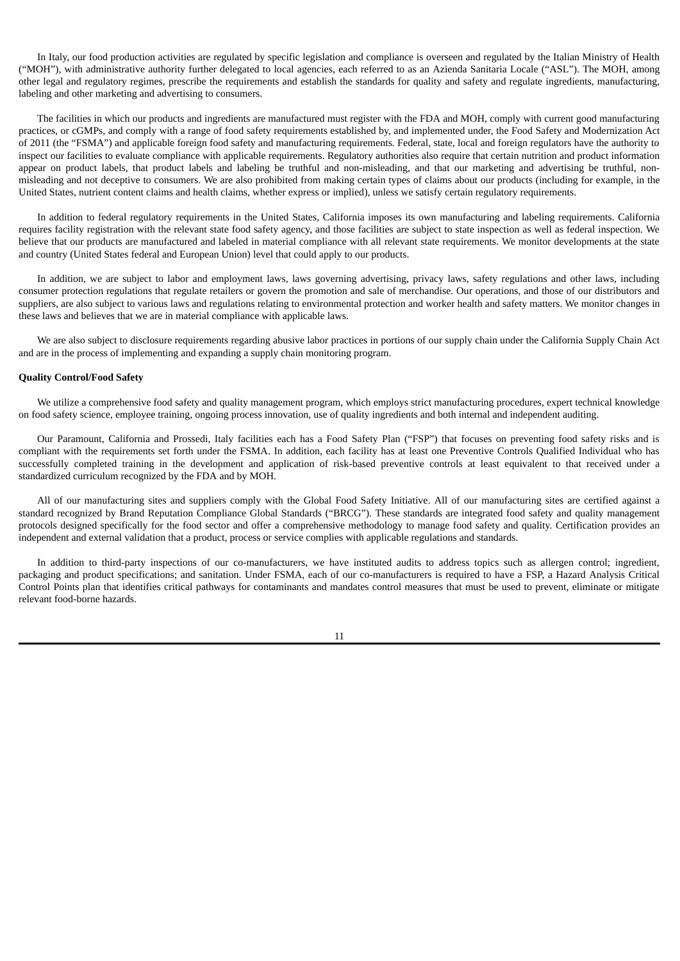In Italy, our food production activities are regulated by specific legislation and compliance is overseen and regulated by the Italian Ministry of Health ("MOH"), with administrative authority further delegated to local agencies, each referred to as an Azienda Sanitaria Locale ("ASL"). The MOH, among other legal and regulatory regimes, prescribe the requirements and establish the standards for quality and safety and regulate ingredients, manufacturing, labeling and other marketing and advertising to consumers.

The facilities in which our products and ingredients are manufactured must register with the FDA and MOH, comply with current good manufacturing practices, or cGMPs, and comply with a range of food safety requirements established by, and implemented under, the Food Safety and Modernization Act of 2011 (the "FSMA") and applicable foreign food safety and manufacturing requirements. Federal, state, local and foreign regulators have the authority to inspect our facilities to evaluate compliance with applicable requirements. Regulatory authorities also require that certain nutrition and product information appear on product labels, that product labels and labeling be truthful and non-misleading, and that our marketing and advertising be truthful, nonmisleading and not deceptive to consumers. We are also prohibited from making certain types of claims about our products (including for example, in the United States, nutrient content claims and health claims, whether express or implied), unless we satisfy certain regulatory requirements.

In addition to federal regulatory requirements in the United States, California imposes its own manufacturing and labeling requirements. California requires facility registration with the relevant state food safety agency, and those facilities are subject to state inspection as well as federal inspection. We believe that our products are manufactured and labeled in material compliance with all relevant state requirements. We monitor developments at the state and country (United States federal and European Union) level that could apply to our products.

In addition, we are subject to labor and employment laws, laws governing advertising, privacy laws, safety regulations and other laws, including consumer protection regulations that regulate retailers or govern the promotion and sale of merchandise. Our operations, and those of our distributors and suppliers, are also subject to various laws and regulations relating to environmental protection and worker health and safety matters. We monitor changes in these laws and believes that we are in material compliance with applicable laws.

We are also subject to disclosure requirements regarding abusive labor practices in portions of our supply chain under the California Supply Chain Act and are in the process of implementing and expanding a supply chain monitoring program.

#### **Quality Control/Food Safety**

We utilize a comprehensive food safety and quality management program, which employs strict manufacturing procedures, expert technical knowledge on food safety science, employee training, ongoing process innovation, use of quality ingredients and both internal and independent auditing.

Our Paramount, California and Prossedi, Italy facilities each has a Food Safety Plan ("FSP") that focuses on preventing food safety risks and is compliant with the requirements set forth under the FSMA. In addition, each facility has at least one Preventive Controls Qualified Individual who has successfully completed training in the development and application of risk-based preventive controls at least equivalent to that received under a standardized curriculum recognized by the FDA and by MOH.

All of our manufacturing sites and suppliers comply with the Global Food Safety Initiative. All of our manufacturing sites are certified against a standard recognized by Brand Reputation Compliance Global Standards ("BRCG"). These standards are integrated food safety and quality management protocols designed specifically for the food sector and offer a comprehensive methodology to manage food safety and quality. Certification provides an independent and external validation that a product, process or service complies with applicable regulations and standards.

In addition to third-party inspections of our co-manufacturers, we have instituted audits to address topics such as allergen control; ingredient, packaging and product specifications; and sanitation. Under FSMA, each of our co-manufacturers is required to have a FSP, a Hazard Analysis Critical Control Points plan that identifies critical pathways for contaminants and mandates control measures that must be used to prevent, eliminate or mitigate relevant food-borne hazards.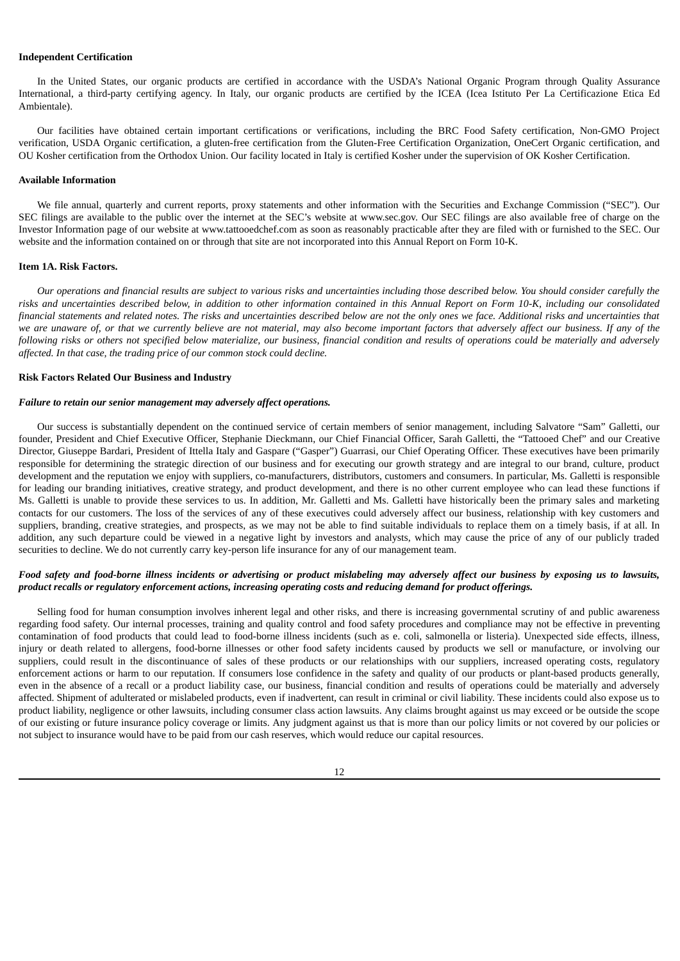### **Independent Certification**

In the United States, our organic products are certified in accordance with the USDA's National Organic Program through Quality Assurance International, a third-party certifying agency. In Italy, our organic products are certified by the ICEA (Icea Istituto Per La Certificazione Etica Ed Ambientale).

Our facilities have obtained certain important certifications or verifications, including the BRC Food Safety certification, Non-GMO Project verification, USDA Organic certification, a gluten-free certification from the Gluten-Free Certification Organization, OneCert Organic certification, and OU Kosher certification from the Orthodox Union. Our facility located in Italy is certified Kosher under the supervision of OK Kosher Certification.

#### **Available Information**

We file annual, quarterly and current reports, proxy statements and other information with the Securities and Exchange Commission ("SEC"). Our SEC filings are available to the public over the internet at the SEC's website at www.sec.gov. Our SEC filings are also available free of charge on the Investor Information page of our website at www.tattooedchef.com as soon as reasonably practicable after they are filed with or furnished to the SEC. Our website and the information contained on or through that site are not incorporated into this Annual Report on Form 10-K.

#### <span id="page-14-0"></span>**Item 1A. Risk Factors.**

Our operations and financial results are subject to various risks and uncertainties including those described below. You should consider carefully the risks and uncertainties described below, in addition to other information contained in this Annual Report on Form 10-K, including our consolidated financial statements and related notes. The risks and uncertainties described below are not the only ones we face. Additional risks and uncertainties that we are unaware of, or that we currently believe are not material, may also become important factors that adversely affect our business. If any of the following risks or others not specified below materialize, our business, financial condition and results of operations could be materially and adversely *affected. In that case, the trading price of our common stock could decline.*

#### **Risk Factors Related Our Business and Industry**

#### *Failure to retain our senior management may adversely affect operations.*

Our success is substantially dependent on the continued service of certain members of senior management, including Salvatore "Sam" Galletti, our founder, President and Chief Executive Officer, Stephanie Dieckmann, our Chief Financial Officer, Sarah Galletti, the "Tattooed Chef" and our Creative Director, Giuseppe Bardari, President of Ittella Italy and Gaspare ("Gasper") Guarrasi, our Chief Operating Officer. These executives have been primarily responsible for determining the strategic direction of our business and for executing our growth strategy and are integral to our brand, culture, product development and the reputation we enjoy with suppliers, co-manufacturers, distributors, customers and consumers. In particular, Ms. Galletti is responsible for leading our branding initiatives, creative strategy, and product development, and there is no other current employee who can lead these functions if Ms. Galletti is unable to provide these services to us. In addition, Mr. Galletti and Ms. Galletti have historically been the primary sales and marketing contacts for our customers. The loss of the services of any of these executives could adversely affect our business, relationship with key customers and suppliers, branding, creative strategies, and prospects, as we may not be able to find suitable individuals to replace them on a timely basis, if at all. In addition, any such departure could be viewed in a negative light by investors and analysts, which may cause the price of any of our publicly traded securities to decline. We do not currently carry key-person life insurance for any of our management team.

#### Food safety and food-borne illness incidents or advertising or product mislabeling may adversely affect our business by exposing us to lawsuits, product recalls or regulatory enforcement actions, increasing operating costs and reducing demand for product offerings.

Selling food for human consumption involves inherent legal and other risks, and there is increasing governmental scrutiny of and public awareness regarding food safety. Our internal processes, training and quality control and food safety procedures and compliance may not be effective in preventing contamination of food products that could lead to food-borne illness incidents (such as e. coli, salmonella or listeria). Unexpected side effects, illness, injury or death related to allergens, food-borne illnesses or other food safety incidents caused by products we sell or manufacture, or involving our suppliers, could result in the discontinuance of sales of these products or our relationships with our suppliers, increased operating costs, regulatory enforcement actions or harm to our reputation. If consumers lose confidence in the safety and quality of our products or plant-based products generally, even in the absence of a recall or a product liability case, our business, financial condition and results of operations could be materially and adversely affected. Shipment of adulterated or mislabeled products, even if inadvertent, can result in criminal or civil liability. These incidents could also expose us to product liability, negligence or other lawsuits, including consumer class action lawsuits. Any claims brought against us may exceed or be outside the scope of our existing or future insurance policy coverage or limits. Any judgment against us that is more than our policy limits or not covered by our policies or not subject to insurance would have to be paid from our cash reserves, which would reduce our capital resources.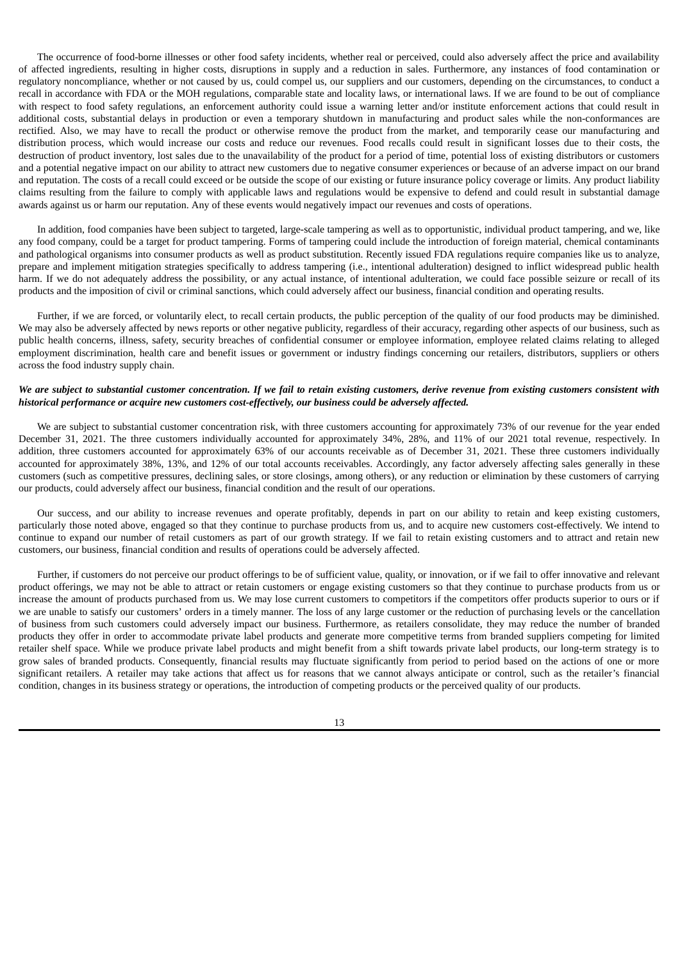The occurrence of food-borne illnesses or other food safety incidents, whether real or perceived, could also adversely affect the price and availability of affected ingredients, resulting in higher costs, disruptions in supply and a reduction in sales. Furthermore, any instances of food contamination or regulatory noncompliance, whether or not caused by us, could compel us, our suppliers and our customers, depending on the circumstances, to conduct a recall in accordance with FDA or the MOH regulations, comparable state and locality laws, or international laws. If we are found to be out of compliance with respect to food safety regulations, an enforcement authority could issue a warning letter and/or institute enforcement actions that could result in additional costs, substantial delays in production or even a temporary shutdown in manufacturing and product sales while the non-conformances are rectified. Also, we may have to recall the product or otherwise remove the product from the market, and temporarily cease our manufacturing and distribution process, which would increase our costs and reduce our revenues. Food recalls could result in significant losses due to their costs, the destruction of product inventory, lost sales due to the unavailability of the product for a period of time, potential loss of existing distributors or customers and a potential negative impact on our ability to attract new customers due to negative consumer experiences or because of an adverse impact on our brand and reputation. The costs of a recall could exceed or be outside the scope of our existing or future insurance policy coverage or limits. Any product liability claims resulting from the failure to comply with applicable laws and regulations would be expensive to defend and could result in substantial damage awards against us or harm our reputation. Any of these events would negatively impact our revenues and costs of operations.

In addition, food companies have been subject to targeted, large-scale tampering as well as to opportunistic, individual product tampering, and we, like any food company, could be a target for product tampering. Forms of tampering could include the introduction of foreign material, chemical contaminants and pathological organisms into consumer products as well as product substitution. Recently issued FDA regulations require companies like us to analyze, prepare and implement mitigation strategies specifically to address tampering (i.e., intentional adulteration) designed to inflict widespread public health harm. If we do not adequately address the possibility, or any actual instance, of intentional adulteration, we could face possible seizure or recall of its products and the imposition of civil or criminal sanctions, which could adversely affect our business, financial condition and operating results.

Further, if we are forced, or voluntarily elect, to recall certain products, the public perception of the quality of our food products may be diminished. We may also be adversely affected by news reports or other negative publicity, regardless of their accuracy, regarding other aspects of our business, such as public health concerns, illness, safety, security breaches of confidential consumer or employee information, employee related claims relating to alleged employment discrimination, health care and benefit issues or government or industry findings concerning our retailers, distributors, suppliers or others across the food industry supply chain.

### We are subject to substantial customer concentration. If we fail to retain existing customers, derive revenue from existing customers consistent with *historical performance or acquire new customers cost-effectively, our business could be adversely affected.*

We are subject to substantial customer concentration risk, with three customers accounting for approximately 73% of our revenue for the year ended December 31, 2021. The three customers individually accounted for approximately 34%, 28%, and 11% of our 2021 total revenue, respectively. In addition, three customers accounted for approximately 63% of our accounts receivable as of December 31, 2021. These three customers individually accounted for approximately 38%, 13%, and 12% of our total accounts receivables. Accordingly, any factor adversely affecting sales generally in these customers (such as competitive pressures, declining sales, or store closings, among others), or any reduction or elimination by these customers of carrying our products, could adversely affect our business, financial condition and the result of our operations.

Our success, and our ability to increase revenues and operate profitably, depends in part on our ability to retain and keep existing customers, particularly those noted above, engaged so that they continue to purchase products from us, and to acquire new customers cost-effectively. We intend to continue to expand our number of retail customers as part of our growth strategy. If we fail to retain existing customers and to attract and retain new customers, our business, financial condition and results of operations could be adversely affected.

Further, if customers do not perceive our product offerings to be of sufficient value, quality, or innovation, or if we fail to offer innovative and relevant product offerings, we may not be able to attract or retain customers or engage existing customers so that they continue to purchase products from us or increase the amount of products purchased from us. We may lose current customers to competitors if the competitors offer products superior to ours or if we are unable to satisfy our customers' orders in a timely manner. The loss of any large customer or the reduction of purchasing levels or the cancellation of business from such customers could adversely impact our business. Furthermore, as retailers consolidate, they may reduce the number of branded products they offer in order to accommodate private label products and generate more competitive terms from branded suppliers competing for limited retailer shelf space. While we produce private label products and might benefit from a shift towards private label products, our long-term strategy is to grow sales of branded products. Consequently, financial results may fluctuate significantly from period to period based on the actions of one or more significant retailers. A retailer may take actions that affect us for reasons that we cannot always anticipate or control, such as the retailer's financial condition, changes in its business strategy or operations, the introduction of competing products or the perceived quality of our products.

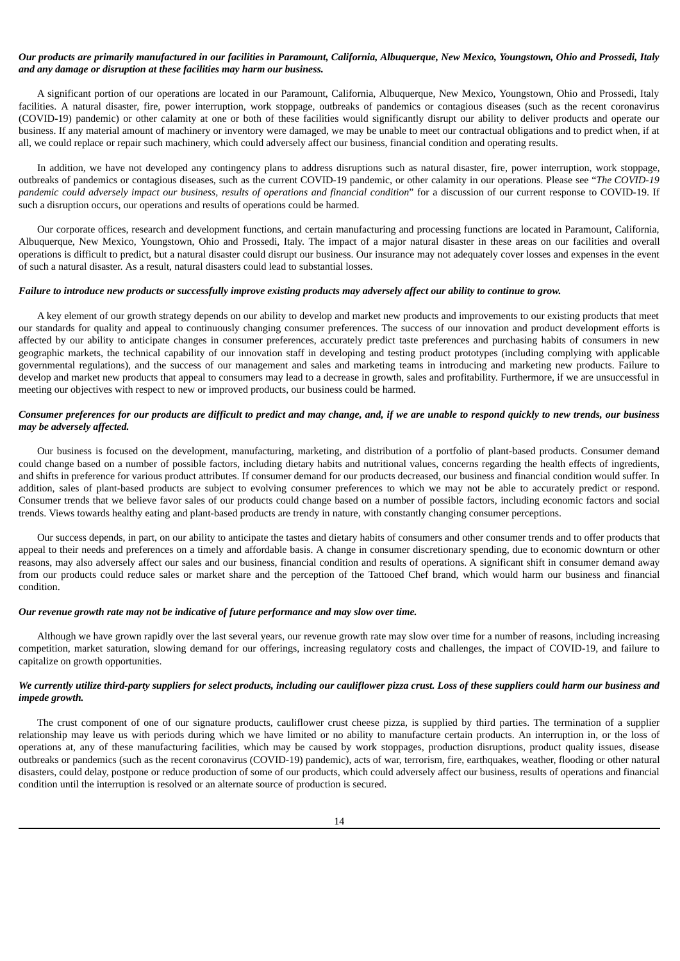### Our products are primarily manufactured in our facilities in Paramount, California, Albuquerque, New Mexico, Youngstown, Ohio and Prossedi, Italy *and any damage or disruption at these facilities may harm our business.*

A significant portion of our operations are located in our Paramount, California, Albuquerque, New Mexico, Youngstown, Ohio and Prossedi, Italy facilities. A natural disaster, fire, power interruption, work stoppage, outbreaks of pandemics or contagious diseases (such as the recent coronavirus (COVID-19) pandemic) or other calamity at one or both of these facilities would significantly disrupt our ability to deliver products and operate our business. If any material amount of machinery or inventory were damaged, we may be unable to meet our contractual obligations and to predict when, if at all, we could replace or repair such machinery, which could adversely affect our business, financial condition and operating results.

In addition, we have not developed any contingency plans to address disruptions such as natural disaster, fire, power interruption, work stoppage, outbreaks of pandemics or contagious diseases, such as the current COVID-19 pandemic, or other calamity in our operations. Please see "*The COVID-19* pandemic could adversely impact our business, results of operations and financial condition" for a discussion of our current response to COVID-19. If such a disruption occurs, our operations and results of operations could be harmed.

Our corporate offices, research and development functions, and certain manufacturing and processing functions are located in Paramount, California, Albuquerque, New Mexico, Youngstown, Ohio and Prossedi, Italy. The impact of a major natural disaster in these areas on our facilities and overall operations is difficult to predict, but a natural disaster could disrupt our business. Our insurance may not adequately cover losses and expenses in the event of such a natural disaster. As a result, natural disasters could lead to substantial losses.

#### Failure to introduce new products or successfully improve existing products may adversely affect our ability to continue to grow.

A key element of our growth strategy depends on our ability to develop and market new products and improvements to our existing products that meet our standards for quality and appeal to continuously changing consumer preferences. The success of our innovation and product development efforts is affected by our ability to anticipate changes in consumer preferences, accurately predict taste preferences and purchasing habits of consumers in new geographic markets, the technical capability of our innovation staff in developing and testing product prototypes (including complying with applicable governmental regulations), and the success of our management and sales and marketing teams in introducing and marketing new products. Failure to develop and market new products that appeal to consumers may lead to a decrease in growth, sales and profitability. Furthermore, if we are unsuccessful in meeting our objectives with respect to new or improved products, our business could be harmed.

### Consumer preferences for our products are difficult to predict and may change, and, if we are unable to respond quickly to new trends, our business *may be adversely affected.*

Our business is focused on the development, manufacturing, marketing, and distribution of a portfolio of plant-based products. Consumer demand could change based on a number of possible factors, including dietary habits and nutritional values, concerns regarding the health effects of ingredients, and shifts in preference for various product attributes. If consumer demand for our products decreased, our business and financial condition would suffer. In addition, sales of plant-based products are subject to evolving consumer preferences to which we may not be able to accurately predict or respond. Consumer trends that we believe favor sales of our products could change based on a number of possible factors, including economic factors and social trends. Views towards healthy eating and plant-based products are trendy in nature, with constantly changing consumer perceptions.

Our success depends, in part, on our ability to anticipate the tastes and dietary habits of consumers and other consumer trends and to offer products that appeal to their needs and preferences on a timely and affordable basis. A change in consumer discretionary spending, due to economic downturn or other reasons, may also adversely affect our sales and our business, financial condition and results of operations. A significant shift in consumer demand away from our products could reduce sales or market share and the perception of the Tattooed Chef brand, which would harm our business and financial condition.

#### *Our revenue growth rate may not be indicative of future performance and may slow over time.*

Although we have grown rapidly over the last several years, our revenue growth rate may slow over time for a number of reasons, including increasing competition, market saturation, slowing demand for our offerings, increasing regulatory costs and challenges, the impact of COVID-19, and failure to capitalize on growth opportunities.

### We currently utilize third-party suppliers for select products, including our cauliflower pizza crust. Loss of these suppliers could harm our business and *impede growth.*

The crust component of one of our signature products, cauliflower crust cheese pizza, is supplied by third parties. The termination of a supplier relationship may leave us with periods during which we have limited or no ability to manufacture certain products. An interruption in, or the loss of operations at, any of these manufacturing facilities, which may be caused by work stoppages, production disruptions, product quality issues, disease outbreaks or pandemics (such as the recent coronavirus (COVID-19) pandemic), acts of war, terrorism, fire, earthquakes, weather, flooding or other natural disasters, could delay, postpone or reduce production of some of our products, which could adversely affect our business, results of operations and financial condition until the interruption is resolved or an alternate source of production is secured.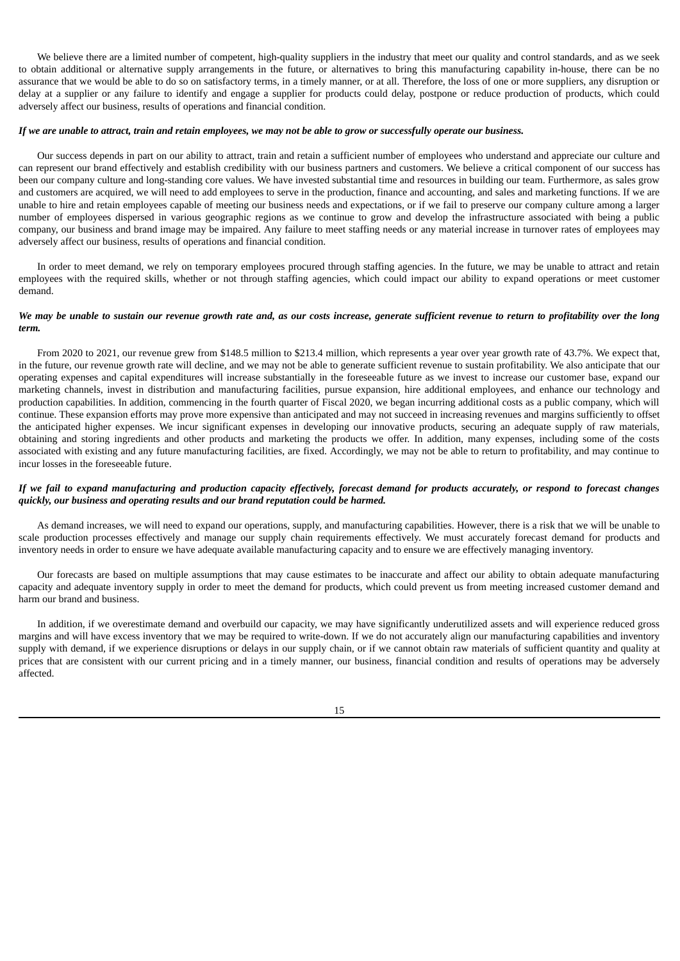We believe there are a limited number of competent, high-quality suppliers in the industry that meet our quality and control standards, and as we seek to obtain additional or alternative supply arrangements in the future, or alternatives to bring this manufacturing capability in-house, there can be no assurance that we would be able to do so on satisfactory terms, in a timely manner, or at all. Therefore, the loss of one or more suppliers, any disruption or delay at a supplier or any failure to identify and engage a supplier for products could delay, postpone or reduce production of products, which could adversely affect our business, results of operations and financial condition.

#### If we are unable to attract, train and retain employees, we may not be able to grow or successfully operate our business.

Our success depends in part on our ability to attract, train and retain a sufficient number of employees who understand and appreciate our culture and can represent our brand effectively and establish credibility with our business partners and customers. We believe a critical component of our success has been our company culture and long-standing core values. We have invested substantial time and resources in building our team. Furthermore, as sales grow and customers are acquired, we will need to add employees to serve in the production, finance and accounting, and sales and marketing functions. If we are unable to hire and retain employees capable of meeting our business needs and expectations, or if we fail to preserve our company culture among a larger number of employees dispersed in various geographic regions as we continue to grow and develop the infrastructure associated with being a public company, our business and brand image may be impaired. Any failure to meet staffing needs or any material increase in turnover rates of employees may adversely affect our business, results of operations and financial condition.

In order to meet demand, we rely on temporary employees procured through staffing agencies. In the future, we may be unable to attract and retain employees with the required skills, whether or not through staffing agencies, which could impact our ability to expand operations or meet customer demand.

### We may be unable to sustain our revenue growth rate and, as our costs increase, generate sufficient revenue to return to profitability over the long *term.*

From 2020 to 2021, our revenue grew from \$148.5 million to \$213.4 million, which represents a year over year growth rate of 43.7%. We expect that, in the future, our revenue growth rate will decline, and we may not be able to generate sufficient revenue to sustain profitability. We also anticipate that our operating expenses and capital expenditures will increase substantially in the foreseeable future as we invest to increase our customer base, expand our marketing channels, invest in distribution and manufacturing facilities, pursue expansion, hire additional employees, and enhance our technology and production capabilities. In addition, commencing in the fourth quarter of Fiscal 2020, we began incurring additional costs as a public company, which will continue. These expansion efforts may prove more expensive than anticipated and may not succeed in increasing revenues and margins sufficiently to offset the anticipated higher expenses. We incur significant expenses in developing our innovative products, securing an adequate supply of raw materials, obtaining and storing ingredients and other products and marketing the products we offer. In addition, many expenses, including some of the costs associated with existing and any future manufacturing facilities, are fixed. Accordingly, we may not be able to return to profitability, and may continue to incur losses in the foreseeable future.

### If we fail to expand manufacturing and production capacity effectively, forecast demand for products accurately, or respond to forecast changes *quickly, our business and operating results and our brand reputation could be harmed.*

As demand increases, we will need to expand our operations, supply, and manufacturing capabilities. However, there is a risk that we will be unable to scale production processes effectively and manage our supply chain requirements effectively. We must accurately forecast demand for products and inventory needs in order to ensure we have adequate available manufacturing capacity and to ensure we are effectively managing inventory.

Our forecasts are based on multiple assumptions that may cause estimates to be inaccurate and affect our ability to obtain adequate manufacturing capacity and adequate inventory supply in order to meet the demand for products, which could prevent us from meeting increased customer demand and harm our brand and business.

In addition, if we overestimate demand and overbuild our capacity, we may have significantly underutilized assets and will experience reduced gross margins and will have excess inventory that we may be required to write-down. If we do not accurately align our manufacturing capabilities and inventory supply with demand, if we experience disruptions or delays in our supply chain, or if we cannot obtain raw materials of sufficient quantity and quality at prices that are consistent with our current pricing and in a timely manner, our business, financial condition and results of operations may be adversely affected.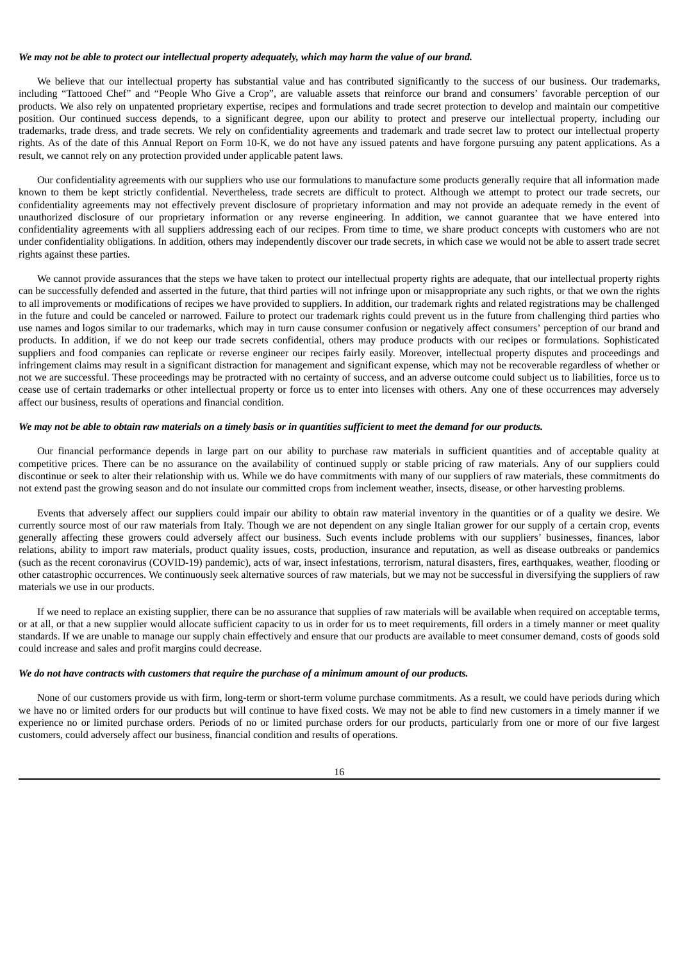#### We may not be able to protect our intellectual property adequately, which may harm the value of our brand.

We believe that our intellectual property has substantial value and has contributed significantly to the success of our business. Our trademarks, including "Tattooed Chef" and "People Who Give a Crop", are valuable assets that reinforce our brand and consumers' favorable perception of our products. We also rely on unpatented proprietary expertise, recipes and formulations and trade secret protection to develop and maintain our competitive position. Our continued success depends, to a significant degree, upon our ability to protect and preserve our intellectual property, including our trademarks, trade dress, and trade secrets. We rely on confidentiality agreements and trademark and trade secret law to protect our intellectual property rights. As of the date of this Annual Report on Form 10-K, we do not have any issued patents and have forgone pursuing any patent applications. As a result, we cannot rely on any protection provided under applicable patent laws.

Our confidentiality agreements with our suppliers who use our formulations to manufacture some products generally require that all information made known to them be kept strictly confidential. Nevertheless, trade secrets are difficult to protect. Although we attempt to protect our trade secrets, our confidentiality agreements may not effectively prevent disclosure of proprietary information and may not provide an adequate remedy in the event of unauthorized disclosure of our proprietary information or any reverse engineering. In addition, we cannot guarantee that we have entered into confidentiality agreements with all suppliers addressing each of our recipes. From time to time, we share product concepts with customers who are not under confidentiality obligations. In addition, others may independently discover our trade secrets, in which case we would not be able to assert trade secret rights against these parties.

We cannot provide assurances that the steps we have taken to protect our intellectual property rights are adequate, that our intellectual property rights can be successfully defended and asserted in the future, that third parties will not infringe upon or misappropriate any such rights, or that we own the rights to all improvements or modifications of recipes we have provided to suppliers. In addition, our trademark rights and related registrations may be challenged in the future and could be canceled or narrowed. Failure to protect our trademark rights could prevent us in the future from challenging third parties who use names and logos similar to our trademarks, which may in turn cause consumer confusion or negatively affect consumers' perception of our brand and products. In addition, if we do not keep our trade secrets confidential, others may produce products with our recipes or formulations. Sophisticated suppliers and food companies can replicate or reverse engineer our recipes fairly easily. Moreover, intellectual property disputes and proceedings and infringement claims may result in a significant distraction for management and significant expense, which may not be recoverable regardless of whether or not we are successful. These proceedings may be protracted with no certainty of success, and an adverse outcome could subject us to liabilities, force us to cease use of certain trademarks or other intellectual property or force us to enter into licenses with others. Any one of these occurrences may adversely affect our business, results of operations and financial condition.

#### We may not be able to obtain raw materials on a timely basis or in quantities sufficient to meet the demand for our products.

Our financial performance depends in large part on our ability to purchase raw materials in sufficient quantities and of acceptable quality at competitive prices. There can be no assurance on the availability of continued supply or stable pricing of raw materials. Any of our suppliers could discontinue or seek to alter their relationship with us. While we do have commitments with many of our suppliers of raw materials, these commitments do not extend past the growing season and do not insulate our committed crops from inclement weather, insects, disease, or other harvesting problems.

Events that adversely affect our suppliers could impair our ability to obtain raw material inventory in the quantities or of a quality we desire. We currently source most of our raw materials from Italy. Though we are not dependent on any single Italian grower for our supply of a certain crop, events generally affecting these growers could adversely affect our business. Such events include problems with our suppliers' businesses, finances, labor relations, ability to import raw materials, product quality issues, costs, production, insurance and reputation, as well as disease outbreaks or pandemics (such as the recent coronavirus (COVID-19) pandemic), acts of war, insect infestations, terrorism, natural disasters, fires, earthquakes, weather, flooding or other catastrophic occurrences. We continuously seek alternative sources of raw materials, but we may not be successful in diversifying the suppliers of raw materials we use in our products.

If we need to replace an existing supplier, there can be no assurance that supplies of raw materials will be available when required on acceptable terms, or at all, or that a new supplier would allocate sufficient capacity to us in order for us to meet requirements, fill orders in a timely manner or meet quality standards. If we are unable to manage our supply chain effectively and ensure that our products are available to meet consumer demand, costs of goods sold could increase and sales and profit margins could decrease.

### We do not have contracts with customers that require the purchase of a minimum amount of our products.

None of our customers provide us with firm, long-term or short-term volume purchase commitments. As a result, we could have periods during which we have no or limited orders for our products but will continue to have fixed costs. We may not be able to find new customers in a timely manner if we experience no or limited purchase orders. Periods of no or limited purchase orders for our products, particularly from one or more of our five largest customers, could adversely affect our business, financial condition and results of operations.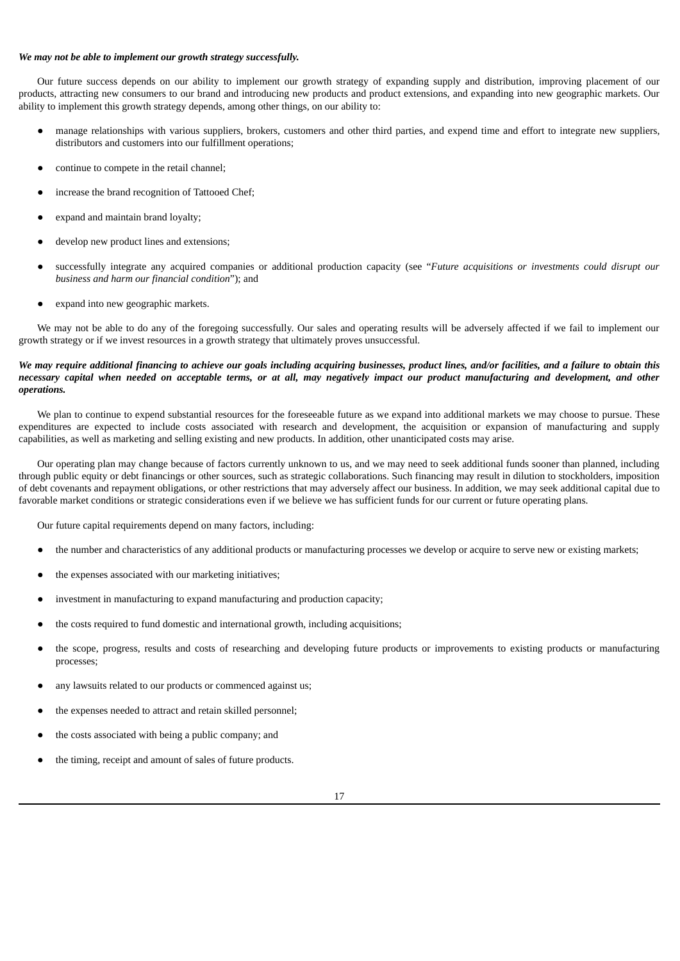### *We may not be able to implement our growth strategy successfully.*

Our future success depends on our ability to implement our growth strategy of expanding supply and distribution, improving placement of our products, attracting new consumers to our brand and introducing new products and product extensions, and expanding into new geographic markets. Our ability to implement this growth strategy depends, among other things, on our ability to:

- manage relationships with various suppliers, brokers, customers and other third parties, and expend time and effort to integrate new suppliers, distributors and customers into our fulfillment operations;
- continue to compete in the retail channel;
- increase the brand recognition of Tattooed Chef;
- expand and maintain brand loyalty;
- develop new product lines and extensions;
- successfully integrate any acquired companies or additional production capacity (see "*Future acquisitions or investments could disrupt our business and harm our financial condition*"); and
- expand into new geographic markets.

We may not be able to do any of the foregoing successfully. Our sales and operating results will be adversely affected if we fail to implement our growth strategy or if we invest resources in a growth strategy that ultimately proves unsuccessful.

### We may require additional financing to achieve our goals including acquiring businesses, product lines, and/or facilities, and a failure to obtain this necessary capital when needed on acceptable terms, or at all, may negatively impact our product manufacturing and development, and other *operations.*

We plan to continue to expend substantial resources for the foreseeable future as we expand into additional markets we may choose to pursue. These expenditures are expected to include costs associated with research and development, the acquisition or expansion of manufacturing and supply capabilities, as well as marketing and selling existing and new products. In addition, other unanticipated costs may arise.

Our operating plan may change because of factors currently unknown to us, and we may need to seek additional funds sooner than planned, including through public equity or debt financings or other sources, such as strategic collaborations. Such financing may result in dilution to stockholders, imposition of debt covenants and repayment obligations, or other restrictions that may adversely affect our business. In addition, we may seek additional capital due to favorable market conditions or strategic considerations even if we believe we has sufficient funds for our current or future operating plans.

Our future capital requirements depend on many factors, including:

- the number and characteristics of any additional products or manufacturing processes we develop or acquire to serve new or existing markets;
- the expenses associated with our marketing initiatives;
- investment in manufacturing to expand manufacturing and production capacity;
- the costs required to fund domestic and international growth, including acquisitions;
- the scope, progress, results and costs of researching and developing future products or improvements to existing products or manufacturing processes;
- any lawsuits related to our products or commenced against us;
- the expenses needed to attract and retain skilled personnel;
- the costs associated with being a public company; and
- the timing, receipt and amount of sales of future products.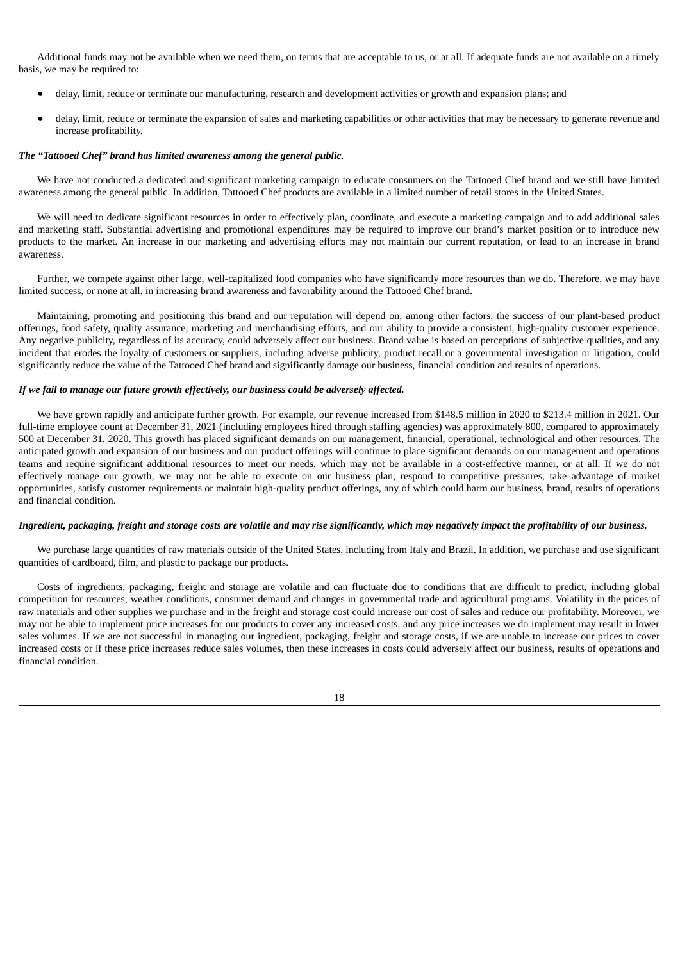Additional funds may not be available when we need them, on terms that are acceptable to us, or at all. If adequate funds are not available on a timely basis, we may be required to:

- delay, limit, reduce or terminate our manufacturing, research and development activities or growth and expansion plans; and
- delay, limit, reduce or terminate the expansion of sales and marketing capabilities or other activities that may be necessary to generate revenue and increase profitability.

#### *The "Tattooed Chef" brand has limited awareness among the general public.*

We have not conducted a dedicated and significant marketing campaign to educate consumers on the Tattooed Chef brand and we still have limited awareness among the general public. In addition, Tattooed Chef products are available in a limited number of retail stores in the United States.

We will need to dedicate significant resources in order to effectively plan, coordinate, and execute a marketing campaign and to add additional sales and marketing staff. Substantial advertising and promotional expenditures may be required to improve our brand's market position or to introduce new products to the market. An increase in our marketing and advertising efforts may not maintain our current reputation, or lead to an increase in brand awareness.

Further, we compete against other large, well-capitalized food companies who have significantly more resources than we do. Therefore, we may have limited success, or none at all, in increasing brand awareness and favorability around the Tattooed Chef brand.

Maintaining, promoting and positioning this brand and our reputation will depend on, among other factors, the success of our plant-based product offerings, food safety, quality assurance, marketing and merchandising efforts, and our ability to provide a consistent, high-quality customer experience. Any negative publicity, regardless of its accuracy, could adversely affect our business. Brand value is based on perceptions of subjective qualities, and any incident that erodes the loyalty of customers or suppliers, including adverse publicity, product recall or a governmental investigation or litigation, could significantly reduce the value of the Tattooed Chef brand and significantly damage our business, financial condition and results of operations.

#### *If we fail to manage our future growth effectively, our business could be adversely affected.*

We have grown rapidly and anticipate further growth. For example, our revenue increased from \$148.5 million in 2020 to \$213.4 million in 2021. Our full-time employee count at December 31, 2021 (including employees hired through staffing agencies) was approximately 800, compared to approximately 500 at December 31, 2020. This growth has placed significant demands on our management, financial, operational, technological and other resources. The anticipated growth and expansion of our business and our product offerings will continue to place significant demands on our management and operations teams and require significant additional resources to meet our needs, which may not be available in a cost-effective manner, or at all. If we do not effectively manage our growth, we may not be able to execute on our business plan, respond to competitive pressures, take advantage of market opportunities, satisfy customer requirements or maintain high-quality product offerings, any of which could harm our business, brand, results of operations and financial condition.

#### Ingredient, packaging, freight and storage costs are volatile and may rise significantly, which may negatively impact the profitability of our business.

We purchase large quantities of raw materials outside of the United States, including from Italy and Brazil. In addition, we purchase and use significant quantities of cardboard, film, and plastic to package our products.

Costs of ingredients, packaging, freight and storage are volatile and can fluctuate due to conditions that are difficult to predict, including global competition for resources, weather conditions, consumer demand and changes in governmental trade and agricultural programs. Volatility in the prices of raw materials and other supplies we purchase and in the freight and storage cost could increase our cost of sales and reduce our profitability. Moreover, we may not be able to implement price increases for our products to cover any increased costs, and any price increases we do implement may result in lower sales volumes. If we are not successful in managing our ingredient, packaging, freight and storage costs, if we are unable to increase our prices to cover increased costs or if these price increases reduce sales volumes, then these increases in costs could adversely affect our business, results of operations and financial condition.

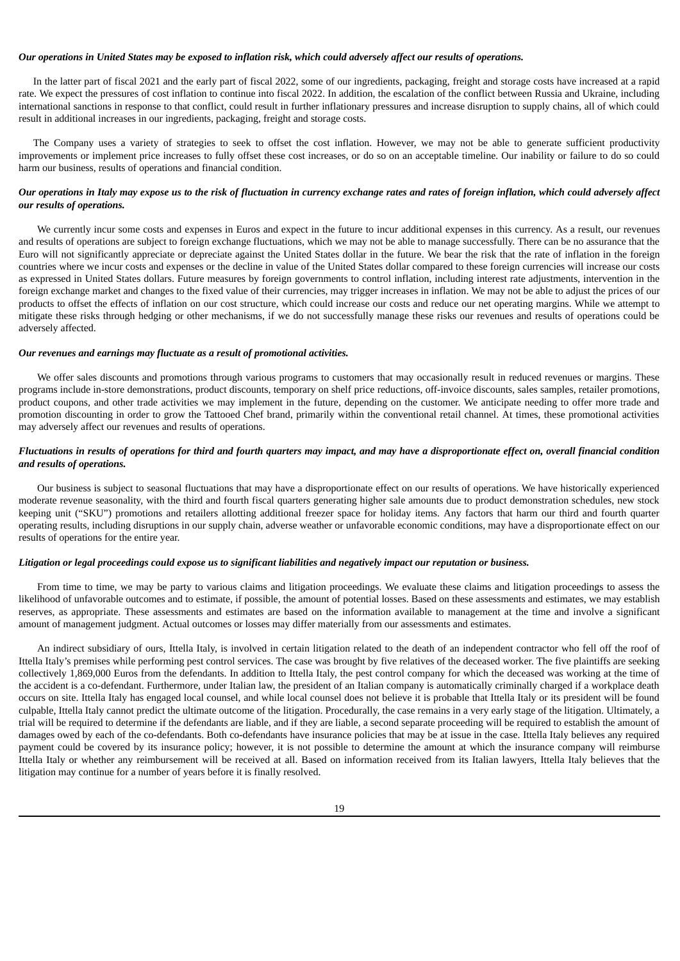### Our operations in United States may be exposed to inflation risk, which could adversely affect our results of operations.

In the latter part of fiscal 2021 and the early part of fiscal 2022, some of our ingredients, packaging, freight and storage costs have increased at a rapid rate. We expect the pressures of cost inflation to continue into fiscal 2022. In addition, the escalation of the conflict between Russia and Ukraine, including international sanctions in response to that conflict, could result in further inflationary pressures and increase disruption to supply chains, all of which could result in additional increases in our ingredients, packaging, freight and storage costs.

The Company uses a variety of strategies to seek to offset the cost inflation. However, we may not be able to generate sufficient productivity improvements or implement price increases to fully offset these cost increases, or do so on an acceptable timeline. Our inability or failure to do so could harm our business, results of operations and financial condition.

### Our operations in Italy may expose us to the risk of fluctuation in currency exchange rates and rates of foreign inflation, which could adversely affect *our results of operations.*

We currently incur some costs and expenses in Euros and expect in the future to incur additional expenses in this currency. As a result, our revenues and results of operations are subject to foreign exchange fluctuations, which we may not be able to manage successfully. There can be no assurance that the Euro will not significantly appreciate or depreciate against the United States dollar in the future. We bear the risk that the rate of inflation in the foreign countries where we incur costs and expenses or the decline in value of the United States dollar compared to these foreign currencies will increase our costs as expressed in United States dollars. Future measures by foreign governments to control inflation, including interest rate adjustments, intervention in the foreign exchange market and changes to the fixed value of their currencies, may trigger increases in inflation. We may not be able to adjust the prices of our products to offset the effects of inflation on our cost structure, which could increase our costs and reduce our net operating margins. While we attempt to mitigate these risks through hedging or other mechanisms, if we do not successfully manage these risks our revenues and results of operations could be adversely affected.

#### *Our revenues and earnings may fluctuate as a result of promotional activities.*

We offer sales discounts and promotions through various programs to customers that may occasionally result in reduced revenues or margins. These programs include in-store demonstrations, product discounts, temporary on shelf price reductions, off-invoice discounts, sales samples, retailer promotions, product coupons, and other trade activities we may implement in the future, depending on the customer. We anticipate needing to offer more trade and promotion discounting in order to grow the Tattooed Chef brand, primarily within the conventional retail channel. At times, these promotional activities may adversely affect our revenues and results of operations.

### Fluctuations in results of operations for third and fourth quarters may impact, and may have a disproportionate effect on, overall financial condition *and results of operations.*

Our business is subject to seasonal fluctuations that may have a disproportionate effect on our results of operations. We have historically experienced moderate revenue seasonality, with the third and fourth fiscal quarters generating higher sale amounts due to product demonstration schedules, new stock keeping unit ("SKU") promotions and retailers allotting additional freezer space for holiday items. Any factors that harm our third and fourth quarter operating results, including disruptions in our supply chain, adverse weather or unfavorable economic conditions, may have a disproportionate effect on our results of operations for the entire year.

#### Litigation or legal proceedings could expose us to significant liabilities and negatively impact our reputation or business.

From time to time, we may be party to various claims and litigation proceedings. We evaluate these claims and litigation proceedings to assess the likelihood of unfavorable outcomes and to estimate, if possible, the amount of potential losses. Based on these assessments and estimates, we may establish reserves, as appropriate. These assessments and estimates are based on the information available to management at the time and involve a significant amount of management judgment. Actual outcomes or losses may differ materially from our assessments and estimates.

An indirect subsidiary of ours, Ittella Italy, is involved in certain litigation related to the death of an independent contractor who fell off the roof of Ittella Italy's premises while performing pest control services. The case was brought by five relatives of the deceased worker. The five plaintiffs are seeking collectively 1,869,000 Euros from the defendants. In addition to Ittella Italy, the pest control company for which the deceased was working at the time of the accident is a co-defendant. Furthermore, under Italian law, the president of an Italian company is automatically criminally charged if a workplace death occurs on site. Ittella Italy has engaged local counsel, and while local counsel does not believe it is probable that Ittella Italy or its president will be found culpable, Ittella Italy cannot predict the ultimate outcome of the litigation. Procedurally, the case remains in a very early stage of the litigation. Ultimately, a trial will be required to determine if the defendants are liable, and if they are liable, a second separate proceeding will be required to establish the amount of damages owed by each of the co-defendants. Both co-defendants have insurance policies that may be at issue in the case. Ittella Italy believes any required payment could be covered by its insurance policy; however, it is not possible to determine the amount at which the insurance company will reimburse Ittella Italy or whether any reimbursement will be received at all. Based on information received from its Italian lawyers, Ittella Italy believes that the litigation may continue for a number of years before it is finally resolved.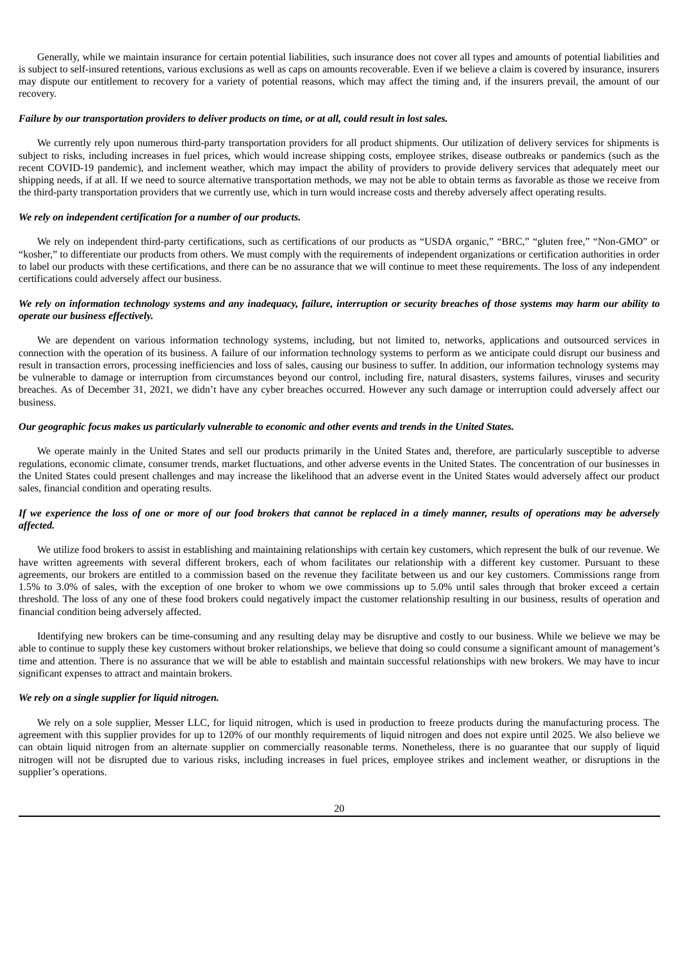Generally, while we maintain insurance for certain potential liabilities, such insurance does not cover all types and amounts of potential liabilities and is subject to self-insured retentions, various exclusions as well as caps on amounts recoverable. Even if we believe a claim is covered by insurance, insurers may dispute our entitlement to recovery for a variety of potential reasons, which may affect the timing and, if the insurers prevail, the amount of our recovery.

### Failure by our transportation providers to deliver products on time, or at all, could result in lost sales.

We currently rely upon numerous third-party transportation providers for all product shipments. Our utilization of delivery services for shipments is subject to risks, including increases in fuel prices, which would increase shipping costs, employee strikes, disease outbreaks or pandemics (such as the recent COVID-19 pandemic), and inclement weather, which may impact the ability of providers to provide delivery services that adequately meet our shipping needs, if at all. If we need to source alternative transportation methods, we may not be able to obtain terms as favorable as those we receive from the third-party transportation providers that we currently use, which in turn would increase costs and thereby adversely affect operating results.

### *We rely on independent certification for a number of our products.*

We rely on independent third-party certifications, such as certifications of our products as "USDA organic," "BRC," "gluten free," "Non-GMO" or "kosher," to differentiate our products from others. We must comply with the requirements of independent organizations or certification authorities in order to label our products with these certifications, and there can be no assurance that we will continue to meet these requirements. The loss of any independent certifications could adversely affect our business.

#### We rely on information technology systems and any inadequacy, failure, interruption or security breaches of those systems may harm our ability to *operate our business effectively.*

We are dependent on various information technology systems, including, but not limited to, networks, applications and outsourced services in connection with the operation of its business. A failure of our information technology systems to perform as we anticipate could disrupt our business and result in transaction errors, processing inefficiencies and loss of sales, causing our business to suffer. In addition, our information technology systems may be vulnerable to damage or interruption from circumstances beyond our control, including fire, natural disasters, systems failures, viruses and security breaches. As of December 31, 2021, we didn't have any cyber breaches occurred. However any such damage or interruption could adversely affect our business.

#### Our geographic focus makes us particularly vulnerable to economic and other events and trends in the United States.

We operate mainly in the United States and sell our products primarily in the United States and, therefore, are particularly susceptible to adverse regulations, economic climate, consumer trends, market fluctuations, and other adverse events in the United States. The concentration of our businesses in the United States could present challenges and may increase the likelihood that an adverse event in the United States would adversely affect our product sales, financial condition and operating results.

### If we experience the loss of one or more of our food brokers that cannot be replaced in a timely manner, results of operations may be adversely *affected.*

We utilize food brokers to assist in establishing and maintaining relationships with certain key customers, which represent the bulk of our revenue. We have written agreements with several different brokers, each of whom facilitates our relationship with a different key customer. Pursuant to these agreements, our brokers are entitled to a commission based on the revenue they facilitate between us and our key customers. Commissions range from 1.5% to 3.0% of sales, with the exception of one broker to whom we owe commissions up to 5.0% until sales through that broker exceed a certain threshold. The loss of any one of these food brokers could negatively impact the customer relationship resulting in our business, results of operation and financial condition being adversely affected.

Identifying new brokers can be time-consuming and any resulting delay may be disruptive and costly to our business. While we believe we may be able to continue to supply these key customers without broker relationships, we believe that doing so could consume a significant amount of management's time and attention. There is no assurance that we will be able to establish and maintain successful relationships with new brokers. We may have to incur significant expenses to attract and maintain brokers.

### *We rely on a single supplier for liquid nitrogen.*

We rely on a sole supplier, Messer LLC, for liquid nitrogen, which is used in production to freeze products during the manufacturing process. The agreement with this supplier provides for up to 120% of our monthly requirements of liquid nitrogen and does not expire until 2025. We also believe we can obtain liquid nitrogen from an alternate supplier on commercially reasonable terms. Nonetheless, there is no guarantee that our supply of liquid nitrogen will not be disrupted due to various risks, including increases in fuel prices, employee strikes and inclement weather, or disruptions in the supplier's operations.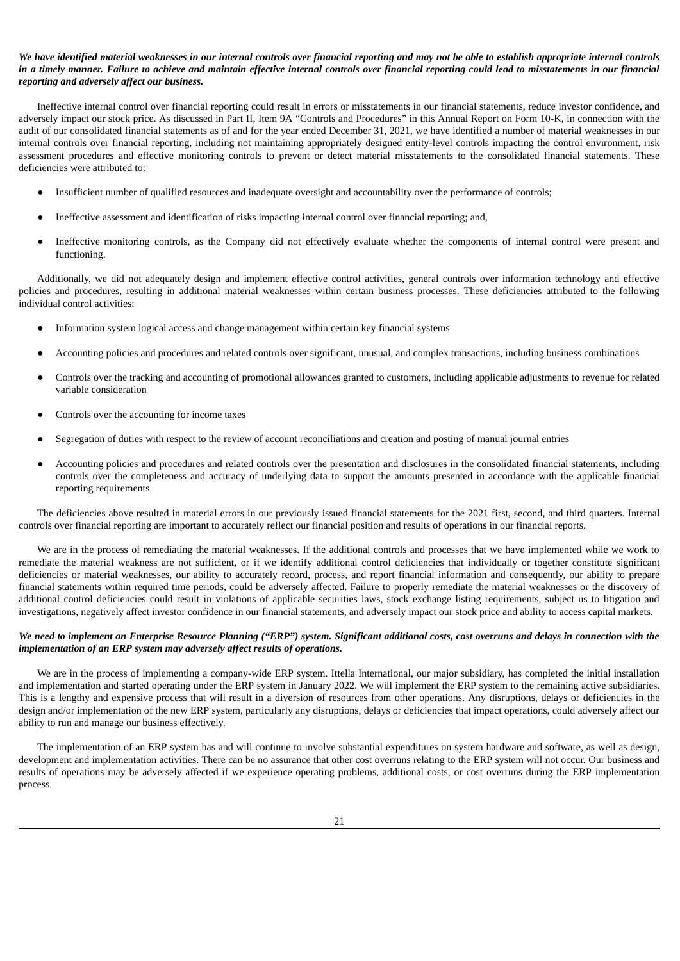### We have identified material weaknesses in our internal controls over financial reporting and may not be able to establish appropriate internal controls in a timely manner. Failure to achieve and maintain effective internal controls over financial reporting could lead to misstatements in our financial *reporting and adversely affect our business.*

Ineffective internal control over financial reporting could result in errors or misstatements in our financial statements, reduce investor confidence, and adversely impact our stock price. As discussed in Part II, Item 9A "Controls and Procedures" in this Annual Report on Form 10-K, in connection with the audit of our consolidated financial statements as of and for the year ended December 31, 2021, we have identified a number of material weaknesses in our internal controls over financial reporting, including not maintaining appropriately designed entity-level controls impacting the control environment, risk assessment procedures and effective monitoring controls to prevent or detect material misstatements to the consolidated financial statements. These deficiencies were attributed to:

- Insufficient number of qualified resources and inadequate oversight and accountability over the performance of controls;
- Ineffective assessment and identification of risks impacting internal control over financial reporting; and,
- Ineffective monitoring controls, as the Company did not effectively evaluate whether the components of internal control were present and functioning.

Additionally, we did not adequately design and implement effective control activities, general controls over information technology and effective policies and procedures, resulting in additional material weaknesses within certain business processes. These deficiencies attributed to the following individual control activities:

- Information system logical access and change management within certain key financial systems
- Accounting policies and procedures and related controls over significant, unusual, and complex transactions, including business combinations
- Controls over the tracking and accounting of promotional allowances granted to customers, including applicable adjustments to revenue for related variable consideration
- Controls over the accounting for income taxes
- Segregation of duties with respect to the review of account reconciliations and creation and posting of manual journal entries
- Accounting policies and procedures and related controls over the presentation and disclosures in the consolidated financial statements, including controls over the completeness and accuracy of underlying data to support the amounts presented in accordance with the applicable financial reporting requirements

The deficiencies above resulted in material errors in our previously issued financial statements for the 2021 first, second, and third quarters. Internal controls over financial reporting are important to accurately reflect our financial position and results of operations in our financial reports.

We are in the process of remediating the material weaknesses. If the additional controls and processes that we have implemented while we work to remediate the material weakness are not sufficient, or if we identify additional control deficiencies that individually or together constitute significant deficiencies or material weaknesses, our ability to accurately record, process, and report financial information and consequently, our ability to prepare financial statements within required time periods, could be adversely affected. Failure to properly remediate the material weaknesses or the discovery of additional control deficiencies could result in violations of applicable securities laws, stock exchange listing requirements, subject us to litigation and investigations, negatively affect investor confidence in our financial statements, and adversely impact our stock price and ability to access capital markets.

### We need to implement an Enterprise Resource Planning ("ERP") system. Significant additional costs, cost overruns and delays in connection with the *implementation of an ERP system may adversely affect results of operations.*

We are in the process of implementing a company-wide ERP system. Ittella International, our major subsidiary, has completed the initial installation and implementation and started operating under the ERP system in January 2022. We will implement the ERP system to the remaining active subsidiaries. This is a lengthy and expensive process that will result in a diversion of resources from other operations. Any disruptions, delays or deficiencies in the design and/or implementation of the new ERP system, particularly any disruptions, delays or deficiencies that impact operations, could adversely affect our ability to run and manage our business effectively.

The implementation of an ERP system has and will continue to involve substantial expenditures on system hardware and software, as well as design, development and implementation activities. There can be no assurance that other cost overruns relating to the ERP system will not occur. Our business and results of operations may be adversely affected if we experience operating problems, additional costs, or cost overruns during the ERP implementation process.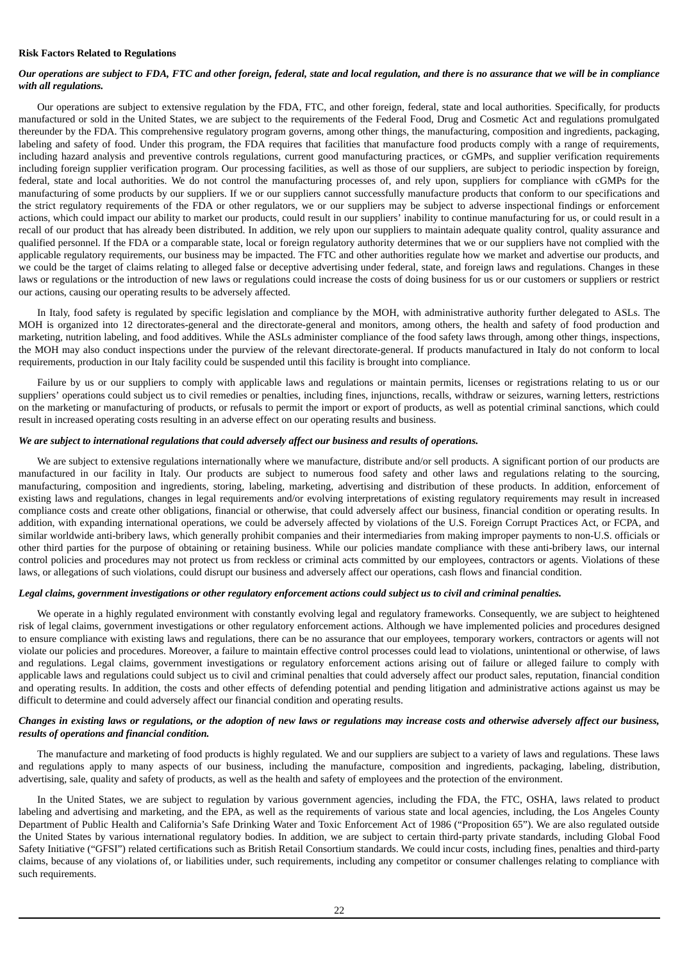#### **Risk Factors Related to Regulations**

### Our operations are subject to FDA. FTC and other foreian, federal, state and local reaulation, and there is no assurance that we will be in compliance *with all regulations.*

Our operations are subject to extensive regulation by the FDA, FTC, and other foreign, federal, state and local authorities. Specifically, for products manufactured or sold in the United States, we are subject to the requirements of the Federal Food, Drug and Cosmetic Act and regulations promulgated thereunder by the FDA. This comprehensive regulatory program governs, among other things, the manufacturing, composition and ingredients, packaging, labeling and safety of food. Under this program, the FDA requires that facilities that manufacture food products comply with a range of requirements, including hazard analysis and preventive controls regulations, current good manufacturing practices, or cGMPs, and supplier verification requirements including foreign supplier verification program. Our processing facilities, as well as those of our suppliers, are subject to periodic inspection by foreign, federal, state and local authorities. We do not control the manufacturing processes of, and rely upon, suppliers for compliance with cGMPs for the manufacturing of some products by our suppliers. If we or our suppliers cannot successfully manufacture products that conform to our specifications and the strict regulatory requirements of the FDA or other regulators, we or our suppliers may be subject to adverse inspectional findings or enforcement actions, which could impact our ability to market our products, could result in our suppliers' inability to continue manufacturing for us, or could result in a recall of our product that has already been distributed. In addition, we rely upon our suppliers to maintain adequate quality control, quality assurance and qualified personnel. If the FDA or a comparable state, local or foreign regulatory authority determines that we or our suppliers have not complied with the applicable regulatory requirements, our business may be impacted. The FTC and other authorities regulate how we market and advertise our products, and we could be the target of claims relating to alleged false or deceptive advertising under federal, state, and foreign laws and regulations. Changes in these laws or regulations or the introduction of new laws or regulations could increase the costs of doing business for us or our customers or suppliers or restrict our actions, causing our operating results to be adversely affected.

In Italy, food safety is regulated by specific legislation and compliance by the MOH, with administrative authority further delegated to ASLs. The MOH is organized into 12 directorates-general and the directorate-general and monitors, among others, the health and safety of food production and marketing, nutrition labeling, and food additives. While the ASLs administer compliance of the food safety laws through, among other things, inspections, the MOH may also conduct inspections under the purview of the relevant directorate-general. If products manufactured in Italy do not conform to local requirements, production in our Italy facility could be suspended until this facility is brought into compliance.

Failure by us or our suppliers to comply with applicable laws and regulations or maintain permits, licenses or registrations relating to us or our suppliers' operations could subject us to civil remedies or penalties, including fines, injunctions, recalls, withdraw or seizures, warning letters, restrictions on the marketing or manufacturing of products, or refusals to permit the import or export of products, as well as potential criminal sanctions, which could result in increased operating costs resulting in an adverse effect on our operating results and business.

#### *We are subject to international regulations that could adversely affect our business and results of operations.*

We are subject to extensive regulations internationally where we manufacture, distribute and/or sell products. A significant portion of our products are manufactured in our facility in Italy. Our products are subject to numerous food safety and other laws and regulations relating to the sourcing, manufacturing, composition and ingredients, storing, labeling, marketing, advertising and distribution of these products. In addition, enforcement of existing laws and regulations, changes in legal requirements and/or evolving interpretations of existing regulatory requirements may result in increased compliance costs and create other obligations, financial or otherwise, that could adversely affect our business, financial condition or operating results. In addition, with expanding international operations, we could be adversely affected by violations of the U.S. Foreign Corrupt Practices Act, or FCPA, and similar worldwide anti-bribery laws, which generally prohibit companies and their intermediaries from making improper payments to non-U.S. officials or other third parties for the purpose of obtaining or retaining business. While our policies mandate compliance with these anti-bribery laws, our internal control policies and procedures may not protect us from reckless or criminal acts committed by our employees, contractors or agents. Violations of these laws, or allegations of such violations, could disrupt our business and adversely affect our operations, cash flows and financial condition.

#### Legal claims, government investigations or other regulatory enforcement actions could subject us to civil and criminal penalties.

We operate in a highly regulated environment with constantly evolving legal and regulatory frameworks. Consequently, we are subject to heightened risk of legal claims, government investigations or other regulatory enforcement actions. Although we have implemented policies and procedures designed to ensure compliance with existing laws and regulations, there can be no assurance that our employees, temporary workers, contractors or agents will not violate our policies and procedures. Moreover, a failure to maintain effective control processes could lead to violations, unintentional or otherwise, of laws and regulations. Legal claims, government investigations or regulatory enforcement actions arising out of failure or alleged failure to comply with applicable laws and regulations could subject us to civil and criminal penalties that could adversely affect our product sales, reputation, financial condition and operating results. In addition, the costs and other effects of defending potential and pending litigation and administrative actions against us may be difficult to determine and could adversely affect our financial condition and operating results.

### Changes in existing laws or regulations, or the adoption of new laws or regulations may increase costs and otherwise adversely affect our business, *results of operations and financial condition.*

The manufacture and marketing of food products is highly regulated. We and our suppliers are subject to a variety of laws and regulations. These laws and regulations apply to many aspects of our business, including the manufacture, composition and ingredients, packaging, labeling, distribution, advertising, sale, quality and safety of products, as well as the health and safety of employees and the protection of the environment.

In the United States, we are subject to regulation by various government agencies, including the FDA, the FTC, OSHA, laws related to product labeling and advertising and marketing, and the EPA, as well as the requirements of various state and local agencies, including, the Los Angeles County Department of Public Health and California's Safe Drinking Water and Toxic Enforcement Act of 1986 ("Proposition 65"). We are also regulated outside the United States by various international regulatory bodies. In addition, we are subject to certain third-party private standards, including Global Food Safety Initiative ("GFSI") related certifications such as British Retail Consortium standards. We could incur costs, including fines, penalties and third-party claims, because of any violations of, or liabilities under, such requirements, including any competitor or consumer challenges relating to compliance with such requirements.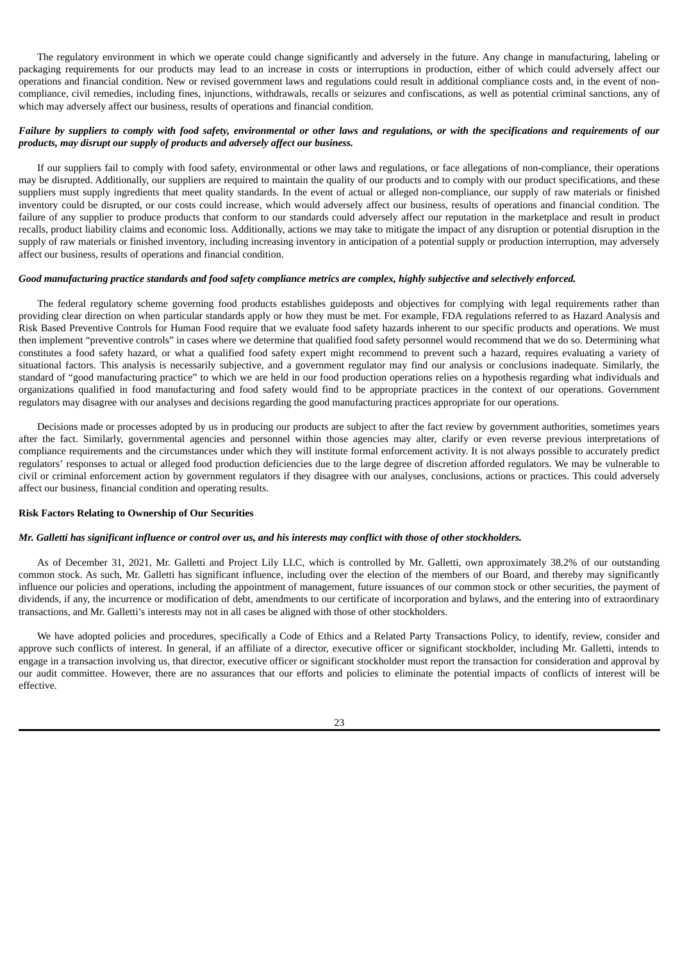The regulatory environment in which we operate could change significantly and adversely in the future. Any change in manufacturing, labeling or packaging requirements for our products may lead to an increase in costs or interruptions in production, either of which could adversely affect our operations and financial condition. New or revised government laws and regulations could result in additional compliance costs and, in the event of noncompliance, civil remedies, including fines, injunctions, withdrawals, recalls or seizures and confiscations, as well as potential criminal sanctions, any of which may adversely affect our business, results of operations and financial condition.

### Failure by suppliers to comply with food safety, environmental or other laws and regulations, or with the specifications and requirements of our *products, may disrupt our supply of products and adversely affect our business.*

If our suppliers fail to comply with food safety, environmental or other laws and regulations, or face allegations of non-compliance, their operations may be disrupted. Additionally, our suppliers are required to maintain the quality of our products and to comply with our product specifications, and these suppliers must supply ingredients that meet quality standards. In the event of actual or alleged non-compliance, our supply of raw materials or finished inventory could be disrupted, or our costs could increase, which would adversely affect our business, results of operations and financial condition. The failure of any supplier to produce products that conform to our standards could adversely affect our reputation in the marketplace and result in product recalls, product liability claims and economic loss. Additionally, actions we may take to mitigate the impact of any disruption or potential disruption in the supply of raw materials or finished inventory, including increasing inventory in anticipation of a potential supply or production interruption, may adversely affect our business, results of operations and financial condition.

### Good manufacturing practice standards and food safety compliance metrics are complex, highly subjective and selectively enforced.

The federal regulatory scheme governing food products establishes guideposts and objectives for complying with legal requirements rather than providing clear direction on when particular standards apply or how they must be met. For example, FDA regulations referred to as Hazard Analysis and Risk Based Preventive Controls for Human Food require that we evaluate food safety hazards inherent to our specific products and operations. We must then implement "preventive controls" in cases where we determine that qualified food safety personnel would recommend that we do so. Determining what constitutes a food safety hazard, or what a qualified food safety expert might recommend to prevent such a hazard, requires evaluating a variety of situational factors. This analysis is necessarily subjective, and a government regulator may find our analysis or conclusions inadequate. Similarly, the standard of "good manufacturing practice" to which we are held in our food production operations relies on a hypothesis regarding what individuals and organizations qualified in food manufacturing and food safety would find to be appropriate practices in the context of our operations. Government regulators may disagree with our analyses and decisions regarding the good manufacturing practices appropriate for our operations.

Decisions made or processes adopted by us in producing our products are subject to after the fact review by government authorities, sometimes years after the fact. Similarly, governmental agencies and personnel within those agencies may alter, clarify or even reverse previous interpretations of compliance requirements and the circumstances under which they will institute formal enforcement activity. It is not always possible to accurately predict regulators' responses to actual or alleged food production deficiencies due to the large degree of discretion afforded regulators. We may be vulnerable to civil or criminal enforcement action by government regulators if they disagree with our analyses, conclusions, actions or practices. This could adversely affect our business, financial condition and operating results.

#### **Risk Factors Relating to Ownership of Our Securities**

#### Mr. Galletti has significant influence or control over us, and his interests may conflict with those of other stockholders.

As of December 31, 2021, Mr. Galletti and Project Lily LLC, which is controlled by Mr. Galletti, own approximately 38.2% of our outstanding common stock. As such, Mr. Galletti has significant influence, including over the election of the members of our Board, and thereby may significantly influence our policies and operations, including the appointment of management, future issuances of our common stock or other securities, the payment of dividends, if any, the incurrence or modification of debt, amendments to our certificate of incorporation and bylaws, and the entering into of extraordinary transactions, and Mr. Galletti's interests may not in all cases be aligned with those of other stockholders.

We have adopted policies and procedures, specifically a Code of Ethics and a Related Party Transactions Policy, to identify, review, consider and approve such conflicts of interest. In general, if an affiliate of a director, executive officer or significant stockholder, including Mr. Galletti, intends to engage in a transaction involving us, that director, executive officer or significant stockholder must report the transaction for consideration and approval by our audit committee. However, there are no assurances that our efforts and policies to eliminate the potential impacts of conflicts of interest will be effective.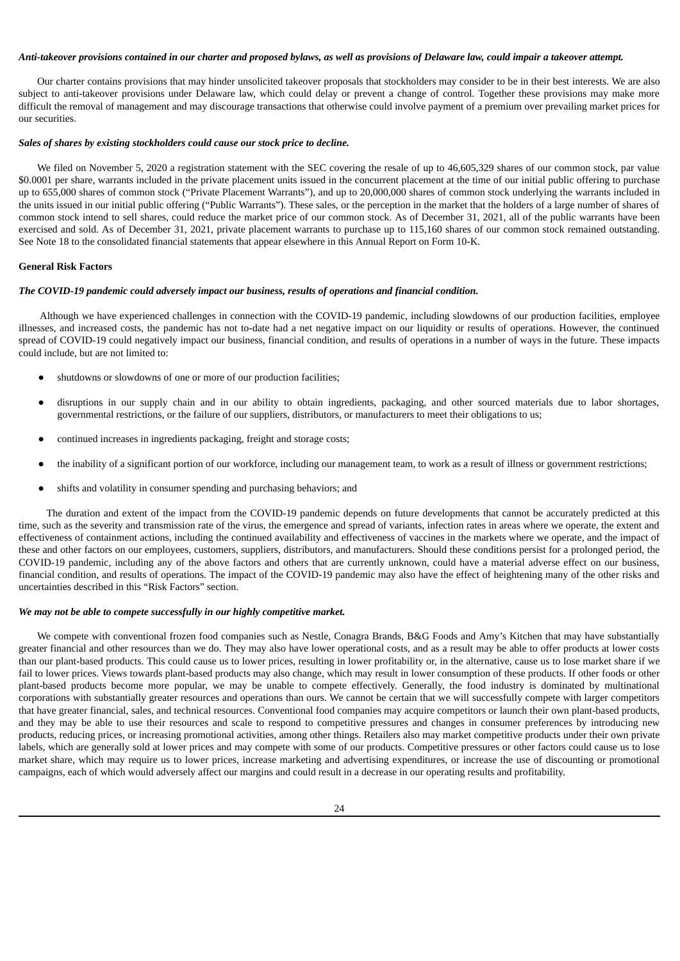### Anti-takeover provisions contained in our charter and proposed bylaws, as well as provisions of Delaware law, could impair a takeover attempt.

Our charter contains provisions that may hinder unsolicited takeover proposals that stockholders may consider to be in their best interests. We are also subject to anti-takeover provisions under Delaware law, which could delay or prevent a change of control. Together these provisions may make more difficult the removal of management and may discourage transactions that otherwise could involve payment of a premium over prevailing market prices for our securities.

#### *Sales of shares by existing stockholders could cause our stock price to decline.*

We filed on November 5, 2020 a registration statement with the SEC covering the resale of up to 46,605,329 shares of our common stock, par value \$0.0001 per share, warrants included in the private placement units issued in the concurrent placement at the time of our initial public offering to purchase up to 655,000 shares of common stock ("Private Placement Warrants"), and up to 20,000,000 shares of common stock underlying the warrants included in the units issued in our initial public offering ("Public Warrants"). These sales, or the perception in the market that the holders of a large number of shares of common stock intend to sell shares, could reduce the market price of our common stock. As of December 31, 2021, all of the public warrants have been exercised and sold. As of December 31, 2021, private placement warrants to purchase up to 115,160 shares of our common stock remained outstanding. See Note 18 to the consolidated financial statements that appear elsewhere in this Annual Report on Form 10-K.

#### **General Risk Factors**

#### *The COVID-19 pandemic could adversely impact our business, results of operations and financial condition.*

Although we have experienced challenges in connection with the COVID-19 pandemic, including slowdowns of our production facilities, employee illnesses, and increased costs, the pandemic has not to-date had a net negative impact on our liquidity or results of operations. However, the continued spread of COVID-19 could negatively impact our business, financial condition, and results of operations in a number of ways in the future. These impacts could include, but are not limited to:

- shutdowns or slowdowns of one or more of our production facilities;
- disruptions in our supply chain and in our ability to obtain ingredients, packaging, and other sourced materials due to labor shortages, governmental restrictions, or the failure of our suppliers, distributors, or manufacturers to meet their obligations to us;
- continued increases in ingredients packaging, freight and storage costs;
- the inability of a significant portion of our workforce, including our management team, to work as a result of illness or government restrictions;
- shifts and volatility in consumer spending and purchasing behaviors; and

The duration and extent of the impact from the COVID-19 pandemic depends on future developments that cannot be accurately predicted at this time, such as the severity and transmission rate of the virus, the emergence and spread of variants, infection rates in areas where we operate, the extent and effectiveness of containment actions, including the continued availability and effectiveness of vaccines in the markets where we operate, and the impact of these and other factors on our employees, customers, suppliers, distributors, and manufacturers. Should these conditions persist for a prolonged period, the COVID-19 pandemic, including any of the above factors and others that are currently unknown, could have a material adverse effect on our business, financial condition, and results of operations. The impact of the COVID-19 pandemic may also have the effect of heightening many of the other risks and uncertainties described in this "Risk Factors" section.

### *We may not be able to compete successfully in our highly competitive market.*

We compete with conventional frozen food companies such as Nestle, Conagra Brands, B&G Foods and Amy's Kitchen that may have substantially greater financial and other resources than we do. They may also have lower operational costs, and as a result may be able to offer products at lower costs than our plant-based products. This could cause us to lower prices, resulting in lower profitability or, in the alternative, cause us to lose market share if we fail to lower prices. Views towards plant-based products may also change, which may result in lower consumption of these products. If other foods or other plant-based products become more popular, we may be unable to compete effectively. Generally, the food industry is dominated by multinational corporations with substantially greater resources and operations than ours. We cannot be certain that we will successfully compete with larger competitors that have greater financial, sales, and technical resources. Conventional food companies may acquire competitors or launch their own plant-based products, and they may be able to use their resources and scale to respond to competitive pressures and changes in consumer preferences by introducing new products, reducing prices, or increasing promotional activities, among other things. Retailers also may market competitive products under their own private labels, which are generally sold at lower prices and may compete with some of our products. Competitive pressures or other factors could cause us to lose market share, which may require us to lower prices, increase marketing and advertising expenditures, or increase the use of discounting or promotional campaigns, each of which would adversely affect our margins and could result in a decrease in our operating results and profitability.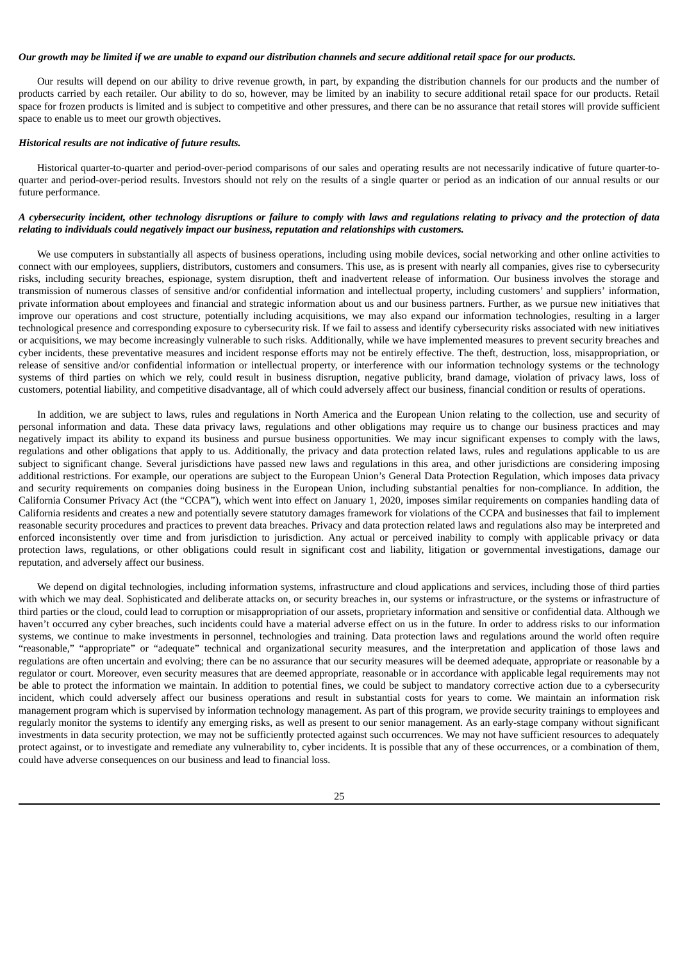### Our growth may be limited if we are unable to expand our distribution channels and secure additional retail space for our products.

Our results will depend on our ability to drive revenue growth, in part, by expanding the distribution channels for our products and the number of products carried by each retailer. Our ability to do so, however, may be limited by an inability to secure additional retail space for our products. Retail space for frozen products is limited and is subject to competitive and other pressures, and there can be no assurance that retail stores will provide sufficient space to enable us to meet our growth objectives.

#### *Historical results are not indicative of future results.*

Historical quarter-to-quarter and period-over-period comparisons of our sales and operating results are not necessarily indicative of future quarter-toquarter and period-over-period results. Investors should not rely on the results of a single quarter or period as an indication of our annual results or our future performance.

### A cybersecurity incident, other technology disruptions or failure to comply with laws and regulations relating to privacy and the protection of data *relating to individuals could negatively impact our business, reputation and relationships with customers.*

We use computers in substantially all aspects of business operations, including using mobile devices, social networking and other online activities to connect with our employees, suppliers, distributors, customers and consumers. This use, as is present with nearly all companies, gives rise to cybersecurity risks, including security breaches, espionage, system disruption, theft and inadvertent release of information. Our business involves the storage and transmission of numerous classes of sensitive and/or confidential information and intellectual property, including customers' and suppliers' information, private information about employees and financial and strategic information about us and our business partners. Further, as we pursue new initiatives that improve our operations and cost structure, potentially including acquisitions, we may also expand our information technologies, resulting in a larger technological presence and corresponding exposure to cybersecurity risk. If we fail to assess and identify cybersecurity risks associated with new initiatives or acquisitions, we may become increasingly vulnerable to such risks. Additionally, while we have implemented measures to prevent security breaches and cyber incidents, these preventative measures and incident response efforts may not be entirely effective. The theft, destruction, loss, misappropriation, or release of sensitive and/or confidential information or intellectual property, or interference with our information technology systems or the technology systems of third parties on which we rely, could result in business disruption, negative publicity, brand damage, violation of privacy laws, loss of customers, potential liability, and competitive disadvantage, all of which could adversely affect our business, financial condition or results of operations.

In addition, we are subject to laws, rules and regulations in North America and the European Union relating to the collection, use and security of personal information and data. These data privacy laws, regulations and other obligations may require us to change our business practices and may negatively impact its ability to expand its business and pursue business opportunities. We may incur significant expenses to comply with the laws, regulations and other obligations that apply to us. Additionally, the privacy and data protection related laws, rules and regulations applicable to us are subject to significant change. Several jurisdictions have passed new laws and regulations in this area, and other jurisdictions are considering imposing additional restrictions. For example, our operations are subject to the European Union's General Data Protection Regulation, which imposes data privacy and security requirements on companies doing business in the European Union, including substantial penalties for non-compliance. In addition, the California Consumer Privacy Act (the "CCPA"), which went into effect on January 1, 2020, imposes similar requirements on companies handling data of California residents and creates a new and potentially severe statutory damages framework for violations of the CCPA and businesses that fail to implement reasonable security procedures and practices to prevent data breaches. Privacy and data protection related laws and regulations also may be interpreted and enforced inconsistently over time and from jurisdiction to jurisdiction. Any actual or perceived inability to comply with applicable privacy or data protection laws, regulations, or other obligations could result in significant cost and liability, litigation or governmental investigations, damage our reputation, and adversely affect our business.

We depend on digital technologies, including information systems, infrastructure and cloud applications and services, including those of third parties with which we may deal. Sophisticated and deliberate attacks on, or security breaches in, our systems or infrastructure, or the systems or infrastructure of third parties or the cloud, could lead to corruption or misappropriation of our assets, proprietary information and sensitive or confidential data. Although we haven't occurred any cyber breaches, such incidents could have a material adverse effect on us in the future. In order to address risks to our information systems, we continue to make investments in personnel, technologies and training. Data protection laws and regulations around the world often require "reasonable," "appropriate" or "adequate" technical and organizational security measures, and the interpretation and application of those laws and regulations are often uncertain and evolving; there can be no assurance that our security measures will be deemed adequate, appropriate or reasonable by a regulator or court. Moreover, even security measures that are deemed appropriate, reasonable or in accordance with applicable legal requirements may not be able to protect the information we maintain. In addition to potential fines, we could be subject to mandatory corrective action due to a cybersecurity incident, which could adversely affect our business operations and result in substantial costs for years to come. We maintain an information risk management program which is supervised by information technology management. As part of this program, we provide security trainings to employees and regularly monitor the systems to identify any emerging risks, as well as present to our senior management. As an early-stage company without significant investments in data security protection, we may not be sufficiently protected against such occurrences. We may not have sufficient resources to adequately protect against, or to investigate and remediate any vulnerability to, cyber incidents. It is possible that any of these occurrences, or a combination of them, could have adverse consequences on our business and lead to financial loss.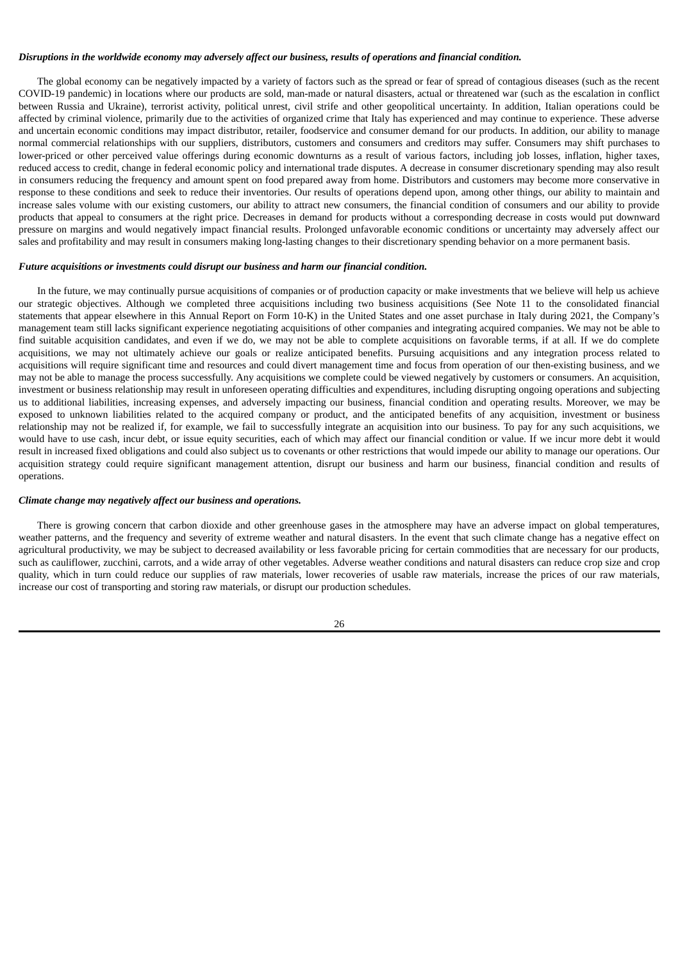### Disruptions in the worldwide economy may adversely affect our business, results of operations and financial condition.

The global economy can be negatively impacted by a variety of factors such as the spread or fear of spread of contagious diseases (such as the recent COVID-19 pandemic) in locations where our products are sold, man-made or natural disasters, actual or threatened war (such as the escalation in conflict between Russia and Ukraine), terrorist activity, political unrest, civil strife and other geopolitical uncertainty. In addition, Italian operations could be affected by criminal violence, primarily due to the activities of organized crime that Italy has experienced and may continue to experience. These adverse and uncertain economic conditions may impact distributor, retailer, foodservice and consumer demand for our products. In addition, our ability to manage normal commercial relationships with our suppliers, distributors, customers and consumers and creditors may suffer. Consumers may shift purchases to lower-priced or other perceived value offerings during economic downturns as a result of various factors, including job losses, inflation, higher taxes, reduced access to credit, change in federal economic policy and international trade disputes. A decrease in consumer discretionary spending may also result in consumers reducing the frequency and amount spent on food prepared away from home. Distributors and customers may become more conservative in response to these conditions and seek to reduce their inventories. Our results of operations depend upon, among other things, our ability to maintain and increase sales volume with our existing customers, our ability to attract new consumers, the financial condition of consumers and our ability to provide products that appeal to consumers at the right price. Decreases in demand for products without a corresponding decrease in costs would put downward pressure on margins and would negatively impact financial results. Prolonged unfavorable economic conditions or uncertainty may adversely affect our sales and profitability and may result in consumers making long-lasting changes to their discretionary spending behavior on a more permanent basis.

### *Future acquisitions or investments could disrupt our business and harm our financial condition.*

In the future, we may continually pursue acquisitions of companies or of production capacity or make investments that we believe will help us achieve our strategic objectives. Although we completed three acquisitions including two business acquisitions (See Note 11 to the consolidated financial statements that appear elsewhere in this Annual Report on Form 10-K) in the United States and one asset purchase in Italy during 2021, the Company's management team still lacks significant experience negotiating acquisitions of other companies and integrating acquired companies. We may not be able to find suitable acquisition candidates, and even if we do, we may not be able to complete acquisitions on favorable terms, if at all. If we do complete acquisitions, we may not ultimately achieve our goals or realize anticipated benefits. Pursuing acquisitions and any integration process related to acquisitions will require significant time and resources and could divert management time and focus from operation of our then-existing business, and we may not be able to manage the process successfully. Any acquisitions we complete could be viewed negatively by customers or consumers. An acquisition, investment or business relationship may result in unforeseen operating difficulties and expenditures, including disrupting ongoing operations and subjecting us to additional liabilities, increasing expenses, and adversely impacting our business, financial condition and operating results. Moreover, we may be exposed to unknown liabilities related to the acquired company or product, and the anticipated benefits of any acquisition, investment or business relationship may not be realized if, for example, we fail to successfully integrate an acquisition into our business. To pay for any such acquisitions, we would have to use cash, incur debt, or issue equity securities, each of which may affect our financial condition or value. If we incur more debt it would result in increased fixed obligations and could also subject us to covenants or other restrictions that would impede our ability to manage our operations. Our acquisition strategy could require significant management attention, disrupt our business and harm our business, financial condition and results of operations.

#### *Climate change may negatively affect our business and operations.*

There is growing concern that carbon dioxide and other greenhouse gases in the atmosphere may have an adverse impact on global temperatures, weather patterns, and the frequency and severity of extreme weather and natural disasters. In the event that such climate change has a negative effect on agricultural productivity, we may be subject to decreased availability or less favorable pricing for certain commodities that are necessary for our products, such as cauliflower, zucchini, carrots, and a wide array of other vegetables. Adverse weather conditions and natural disasters can reduce crop size and crop quality, which in turn could reduce our supplies of raw materials, lower recoveries of usable raw materials, increase the prices of our raw materials, increase our cost of transporting and storing raw materials, or disrupt our production schedules.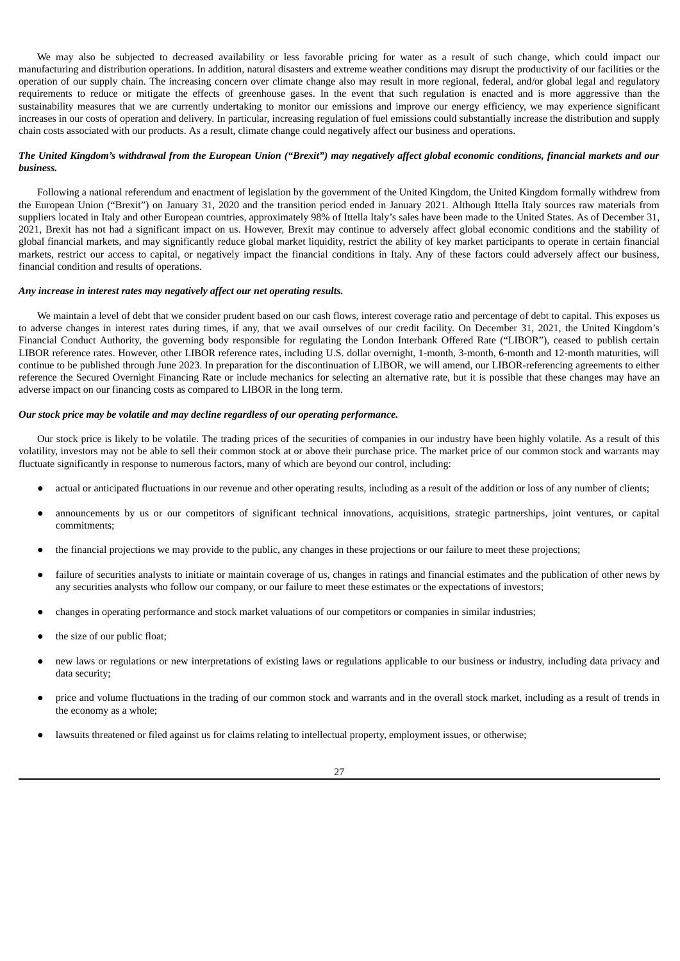We may also be subjected to decreased availability or less favorable pricing for water as a result of such change, which could impact our manufacturing and distribution operations. In addition, natural disasters and extreme weather conditions may disrupt the productivity of our facilities or the operation of our supply chain. The increasing concern over climate change also may result in more regional, federal, and/or global legal and regulatory requirements to reduce or mitigate the effects of greenhouse gases. In the event that such regulation is enacted and is more aggressive than the sustainability measures that we are currently undertaking to monitor our emissions and improve our energy efficiency, we may experience significant increases in our costs of operation and delivery. In particular, increasing regulation of fuel emissions could substantially increase the distribution and supply chain costs associated with our products. As a result, climate change could negatively affect our business and operations.

### The United Kingdom's withdrawal from the European Union ("Brexit") may negatively affect global economic conditions, financial markets and our *business.*

Following a national referendum and enactment of legislation by the government of the United Kingdom, the United Kingdom formally withdrew from the European Union ("Brexit") on January 31, 2020 and the transition period ended in January 2021. Although Ittella Italy sources raw materials from suppliers located in Italy and other European countries, approximately 98% of Ittella Italy's sales have been made to the United States. As of December 31, 2021, Brexit has not had a significant impact on us. However, Brexit may continue to adversely affect global economic conditions and the stability of global financial markets, and may significantly reduce global market liquidity, restrict the ability of key market participants to operate in certain financial markets, restrict our access to capital, or negatively impact the financial conditions in Italy. Any of these factors could adversely affect our business, financial condition and results of operations.

#### *Any increase in interest rates may negatively affect our net operating results.*

We maintain a level of debt that we consider prudent based on our cash flows, interest coverage ratio and percentage of debt to capital. This exposes us to adverse changes in interest rates during times, if any, that we avail ourselves of our credit facility. On December 31, 2021, the United Kingdom's Financial Conduct Authority, the governing body responsible for regulating the London Interbank Offered Rate ("LIBOR"), ceased to publish certain LIBOR reference rates. However, other LIBOR reference rates, including U.S. dollar overnight, 1-month, 3-month, 6-month and 12-month maturities, will continue to be published through June 2023. In preparation for the discontinuation of LIBOR, we will amend, our LIBOR-referencing agreements to either reference the Secured Overnight Financing Rate or include mechanics for selecting an alternative rate, but it is possible that these changes may have an adverse impact on our financing costs as compared to LIBOR in the long term.

#### *Our stock price may be volatile and may decline regardless of our operating performance.*

Our stock price is likely to be volatile. The trading prices of the securities of companies in our industry have been highly volatile. As a result of this volatility, investors may not be able to sell their common stock at or above their purchase price. The market price of our common stock and warrants may fluctuate significantly in response to numerous factors, many of which are beyond our control, including:

- actual or anticipated fluctuations in our revenue and other operating results, including as a result of the addition or loss of any number of clients;
- announcements by us or our competitors of significant technical innovations, acquisitions, strategic partnerships, joint ventures, or capital commitments;
- the financial projections we may provide to the public, any changes in these projections or our failure to meet these projections;
- failure of securities analysts to initiate or maintain coverage of us, changes in ratings and financial estimates and the publication of other news by any securities analysts who follow our company, or our failure to meet these estimates or the expectations of investors;
- changes in operating performance and stock market valuations of our competitors or companies in similar industries;
- the size of our public float;
- new laws or regulations or new interpretations of existing laws or regulations applicable to our business or industry, including data privacy and data security;
- price and volume fluctuations in the trading of our common stock and warrants and in the overall stock market, including as a result of trends in the economy as a whole;
- lawsuits threatened or filed against us for claims relating to intellectual property, employment issues, or otherwise;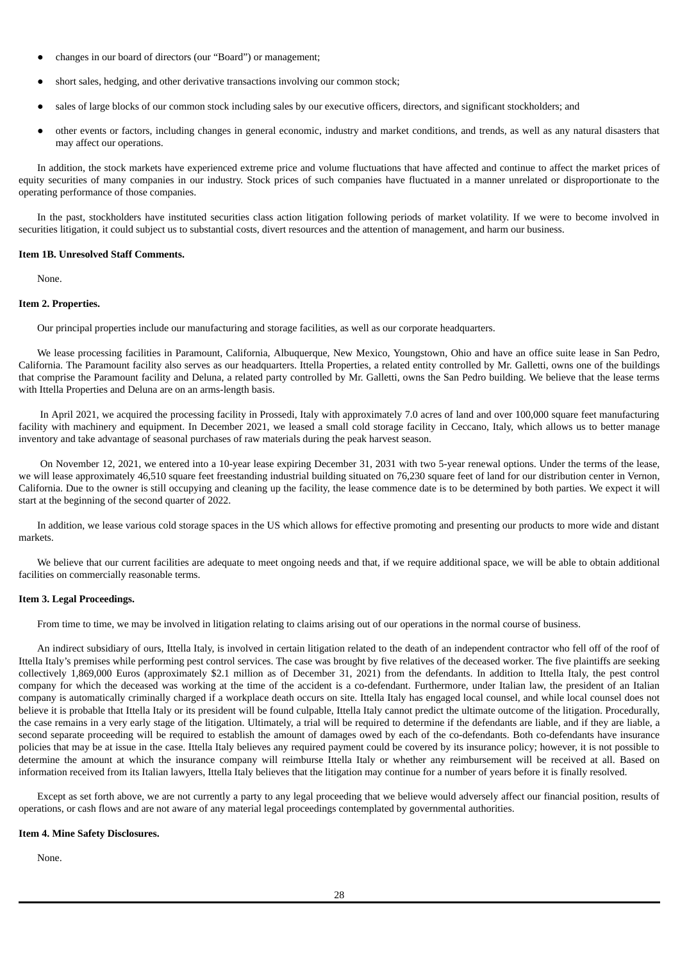- changes in our board of directors (our "Board") or management;
- short sales, hedging, and other derivative transactions involving our common stock;
- sales of large blocks of our common stock including sales by our executive officers, directors, and significant stockholders; and
- other events or factors, including changes in general economic, industry and market conditions, and trends, as well as any natural disasters that may affect our operations.

In addition, the stock markets have experienced extreme price and volume fluctuations that have affected and continue to affect the market prices of equity securities of many companies in our industry. Stock prices of such companies have fluctuated in a manner unrelated or disproportionate to the operating performance of those companies.

In the past, stockholders have instituted securities class action litigation following periods of market volatility. If we were to become involved in securities litigation, it could subject us to substantial costs, divert resources and the attention of management, and harm our business.

### <span id="page-30-0"></span>**Item 1B. Unresolved Staff Comments.**

None.

### <span id="page-30-1"></span>**Item 2. Properties.**

Our principal properties include our manufacturing and storage facilities, as well as our corporate headquarters.

We lease processing facilities in Paramount, California, Albuquerque, New Mexico, Youngstown, Ohio and have an office suite lease in San Pedro, California. The Paramount facility also serves as our headquarters. Ittella Properties, a related entity controlled by Mr. Galletti, owns one of the buildings that comprise the Paramount facility and Deluna, a related party controlled by Mr. Galletti, owns the San Pedro building. We believe that the lease terms with Ittella Properties and Deluna are on an arms-length basis.

In April 2021, we acquired the processing facility in Prossedi, Italy with approximately 7.0 acres of land and over 100,000 square feet manufacturing facility with machinery and equipment. In December 2021, we leased a small cold storage facility in Ceccano, Italy, which allows us to better manage inventory and take advantage of seasonal purchases of raw materials during the peak harvest season.

On November 12, 2021, we entered into a 10-year lease expiring December 31, 2031 with two 5-year renewal options. Under the terms of the lease, we will lease approximately 46,510 square feet freestanding industrial building situated on 76,230 square feet of land for our distribution center in Vernon, California. Due to the owner is still occupying and cleaning up the facility, the lease commence date is to be determined by both parties. We expect it will start at the beginning of the second quarter of 2022.

In addition, we lease various cold storage spaces in the US which allows for effective promoting and presenting our products to more wide and distant markets.

We believe that our current facilities are adequate to meet ongoing needs and that, if we require additional space, we will be able to obtain additional facilities on commercially reasonable terms.

#### <span id="page-30-2"></span>**Item 3. Legal Proceedings.**

From time to time, we may be involved in litigation relating to claims arising out of our operations in the normal course of business.

An indirect subsidiary of ours, Ittella Italy, is involved in certain litigation related to the death of an independent contractor who fell off of the roof of Ittella Italy's premises while performing pest control services. The case was brought by five relatives of the deceased worker. The five plaintiffs are seeking collectively 1,869,000 Euros (approximately \$2.1 million as of December 31, 2021) from the defendants. In addition to Ittella Italy, the pest control company for which the deceased was working at the time of the accident is a co-defendant. Furthermore, under Italian law, the president of an Italian company is automatically criminally charged if a workplace death occurs on site. Ittella Italy has engaged local counsel, and while local counsel does not believe it is probable that Ittella Italy or its president will be found culpable, Ittella Italy cannot predict the ultimate outcome of the litigation. Procedurally, the case remains in a very early stage of the litigation. Ultimately, a trial will be required to determine if the defendants are liable, and if they are liable, a second separate proceeding will be required to establish the amount of damages owed by each of the co-defendants. Both co-defendants have insurance policies that may be at issue in the case. Ittella Italy believes any required payment could be covered by its insurance policy; however, it is not possible to determine the amount at which the insurance company will reimburse Ittella Italy or whether any reimbursement will be received at all. Based on information received from its Italian lawyers, Ittella Italy believes that the litigation may continue for a number of years before it is finally resolved.

Except as set forth above, we are not currently a party to any legal proceeding that we believe would adversely affect our financial position, results of operations, or cash flows and are not aware of any material legal proceedings contemplated by governmental authorities.

#### <span id="page-30-3"></span>**Item 4. Mine Safety Disclosures.**

None.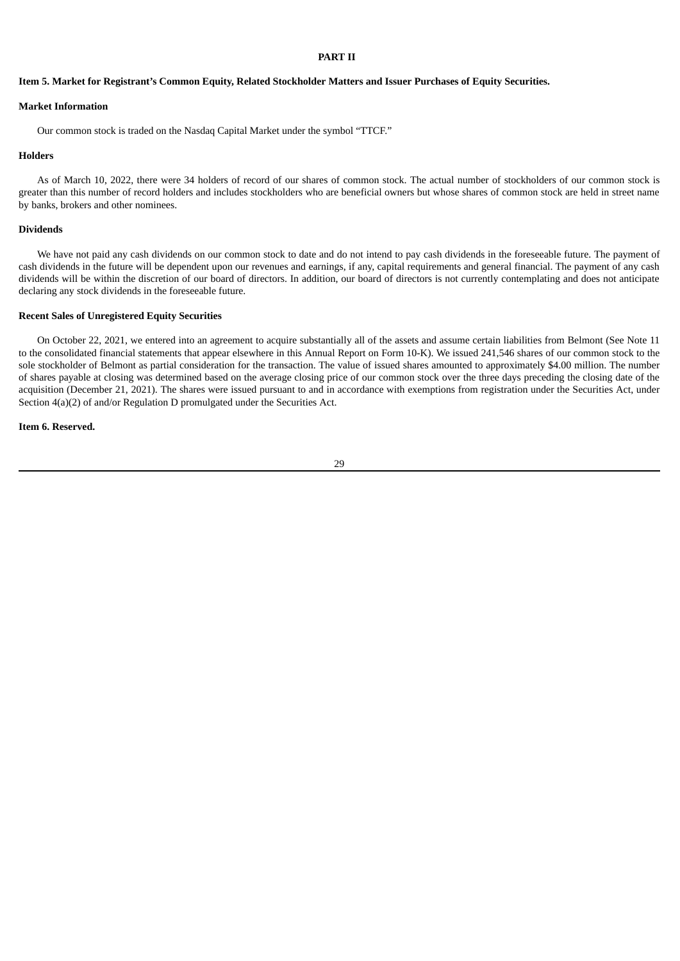#### **PART II**

### <span id="page-31-1"></span><span id="page-31-0"></span>Item 5. Market for Registrant's Common Equity, Related Stockholder Matters and Issuer Purchases of Equity Securities.

### **Market Information**

Our common stock is traded on the Nasdaq Capital Market under the symbol "TTCF."

### **Holders**

As of March 10, 2022, there were 34 holders of record of our shares of common stock. The actual number of stockholders of our common stock is greater than this number of record holders and includes stockholders who are beneficial owners but whose shares of common stock are held in street name by banks, brokers and other nominees.

#### **Dividends**

We have not paid any cash dividends on our common stock to date and do not intend to pay cash dividends in the foreseeable future. The payment of cash dividends in the future will be dependent upon our revenues and earnings, if any, capital requirements and general financial. The payment of any cash dividends will be within the discretion of our board of directors. In addition, our board of directors is not currently contemplating and does not anticipate declaring any stock dividends in the foreseeable future.

#### **Recent Sales of Unregistered Equity Securities**

On October 22, 2021, we entered into an agreement to acquire substantially all of the assets and assume certain liabilities from Belmont (See Note 11 to the consolidated financial statements that appear elsewhere in this Annual Report on Form 10-K). We issued 241,546 shares of our common stock to the sole stockholder of Belmont as partial consideration for the transaction. The value of issued shares amounted to approximately \$4.00 million. The number of shares payable at closing was determined based on the average closing price of our common stock over the three days preceding the closing date of the acquisition (December 21, 2021). The shares were issued pursuant to and in accordance with exemptions from registration under the Securities Act, under Section 4(a)(2) of and/or Regulation D promulgated under the Securities Act.

#### <span id="page-31-2"></span>**Item 6. Reserved.**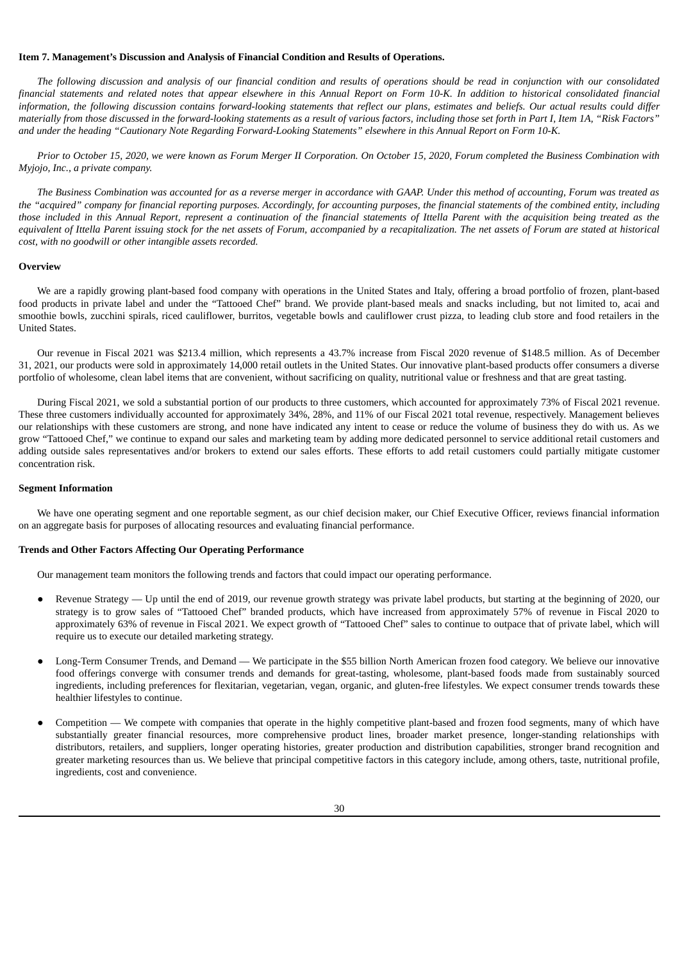### <span id="page-32-0"></span>**Item 7. Management's Discussion and Analysis of Financial Condition and Results of Operations.**

The following discussion and analysis of our financial condition and results of operations should be read in conjunction with our consolidated financial statements and related notes that appear elsewhere in this Annual Report on Form 10-K. In addition to historical consolidated financial information, the following discussion contains forward-looking statements that reflect our plans, estimates and beliefs. Our actual results could differ materially from those discussed in the forward-looking statements as a result of various factors, including those set forth in Part I, Item 1A, "Risk Factors" and under the heading "Cautionary Note Regarding Forward-Looking Statements" elsewhere in this Annual Report on Form 10-K.

Prior to October 15, 2020, we were known as Forum Merger II Corporation. On October 15, 2020, Forum completed the Business Combination with *Myjojo, Inc., a private company.*

The Business Combination was accounted for as a reverse merger in accordance with GAAP. Under this method of accounting, Forum was treated as the "acquired" company for financial reporting purposes. Accordingly, for accounting purposes, the financial statements of the combined entity, including those included in this Annual Report, represent a continuation of the financial statements of Ittella Parent with the acquisition being treated as the equivalent of Ittella Parent issuing stock for the net assets of Forum, accompanied by a recapitalization. The net assets of Forum are stated at historical *cost, with no goodwill or other intangible assets recorded.*

#### **Overview**

We are a rapidly growing plant-based food company with operations in the United States and Italy, offering a broad portfolio of frozen, plant-based food products in private label and under the "Tattooed Chef" brand. We provide plant-based meals and snacks including, but not limited to, acai and smoothie bowls, zucchini spirals, riced cauliflower, burritos, vegetable bowls and cauliflower crust pizza, to leading club store and food retailers in the United States.

Our revenue in Fiscal 2021 was \$213.4 million, which represents a 43.7% increase from Fiscal 2020 revenue of \$148.5 million. As of December 31, 2021, our products were sold in approximately 14,000 retail outlets in the United States. Our innovative plant-based products offer consumers a diverse portfolio of wholesome, clean label items that are convenient, without sacrificing on quality, nutritional value or freshness and that are great tasting.

During Fiscal 2021, we sold a substantial portion of our products to three customers, which accounted for approximately 73% of Fiscal 2021 revenue. These three customers individually accounted for approximately 34%, 28%, and 11% of our Fiscal 2021 total revenue, respectively. Management believes our relationships with these customers are strong, and none have indicated any intent to cease or reduce the volume of business they do with us. As we grow "Tattooed Chef," we continue to expand our sales and marketing team by adding more dedicated personnel to service additional retail customers and adding outside sales representatives and/or brokers to extend our sales efforts. These efforts to add retail customers could partially mitigate customer concentration risk.

#### **Segment Information**

We have one operating segment and one reportable segment, as our chief decision maker, our Chief Executive Officer, reviews financial information on an aggregate basis for purposes of allocating resources and evaluating financial performance.

#### **Trends and Other Factors Affecting Our Operating Performance**

Our management team monitors the following trends and factors that could impact our operating performance.

- Revenue Strategy Up until the end of 2019, our revenue growth strategy was private label products, but starting at the beginning of 2020, our strategy is to grow sales of "Tattooed Chef" branded products, which have increased from approximately 57% of revenue in Fiscal 2020 to approximately 63% of revenue in Fiscal 2021. We expect growth of "Tattooed Chef" sales to continue to outpace that of private label, which will require us to execute our detailed marketing strategy.
- Long-Term Consumer Trends, and Demand We participate in the \$55 billion North American frozen food category. We believe our innovative food offerings converge with consumer trends and demands for great-tasting, wholesome, plant-based foods made from sustainably sourced ingredients, including preferences for flexitarian, vegetarian, vegan, organic, and gluten-free lifestyles. We expect consumer trends towards these healthier lifestyles to continue.
- Competition We compete with companies that operate in the highly competitive plant-based and frozen food segments, many of which have substantially greater financial resources, more comprehensive product lines, broader market presence, longer-standing relationships with distributors, retailers, and suppliers, longer operating histories, greater production and distribution capabilities, stronger brand recognition and greater marketing resources than us. We believe that principal competitive factors in this category include, among others, taste, nutritional profile, ingredients, cost and convenience.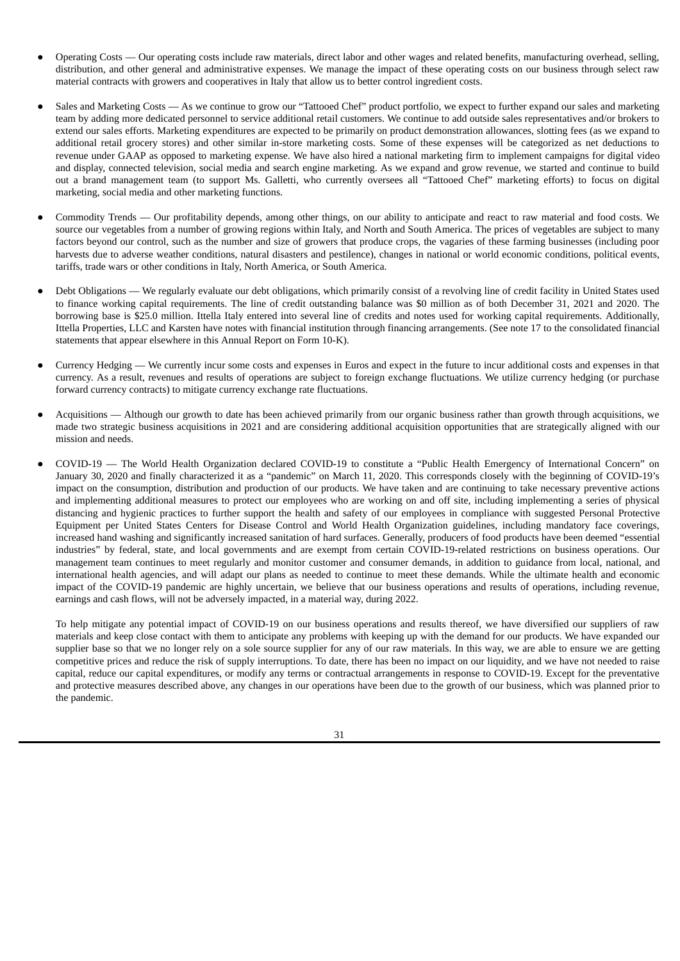- Operating Costs Our operating costs include raw materials, direct labor and other wages and related benefits, manufacturing overhead, selling, distribution, and other general and administrative expenses. We manage the impact of these operating costs on our business through select raw material contracts with growers and cooperatives in Italy that allow us to better control ingredient costs.
- Sales and Marketing Costs As we continue to grow our "Tattooed Chef" product portfolio, we expect to further expand our sales and marketing team by adding more dedicated personnel to service additional retail customers. We continue to add outside sales representatives and/or brokers to extend our sales efforts. Marketing expenditures are expected to be primarily on product demonstration allowances, slotting fees (as we expand to additional retail grocery stores) and other similar in-store marketing costs. Some of these expenses will be categorized as net deductions to revenue under GAAP as opposed to marketing expense. We have also hired a national marketing firm to implement campaigns for digital video and display, connected television, social media and search engine marketing. As we expand and grow revenue, we started and continue to build out a brand management team (to support Ms. Galletti, who currently oversees all "Tattooed Chef" marketing efforts) to focus on digital marketing, social media and other marketing functions.
- Commodity Trends Our profitability depends, among other things, on our ability to anticipate and react to raw material and food costs. We source our vegetables from a number of growing regions within Italy, and North and South America. The prices of vegetables are subject to many factors beyond our control, such as the number and size of growers that produce crops, the vagaries of these farming businesses (including poor harvests due to adverse weather conditions, natural disasters and pestilence), changes in national or world economic conditions, political events, tariffs, trade wars or other conditions in Italy, North America, or South America.
- Debt Obligations We regularly evaluate our debt obligations, which primarily consist of a revolving line of credit facility in United States used to finance working capital requirements. The line of credit outstanding balance was \$0 million as of both December 31, 2021 and 2020. The borrowing base is \$25.0 million. Ittella Italy entered into several line of credits and notes used for working capital requirements. Additionally, Ittella Properties, LLC and Karsten have notes with financial institution through financing arrangements. (See note 17 to the consolidated financial statements that appear elsewhere in this Annual Report on Form 10-K).
- Currency Hedging We currently incur some costs and expenses in Euros and expect in the future to incur additional costs and expenses in that currency. As a result, revenues and results of operations are subject to foreign exchange fluctuations. We utilize currency hedging (or purchase forward currency contracts) to mitigate currency exchange rate fluctuations.
- Acquisitions Although our growth to date has been achieved primarily from our organic business rather than growth through acquisitions, we made two strategic business acquisitions in 2021 and are considering additional acquisition opportunities that are strategically aligned with our mission and needs.
- COVID-19 The World Health Organization declared COVID-19 to constitute a "Public Health Emergency of International Concern" on January 30, 2020 and finally characterized it as a "pandemic" on March 11, 2020. This corresponds closely with the beginning of COVID-19's impact on the consumption, distribution and production of our products. We have taken and are continuing to take necessary preventive actions and implementing additional measures to protect our employees who are working on and off site, including implementing a series of physical distancing and hygienic practices to further support the health and safety of our employees in compliance with suggested Personal Protective Equipment per United States Centers for Disease Control and World Health Organization guidelines, including mandatory face coverings, increased hand washing and significantly increased sanitation of hard surfaces. Generally, producers of food products have been deemed "essential industries" by federal, state, and local governments and are exempt from certain COVID-19-related restrictions on business operations. Our management team continues to meet regularly and monitor customer and consumer demands, in addition to guidance from local, national, and international health agencies, and will adapt our plans as needed to continue to meet these demands. While the ultimate health and economic impact of the COVID-19 pandemic are highly uncertain, we believe that our business operations and results of operations, including revenue, earnings and cash flows, will not be adversely impacted, in a material way, during 2022.

To help mitigate any potential impact of COVID-19 on our business operations and results thereof, we have diversified our suppliers of raw materials and keep close contact with them to anticipate any problems with keeping up with the demand for our products. We have expanded our supplier base so that we no longer rely on a sole source supplier for any of our raw materials. In this way, we are able to ensure we are getting competitive prices and reduce the risk of supply interruptions. To date, there has been no impact on our liquidity, and we have not needed to raise capital, reduce our capital expenditures, or modify any terms or contractual arrangements in response to COVID-19. Except for the preventative and protective measures described above, any changes in our operations have been due to the growth of our business, which was planned prior to the pandemic.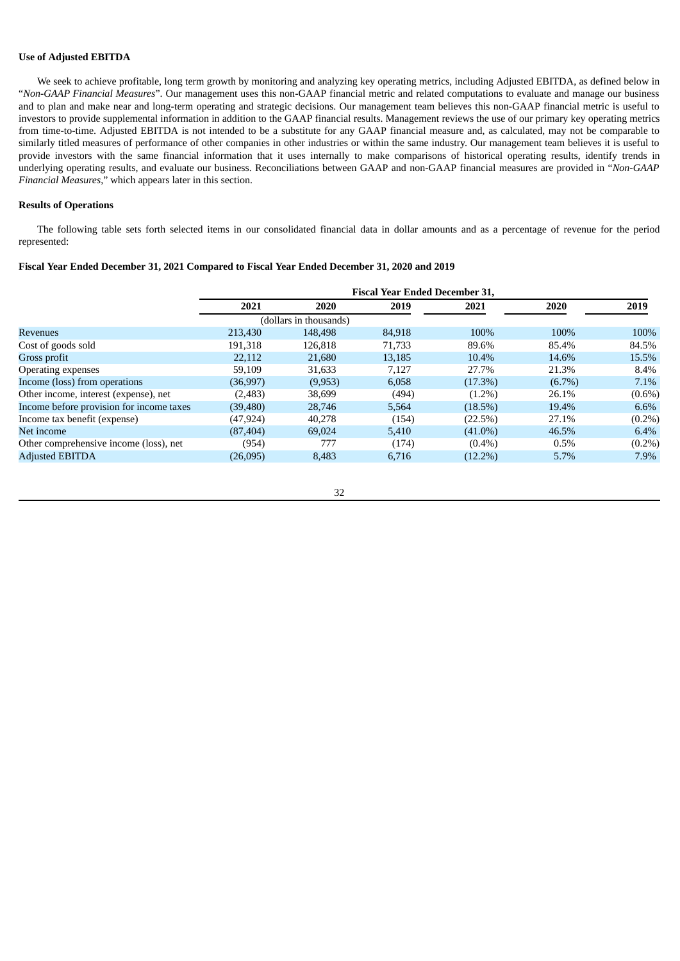### **Use of Adjusted EBITDA**

We seek to achieve profitable, long term growth by monitoring and analyzing key operating metrics, including Adjusted EBITDA, as defined below in "*Non-GAAP Financial Measures*". Our management uses this non-GAAP financial metric and related computations to evaluate and manage our business and to plan and make near and long-term operating and strategic decisions. Our management team believes this non-GAAP financial metric is useful to investors to provide supplemental information in addition to the GAAP financial results. Management reviews the use of our primary key operating metrics from time-to-time. Adjusted EBITDA is not intended to be a substitute for any GAAP financial measure and, as calculated, may not be comparable to similarly titled measures of performance of other companies in other industries or within the same industry. Our management team believes it is useful to provide investors with the same financial information that it uses internally to make comparisons of historical operating results, identify trends in underlying operating results, and evaluate our business. Reconciliations between GAAP and non-GAAP financial measures are provided in "*Non-GAAP Financial Measures*," which appears later in this section.

### **Results of Operations**

The following table sets forth selected items in our consolidated financial data in dollar amounts and as a percentage of revenue for the period represented:

### **Fiscal Year Ended December 31, 2021 Compared to Fiscal Year Ended December 31, 2020 and 2019**

|                                          | <b>Fiscal Year Ended December 31,</b> |                        |        |            |           |           |
|------------------------------------------|---------------------------------------|------------------------|--------|------------|-----------|-----------|
|                                          | 2021                                  | 2020                   | 2019   | 2021       | 2020      | 2019      |
|                                          |                                       | (dollars in thousands) |        |            |           |           |
| <b>Revenues</b>                          | 213,430                               | 148,498                | 84,918 | 100%       | 100%      | 100%      |
| Cost of goods sold                       | 191.318                               | 126.818                | 71.733 | 89.6%      | 85.4%     | 84.5%     |
| Gross profit                             | 22,112                                | 21,680                 | 13,185 | 10.4%      | 14.6%     | 15.5%     |
| Operating expenses                       | 59.109                                | 31,633                 | 7,127  | 27.7%      | 21.3%     | 8.4%      |
| Income (loss) from operations            | (36,997)                              | (9,953)                | 6,058  | (17.3%)    | $(6.7\%)$ | 7.1%      |
| Other income, interest (expense), net    | (2,483)                               | 38,699                 | (494)  | $(1.2\%)$  | 26.1%     | $(0.6\%)$ |
| Income before provision for income taxes | (39, 480)                             | 28,746                 | 5.564  | (18.5%)    | 19.4%     | $6.6\%$   |
| Income tax benefit (expense)             | (47,924)                              | 40,278                 | (154)  | (22.5%)    | 27.1%     | $(0.2\%)$ |
| Net income                               | (87, 404)                             | 69.024                 | 5.410  | $(41.0\%)$ | 46.5%     | $6.4\%$   |
| Other comprehensive income (loss), net   | (954)                                 | 777                    | (174)  | $(0.4\%)$  | 0.5%      | $(0.2\%)$ |
| <b>Adjusted EBITDA</b>                   | (26,095)                              | 8,483                  | 6,716  | $(12.2\%)$ | 5.7%      | 7.9%      |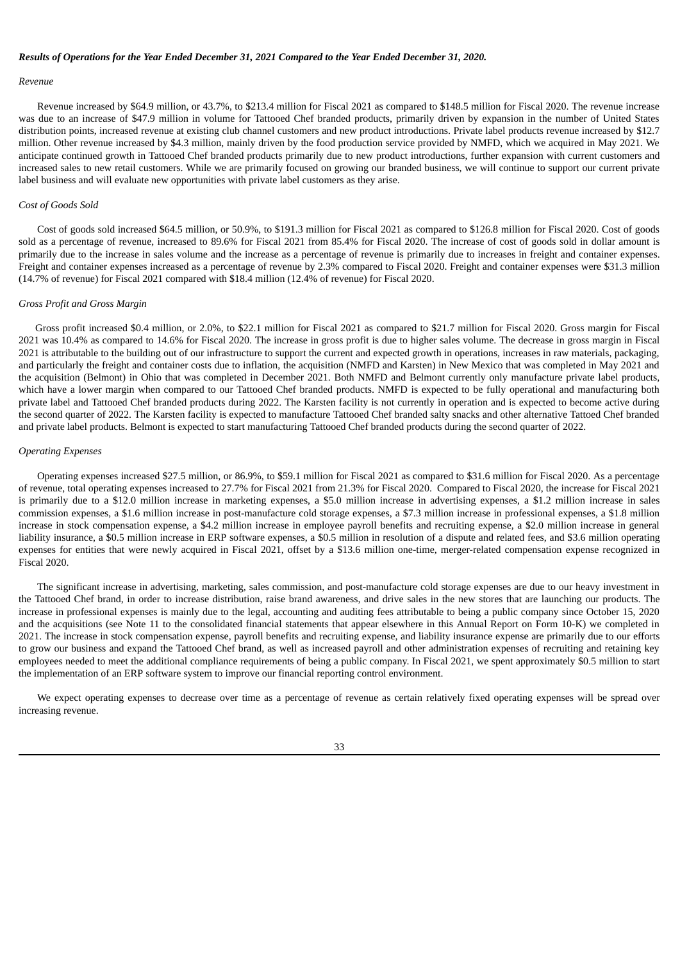### Results of Operations for the Year Ended December 31, 2021 Compared to the Year Ended December 31, 2020.

#### *Revenue*

Revenue increased by \$64.9 million, or 43.7%, to \$213.4 million for Fiscal 2021 as compared to \$148.5 million for Fiscal 2020. The revenue increase was due to an increase of \$47.9 million in volume for Tattooed Chef branded products, primarily driven by expansion in the number of United States distribution points, increased revenue at existing club channel customers and new product introductions. Private label products revenue increased by \$12.7 million. Other revenue increased by \$4.3 million, mainly driven by the food production service provided by NMFD, which we acquired in May 2021. We anticipate continued growth in Tattooed Chef branded products primarily due to new product introductions, further expansion with current customers and increased sales to new retail customers. While we are primarily focused on growing our branded business, we will continue to support our current private label business and will evaluate new opportunities with private label customers as they arise.

### *Cost of Goods Sold*

Cost of goods sold increased \$64.5 million, or 50.9%, to \$191.3 million for Fiscal 2021 as compared to \$126.8 million for Fiscal 2020. Cost of goods sold as a percentage of revenue, increased to 89.6% for Fiscal 2021 from 85.4% for Fiscal 2020. The increase of cost of goods sold in dollar amount is primarily due to the increase in sales volume and the increase as a percentage of revenue is primarily due to increases in freight and container expenses. Freight and container expenses increased as a percentage of revenue by 2.3% compared to Fiscal 2020. Freight and container expenses were \$31.3 million (14.7% of revenue) for Fiscal 2021 compared with \$18.4 million (12.4% of revenue) for Fiscal 2020.

#### *Gross Profit and Gross Margin*

Gross profit increased \$0.4 million, or 2.0%, to \$22.1 million for Fiscal 2021 as compared to \$21.7 million for Fiscal 2020. Gross margin for Fiscal 2021 was 10.4% as compared to 14.6% for Fiscal 2020. The increase in gross profit is due to higher sales volume. The decrease in gross margin in Fiscal 2021 is attributable to the building out of our infrastructure to support the current and expected growth in operations, increases in raw materials, packaging, and particularly the freight and container costs due to inflation, the acquisition (NMFD and Karsten) in New Mexico that was completed in May 2021 and the acquisition (Belmont) in Ohio that was completed in December 2021. Both NMFD and Belmont currently only manufacture private label products, which have a lower margin when compared to our Tattooed Chef branded products. NMFD is expected to be fully operational and manufacturing both private label and Tattooed Chef branded products during 2022. The Karsten facility is not currently in operation and is expected to become active during the second quarter of 2022. The Karsten facility is expected to manufacture Tattooed Chef branded salty snacks and other alternative Tattoed Chef branded and private label products. Belmont is expected to start manufacturing Tattooed Chef branded products during the second quarter of 2022.

#### *Operating Expenses*

Operating expenses increased \$27.5 million, or 86.9%, to \$59.1 million for Fiscal 2021 as compared to \$31.6 million for Fiscal 2020. As a percentage of revenue, total operating expenses increased to 27.7% for Fiscal 2021 from 21.3% for Fiscal 2020. Compared to Fiscal 2020, the increase for Fiscal 2021 is primarily due to a \$12.0 million increase in marketing expenses, a \$5.0 million increase in advertising expenses, a \$1.2 million increase in sales commission expenses, a \$1.6 million increase in post-manufacture cold storage expenses, a \$7.3 million increase in professional expenses, a \$1.8 million increase in stock compensation expense, a \$4.2 million increase in employee payroll benefits and recruiting expense, a \$2.0 million increase in general liability insurance, a \$0.5 million increase in ERP software expenses, a \$0.5 million in resolution of a dispute and related fees, and \$3.6 million operating expenses for entities that were newly acquired in Fiscal 2021, offset by a \$13.6 million one-time, merger-related compensation expense recognized in Fiscal 2020.

The significant increase in advertising, marketing, sales commission, and post-manufacture cold storage expenses are due to our heavy investment in the Tattooed Chef brand, in order to increase distribution, raise brand awareness, and drive sales in the new stores that are launching our products. The increase in professional expenses is mainly due to the legal, accounting and auditing fees attributable to being a public company since October 15, 2020 and the acquisitions (see Note 11 to the consolidated financial statements that appear elsewhere in this Annual Report on Form 10-K) we completed in 2021. The increase in stock compensation expense, payroll benefits and recruiting expense, and liability insurance expense are primarily due to our efforts to grow our business and expand the Tattooed Chef brand, as well as increased payroll and other administration expenses of recruiting and retaining key employees needed to meet the additional compliance requirements of being a public company. In Fiscal 2021, we spent approximately \$0.5 million to start the implementation of an ERP software system to improve our financial reporting control environment.

We expect operating expenses to decrease over time as a percentage of revenue as certain relatively fixed operating expenses will be spread over increasing revenue.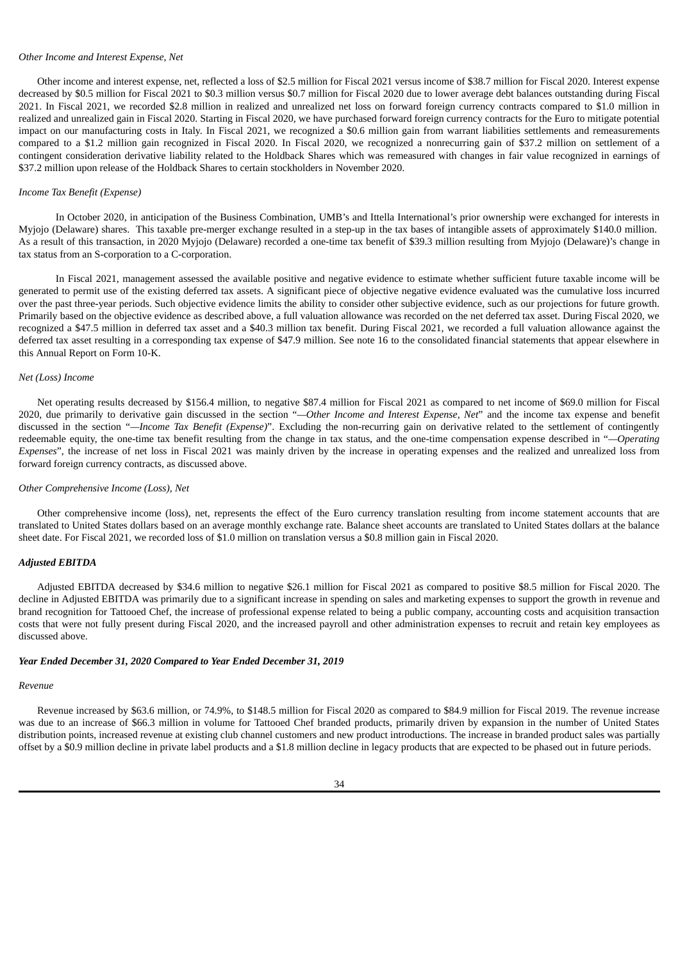### *Other Income and Interest Expense, Net*

Other income and interest expense, net, reflected a loss of \$2.5 million for Fiscal 2021 versus income of \$38.7 million for Fiscal 2020. Interest expense decreased by \$0.5 million for Fiscal 2021 to \$0.3 million versus \$0.7 million for Fiscal 2020 due to lower average debt balances outstanding during Fiscal 2021. In Fiscal 2021, we recorded \$2.8 million in realized and unrealized net loss on forward foreign currency contracts compared to \$1.0 million in realized and unrealized gain in Fiscal 2020. Starting in Fiscal 2020, we have purchased forward foreign currency contracts for the Euro to mitigate potential impact on our manufacturing costs in Italy. In Fiscal 2021, we recognized a \$0.6 million gain from warrant liabilities settlements and remeasurements compared to a \$1.2 million gain recognized in Fiscal 2020. In Fiscal 2020, we recognized a nonrecurring gain of \$37.2 million on settlement of a contingent consideration derivative liability related to the Holdback Shares which was remeasured with changes in fair value recognized in earnings of \$37.2 million upon release of the Holdback Shares to certain stockholders in November 2020.

# *Income Tax Benefit (Expense)*

In October 2020, in anticipation of the Business Combination, UMB's and Ittella International's prior ownership were exchanged for interests in Myjojo (Delaware) shares. This taxable pre-merger exchange resulted in a step-up in the tax bases of intangible assets of approximately \$140.0 million. As a result of this transaction, in 2020 Myjojo (Delaware) recorded a one-time tax benefit of \$39.3 million resulting from Myjojo (Delaware)'s change in tax status from an S-corporation to a C-corporation.

In Fiscal 2021, management assessed the available positive and negative evidence to estimate whether sufficient future taxable income will be generated to permit use of the existing deferred tax assets. A significant piece of objective negative evidence evaluated was the cumulative loss incurred over the past three-year periods. Such objective evidence limits the ability to consider other subjective evidence, such as our projections for future growth. Primarily based on the objective evidence as described above, a full valuation allowance was recorded on the net deferred tax asset. During Fiscal 2020, we recognized a \$47.5 million in deferred tax asset and a \$40.3 million tax benefit. During Fiscal 2021, we recorded a full valuation allowance against the deferred tax asset resulting in a corresponding tax expense of \$47.9 million. See note 16 to the consolidated financial statements that appear elsewhere in this Annual Report on Form 10-K.

#### *Net (Loss) Income*

Net operating results decreased by \$156.4 million, to negative \$87.4 million for Fiscal 2021 as compared to net income of \$69.0 million for Fiscal 2020, due primarily to derivative gain discussed in the section "*—Other Income and Interest Expense, Net*" and the income tax expense and benefit discussed in the section "*—Income Tax Benefit (Expense)*". Excluding the non-recurring gain on derivative related to the settlement of contingently redeemable equity, the one-time tax benefit resulting from the change in tax status, and the one-time compensation expense described in "*—Operating Expenses*", the increase of net loss in Fiscal 2021 was mainly driven by the increase in operating expenses and the realized and unrealized loss from forward foreign currency contracts, as discussed above.

#### *Other Comprehensive Income (Loss), Net*

Other comprehensive income (loss), net, represents the effect of the Euro currency translation resulting from income statement accounts that are translated to United States dollars based on an average monthly exchange rate. Balance sheet accounts are translated to United States dollars at the balance sheet date. For Fiscal 2021, we recorded loss of \$1.0 million on translation versus a \$0.8 million gain in Fiscal 2020.

#### *Adjusted EBITDA*

Adjusted EBITDA decreased by \$34.6 million to negative \$26.1 million for Fiscal 2021 as compared to positive \$8.5 million for Fiscal 2020. The decline in Adjusted EBITDA was primarily due to a significant increase in spending on sales and marketing expenses to support the growth in revenue and brand recognition for Tattooed Chef, the increase of professional expense related to being a public company, accounting costs and acquisition transaction costs that were not fully present during Fiscal 2020, and the increased payroll and other administration expenses to recruit and retain key employees as discussed above.

# *Year Ended December 31, 2020 Compared to Year Ended December 31, 2019*

# *Revenue*

Revenue increased by \$63.6 million, or 74.9%, to \$148.5 million for Fiscal 2020 as compared to \$84.9 million for Fiscal 2019. The revenue increase was due to an increase of \$66.3 million in volume for Tattooed Chef branded products, primarily driven by expansion in the number of United States distribution points, increased revenue at existing club channel customers and new product introductions. The increase in branded product sales was partially offset by a \$0.9 million decline in private label products and a \$1.8 million decline in legacy products that are expected to be phased out in future periods.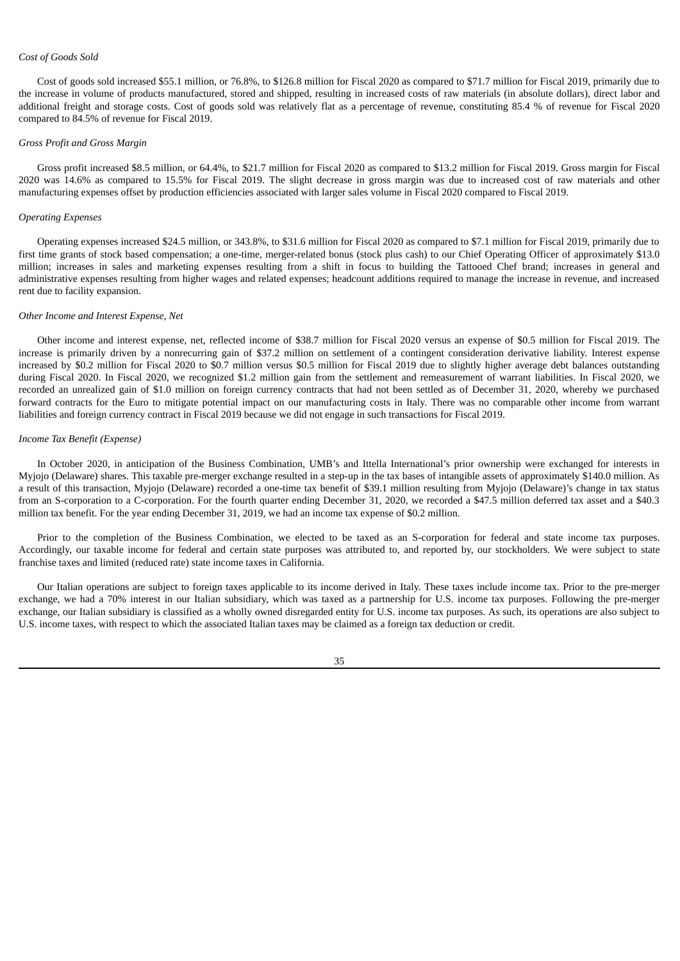# *Cost of Goods Sold*

Cost of goods sold increased \$55.1 million, or 76.8%, to \$126.8 million for Fiscal 2020 as compared to \$71.7 million for Fiscal 2019, primarily due to the increase in volume of products manufactured, stored and shipped, resulting in increased costs of raw materials (in absolute dollars), direct labor and additional freight and storage costs. Cost of goods sold was relatively flat as a percentage of revenue, constituting 85.4 % of revenue for Fiscal 2020 compared to 84.5% of revenue for Fiscal 2019.

#### *Gross Profit and Gross Margin*

Gross profit increased \$8.5 million, or 64.4%, to \$21.7 million for Fiscal 2020 as compared to \$13.2 million for Fiscal 2019. Gross margin for Fiscal 2020 was 14.6% as compared to 15.5% for Fiscal 2019. The slight decrease in gross margin was due to increased cost of raw materials and other manufacturing expenses offset by production efficiencies associated with larger sales volume in Fiscal 2020 compared to Fiscal 2019.

# *Operating Expenses*

Operating expenses increased \$24.5 million, or 343.8%, to \$31.6 million for Fiscal 2020 as compared to \$7.1 million for Fiscal 2019, primarily due to first time grants of stock based compensation; a one-time, merger-related bonus (stock plus cash) to our Chief Operating Officer of approximately \$13.0 million; increases in sales and marketing expenses resulting from a shift in focus to building the Tattooed Chef brand; increases in general and administrative expenses resulting from higher wages and related expenses; headcount additions required to manage the increase in revenue, and increased rent due to facility expansion.

#### *Other Income and Interest Expense, Net*

Other income and interest expense, net, reflected income of \$38.7 million for Fiscal 2020 versus an expense of \$0.5 million for Fiscal 2019. The increase is primarily driven by a nonrecurring gain of \$37.2 million on settlement of a contingent consideration derivative liability. Interest expense increased by \$0.2 million for Fiscal 2020 to \$0.7 million versus \$0.5 million for Fiscal 2019 due to slightly higher average debt balances outstanding during Fiscal 2020. In Fiscal 2020, we recognized \$1.2 million gain from the settlement and remeasurement of warrant liabilities. In Fiscal 2020, we recorded an unrealized gain of \$1.0 million on foreign currency contracts that had not been settled as of December 31, 2020, whereby we purchased forward contracts for the Euro to mitigate potential impact on our manufacturing costs in Italy. There was no comparable other income from warrant liabilities and foreign currency contract in Fiscal 2019 because we did not engage in such transactions for Fiscal 2019.

#### *Income Tax Benefit (Expense)*

In October 2020, in anticipation of the Business Combination, UMB's and Ittella International's prior ownership were exchanged for interests in Myjojo (Delaware) shares. This taxable pre-merger exchange resulted in a step-up in the tax bases of intangible assets of approximately \$140.0 million. As a result of this transaction, Myjojo (Delaware) recorded a one-time tax benefit of \$39.1 million resulting from Myjojo (Delaware)'s change in tax status from an S-corporation to a C-corporation. For the fourth quarter ending December 31, 2020, we recorded a \$47.5 million deferred tax asset and a \$40.3 million tax benefit. For the year ending December 31, 2019, we had an income tax expense of \$0.2 million.

Prior to the completion of the Business Combination, we elected to be taxed as an S-corporation for federal and state income tax purposes. Accordingly, our taxable income for federal and certain state purposes was attributed to, and reported by, our stockholders. We were subject to state franchise taxes and limited (reduced rate) state income taxes in California.

Our Italian operations are subject to foreign taxes applicable to its income derived in Italy. These taxes include income tax. Prior to the pre-merger exchange, we had a 70% interest in our Italian subsidiary, which was taxed as a partnership for U.S. income tax purposes. Following the pre-merger exchange, our Italian subsidiary is classified as a wholly owned disregarded entity for U.S. income tax purposes. As such, its operations are also subject to U.S. income taxes, with respect to which the associated Italian taxes may be claimed as a foreign tax deduction or credit.

35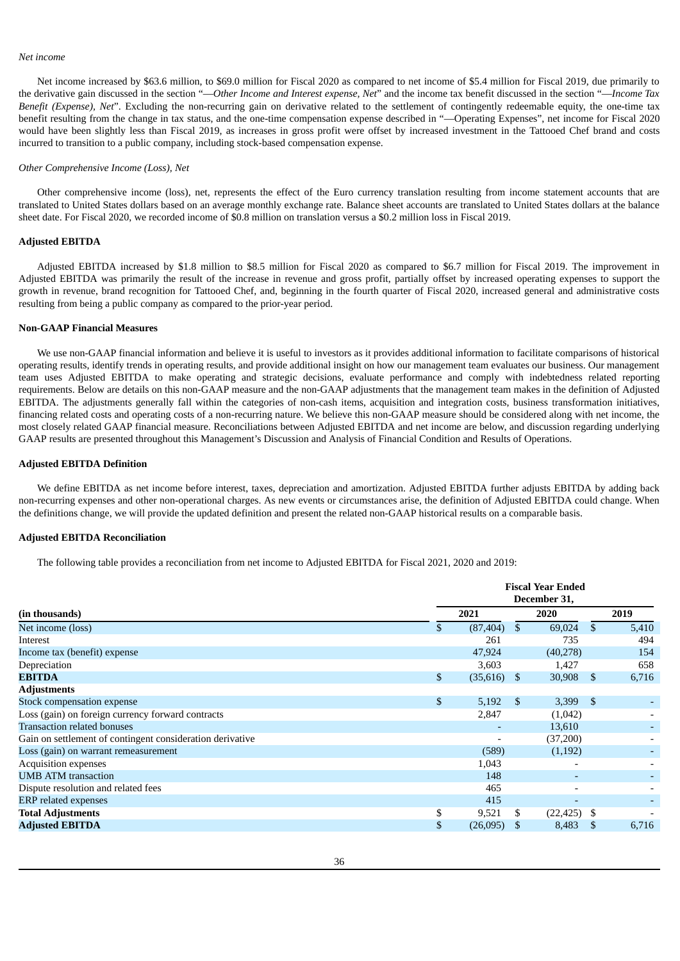#### *Net income*

Net income increased by \$63.6 million, to \$69.0 million for Fiscal 2020 as compared to net income of \$5.4 million for Fiscal 2019, due primarily to the derivative gain discussed in the section "—*Other Income and Interest expense, Net*" and the income tax benefit discussed in the section "—*Income Tax Benefit (Expense), Net*". Excluding the non-recurring gain on derivative related to the settlement of contingently redeemable equity, the one-time tax benefit resulting from the change in tax status, and the one-time compensation expense described in "—Operating Expenses", net income for Fiscal 2020 would have been slightly less than Fiscal 2019, as increases in gross profit were offset by increased investment in the Tattooed Chef brand and costs incurred to transition to a public company, including stock-based compensation expense.

# *Other Comprehensive Income (Loss), Net*

Other comprehensive income (loss), net, represents the effect of the Euro currency translation resulting from income statement accounts that are translated to United States dollars based on an average monthly exchange rate. Balance sheet accounts are translated to United States dollars at the balance sheet date. For Fiscal 2020, we recorded income of \$0.8 million on translation versus a \$0.2 million loss in Fiscal 2019.

# **Adjusted EBITDA**

Adjusted EBITDA increased by \$1.8 million to \$8.5 million for Fiscal 2020 as compared to \$6.7 million for Fiscal 2019. The improvement in Adjusted EBITDA was primarily the result of the increase in revenue and gross profit, partially offset by increased operating expenses to support the growth in revenue, brand recognition for Tattooed Chef, and, beginning in the fourth quarter of Fiscal 2020, increased general and administrative costs resulting from being a public company as compared to the prior-year period.

#### **Non-GAAP Financial Measures**

We use non-GAAP financial information and believe it is useful to investors as it provides additional information to facilitate comparisons of historical operating results, identify trends in operating results, and provide additional insight on how our management team evaluates our business. Our management team uses Adjusted EBITDA to make operating and strategic decisions, evaluate performance and comply with indebtedness related reporting requirements. Below are details on this non-GAAP measure and the non-GAAP adjustments that the management team makes in the definition of Adjusted EBITDA. The adjustments generally fall within the categories of non-cash items, acquisition and integration costs, business transformation initiatives, financing related costs and operating costs of a non-recurring nature. We believe this non-GAAP measure should be considered along with net income, the most closely related GAAP financial measure. Reconciliations between Adjusted EBITDA and net income are below, and discussion regarding underlying GAAP results are presented throughout this Management's Discussion and Analysis of Financial Condition and Results of Operations.

#### **Adjusted EBITDA Definition**

We define EBITDA as net income before interest, taxes, depreciation and amortization. Adjusted EBITDA further adjusts EBITDA by adding back non-recurring expenses and other non-operational charges. As new events or circumstances arise, the definition of Adjusted EBITDA could change. When the definitions change, we will provide the updated definition and present the related non-GAAP historical results on a comparable basis.

#### **Adjusted EBITDA Reconciliation**

The following table provides a reconciliation from net income to Adjusted EBITDA for Fiscal 2021, 2020 and 2019:

|                                                           |     | <b>Fiscal Year Ended</b><br>December 31, |     |                          |      |       |  |  |  |
|-----------------------------------------------------------|-----|------------------------------------------|-----|--------------------------|------|-------|--|--|--|
| (in thousands)                                            |     | 2021                                     |     | 2020                     | 2019 |       |  |  |  |
| Net income (loss)                                         | \$. | (87, 404)                                | \$. | 69,024                   | \$.  | 5,410 |  |  |  |
| Interest                                                  |     | 261                                      |     | 735                      |      | 494   |  |  |  |
| Income tax (benefit) expense                              |     | 47,924                                   |     | (40, 278)                |      | 154   |  |  |  |
| Depreciation                                              |     | 3,603                                    |     | 1,427                    |      | 658   |  |  |  |
| <b>EBITDA</b>                                             | \$  | (35,616)                                 | -S  | 30,908                   | \$.  | 6,716 |  |  |  |
| <b>Adjustments</b>                                        |     |                                          |     |                          |      |       |  |  |  |
| Stock compensation expense                                | \$  | 5,192                                    | \$  | 3,399 $\frac{1}{2}$      |      |       |  |  |  |
| Loss (gain) on foreign currency forward contracts         |     | 2,847                                    |     | (1,042)                  |      |       |  |  |  |
| <b>Transaction related bonuses</b>                        |     |                                          |     | 13,610                   |      |       |  |  |  |
| Gain on settlement of contingent consideration derivative |     | $\overline{\phantom{a}}$                 |     | (37,200)                 |      |       |  |  |  |
| Loss (gain) on warrant remeasurement                      |     | (589)                                    |     | (1,192)                  |      |       |  |  |  |
| <b>Acquisition expenses</b>                               |     | 1,043                                    |     |                          |      |       |  |  |  |
| <b>UMB ATM transaction</b>                                |     | 148                                      |     | ٠                        |      |       |  |  |  |
| Dispute resolution and related fees                       |     | 465                                      |     | $\overline{\phantom{0}}$ |      |       |  |  |  |
| <b>ERP</b> related expenses                               |     | 415                                      |     | ٠                        |      |       |  |  |  |
| <b>Total Adjustments</b>                                  | \$  | 9,521                                    | S   | (22, 425)                | .S   |       |  |  |  |
| <b>Adjusted EBITDA</b>                                    |     | (26,095)                                 | S   | 8,483                    |      | 6,716 |  |  |  |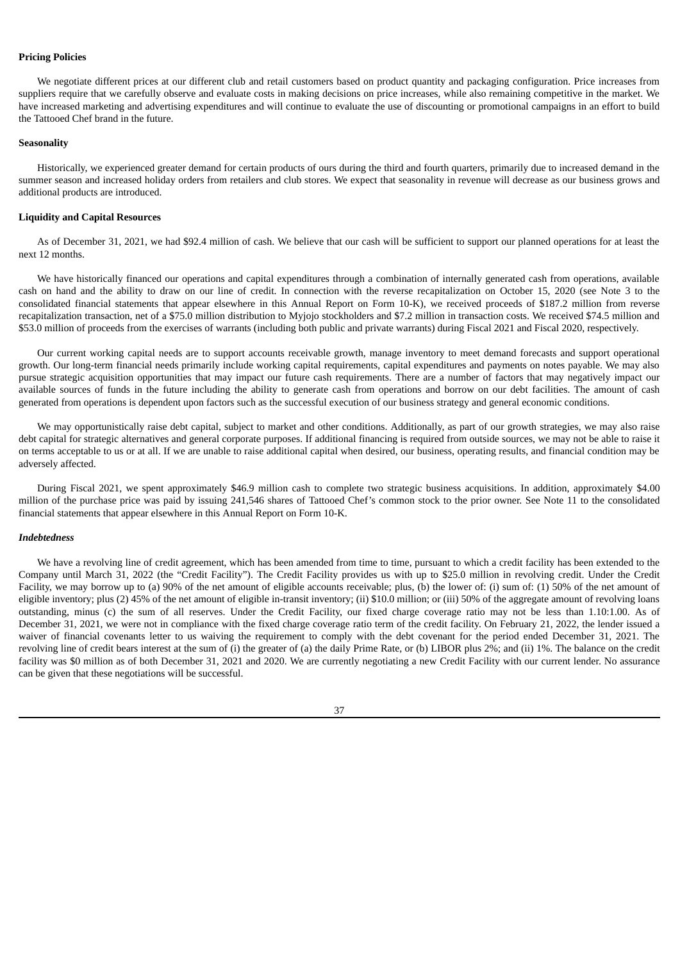# **Pricing Policies**

We negotiate different prices at our different club and retail customers based on product quantity and packaging configuration. Price increases from suppliers require that we carefully observe and evaluate costs in making decisions on price increases, while also remaining competitive in the market. We have increased marketing and advertising expenditures and will continue to evaluate the use of discounting or promotional campaigns in an effort to build the Tattooed Chef brand in the future.

#### **Seasonality**

Historically, we experienced greater demand for certain products of ours during the third and fourth quarters, primarily due to increased demand in the summer season and increased holiday orders from retailers and club stores. We expect that seasonality in revenue will decrease as our business grows and additional products are introduced.

# **Liquidity and Capital Resources**

As of December 31, 2021, we had \$92.4 million of cash. We believe that our cash will be sufficient to support our planned operations for at least the next 12 months.

We have historically financed our operations and capital expenditures through a combination of internally generated cash from operations, available cash on hand and the ability to draw on our line of credit. In connection with the reverse recapitalization on October 15, 2020 (see Note 3 to the consolidated financial statements that appear elsewhere in this Annual Report on Form 10-K), we received proceeds of \$187.2 million from reverse recapitalization transaction, net of a \$75.0 million distribution to Myjojo stockholders and \$7.2 million in transaction costs. We received \$74.5 million and \$53.0 million of proceeds from the exercises of warrants (including both public and private warrants) during Fiscal 2021 and Fiscal 2020, respectively.

Our current working capital needs are to support accounts receivable growth, manage inventory to meet demand forecasts and support operational growth. Our long-term financial needs primarily include working capital requirements, capital expenditures and payments on notes payable. We may also pursue strategic acquisition opportunities that may impact our future cash requirements. There are a number of factors that may negatively impact our available sources of funds in the future including the ability to generate cash from operations and borrow on our debt facilities. The amount of cash generated from operations is dependent upon factors such as the successful execution of our business strategy and general economic conditions.

We may opportunistically raise debt capital, subject to market and other conditions. Additionally, as part of our growth strategies, we may also raise debt capital for strategic alternatives and general corporate purposes. If additional financing is required from outside sources, we may not be able to raise it on terms acceptable to us or at all. If we are unable to raise additional capital when desired, our business, operating results, and financial condition may be adversely affected.

During Fiscal 2021, we spent approximately \$46.9 million cash to complete two strategic business acquisitions. In addition, approximately \$4.00 million of the purchase price was paid by issuing 241,546 shares of Tattooed Chef's common stock to the prior owner. See Note 11 to the consolidated financial statements that appear elsewhere in this Annual Report on Form 10-K.

#### *Indebtedness*

We have a revolving line of credit agreement, which has been amended from time to time, pursuant to which a credit facility has been extended to the Company until March 31, 2022 (the "Credit Facility"). The Credit Facility provides us with up to \$25.0 million in revolving credit. Under the Credit Facility, we may borrow up to (a) 90% of the net amount of eligible accounts receivable; plus, (b) the lower of: (i) sum of: (1) 50% of the net amount of eligible inventory; plus (2) 45% of the net amount of eligible in-transit inventory; (ii) \$10.0 million; or (iii) 50% of the aggregate amount of revolving loans outstanding, minus (c) the sum of all reserves. Under the Credit Facility, our fixed charge coverage ratio may not be less than 1.10:1.00. As of December 31, 2021, we were not in compliance with the fixed charge coverage ratio term of the credit facility. On February 21, 2022, the lender issued a waiver of financial covenants letter to us waiving the requirement to comply with the debt covenant for the period ended December 31, 2021. The revolving line of credit bears interest at the sum of (i) the greater of (a) the daily Prime Rate, or (b) LIBOR plus 2%; and (ii) 1%. The balance on the credit facility was \$0 million as of both December 31, 2021 and 2020. We are currently negotiating a new Credit Facility with our current lender. No assurance can be given that these negotiations will be successful.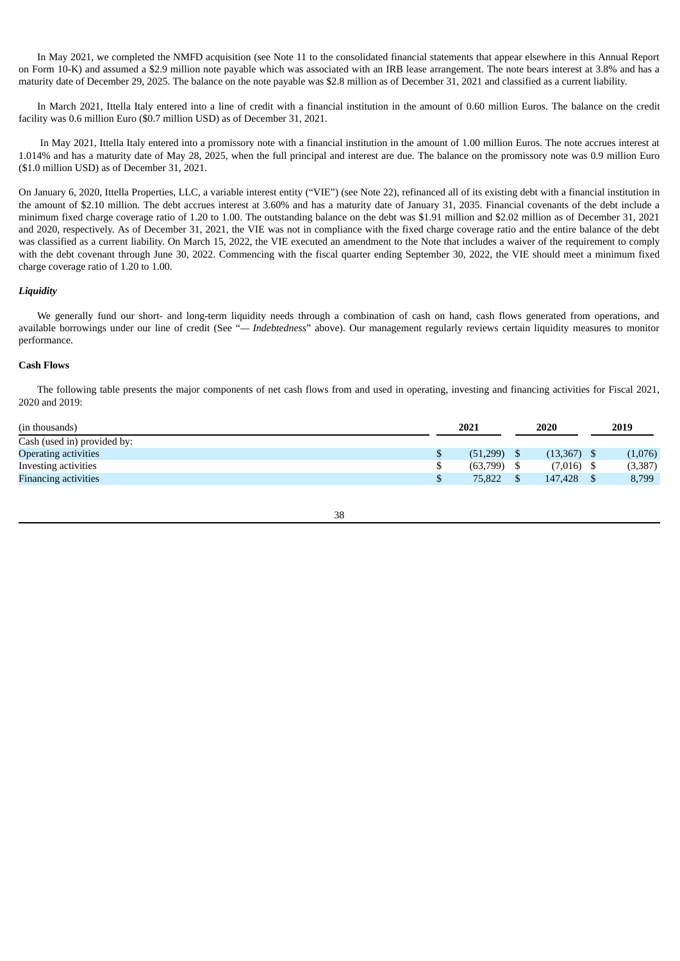In May 2021, we completed the NMFD acquisition (see Note 11 to the consolidated financial statements that appear elsewhere in this Annual Report on Form 10-K) and assumed a \$2.9 million note payable which was associated with an IRB lease arrangement. The note bears interest at 3.8% and has a maturity date of December 29, 2025. The balance on the note payable was \$2.8 million as of December 31, 2021 and classified as a current liability.

In March 2021, Ittella Italy entered into a line of credit with a financial institution in the amount of 0.60 million Euros. The balance on the credit facility was 0.6 million Euro (\$0.7 million USD) as of December 31, 2021.

In May 2021, Ittella Italy entered into a promissory note with a financial institution in the amount of 1.00 million Euros. The note accrues interest at 1.014% and has a maturity date of May 28, 2025, when the full principal and interest are due. The balance on the promissory note was 0.9 million Euro (\$1.0 million USD) as of December 31, 2021.

On January 6, 2020, Ittella Properties, LLC, a variable interest entity ("VIE") (see Note 22), refinanced all of its existing debt with a financial institution in the amount of \$2.10 million. The debt accrues interest at 3.60% and has a maturity date of January 31, 2035. Financial covenants of the debt include a minimum fixed charge coverage ratio of 1.20 to 1.00. The outstanding balance on the debt was \$1.91 million and \$2.02 million as of December 31, 2021 and 2020, respectively. As of December 31, 2021, the VIE was not in compliance with the fixed charge coverage ratio and the entire balance of the debt was classified as a current liability. On March 15, 2022, the VIE executed an amendment to the Note that includes a waiver of the requirement to comply with the debt covenant through June 30, 2022. Commencing with the fiscal quarter ending September 30, 2022, the VIE should meet a minimum fixed charge coverage ratio of 1.20 to 1.00.

# *Liquidity*

We generally fund our short- and long-term liquidity needs through a combination of cash on hand, cash flows generated from operations, and available borrowings under our line of credit (See "*— Indebtedness*" above). Our management regularly reviews certain liquidity measures to monitor performance.

#### **Cash Flows**

The following table presents the major components of net cash flows from and used in operating, investing and financing activities for Fiscal 2021, 2020 and 2019:

| (in thousands)              | 2021     |  | 2020      |  | 2019    |
|-----------------------------|----------|--|-----------|--|---------|
| Cash (used in) provided by: |          |  |           |  |         |
| <b>Operating activities</b> | (51,299) |  | (13, 367) |  | (1,076) |
| Investing activities        | (63,799) |  | (7,016)   |  | (3,387) |
| <b>Financing activities</b> | 75.822   |  | 147,428   |  | 8,799   |
|                             |          |  |           |  |         |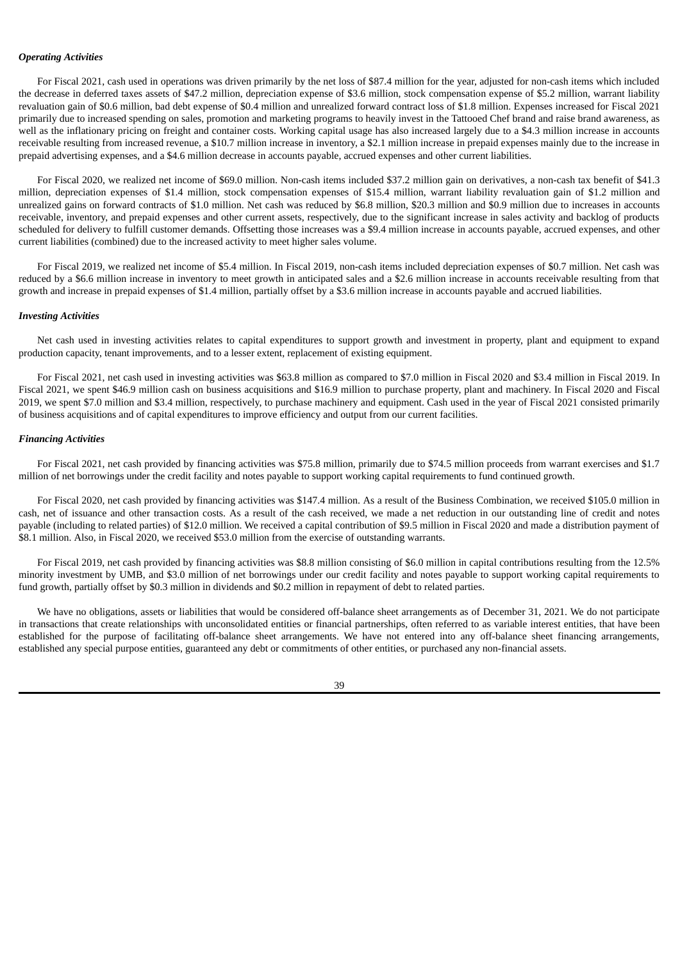# *Operating Activities*

For Fiscal 2021, cash used in operations was driven primarily by the net loss of \$87.4 million for the year, adjusted for non-cash items which included the decrease in deferred taxes assets of \$47.2 million, depreciation expense of \$3.6 million, stock compensation expense of \$5.2 million, warrant liability revaluation gain of \$0.6 million, bad debt expense of \$0.4 million and unrealized forward contract loss of \$1.8 million. Expenses increased for Fiscal 2021 primarily due to increased spending on sales, promotion and marketing programs to heavily invest in the Tattooed Chef brand and raise brand awareness, as well as the inflationary pricing on freight and container costs. Working capital usage has also increased largely due to a \$4.3 million increase in accounts receivable resulting from increased revenue, a \$10.7 million increase in inventory, a \$2.1 million increase in prepaid expenses mainly due to the increase in prepaid advertising expenses, and a \$4.6 million decrease in accounts payable, accrued expenses and other current liabilities.

For Fiscal 2020, we realized net income of \$69.0 million. Non-cash items included \$37.2 million gain on derivatives, a non-cash tax benefit of \$41.3 million, depreciation expenses of \$1.4 million, stock compensation expenses of \$15.4 million, warrant liability revaluation gain of \$1.2 million and unrealized gains on forward contracts of \$1.0 million. Net cash was reduced by \$6.8 million, \$20.3 million and \$0.9 million due to increases in accounts receivable, inventory, and prepaid expenses and other current assets, respectively, due to the significant increase in sales activity and backlog of products scheduled for delivery to fulfill customer demands. Offsetting those increases was a \$9.4 million increase in accounts payable, accrued expenses, and other current liabilities (combined) due to the increased activity to meet higher sales volume.

For Fiscal 2019, we realized net income of \$5.4 million. In Fiscal 2019, non-cash items included depreciation expenses of \$0.7 million. Net cash was reduced by a \$6.6 million increase in inventory to meet growth in anticipated sales and a \$2.6 million increase in accounts receivable resulting from that growth and increase in prepaid expenses of \$1.4 million, partially offset by a \$3.6 million increase in accounts payable and accrued liabilities.

#### *Investing Activities*

Net cash used in investing activities relates to capital expenditures to support growth and investment in property, plant and equipment to expand production capacity, tenant improvements, and to a lesser extent, replacement of existing equipment.

For Fiscal 2021, net cash used in investing activities was \$63.8 million as compared to \$7.0 million in Fiscal 2020 and \$3.4 million in Fiscal 2019. In Fiscal 2021, we spent \$46.9 million cash on business acquisitions and \$16.9 million to purchase property, plant and machinery. In Fiscal 2020 and Fiscal 2019, we spent \$7.0 million and \$3.4 million, respectively, to purchase machinery and equipment. Cash used in the year of Fiscal 2021 consisted primarily of business acquisitions and of capital expenditures to improve efficiency and output from our current facilities.

#### *Financing Activities*

For Fiscal 2021, net cash provided by financing activities was \$75.8 million, primarily due to \$74.5 million proceeds from warrant exercises and \$1.7 million of net borrowings under the credit facility and notes payable to support working capital requirements to fund continued growth.

For Fiscal 2020, net cash provided by financing activities was \$147.4 million. As a result of the Business Combination, we received \$105.0 million in cash, net of issuance and other transaction costs. As a result of the cash received, we made a net reduction in our outstanding line of credit and notes payable (including to related parties) of \$12.0 million. We received a capital contribution of \$9.5 million in Fiscal 2020 and made a distribution payment of \$8.1 million. Also, in Fiscal 2020, we received \$53.0 million from the exercise of outstanding warrants.

For Fiscal 2019, net cash provided by financing activities was \$8.8 million consisting of \$6.0 million in capital contributions resulting from the 12.5% minority investment by UMB, and \$3.0 million of net borrowings under our credit facility and notes payable to support working capital requirements to fund growth, partially offset by \$0.3 million in dividends and \$0.2 million in repayment of debt to related parties.

We have no obligations, assets or liabilities that would be considered off-balance sheet arrangements as of December 31, 2021. We do not participate in transactions that create relationships with unconsolidated entities or financial partnerships, often referred to as variable interest entities, that have been established for the purpose of facilitating off-balance sheet arrangements. We have not entered into any off-balance sheet financing arrangements, established any special purpose entities, guaranteed any debt or commitments of other entities, or purchased any non-financial assets.

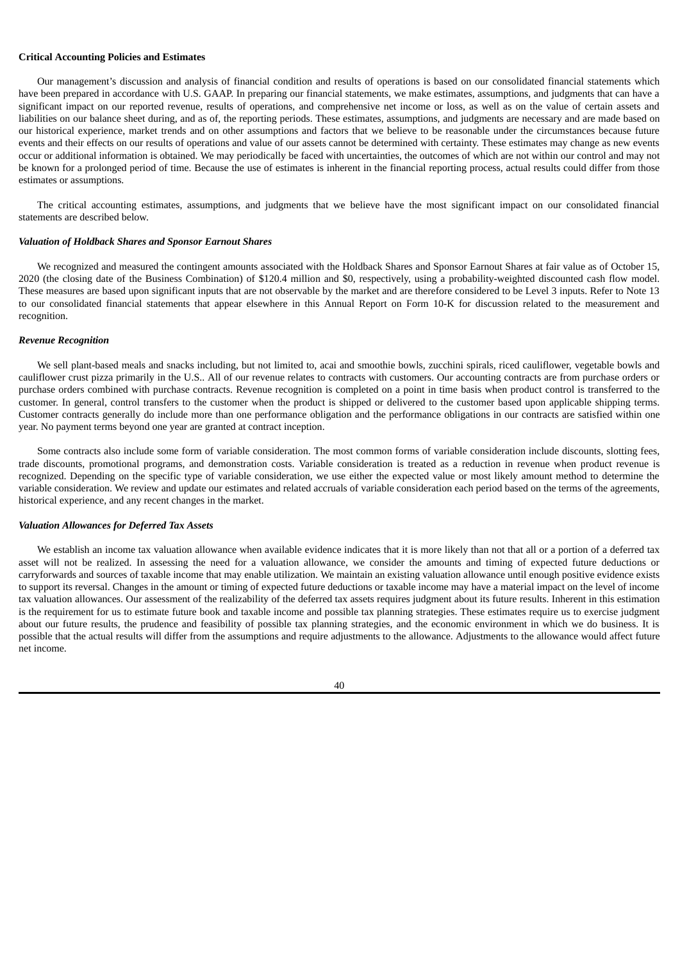### **Critical Accounting Policies and Estimates**

Our management's discussion and analysis of financial condition and results of operations is based on our consolidated financial statements which have been prepared in accordance with U.S. GAAP. In preparing our financial statements, we make estimates, assumptions, and judgments that can have a significant impact on our reported revenue, results of operations, and comprehensive net income or loss, as well as on the value of certain assets and liabilities on our balance sheet during, and as of, the reporting periods. These estimates, assumptions, and judgments are necessary and are made based on our historical experience, market trends and on other assumptions and factors that we believe to be reasonable under the circumstances because future events and their effects on our results of operations and value of our assets cannot be determined with certainty. These estimates may change as new events occur or additional information is obtained. We may periodically be faced with uncertainties, the outcomes of which are not within our control and may not be known for a prolonged period of time. Because the use of estimates is inherent in the financial reporting process, actual results could differ from those estimates or assumptions.

The critical accounting estimates, assumptions, and judgments that we believe have the most significant impact on our consolidated financial statements are described below.

#### *Valuation of Holdback Shares and Sponsor Earnout Shares*

We recognized and measured the contingent amounts associated with the Holdback Shares and Sponsor Earnout Shares at fair value as of October 15, 2020 (the closing date of the Business Combination) of \$120.4 million and \$0, respectively, using a probability-weighted discounted cash flow model. These measures are based upon significant inputs that are not observable by the market and are therefore considered to be Level 3 inputs. Refer to Note 13 to our consolidated financial statements that appear elsewhere in this Annual Report on Form 10-K for discussion related to the measurement and recognition.

#### *Revenue Recognition*

We sell plant-based meals and snacks including, but not limited to, acai and smoothie bowls, zucchini spirals, riced cauliflower, vegetable bowls and cauliflower crust pizza primarily in the U.S.. All of our revenue relates to contracts with customers. Our accounting contracts are from purchase orders or purchase orders combined with purchase contracts. Revenue recognition is completed on a point in time basis when product control is transferred to the customer. In general, control transfers to the customer when the product is shipped or delivered to the customer based upon applicable shipping terms. Customer contracts generally do include more than one performance obligation and the performance obligations in our contracts are satisfied within one year. No payment terms beyond one year are granted at contract inception.

Some contracts also include some form of variable consideration. The most common forms of variable consideration include discounts, slotting fees, trade discounts, promotional programs, and demonstration costs. Variable consideration is treated as a reduction in revenue when product revenue is recognized. Depending on the specific type of variable consideration, we use either the expected value or most likely amount method to determine the variable consideration. We review and update our estimates and related accruals of variable consideration each period based on the terms of the agreements, historical experience, and any recent changes in the market.

# *Valuation Allowances for Deferred Tax Assets*

We establish an income tax valuation allowance when available evidence indicates that it is more likely than not that all or a portion of a deferred tax asset will not be realized. In assessing the need for a valuation allowance, we consider the amounts and timing of expected future deductions or carryforwards and sources of taxable income that may enable utilization. We maintain an existing valuation allowance until enough positive evidence exists to support its reversal. Changes in the amount or timing of expected future deductions or taxable income may have a material impact on the level of income tax valuation allowances. Our assessment of the realizability of the deferred tax assets requires judgment about its future results. Inherent in this estimation is the requirement for us to estimate future book and taxable income and possible tax planning strategies. These estimates require us to exercise judgment about our future results, the prudence and feasibility of possible tax planning strategies, and the economic environment in which we do business. It is possible that the actual results will differ from the assumptions and require adjustments to the allowance. Adjustments to the allowance would affect future net income.

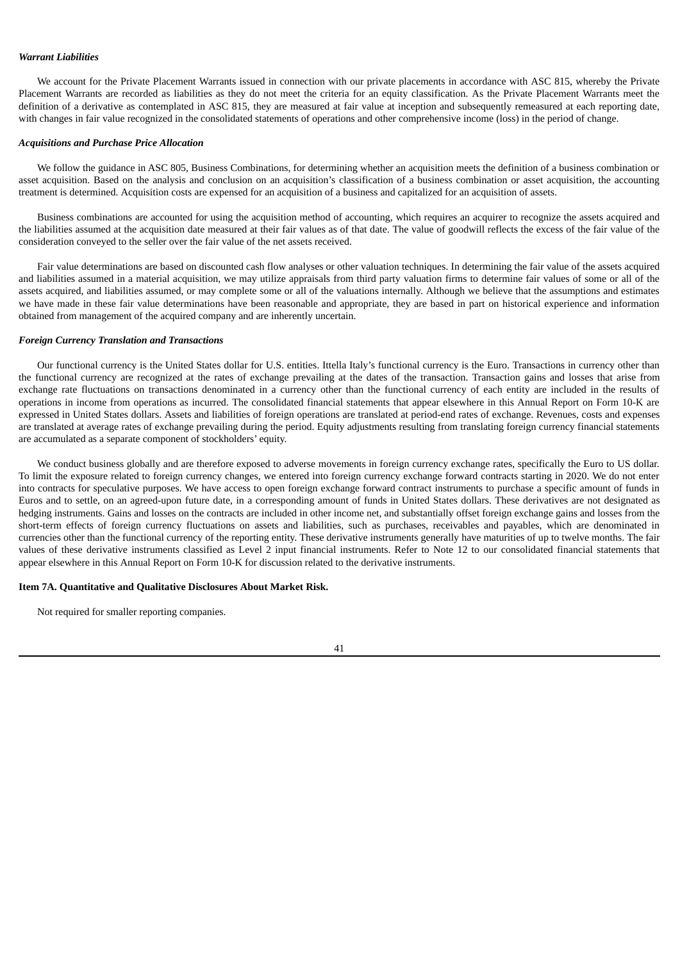# *Warrant Liabilities*

We account for the Private Placement Warrants issued in connection with our private placements in accordance with ASC 815, whereby the Private Placement Warrants are recorded as liabilities as they do not meet the criteria for an equity classification. As the Private Placement Warrants meet the definition of a derivative as contemplated in ASC 815, they are measured at fair value at inception and subsequently remeasured at each reporting date, with changes in fair value recognized in the consolidated statements of operations and other comprehensive income (loss) in the period of change.

#### *Acquisitions and Purchase Price Allocation*

We follow the guidance in ASC 805, Business Combinations, for determining whether an acquisition meets the definition of a business combination or asset acquisition. Based on the analysis and conclusion on an acquisition's classification of a business combination or asset acquisition, the accounting treatment is determined. Acquisition costs are expensed for an acquisition of a business and capitalized for an acquisition of assets.

Business combinations are accounted for using the acquisition method of accounting, which requires an acquirer to recognize the assets acquired and the liabilities assumed at the acquisition date measured at their fair values as of that date. The value of goodwill reflects the excess of the fair value of the consideration conveyed to the seller over the fair value of the net assets received.

Fair value determinations are based on discounted cash flow analyses or other valuation techniques. In determining the fair value of the assets acquired and liabilities assumed in a material acquisition, we may utilize appraisals from third party valuation firms to determine fair values of some or all of the assets acquired, and liabilities assumed, or may complete some or all of the valuations internally. Although we believe that the assumptions and estimates we have made in these fair value determinations have been reasonable and appropriate, they are based in part on historical experience and information obtained from management of the acquired company and are inherently uncertain.

#### *Foreign Currency Translation and Transactions*

Our functional currency is the United States dollar for U.S. entities. Ittella Italy's functional currency is the Euro. Transactions in currency other than the functional currency are recognized at the rates of exchange prevailing at the dates of the transaction. Transaction gains and losses that arise from exchange rate fluctuations on transactions denominated in a currency other than the functional currency of each entity are included in the results of operations in income from operations as incurred. The consolidated financial statements that appear elsewhere in this Annual Report on Form 10-K are expressed in United States dollars. Assets and liabilities of foreign operations are translated at period-end rates of exchange. Revenues, costs and expenses are translated at average rates of exchange prevailing during the period. Equity adjustments resulting from translating foreign currency financial statements are accumulated as a separate component of stockholders' equity.

We conduct business globally and are therefore exposed to adverse movements in foreign currency exchange rates, specifically the Euro to US dollar. To limit the exposure related to foreign currency changes, we entered into foreign currency exchange forward contracts starting in 2020. We do not enter into contracts for speculative purposes. We have access to open foreign exchange forward contract instruments to purchase a specific amount of funds in Euros and to settle, on an agreed-upon future date, in a corresponding amount of funds in United States dollars. These derivatives are not designated as hedging instruments. Gains and losses on the contracts are included in other income net, and substantially offset foreign exchange gains and losses from the short-term effects of foreign currency fluctuations on assets and liabilities, such as purchases, receivables and payables, which are denominated in currencies other than the functional currency of the reporting entity. These derivative instruments generally have maturities of up to twelve months. The fair values of these derivative instruments classified as Level 2 input financial instruments. Refer to Note 12 to our consolidated financial statements that appear elsewhere in this Annual Report on Form 10-K for discussion related to the derivative instruments.

#### **Item 7A. Quantitative and Qualitative Disclosures About Market Risk.**

Not required for smaller reporting companies.

41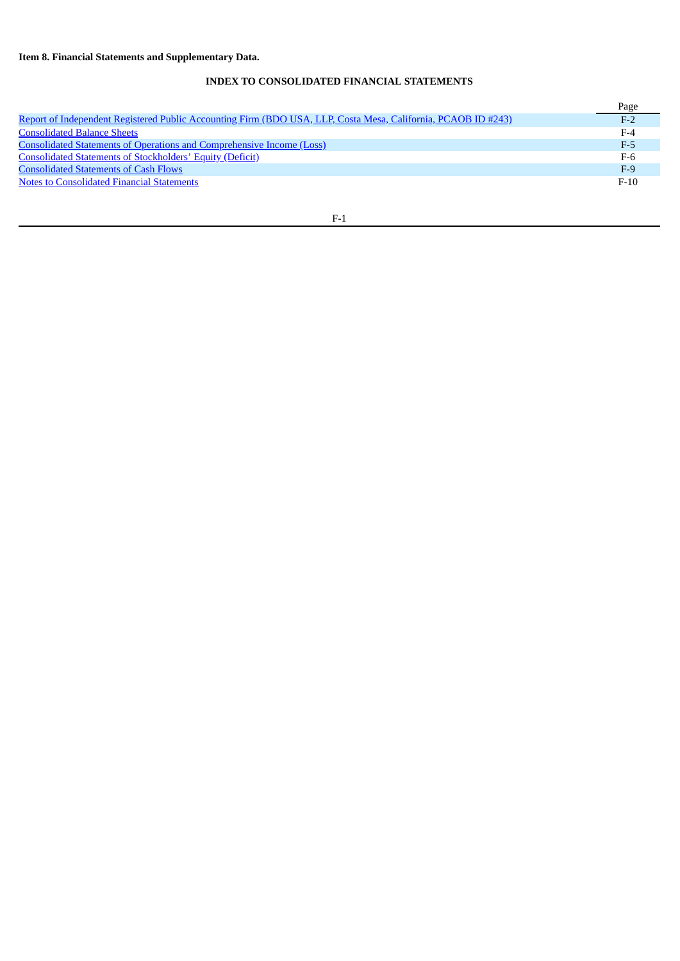# **Item 8. Financial Statements and Supplementary Data.**

# **INDEX TO CONSOLIDATED FINANCIAL STATEMENTS**

|                                                                                                               | Page   |
|---------------------------------------------------------------------------------------------------------------|--------|
| Report of Independent Registered Public Accounting Firm (BDO USA, LLP, Costa Mesa, California, PCAOB ID #243) | $F-2$  |
| <b>Consolidated Balance Sheets</b>                                                                            | $F-4$  |
| <b>Consolidated Statements of Operations and Comprehensive Income (Loss)</b>                                  | $F-5$  |
| <b>Consolidated Statements of Stockholders' Equity (Deficit)</b>                                              | F-6    |
| <b>Consolidated Statements of Cash Flows</b>                                                                  | $F-9$  |
| <b>Notes to Consolidated Financial Statements</b>                                                             | $F-10$ |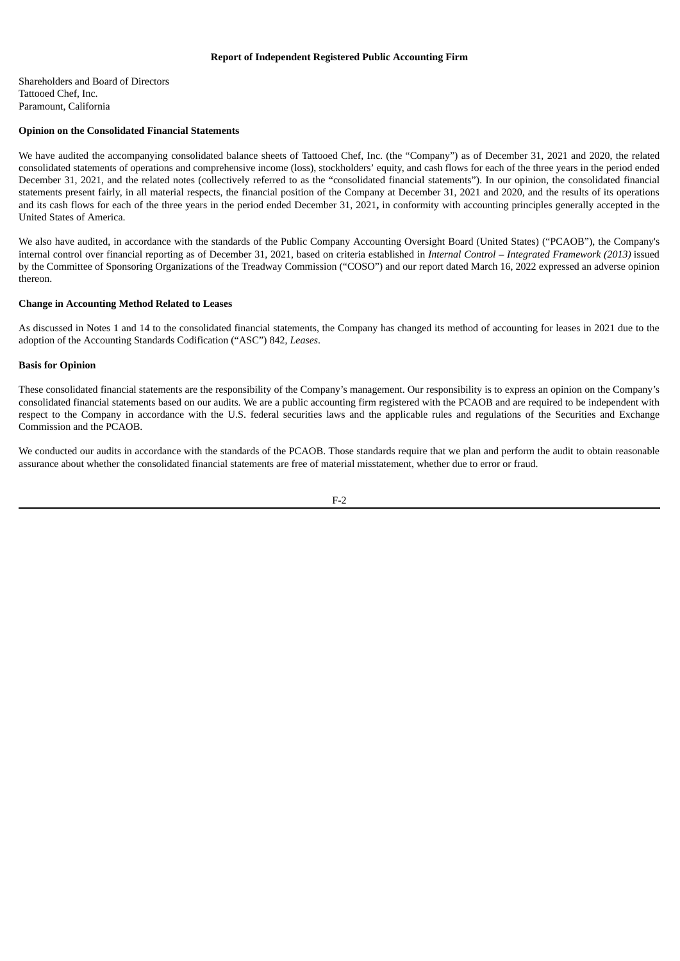# **Report of Independent Registered Public Accounting Firm**

<span id="page-45-0"></span>Shareholders and Board of Directors Tattooed Chef, Inc. Paramount, California

### **Opinion on the Consolidated Financial Statements**

We have audited the accompanying consolidated balance sheets of Tattooed Chef, Inc. (the "Company") as of December 31, 2021 and 2020, the related consolidated statements of operations and comprehensive income (loss), stockholders' equity, and cash flows for each of the three years in the period ended December 31, 2021, and the related notes (collectively referred to as the "consolidated financial statements"). In our opinion, the consolidated financial statements present fairly, in all material respects, the financial position of the Company at December 31, 2021 and 2020, and the results of its operations and its cash flows for each of the three years in the period ended December 31, 2021**,** in conformity with accounting principles generally accepted in the United States of America.

We also have audited, in accordance with the standards of the Public Company Accounting Oversight Board (United States) ("PCAOB"), the Company's internal control over financial reporting as of December 31, 2021, based on criteria established in *Internal Control – Integrated Framework (2013)* issued by the Committee of Sponsoring Organizations of the Treadway Commission ("COSO") and our report dated March 16, 2022 expressed an adverse opinion thereon.

#### **Change in Accounting Method Related to Leases**

As discussed in Notes 1 and 14 to the consolidated financial statements, the Company has changed its method of accounting for leases in 2021 due to the adoption of the Accounting Standards Codification ("ASC") 842, *Leases*.

# **Basis for Opinion**

These consolidated financial statements are the responsibility of the Company's management. Our responsibility is to express an opinion on the Company's consolidated financial statements based on our audits. We are a public accounting firm registered with the PCAOB and are required to be independent with respect to the Company in accordance with the U.S. federal securities laws and the applicable rules and regulations of the Securities and Exchange Commission and the PCAOB.

We conducted our audits in accordance with the standards of the PCAOB. Those standards require that we plan and perform the audit to obtain reasonable assurance about whether the consolidated financial statements are free of material misstatement, whether due to error or fraud.

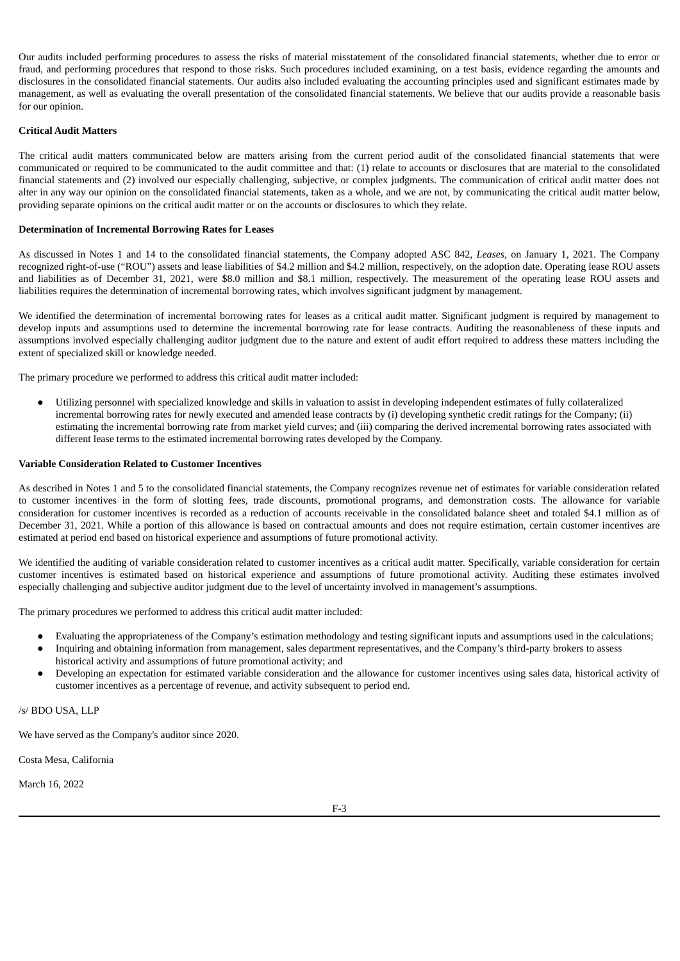Our audits included performing procedures to assess the risks of material misstatement of the consolidated financial statements, whether due to error or fraud, and performing procedures that respond to those risks. Such procedures included examining, on a test basis, evidence regarding the amounts and disclosures in the consolidated financial statements. Our audits also included evaluating the accounting principles used and significant estimates made by management, as well as evaluating the overall presentation of the consolidated financial statements. We believe that our audits provide a reasonable basis for our opinion.

# **Critical Audit Matters**

The critical audit matters communicated below are matters arising from the current period audit of the consolidated financial statements that were communicated or required to be communicated to the audit committee and that: (1) relate to accounts or disclosures that are material to the consolidated financial statements and (2) involved our especially challenging, subjective, or complex judgments. The communication of critical audit matter does not alter in any way our opinion on the consolidated financial statements, taken as a whole, and we are not, by communicating the critical audit matter below, providing separate opinions on the critical audit matter or on the accounts or disclosures to which they relate.

#### **Determination of Incremental Borrowing Rates for Leases**

As discussed in Notes 1 and 14 to the consolidated financial statements, the Company adopted ASC 842, *Leases*, on January 1, 2021. The Company recognized right-of-use ("ROU") assets and lease liabilities of \$4.2 million and \$4.2 million, respectively, on the adoption date. Operating lease ROU assets and liabilities as of December 31, 2021, were \$8.0 million and \$8.1 million, respectively. The measurement of the operating lease ROU assets and liabilities requires the determination of incremental borrowing rates, which involves significant judgment by management.

We identified the determination of incremental borrowing rates for leases as a critical audit matter. Significant judgment is required by management to develop inputs and assumptions used to determine the incremental borrowing rate for lease contracts. Auditing the reasonableness of these inputs and assumptions involved especially challenging auditor judgment due to the nature and extent of audit effort required to address these matters including the extent of specialized skill or knowledge needed.

The primary procedure we performed to address this critical audit matter included:

Utilizing personnel with specialized knowledge and skills in valuation to assist in developing independent estimates of fully collateralized incremental borrowing rates for newly executed and amended lease contracts by (i) developing synthetic credit ratings for the Company; (ii) estimating the incremental borrowing rate from market yield curves; and (iii) comparing the derived incremental borrowing rates associated with different lease terms to the estimated incremental borrowing rates developed by the Company.

#### **Variable Consideration Related to Customer Incentives**

As described in Notes 1 and 5 to the consolidated financial statements, the Company recognizes revenue net of estimates for variable consideration related to customer incentives in the form of slotting fees, trade discounts, promotional programs, and demonstration costs. The allowance for variable consideration for customer incentives is recorded as a reduction of accounts receivable in the consolidated balance sheet and totaled \$4.1 million as of December 31, 2021. While a portion of this allowance is based on contractual amounts and does not require estimation, certain customer incentives are estimated at period end based on historical experience and assumptions of future promotional activity.

We identified the auditing of variable consideration related to customer incentives as a critical audit matter. Specifically, variable consideration for certain customer incentives is estimated based on historical experience and assumptions of future promotional activity. Auditing these estimates involved especially challenging and subjective auditor judgment due to the level of uncertainty involved in management's assumptions.

The primary procedures we performed to address this critical audit matter included:

- Evaluating the appropriateness of the Company's estimation methodology and testing significant inputs and assumptions used in the calculations;
- Inquiring and obtaining information from management, sales department representatives, and the Company's third-party brokers to assess historical activity and assumptions of future promotional activity; and
- Developing an expectation for estimated variable consideration and the allowance for customer incentives using sales data, historical activity of customer incentives as a percentage of revenue, and activity subsequent to period end.

/s/ BDO USA, LLP

We have served as the Company's auditor since 2020.

Costa Mesa, California

March 16, 2022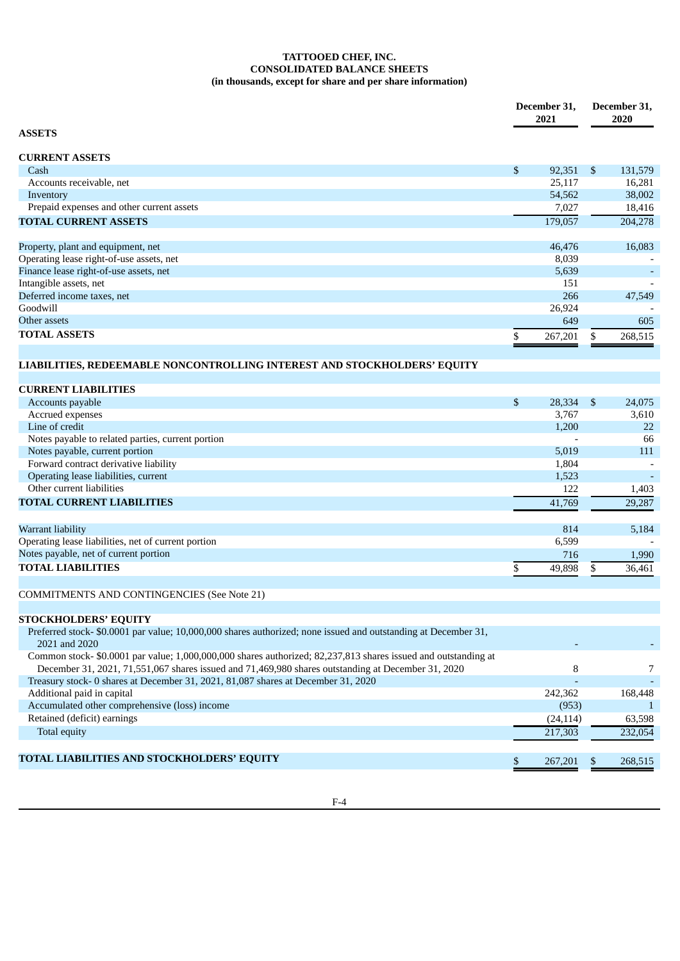# **TATTOOED CHEF, INC. CONSOLIDATED BALANCE SHEETS (in thousands, except for share and per share information)**

<span id="page-47-0"></span>

|                                           |                | December 31,<br>2021 |              | December 31,<br>2020 |
|-------------------------------------------|----------------|----------------------|--------------|----------------------|
| <b>ASSETS</b>                             |                |                      |              |                      |
| <b>CURRENT ASSETS</b>                     |                |                      |              |                      |
| Cash                                      | $\mathfrak{S}$ | 92,351               | $\mathbb{S}$ | 131,579              |
| Accounts receivable, net                  |                | 25,117               |              | 16,281               |
| Inventory                                 |                | 54,562               |              | 38,002               |
| Prepaid expenses and other current assets |                | 7,027                |              | 18,416               |
| <b>TOTAL CURRENT ASSETS</b>               |                | 179,057              |              | 204,278              |
| Property, plant and equipment, net        |                | 46,476               |              | 16,083               |
| Operating lease right-of-use assets, net  |                | 8,039                |              |                      |
| Finance lease right-of-use assets, net    |                | 5,639                |              |                      |
| Intangible assets, net                    |                | 151                  |              |                      |
| Deferred income taxes, net                |                | 266                  |              | 47,549               |
| Goodwill                                  |                | 26,924               |              |                      |
| Other assets                              |                | 649                  |              | 605                  |
| <b>TOTAL ASSETS</b>                       |                | 267.201              |              | 268,515              |

# **LIABILITIES, REDEEMABLE NONCONTROLLING INTEREST AND STOCKHOLDERS' EQUITY**

| <b>CURRENT LIABILITIES</b>                          |                |        |     |        |
|-----------------------------------------------------|----------------|--------|-----|--------|
| Accounts payable                                    | $\mathfrak{s}$ | 28,334 | -\$ | 24,075 |
| Accrued expenses                                    |                | 3.767  |     | 3,610  |
| Line of credit                                      |                | 1,200  |     | 22     |
| Notes payable to related parties, current portion   |                |        |     | 66     |
| Notes payable, current portion                      |                | 5,019  |     | 111    |
| Forward contract derivative liability               |                | 1,804  |     |        |
| Operating lease liabilities, current                |                | 1,523  |     |        |
| Other current liabilities                           |                | 122    |     | 1,403  |
| <b>TOTAL CURRENT LIABILITIES</b>                    |                | 41,769 |     | 29,287 |
|                                                     |                |        |     |        |
| Warrant liability                                   |                | 814    |     | 5,184  |
| Operating lease liabilities, net of current portion |                | 6,599  |     |        |
| Notes payable, net of current portion               |                | 716    |     | 1,990  |
| <b>TOTAL LIABILITIES</b>                            |                | 49,898 |     | 36,461 |

# COMMITMENTS AND CONTINGENCIES (See Note 21)

# **STOCKHOLDERS' EQUITY**

| Preferred stock- \$0.0001 par value; 10,000,000 shares authorized; none issued and outstanding at December 31,<br>2021 and 2020                                                                                      |           |         |
|----------------------------------------------------------------------------------------------------------------------------------------------------------------------------------------------------------------------|-----------|---------|
| Common stock- \$0.0001 par value; 1,000,000,000 shares authorized; 82,237,813 shares issued and outstanding at<br>December 31, 2021, 71,551,067 shares issued and 71,469,980 shares outstanding at December 31, 2020 |           |         |
| Treasury stock- 0 shares at December 31, 2021, 81,087 shares at December 31, 2020                                                                                                                                    |           |         |
| Additional paid in capital                                                                                                                                                                                           | 242,362   | 168,448 |
| Accumulated other comprehensive (loss) income                                                                                                                                                                        | (953)     |         |
| Retained (deficit) earnings                                                                                                                                                                                          | (24, 114) | 63,598  |
| Total equity                                                                                                                                                                                                         | 217,303   | 232,054 |
|                                                                                                                                                                                                                      |           |         |
| TOTAL LIABILITIES AND STOCKHOLDERS' EQUITY                                                                                                                                                                           | 267,201   | 268,515 |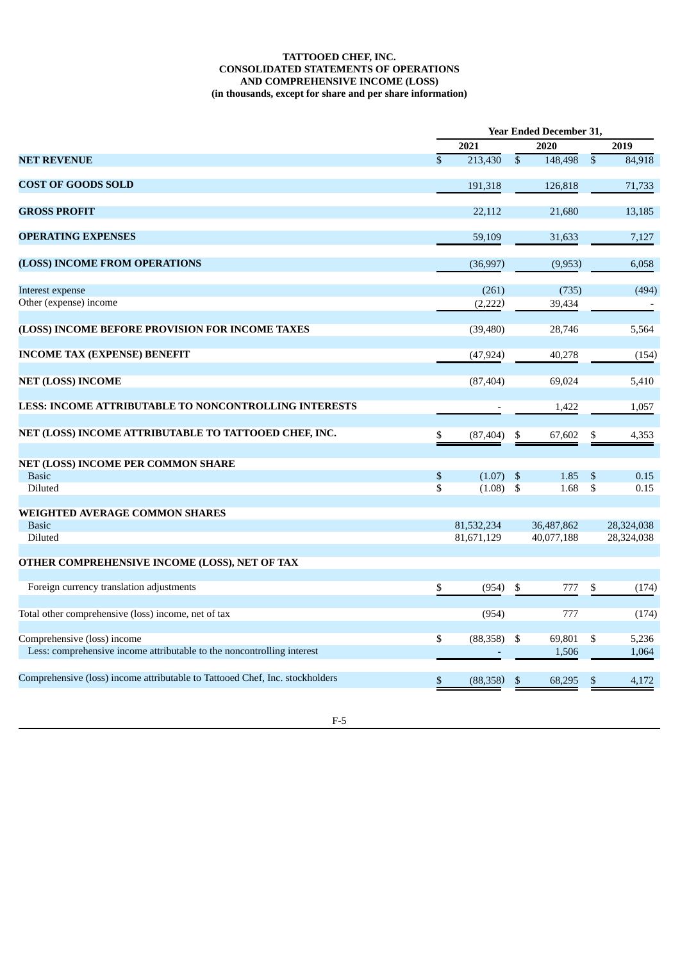# **TATTOOED CHEF, INC. CONSOLIDATED STATEMENTS OF OPERATIONS AND COMPREHENSIVE INCOME (LOSS) (in thousands, except for share and per share information)**

<span id="page-48-0"></span>

|                                                                              | <b>Year Ended December 31,</b> |                 |            |                 |            |
|------------------------------------------------------------------------------|--------------------------------|-----------------|------------|-----------------|------------|
|                                                                              | 2021                           |                 | 2020       |                 | 2019       |
| <b>NET REVENUE</b>                                                           | \$<br>213,430                  | $\overline{\$}$ | 148,498    | $\overline{\$}$ | 84,918     |
| <b>COST OF GOODS SOLD</b>                                                    | 191,318                        |                 | 126,818    |                 | 71,733     |
| <b>GROSS PROFIT</b>                                                          | 22,112                         |                 | 21,680     |                 | 13,185     |
| <b>OPERATING EXPENSES</b>                                                    | 59,109                         |                 | 31,633     |                 | 7,127      |
| (LOSS) INCOME FROM OPERATIONS                                                | (36,997)                       |                 | (9,953)    |                 | 6,058      |
| Interest expense                                                             | (261)                          |                 | (735)      |                 | (494)      |
| Other (expense) income                                                       | (2,222)                        |                 | 39,434     |                 |            |
| (LOSS) INCOME BEFORE PROVISION FOR INCOME TAXES                              | (39, 480)                      |                 | 28,746     |                 | 5,564      |
| <b>INCOME TAX (EXPENSE) BENEFIT</b>                                          | (47, 924)                      |                 | 40,278     |                 | (154)      |
| <b>NET (LOSS) INCOME</b>                                                     | (87, 404)                      |                 | 69,024     |                 | 5,410      |
| <b>LESS: INCOME ATTRIBUTABLE TO NONCONTROLLING INTERESTS</b>                 | $\overline{\phantom{a}}$       |                 | 1,422      |                 | 1,057      |
| NET (LOSS) INCOME ATTRIBUTABLE TO TATTOOED CHEF, INC.                        | \$<br>(87, 404)                | \$              | 67,602     | \$              | 4,353      |
| NET (LOSS) INCOME PER COMMON SHARE                                           |                                |                 |            |                 |            |
| <b>Basic</b>                                                                 | \$<br>(1.07)                   | $\mathbb{S}$    | 1.85       | $\,$            | 0.15       |
| <b>Diluted</b>                                                               | \$<br>(1.08)                   | \$              | 1.68       | \$              | 0.15       |
| WEIGHTED AVERAGE COMMON SHARES                                               |                                |                 |            |                 |            |
| <b>Basic</b>                                                                 | 81,532,234                     |                 | 36,487,862 |                 | 28,324,038 |
| Diluted                                                                      | 81,671,129                     |                 | 40,077,188 |                 | 28,324,038 |
| OTHER COMPREHENSIVE INCOME (LOSS), NET OF TAX                                |                                |                 |            |                 |            |
| Foreign currency translation adjustments                                     | \$<br>(954)                    | \$              | 777        | \$              | (174)      |
| Total other comprehensive (loss) income, net of tax                          | (954)                          |                 | 777        |                 | (174)      |
| Comprehensive (loss) income                                                  | \$<br>(88, 358)                | \$              | 69,801     | \$              | 5,236      |
| Less: comprehensive income attributable to the noncontrolling interest       |                                |                 | 1,506      |                 | 1,064      |
| Comprehensive (loss) income attributable to Tattooed Chef, Inc. stockholders | \$<br>(88,358)                 | \$              | 68,295     | \$              | 4,172      |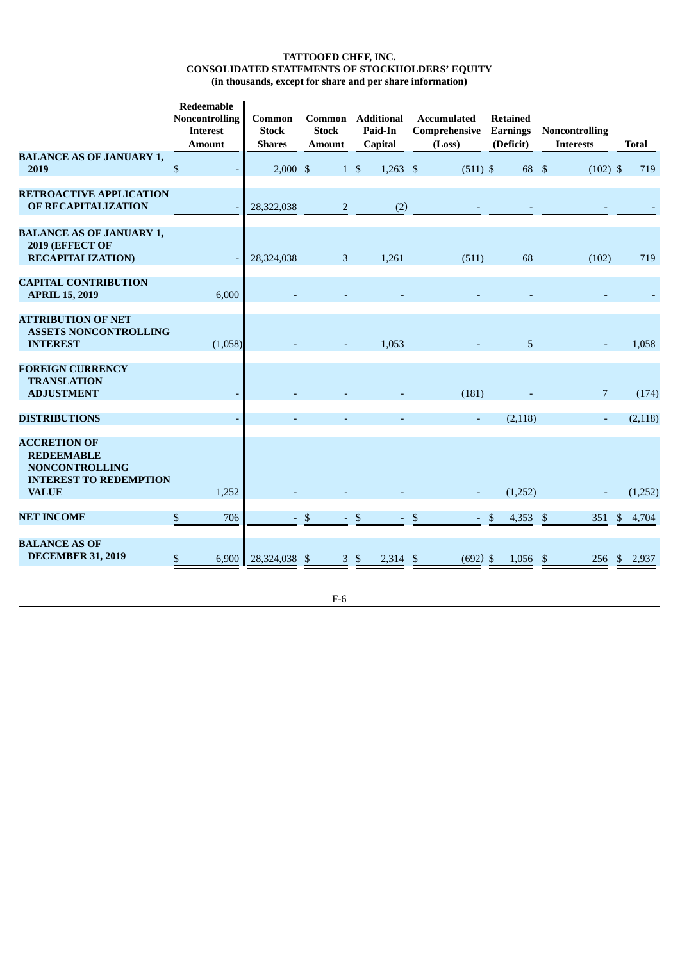# **TATTOOED CHEF, INC. CONSOLIDATED STATEMENTS OF STOCKHOLDERS' EQUITY (in thousands, except for share and per share information)**

<span id="page-49-0"></span>

|                                                                                                    | Redeemable<br><b>Noncontrolling</b><br><b>Interest</b><br><b>Amount</b> | Common<br><b>Stock</b><br><b>Shares</b> | <b>Common</b><br><b>Stock</b><br><b>Amount</b> | <b>Additional</b><br>Paid-In<br><b>Capital</b> | <b>Accumulated</b><br>Comprehensive<br>(Loss) | <b>Retained</b><br><b>Earnings</b><br>(Deficit) | <b>Noncontrolling</b><br><b>Interests</b> | <b>Total</b>          |
|----------------------------------------------------------------------------------------------------|-------------------------------------------------------------------------|-----------------------------------------|------------------------------------------------|------------------------------------------------|-----------------------------------------------|-------------------------------------------------|-------------------------------------------|-----------------------|
| <b>BALANCE AS OF JANUARY 1,</b><br>2019                                                            | \$                                                                      | $2,000$ \$                              |                                                | $1 \text{ }$<br>$1,263$ \$                     | $(511)$ \$                                    | 68 \$                                           | $(102)$ \$                                | 719                   |
| <b>RETROACTIVE APPLICATION</b><br>OF RECAPITALIZATION                                              |                                                                         | 28,322,038                              | $\overline{2}$                                 | (2)                                            |                                               |                                                 |                                           |                       |
| <b>BALANCE AS OF JANUARY 1,</b><br>2019 (EFFECT OF<br><b>RECAPITALIZATION)</b>                     |                                                                         | 28,324,038                              | 3                                              | 1,261                                          | (511)                                         | 68                                              | (102)                                     | 719                   |
| <b>CAPITAL CONTRIBUTION</b><br><b>APRIL 15, 2019</b>                                               | 6,000                                                                   |                                         |                                                |                                                |                                               |                                                 |                                           |                       |
| <b>ATTRIBUTION OF NET</b><br><b>ASSETS NONCONTROLLING</b><br><b>INTEREST</b>                       | (1,058)                                                                 |                                         |                                                | 1.053                                          |                                               | $\overline{5}$                                  |                                           | 1,058                 |
| <b>FOREIGN CURRENCY</b><br><b>TRANSLATION</b><br><b>ADJUSTMENT</b>                                 |                                                                         |                                         |                                                |                                                | (181)                                         |                                                 | $\overline{7}$                            | (174)                 |
| <b>DISTRIBUTIONS</b>                                                                               |                                                                         | $\blacksquare$                          |                                                |                                                | $\blacksquare$                                | (2,118)                                         | $\overline{\phantom{a}}$                  | (2, 118)              |
| <b>ACCRETION OF</b><br><b>REDEEMABLE</b><br><b>NONCONTROLLING</b><br><b>INTEREST TO REDEMPTION</b> |                                                                         |                                         |                                                |                                                |                                               |                                                 |                                           |                       |
| <b>VALUE</b>                                                                                       | 1,252                                                                   |                                         |                                                |                                                |                                               | (1,252)                                         | $\overline{\phantom{a}}$                  | (1,252)               |
| <b>NET INCOME</b>                                                                                  | \$<br>706                                                               |                                         | $-5$                                           | $-$ \$                                         | $-5$                                          | $-5$<br>4,353                                   | -\$<br>351                                | $\mathbb{S}$<br>4,704 |
| <b>BALANCE AS OF</b><br><b>DECEMBER 31, 2019</b>                                                   | \$<br>6,900                                                             | 28,324,038 \$                           |                                                | 3 <sup>3</sup><br>$2,314$ \$                   | $(692)$ \$                                    | 1,056                                           | 256<br>-\$                                | - \$<br>2,937         |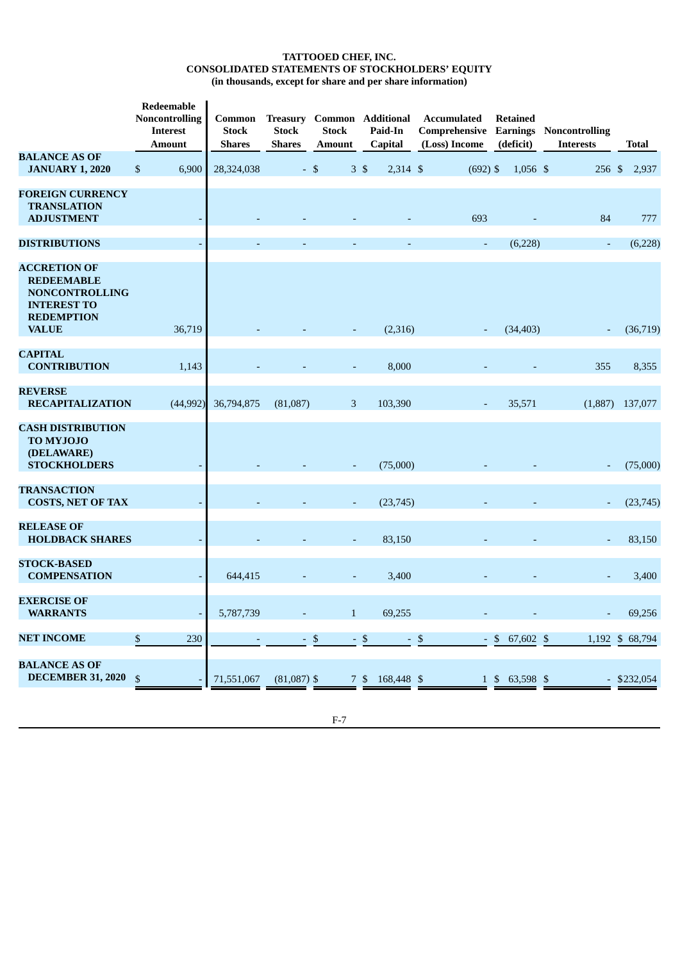# **TATTOOED CHEF, INC. CONSOLIDATED STATEMENTS OF STOCKHOLDERS' EQUITY (in thousands, except for share and per share information)**

|                                                                                                                              |              | Redeemable<br><b>Noncontrolling</b><br><b>Interest</b><br><b>Amount</b> | Common<br><b>Stock</b><br><b>Shares</b> | <b>Stock</b><br><b>Shares</b> | <b>Treasury Common Additional</b><br><b>Stock</b><br><b>Amount</b> |                | Paid-In<br><b>Capital</b> |        | <b>Accumulated</b><br>(Loss) Income |        | <b>Retained</b><br>(deficit) | <b>Comprehensive Earnings Noncontrolling</b><br><b>Interests</b> | Total           |
|------------------------------------------------------------------------------------------------------------------------------|--------------|-------------------------------------------------------------------------|-----------------------------------------|-------------------------------|--------------------------------------------------------------------|----------------|---------------------------|--------|-------------------------------------|--------|------------------------------|------------------------------------------------------------------|-----------------|
| <b>BALANCE AS OF</b><br><b>JANUARY 1, 2020</b>                                                                               | $\mathbb{S}$ | 6,900                                                                   | 28,324,038                              |                               | $-$ \$                                                             | 3 <sup>3</sup> | 2,314 \$                  |        | $(692)$ \$                          |        | $1,056$ \$                   | 256S                                                             | 2,937           |
| <b>FOREIGN CURRENCY</b><br><b>TRANSLATION</b><br><b>ADJUSTMENT</b>                                                           |              |                                                                         |                                         |                               |                                                                    |                |                           |        | 693                                 |        |                              | 84                                                               | 777             |
| <b>DISTRIBUTIONS</b>                                                                                                         |              |                                                                         |                                         |                               |                                                                    |                |                           |        | $\mathcal{L}$                       |        | (6,228)                      | $\overline{a}$                                                   | (6,228)         |
| <b>ACCRETION OF</b><br><b>REDEEMABLE</b><br><b>NONCONTROLLING</b><br><b>INTEREST TO</b><br><b>REDEMPTION</b><br><b>VALUE</b> |              | 36,719                                                                  |                                         |                               |                                                                    |                | (2,316)                   |        | $\overline{\phantom{a}}$            |        | (34, 403)                    | $\overline{\phantom{a}}$                                         | (36,719)        |
| <b>CAPITAL</b><br><b>CONTRIBUTION</b>                                                                                        |              | 1,143                                                                   |                                         |                               |                                                                    |                | 8,000                     |        |                                     |        |                              | 355                                                              | 8,355           |
| <b>REVERSE</b><br><b>RECAPITALIZATION</b>                                                                                    |              | (44, 992)                                                               | 36,794,875                              | (81,087)                      | 3                                                                  |                | 103,390                   |        |                                     |        | 35,571                       | (1,887)                                                          | 137,077         |
| <b>CASH DISTRIBUTION</b><br><b>TO MYJOJO</b><br>(DELAWARE)<br><b>STOCKHOLDERS</b>                                            |              |                                                                         |                                         |                               |                                                                    |                | (75,000)                  |        |                                     |        |                              |                                                                  | (75,000)        |
| <b>TRANSACTION</b><br><b>COSTS, NET OF TAX</b>                                                                               |              |                                                                         |                                         |                               |                                                                    |                | (23, 745)                 |        |                                     |        |                              |                                                                  | (23,745)        |
| <b>RELEASE OF</b><br><b>HOLDBACK SHARES</b>                                                                                  |              |                                                                         |                                         |                               |                                                                    |                | 83,150                    |        |                                     |        |                              |                                                                  | 83,150          |
| <b>STOCK-BASED</b><br><b>COMPENSATION</b>                                                                                    |              |                                                                         | 644,415                                 |                               |                                                                    |                | 3,400                     |        |                                     |        |                              |                                                                  | 3,400           |
| <b>EXERCISE OF</b><br><b>WARRANTS</b>                                                                                        |              |                                                                         | 5,787,739                               |                               | $\mathbf{1}$                                                       |                | 69,255                    |        |                                     |        |                              |                                                                  | 69,256          |
| <b>NET INCOME</b>                                                                                                            | $\mathbb{S}$ | 230                                                                     |                                         |                               | $-$ \$                                                             | $-$ \$         |                           | $-$ \$ |                                     | $-$ \$ | 67,602 \$                    |                                                                  | 1,192 \$ 68,794 |
| <b>BALANCE AS OF</b><br><b>DECEMBER 31, 2020</b>                                                                             | \$           |                                                                         | 71,551,067                              | $(81,087)$ \$                 |                                                                    | 7\$            | 168,448 \$                |        |                                     |        | $1 \quad $63,598 \quad $$    |                                                                  | $-$ \$232,054   |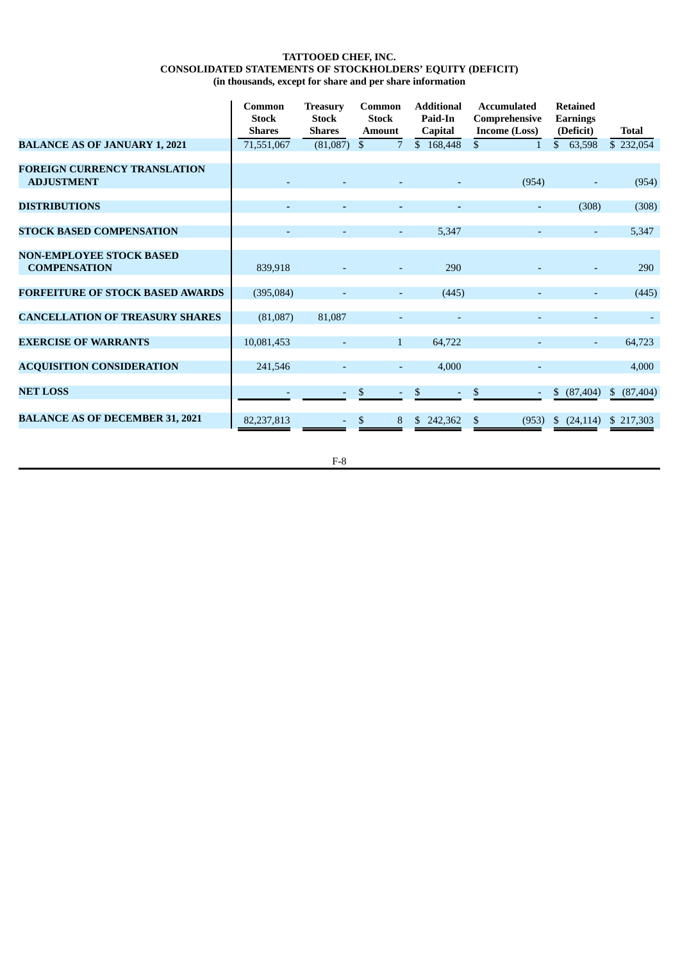# **TATTOOED CHEF, INC. CONSOLIDATED STATEMENTS OF STOCKHOLDERS' EQUITY (DEFICIT) (in thousands, except for share and per share information**

|                                                          | Common<br><b>Stock</b><br><b>Shares</b> | <b>Treasury</b><br><b>Stock</b><br><b>Shares</b> | Common<br><b>Stock</b><br><b>Amount</b>               | <b>Additional</b><br>Paid-In<br>Capital | <b>Accumulated</b><br>Comprehensive<br><b>Income (Loss)</b> | <b>Retained</b><br><b>Earnings</b><br>(Deficit) | <b>Total</b>               |
|----------------------------------------------------------|-----------------------------------------|--------------------------------------------------|-------------------------------------------------------|-----------------------------------------|-------------------------------------------------------------|-------------------------------------------------|----------------------------|
| <b>BALANCE AS OF JANUARY 1, 2021</b>                     | 71,551,067                              | (81,087)                                         | $\mathbb{S}$<br>7                                     | \$168,448                               | $\mathcal{S}$                                               | $\mathbb{S}$<br>63,598                          | \$232,054                  |
| <b>FOREIGN CURRENCY TRANSLATION</b><br><b>ADJUSTMENT</b> |                                         |                                                  |                                                       |                                         | (954)                                                       |                                                 | (954)                      |
| <b>DISTRIBUTIONS</b>                                     | $\overline{\phantom{a}}$                |                                                  | $\overline{\phantom{a}}$                              |                                         |                                                             | (308)                                           | (308)                      |
| <b>STOCK BASED COMPENSATION</b>                          |                                         |                                                  |                                                       | 5,347                                   |                                                             | ٠                                               | 5,347                      |
| <b>NON-EMPLOYEE STOCK BASED</b><br><b>COMPENSATION</b>   | 839,918                                 |                                                  |                                                       | 290                                     |                                                             | $\overline{\phantom{a}}$                        | 290                        |
| <b>FORFEITURE OF STOCK BASED AWARDS</b>                  | (395,084)                               |                                                  |                                                       | (445)                                   |                                                             | ٠                                               | (445)                      |
| <b>CANCELLATION OF TREASURY SHARES</b>                   | (81,087)                                | 81,087                                           |                                                       |                                         |                                                             |                                                 |                            |
| <b>EXERCISE OF WARRANTS</b>                              | 10,081,453                              |                                                  | $\mathbf{1}$                                          | 64,722                                  |                                                             | $\overline{\phantom{a}}$                        | 64,723                     |
| <b>ACQUISITION CONSIDERATION</b>                         | 241,546                                 |                                                  | ٠                                                     | 4,000                                   |                                                             |                                                 | 4,000                      |
| <b>NET LOSS</b>                                          |                                         | $\overline{\phantom{a}}$                         | $\boldsymbol{\mathsf{S}}$<br>$\overline{\phantom{a}}$ | \$<br>$\overline{\phantom{a}}$          | \$                                                          | (87, 404)<br>$\mathbb{S}$                       | (87, 404)<br><sup>\$</sup> |
| <b>BALANCE AS OF DECEMBER 31, 2021</b>                   | 82,237,813                              |                                                  | \$<br>8                                               | \$242,362                               | <sup>\$</sup><br>(953)                                      | $\mathbf{s}$<br>(24, 114)                       | \$217,303                  |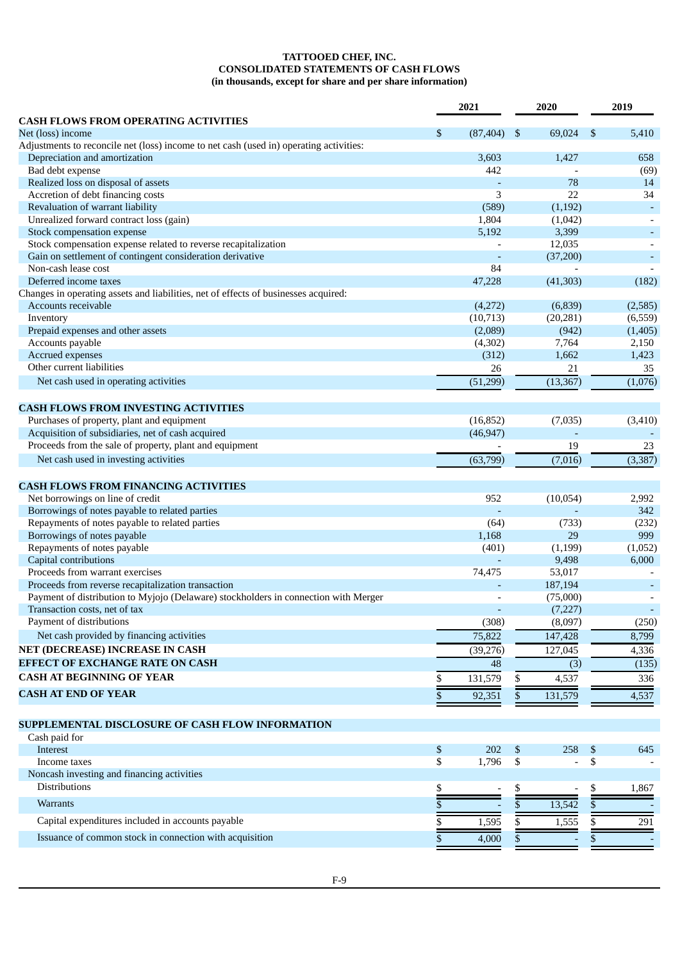# **TATTOOED CHEF, INC. CONSOLIDATED STATEMENTS OF CASH FLOWS (in thousands, except for share and per share information)**

<span id="page-52-0"></span>

|                                                                                        |    | 2021           |     | 2020             | 2019 |          |
|----------------------------------------------------------------------------------------|----|----------------|-----|------------------|------|----------|
| <b>CASH FLOWS FROM OPERATING ACTIVITIES</b>                                            |    |                |     |                  |      |          |
| Net (loss) income                                                                      | \$ | (87, 404)      | \$  | 69,024           | \$   | 5,410    |
| Adjustments to reconcile net (loss) income to net cash (used in) operating activities: |    |                |     |                  |      |          |
| Depreciation and amortization                                                          |    | 3,603          |     | 1,427            |      | 658      |
| Bad debt expense                                                                       |    | 442            |     |                  |      | (69)     |
| Realized loss on disposal of assets                                                    |    | 3              |     | 78               |      | 14       |
| Accretion of debt financing costs                                                      |    |                |     | 22               |      | 34       |
| Revaluation of warrant liability                                                       |    | (589)          |     | (1, 192)         |      |          |
| Unrealized forward contract loss (gain)<br>Stock compensation expense                  |    | 1,804<br>5,192 |     | (1,042)<br>3,399 |      |          |
| Stock compensation expense related to reverse recapitalization                         |    |                |     | 12,035           |      |          |
| Gain on settlement of contingent consideration derivative                              |    |                |     | (37,200)         |      |          |
| Non-cash lease cost                                                                    |    | 84             |     |                  |      |          |
| Deferred income taxes                                                                  |    | 47,228         |     | (41, 303)        |      | (182)    |
| Changes in operating assets and liabilities, net of effects of businesses acquired:    |    |                |     |                  |      |          |
| Accounts receivable                                                                    |    | (4,272)        |     | (6,839)          |      | (2,585)  |
| Inventory                                                                              |    | (10, 713)      |     | (20, 281)        |      | (6, 559) |
| Prepaid expenses and other assets                                                      |    | (2,089)        |     | (942)            |      | (1,405)  |
| Accounts payable                                                                       |    | (4, 302)       |     | 7,764            |      | 2,150    |
| Accrued expenses                                                                       |    | (312)          |     | 1,662            |      | 1,423    |
| Other current liabilities                                                              |    | 26             |     | 21               |      | 35       |
| Net cash used in operating activities                                                  |    | (51,299)       |     | (13, 367)        |      | (1,076)  |
|                                                                                        |    |                |     |                  |      |          |
| <b>CASH FLOWS FROM INVESTING ACTIVITIES</b>                                            |    |                |     |                  |      |          |
| Purchases of property, plant and equipment                                             |    | (16, 852)      |     | (7,035)          |      | (3, 410) |
| Acquisition of subsidiaries, net of cash acquired                                      |    | (46, 947)      |     |                  |      |          |
| Proceeds from the sale of property, plant and equipment                                |    |                |     | 19               |      | 23       |
| Net cash used in investing activities                                                  |    |                |     |                  |      |          |
|                                                                                        |    | (63,799)       |     | (7,016)          |      | (3, 387) |
| <b>CASH FLOWS FROM FINANCING ACTIVITIES</b>                                            |    |                |     |                  |      |          |
| Net borrowings on line of credit                                                       |    | 952            |     | (10,054)         |      | 2,992    |
| Borrowings of notes payable to related parties                                         |    |                |     |                  |      | 342      |
| Repayments of notes payable to related parties                                         |    | (64)           |     | (733)            |      | (232)    |
| Borrowings of notes payable                                                            |    | 1,168          |     | 29               |      | 999      |
| Repayments of notes payable                                                            |    | (401)          |     | (1, 199)         |      | (1,052)  |
| Capital contributions                                                                  |    |                |     | 9,498            |      | 6,000    |
| Proceeds from warrant exercises                                                        |    | 74,475         |     | 53,017           |      |          |
| Proceeds from reverse recapitalization transaction                                     |    |                |     | 187,194          |      |          |
| Payment of distribution to Myjojo (Delaware) stockholders in connection with Merger    |    |                |     | (75,000)         |      |          |
| Transaction costs, net of tax                                                          |    |                |     | (7, 227)         |      |          |
| Payment of distributions                                                               |    | (308)          |     | (8,097)          |      | (250)    |
| Net cash provided by financing activities                                              |    | 75,822         |     | 147,428          |      | 8,799    |
| NET (DECREASE) INCREASE IN CASH                                                        |    | (39, 276)      |     | 127,045          |      | 4,336    |
| <b>EFFECT OF EXCHANGE RATE ON CASH</b>                                                 |    | 48             |     | (3)              |      | (135)    |
| <b>CASH AT BEGINNING OF YEAR</b>                                                       |    |                |     |                  |      |          |
|                                                                                        | S  | 131,579        |     | 4,537            |      | 336      |
| <b>CASH AT END OF YEAR</b>                                                             | \$ | 92,351         | \$. | 131,579          |      | 4,537    |
|                                                                                        |    |                |     |                  |      |          |
| <b>SUPPLEMENTAL DISCLOSURE OF CASH FLOW INFORMATION</b>                                |    |                |     |                  |      |          |
| Cash paid for                                                                          |    |                |     |                  |      |          |
| Interest                                                                               | \$ | 202            | \$  | 258              | \$   | 645      |
| Income taxes                                                                           | \$ | 1,796          | \$  | $\overline{a}$   | \$   |          |
| Noncash investing and financing activities                                             |    |                |     |                  |      |          |
| Distributions                                                                          | \$ |                | \$  |                  | \$   | 1,867    |
| <b>Warrants</b>                                                                        | \$ |                |     | 13,542           | \$   |          |
| Capital expenditures included in accounts payable                                      | S  | 1,595          |     | 1,555            | \$   | 291      |
|                                                                                        |    |                |     |                  |      |          |
| Issuance of common stock in connection with acquisition                                | \$ | 4,000          |     |                  | \$   |          |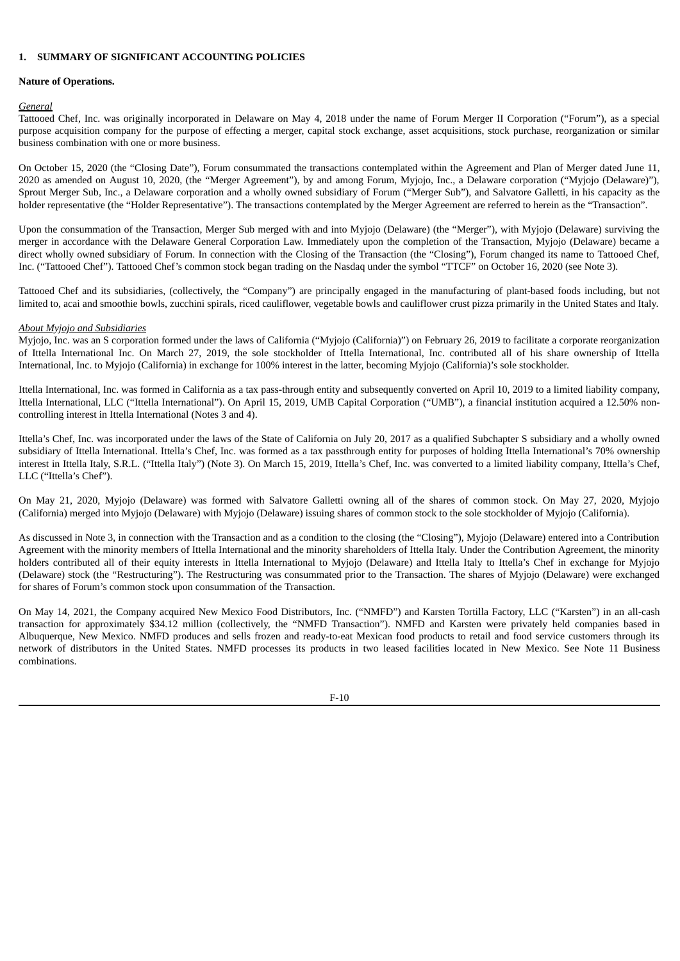# <span id="page-53-0"></span>**1. SUMMARY OF SIGNIFICANT ACCOUNTING POLICIES**

# **Nature of Operations.**

# *General*

Tattooed Chef, Inc. was originally incorporated in Delaware on May 4, 2018 under the name of Forum Merger II Corporation ("Forum"), as a special purpose acquisition company for the purpose of effecting a merger, capital stock exchange, asset acquisitions, stock purchase, reorganization or similar business combination with one or more business.

On October 15, 2020 (the "Closing Date"), Forum consummated the transactions contemplated within the Agreement and Plan of Merger dated June 11, 2020 as amended on August 10, 2020, (the "Merger Agreement"), by and among Forum, Myjojo, Inc., a Delaware corporation ("Myjojo (Delaware)"), Sprout Merger Sub, Inc., a Delaware corporation and a wholly owned subsidiary of Forum ("Merger Sub"), and Salvatore Galletti, in his capacity as the holder representative (the "Holder Representative"). The transactions contemplated by the Merger Agreement are referred to herein as the "Transaction".

Upon the consummation of the Transaction, Merger Sub merged with and into Myjojo (Delaware) (the "Merger"), with Myjojo (Delaware) surviving the merger in accordance with the Delaware General Corporation Law. Immediately upon the completion of the Transaction, Myjojo (Delaware) became a direct wholly owned subsidiary of Forum. In connection with the Closing of the Transaction (the "Closing"), Forum changed its name to Tattooed Chef, Inc. ("Tattooed Chef"). Tattooed Chef's common stock began trading on the Nasdaq under the symbol "TTCF" on October 16, 2020 (see Note 3).

Tattooed Chef and its subsidiaries, (collectively, the "Company") are principally engaged in the manufacturing of plant-based foods including, but not limited to, acai and smoothie bowls, zucchini spirals, riced cauliflower, vegetable bowls and cauliflower crust pizza primarily in the United States and Italy.

# *About Myjojo and Subsidiaries*

Myjojo, Inc. was an S corporation formed under the laws of California ("Myjojo (California)") on February 26, 2019 to facilitate a corporate reorganization of Ittella International Inc. On March 27, 2019, the sole stockholder of Ittella International, Inc. contributed all of his share ownership of Ittella International, Inc. to Myjojo (California) in exchange for 100% interest in the latter, becoming Myjojo (California)'s sole stockholder.

Ittella International, Inc. was formed in California as a tax pass-through entity and subsequently converted on April 10, 2019 to a limited liability company, Ittella International, LLC ("Ittella International"). On April 15, 2019, UMB Capital Corporation ("UMB"), a financial institution acquired a 12.50% noncontrolling interest in Ittella International (Notes 3 and 4).

Ittella's Chef, Inc. was incorporated under the laws of the State of California on July 20, 2017 as a qualified Subchapter S subsidiary and a wholly owned subsidiary of Ittella International. Ittella's Chef, Inc. was formed as a tax passthrough entity for purposes of holding Ittella International's 70% ownership interest in Ittella Italy, S.R.L. ("Ittella Italy") (Note 3). On March 15, 2019, Ittella's Chef, Inc. was converted to a limited liability company, Ittella's Chef, LLC ("Ittella's Chef").

On May 21, 2020, Myjojo (Delaware) was formed with Salvatore Galletti owning all of the shares of common stock. On May 27, 2020, Myjojo (California) merged into Myjojo (Delaware) with Myjojo (Delaware) issuing shares of common stock to the sole stockholder of Myjojo (California).

As discussed in Note 3, in connection with the Transaction and as a condition to the closing (the "Closing"), Myjojo (Delaware) entered into a Contribution Agreement with the minority members of Ittella International and the minority shareholders of Ittella Italy. Under the Contribution Agreement, the minority holders contributed all of their equity interests in Ittella International to Myjojo (Delaware) and Ittella Italy to Ittella's Chef in exchange for Myjojo (Delaware) stock (the "Restructuring"). The Restructuring was consummated prior to the Transaction. The shares of Myjojo (Delaware) were exchanged for shares of Forum's common stock upon consummation of the Transaction.

On May 14, 2021, the Company acquired New Mexico Food Distributors, Inc. ("NMFD") and Karsten Tortilla Factory, LLC ("Karsten") in an all-cash transaction for approximately \$34.12 million (collectively, the "NMFD Transaction"). NMFD and Karsten were privately held companies based in Albuquerque, New Mexico. NMFD produces and sells frozen and ready-to-eat Mexican food products to retail and food service customers through its network of distributors in the United States. NMFD processes its products in two leased facilities located in New Mexico. See Note 11 Business combinations.

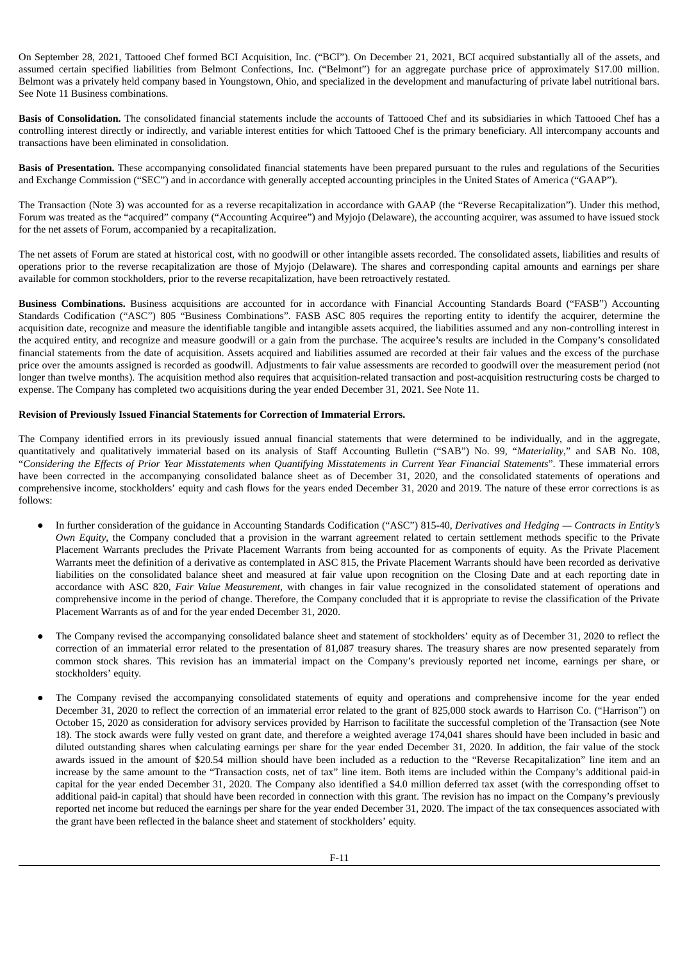On September 28, 2021, Tattooed Chef formed BCI Acquisition, Inc. ("BCI"). On December 21, 2021, BCI acquired substantially all of the assets, and assumed certain specified liabilities from Belmont Confections, Inc. ("Belmont") for an aggregate purchase price of approximately \$17.00 million. Belmont was a privately held company based in Youngstown, Ohio, and specialized in the development and manufacturing of private label nutritional bars. See Note 11 Business combinations.

**Basis of Consolidation.** The consolidated financial statements include the accounts of Tattooed Chef and its subsidiaries in which Tattooed Chef has a controlling interest directly or indirectly, and variable interest entities for which Tattooed Chef is the primary beneficiary. All intercompany accounts and transactions have been eliminated in consolidation.

**Basis of Presentation.** These accompanying consolidated financial statements have been prepared pursuant to the rules and regulations of the Securities and Exchange Commission ("SEC") and in accordance with generally accepted accounting principles in the United States of America ("GAAP").

The Transaction (Note 3) was accounted for as a reverse recapitalization in accordance with GAAP (the "Reverse Recapitalization"). Under this method, Forum was treated as the "acquired" company ("Accounting Acquiree") and Myjojo (Delaware), the accounting acquirer, was assumed to have issued stock for the net assets of Forum, accompanied by a recapitalization.

The net assets of Forum are stated at historical cost, with no goodwill or other intangible assets recorded. The consolidated assets, liabilities and results of operations prior to the reverse recapitalization are those of Myjojo (Delaware). The shares and corresponding capital amounts and earnings per share available for common stockholders, prior to the reverse recapitalization, have been retroactively restated.

**Business Combinations.** Business acquisitions are accounted for in accordance with Financial Accounting Standards Board ("FASB") Accounting Standards Codification ("ASC") 805 "Business Combinations". FASB ASC 805 requires the reporting entity to identify the acquirer, determine the acquisition date, recognize and measure the identifiable tangible and intangible assets acquired, the liabilities assumed and any non-controlling interest in the acquired entity, and recognize and measure goodwill or a gain from the purchase. The acquiree's results are included in the Company's consolidated financial statements from the date of acquisition. Assets acquired and liabilities assumed are recorded at their fair values and the excess of the purchase price over the amounts assigned is recorded as goodwill. Adjustments to fair value assessments are recorded to goodwill over the measurement period (not longer than twelve months). The acquisition method also requires that acquisition-related transaction and post-acquisition restructuring costs be charged to expense. The Company has completed two acquisitions during the year ended December 31, 2021. See Note 11.

# **Revision of Previously Issued Financial Statements for Correction of Immaterial Errors.**

The Company identified errors in its previously issued annual financial statements that were determined to be individually, and in the aggregate, quantitatively and qualitatively immaterial based on its analysis of Staff Accounting Bulletin ("SAB") No. 99, "*Materiality*," and SAB No. 108, "Considering the Effects of Prior Year Misstatements when Quantifying Misstatements in Current Year Financial Statements". These immaterial errors have been corrected in the accompanying consolidated balance sheet as of December 31, 2020, and the consolidated statements of operations and comprehensive income, stockholders' equity and cash flows for the years ended December 31, 2020 and 2019. The nature of these error corrections is as follows:

- In further consideration of the guidance in Accounting Standards Codification ("ASC") 815-40, *Derivatives and Hedging — Contracts in Entity's Own Equity*, the Company concluded that a provision in the warrant agreement related to certain settlement methods specific to the Private Placement Warrants precludes the Private Placement Warrants from being accounted for as components of equity. As the Private Placement Warrants meet the definition of a derivative as contemplated in ASC 815, the Private Placement Warrants should have been recorded as derivative liabilities on the consolidated balance sheet and measured at fair value upon recognition on the Closing Date and at each reporting date in accordance with ASC 820, *Fair Value Measurement*, with changes in fair value recognized in the consolidated statement of operations and comprehensive income in the period of change. Therefore, the Company concluded that it is appropriate to revise the classification of the Private Placement Warrants as of and for the year ended December 31, 2020.
- The Company revised the accompanying consolidated balance sheet and statement of stockholders' equity as of December 31, 2020 to reflect the correction of an immaterial error related to the presentation of 81,087 treasury shares. The treasury shares are now presented separately from common stock shares. This revision has an immaterial impact on the Company's previously reported net income, earnings per share, or stockholders' equity.
- The Company revised the accompanying consolidated statements of equity and operations and comprehensive income for the year ended December 31, 2020 to reflect the correction of an immaterial error related to the grant of 825,000 stock awards to Harrison Co. ("Harrison") on October 15, 2020 as consideration for advisory services provided by Harrison to facilitate the successful completion of the Transaction (see Note 18). The stock awards were fully vested on grant date, and therefore a weighted average 174,041 shares should have been included in basic and diluted outstanding shares when calculating earnings per share for the year ended December 31, 2020. In addition, the fair value of the stock awards issued in the amount of \$20.54 million should have been included as a reduction to the "Reverse Recapitalization" line item and an increase by the same amount to the "Transaction costs, net of tax" line item. Both items are included within the Company's additional paid-in capital for the year ended December 31, 2020. The Company also identified a \$4.0 million deferred tax asset (with the corresponding offset to additional paid-in capital) that should have been recorded in connection with this grant. The revision has no impact on the Company's previously reported net income but reduced the earnings per share for the year ended December 31, 2020. The impact of the tax consequences associated with the grant have been reflected in the balance sheet and statement of stockholders' equity.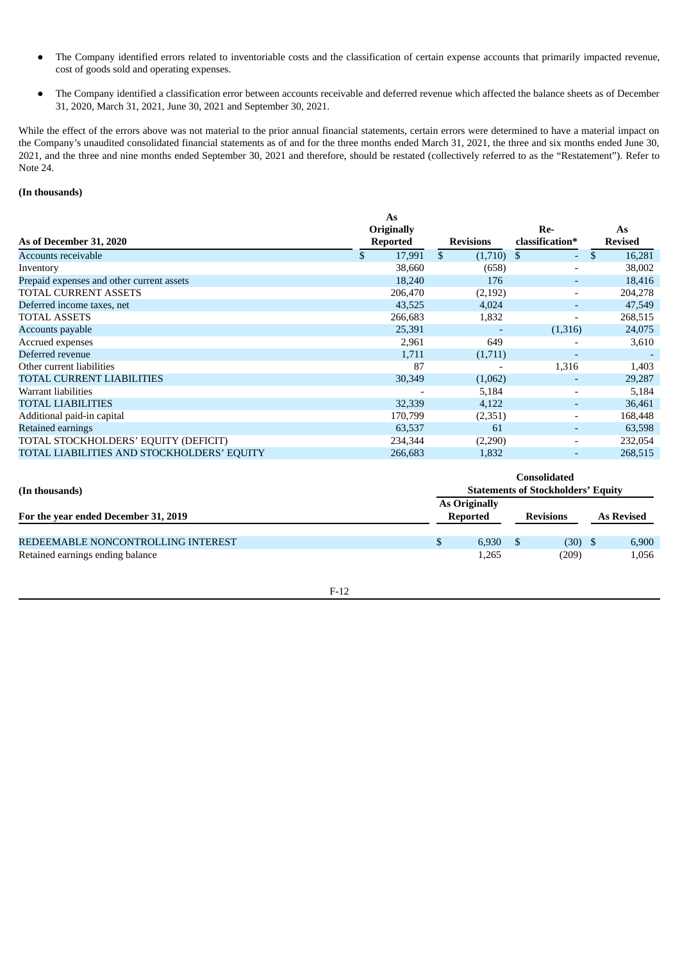- The Company identified errors related to inventoriable costs and the classification of certain expense accounts that primarily impacted revenue, cost of goods sold and operating expenses.
- The Company identified a classification error between accounts receivable and deferred revenue which affected the balance sheets as of December 31, 2020, March 31, 2021, June 30, 2021 and September 30, 2021.

While the effect of the errors above was not material to the prior annual financial statements, certain errors were determined to have a material impact on the Company's unaudited consolidated financial statements as of and for the three months ended March 31, 2021, the three and six months ended June 30, 2021, and the three and nine months ended September 30, 2021 and therefore, should be restated (collectively referred to as the "Restatement"). Refer to Note 24.

# **(In thousands)**

|                                            | As                |                  |          |                              |    |                |
|--------------------------------------------|-------------------|------------------|----------|------------------------------|----|----------------|
|                                            | <b>Originally</b> |                  |          | $Re-$                        |    | As             |
| As of December 31, 2020                    | <b>Reported</b>   | <b>Revisions</b> |          | classification*              |    | <b>Revised</b> |
| Accounts receivable                        | \$<br>17,991      | \$               | (1,710)  | <sup>\$</sup><br>٠           | \$ | 16,281         |
| Inventory                                  | 38,660            |                  | (658)    | $\overline{\phantom{a}}$     |    | 38,002         |
| Prepaid expenses and other current assets  | 18,240            |                  | 176      | ٠                            |    | 18,416         |
| TOTAL CURRENT ASSETS                       | 206,470           |                  | (2, 192) | $\overline{\phantom{a}}$     |    | 204,278        |
| Deferred income taxes, net                 | 43,525            |                  | 4,024    | ٠                            |    | 47,549         |
| <b>TOTAL ASSETS</b>                        | 266,683           |                  | 1,832    | $\overline{\phantom{a}}$     |    | 268,515        |
| Accounts payable                           | 25,391            |                  |          | (1,316)                      |    | 24,075         |
| Accrued expenses                           | 2,961             |                  | 649      |                              |    | 3,610          |
| Deferred revenue                           | 1,711             |                  | (1,711)  | ٠                            |    |                |
| Other current liabilities                  | 87                |                  |          | 1,316                        |    | 1,403          |
| TOTAL CURRENT LIABILITIES                  | 30,349            |                  | (1,062)  | ٠                            |    | 29,287         |
| Warrant liabilities                        |                   |                  | 5,184    | $\overline{\phantom{0}}$     |    | 5,184          |
| <b>TOTAL LIABILITIES</b>                   | 32,339            |                  | 4,122    | ٠                            |    | 36,461         |
| Additional paid-in capital                 | 170,799           |                  | (2,351)  | $\overline{\phantom{0}}$     |    | 168,448        |
| <b>Retained earnings</b>                   | 63,537            |                  | 61       | ٠                            |    | 63,598         |
| TOTAL STOCKHOLDERS' EQUITY (DEFICIT)       | 234,344           |                  | (2,290)  | $\qquad \qquad \blacksquare$ |    | 232,054        |
| TOTAL LIABILITIES AND STOCKHOLDERS' EQUITY | 266,683           |                  | 1,832    | $\overline{\phantom{0}}$     |    | 268,515        |

| <b>Statements of Stockholders' Equity</b> |                |                  |       |                   |                |  |  |
|-------------------------------------------|----------------|------------------|-------|-------------------|----------------|--|--|
| <b>As Originally</b><br><b>Reported</b>   |                | <b>Revisions</b> |       | <b>As Revised</b> |                |  |  |
|                                           | 6.930<br>1,265 |                  | (209) |                   | 6,900<br>1,056 |  |  |
|                                           |                |                  |       | Consolidated      | $(30)$ \$      |  |  |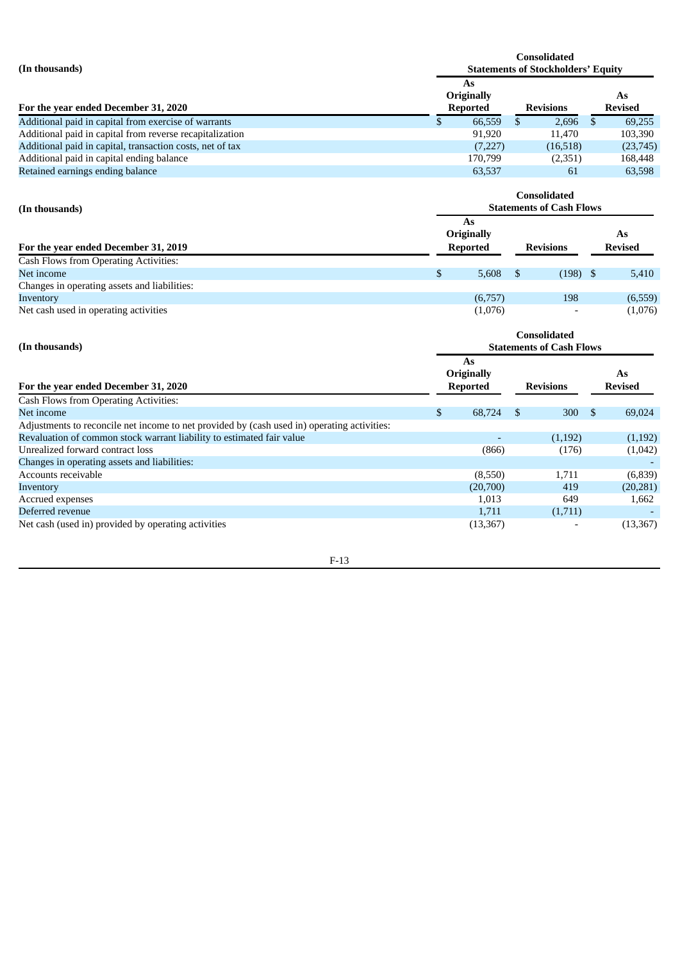| (In thousands)                                            |  |                                            | Consolidated<br><b>Statements of Stockholders' Equity</b> |                      |
|-----------------------------------------------------------|--|--------------------------------------------|-----------------------------------------------------------|----------------------|
| For the year ended December 31, 2020                      |  | As<br><b>Originally</b><br><b>Reported</b> | <b>Revisions</b>                                          | As<br><b>Revised</b> |
| Additional paid in capital from exercise of warrants      |  | 66,559                                     | 2,696                                                     | 69.255               |
| Additional paid in capital from reverse recapitalization  |  | 91.920                                     | 11.470                                                    | 103,390              |
| Additional paid in capital, transaction costs, net of tax |  | (7,227)                                    | (16,518)                                                  | (23,745)             |
| Additional paid in capital ending balance                 |  | 170.799                                    | (2,351)                                                   | 168,448              |
| Retained earnings ending balance                          |  | 63,537                                     | 61                                                        | 63,598               |

| (In thousands)                               | Consolidated<br><b>Statements of Cash Flows</b> |    |                  |  |                      |  |  |
|----------------------------------------------|-------------------------------------------------|----|------------------|--|----------------------|--|--|
| For the year ended December 31, 2019         | As<br><b>Originally</b><br><b>Reported</b>      |    | <b>Revisions</b> |  | As<br><b>Revised</b> |  |  |
| Cash Flows from Operating Activities:        |                                                 |    |                  |  |                      |  |  |
| Net income                                   | 5,608                                           | -S | $(198)$ \$       |  | 5,410                |  |  |
| Changes in operating assets and liabilities: |                                                 |    |                  |  |                      |  |  |
| Inventory                                    | (6,757)                                         |    | 198              |  | (6, 559)             |  |  |
| Net cash used in operating activities        | (1,076)                                         |    |                  |  | (1,076)              |  |  |

| (In thousands)                                                                              | Consolidated<br><b>Statements of Cash Flows</b> |                                     |                  |            |    |                      |  |  |
|---------------------------------------------------------------------------------------------|-------------------------------------------------|-------------------------------------|------------------|------------|----|----------------------|--|--|
| For the year ended December 31, 2020                                                        |                                                 | As<br>Originally<br><b>Reported</b> | <b>Revisions</b> |            |    | As<br><b>Revised</b> |  |  |
| Cash Flows from Operating Activities:                                                       |                                                 |                                     |                  |            |    |                      |  |  |
| Net income                                                                                  | \$.                                             | 68,724                              | -S               | <b>300</b> | -S | 69,024               |  |  |
| Adjustments to reconcile net income to net provided by (cash used in) operating activities: |                                                 |                                     |                  |            |    |                      |  |  |
| Revaluation of common stock warrant liability to estimated fair value                       |                                                 |                                     |                  | (1,192)    |    | (1,192)              |  |  |
| Unrealized forward contract loss                                                            |                                                 | (866)                               |                  | (176)      |    | (1,042)              |  |  |
| Changes in operating assets and liabilities:                                                |                                                 |                                     |                  |            |    |                      |  |  |
| Accounts receivable                                                                         |                                                 | (8,550)                             |                  | 1,711      |    | (6,839)              |  |  |
| Inventory                                                                                   |                                                 | (20,700)                            |                  | 419        |    | (20, 281)            |  |  |
| Accrued expenses                                                                            |                                                 | 1,013                               |                  | 649        |    | 1,662                |  |  |
| Deferred revenue                                                                            |                                                 | 1,711                               |                  | (1,711)    |    |                      |  |  |
| Net cash (used in) provided by operating activities                                         |                                                 | (13, 367)                           |                  |            |    | (13, 367)            |  |  |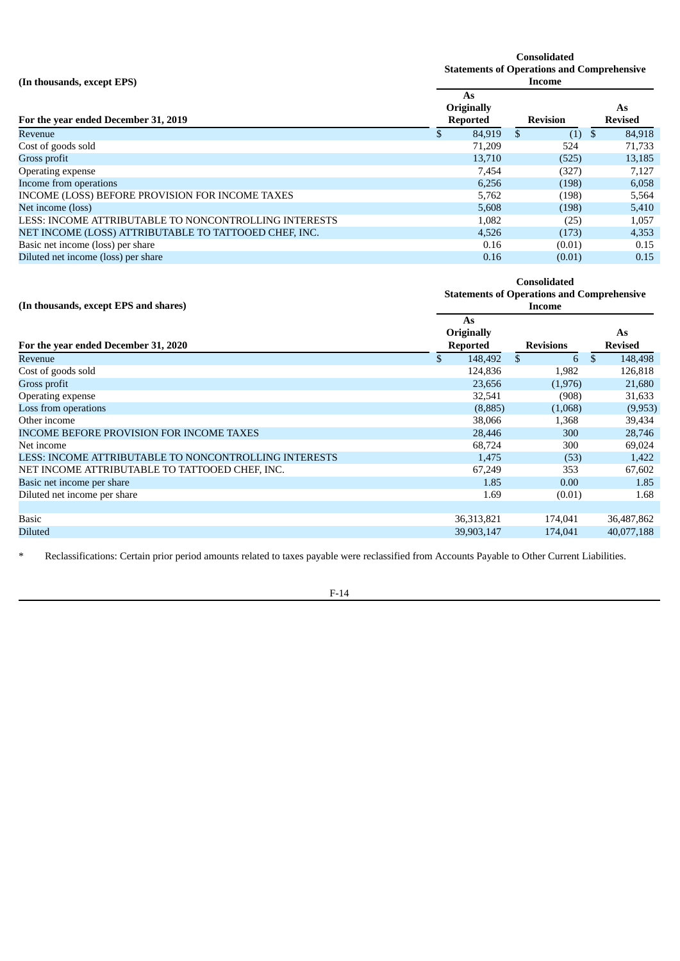| (In thousands, except EPS)                            | <b>Consolidated</b><br><b>Statements of Operations and Comprehensive</b><br>Income |                                            |  |                 |     |                      |  |  |  |
|-------------------------------------------------------|------------------------------------------------------------------------------------|--------------------------------------------|--|-----------------|-----|----------------------|--|--|--|
| For the year ended December 31, 2019                  |                                                                                    | As<br><b>Originally</b><br><b>Reported</b> |  | <b>Revision</b> |     | As<br><b>Revised</b> |  |  |  |
| Revenue                                               |                                                                                    | 84,919                                     |  | (1)             | \$. | 84,918               |  |  |  |
| Cost of goods sold                                    |                                                                                    | 71,209                                     |  | 524             |     | 71,733               |  |  |  |
| Gross profit                                          |                                                                                    | 13,710                                     |  | (525)           |     | 13,185               |  |  |  |
| Operating expense                                     |                                                                                    | 7,454                                      |  | (327)           |     | 7,127                |  |  |  |
| Income from operations                                |                                                                                    | 6,256                                      |  | (198)           |     | 6,058                |  |  |  |
| INCOME (LOSS) BEFORE PROVISION FOR INCOME TAXES       |                                                                                    | 5,762                                      |  | (198)           |     | 5,564                |  |  |  |
| Net income (loss)                                     |                                                                                    | 5,608                                      |  | (198)           |     | 5,410                |  |  |  |
| LESS: INCOME ATTRIBUTABLE TO NONCONTROLLING INTERESTS |                                                                                    | 1,082                                      |  | (25)            |     | 1,057                |  |  |  |
| NET INCOME (LOSS) ATTRIBUTABLE TO TATTOOED CHEF, INC. |                                                                                    | 4,526                                      |  | (173)           |     | 4,353                |  |  |  |
| Basic net income (loss) per share                     |                                                                                    | 0.16                                       |  | (0.01)          |     | 0.15                 |  |  |  |
| Diluted net income (loss) per share                   |                                                                                    | 0.16                                       |  | (0.01)          |     | 0.15                 |  |  |  |

# **Consolidated Statements of Operations and Comprehensive**

| (In thousands, except EPS and shares)                 |                | <b>Income</b>    |                |
|-------------------------------------------------------|----------------|------------------|----------------|
|                                                       | As             |                  |                |
|                                                       | Originally     |                  | As             |
| For the year ended December 31, 2020                  | Reported       | <b>Revisions</b> | <b>Revised</b> |
| Revenue<br>S.                                         | 148,492<br>\$. | 6                | 148,498<br>\$  |
| Cost of goods sold                                    | 124,836        | 1,982            | 126,818        |
| Gross profit                                          | 23,656         | (1,976)          | 21,680         |
| Operating expense                                     | 32,541         | (908)            | 31,633         |
| Loss from operations                                  | (8,885)        | (1,068)          | (9,953)        |
| Other income                                          | 38,066         | 1,368            | 39,434         |
| INCOME BEFORE PROVISION FOR INCOME TAXES              | 28,446         | 300              | 28,746         |
| Net income                                            | 68,724         | 300              | 69,024         |
| LESS: INCOME ATTRIBUTABLE TO NONCONTROLLING INTERESTS | 1,475          | (53)             | 1,422          |
| NET INCOME ATTRIBUTABLE TO TATTOOED CHEF, INC.        | 67,249         | 353              | 67,602         |
| Basic net income per share                            | 1.85           | 0.00             | 1.85           |
| Diluted net income per share                          | 1.69           | (0.01)           | 1.68           |
|                                                       |                |                  |                |
| <b>Basic</b>                                          | 36,313,821     | 174,041          | 36,487,862     |
| Diluted                                               | 39,903,147     | 174,041          | 40,077,188     |

\* Reclassifications: Certain prior period amounts related to taxes payable were reclassified from Accounts Payable to Other Current Liabilities.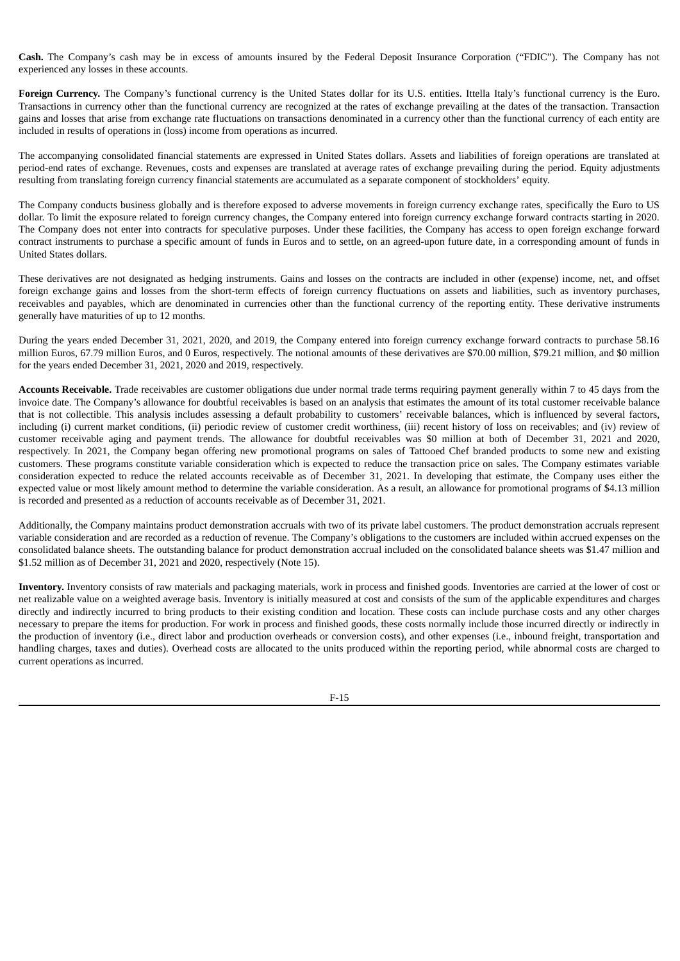**Cash.** The Company's cash may be in excess of amounts insured by the Federal Deposit Insurance Corporation ("FDIC"). The Company has not experienced any losses in these accounts.

Foreign Currency. The Company's functional currency is the United States dollar for its U.S. entities. Ittella Italy's functional currency is the Euro. Transactions in currency other than the functional currency are recognized at the rates of exchange prevailing at the dates of the transaction. Transaction gains and losses that arise from exchange rate fluctuations on transactions denominated in a currency other than the functional currency of each entity are included in results of operations in (loss) income from operations as incurred.

The accompanying consolidated financial statements are expressed in United States dollars. Assets and liabilities of foreign operations are translated at period-end rates of exchange. Revenues, costs and expenses are translated at average rates of exchange prevailing during the period. Equity adjustments resulting from translating foreign currency financial statements are accumulated as a separate component of stockholders' equity.

The Company conducts business globally and is therefore exposed to adverse movements in foreign currency exchange rates, specifically the Euro to US dollar. To limit the exposure related to foreign currency changes, the Company entered into foreign currency exchange forward contracts starting in 2020. The Company does not enter into contracts for speculative purposes. Under these facilities, the Company has access to open foreign exchange forward contract instruments to purchase a specific amount of funds in Euros and to settle, on an agreed-upon future date, in a corresponding amount of funds in United States dollars.

These derivatives are not designated as hedging instruments. Gains and losses on the contracts are included in other (expense) income, net, and offset foreign exchange gains and losses from the short-term effects of foreign currency fluctuations on assets and liabilities, such as inventory purchases, receivables and payables, which are denominated in currencies other than the functional currency of the reporting entity. These derivative instruments generally have maturities of up to 12 months.

During the years ended December 31, 2021, 2020, and 2019, the Company entered into foreign currency exchange forward contracts to purchase 58.16 million Euros, 67.79 million Euros, and 0 Euros, respectively. The notional amounts of these derivatives are \$70.00 million, \$79.21 million, and \$0 million for the years ended December 31, 2021, 2020 and 2019, respectively.

**Accounts Receivable.** Trade receivables are customer obligations due under normal trade terms requiring payment generally within 7 to 45 days from the invoice date. The Company's allowance for doubtful receivables is based on an analysis that estimates the amount of its total customer receivable balance that is not collectible. This analysis includes assessing a default probability to customers' receivable balances, which is influenced by several factors, including (i) current market conditions, (ii) periodic review of customer credit worthiness, (iii) recent history of loss on receivables; and (iv) review of customer receivable aging and payment trends. The allowance for doubtful receivables was \$0 million at both of December 31, 2021 and 2020, respectively. In 2021, the Company began offering new promotional programs on sales of Tattooed Chef branded products to some new and existing customers. These programs constitute variable consideration which is expected to reduce the transaction price on sales. The Company estimates variable consideration expected to reduce the related accounts receivable as of December 31, 2021. In developing that estimate, the Company uses either the expected value or most likely amount method to determine the variable consideration. As a result, an allowance for promotional programs of \$4.13 million is recorded and presented as a reduction of accounts receivable as of December 31, 2021.

Additionally, the Company maintains product demonstration accruals with two of its private label customers. The product demonstration accruals represent variable consideration and are recorded as a reduction of revenue. The Company's obligations to the customers are included within accrued expenses on the consolidated balance sheets. The outstanding balance for product demonstration accrual included on the consolidated balance sheets was \$1.47 million and \$1.52 million as of December 31, 2021 and 2020, respectively (Note 15).

**Inventory.** Inventory consists of raw materials and packaging materials, work in process and finished goods. Inventories are carried at the lower of cost or net realizable value on a weighted average basis. Inventory is initially measured at cost and consists of the sum of the applicable expenditures and charges directly and indirectly incurred to bring products to their existing condition and location. These costs can include purchase costs and any other charges necessary to prepare the items for production. For work in process and finished goods, these costs normally include those incurred directly or indirectly in the production of inventory (i.e., direct labor and production overheads or conversion costs), and other expenses (i.e., inbound freight, transportation and handling charges, taxes and duties). Overhead costs are allocated to the units produced within the reporting period, while abnormal costs are charged to current operations as incurred.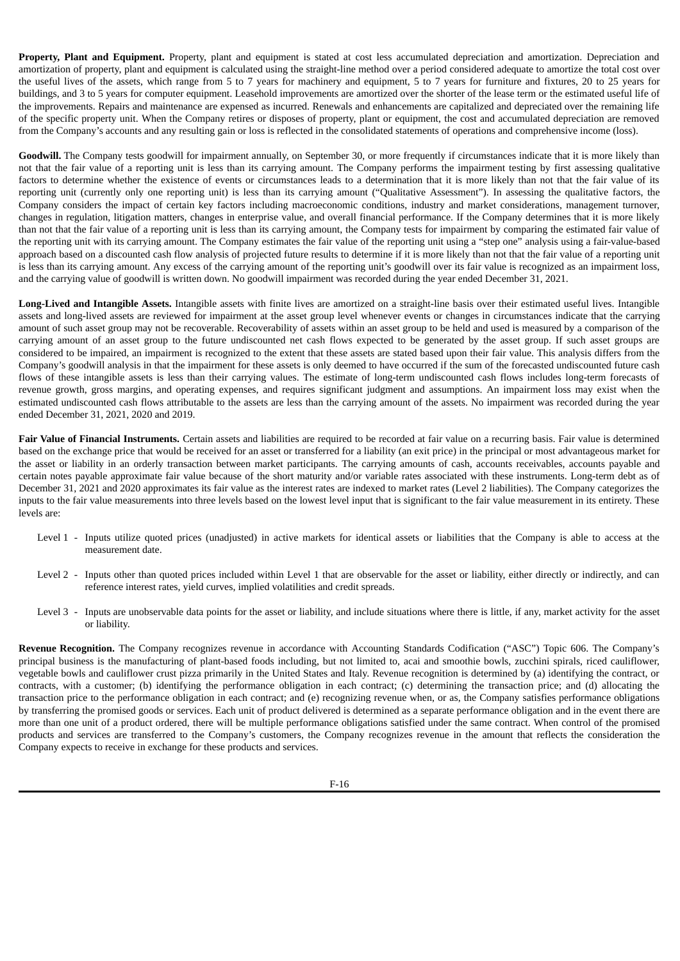**Property, Plant and Equipment.** Property, plant and equipment is stated at cost less accumulated depreciation and amortization. Depreciation and amortization of property, plant and equipment is calculated using the straight-line method over a period considered adequate to amortize the total cost over the useful lives of the assets, which range from 5 to 7 years for machinery and equipment, 5 to 7 years for furniture and fixtures, 20 to 25 years for buildings, and 3 to 5 years for computer equipment. Leasehold improvements are amortized over the shorter of the lease term or the estimated useful life of the improvements. Repairs and maintenance are expensed as incurred. Renewals and enhancements are capitalized and depreciated over the remaining life of the specific property unit. When the Company retires or disposes of property, plant or equipment, the cost and accumulated depreciation are removed from the Company's accounts and any resulting gain or loss is reflected in the consolidated statements of operations and comprehensive income (loss).

Goodwill. The Company tests goodwill for impairment annually, on September 30, or more frequently if circumstances indicate that it is more likely than not that the fair value of a reporting unit is less than its carrying amount. The Company performs the impairment testing by first assessing qualitative factors to determine whether the existence of events or circumstances leads to a determination that it is more likely than not that the fair value of its reporting unit (currently only one reporting unit) is less than its carrying amount ("Qualitative Assessment"). In assessing the qualitative factors, the Company considers the impact of certain key factors including macroeconomic conditions, industry and market considerations, management turnover, changes in regulation, litigation matters, changes in enterprise value, and overall financial performance. If the Company determines that it is more likely than not that the fair value of a reporting unit is less than its carrying amount, the Company tests for impairment by comparing the estimated fair value of the reporting unit with its carrying amount. The Company estimates the fair value of the reporting unit using a "step one" analysis using a fair-value-based approach based on a discounted cash flow analysis of projected future results to determine if it is more likely than not that the fair value of a reporting unit is less than its carrying amount. Any excess of the carrying amount of the reporting unit's goodwill over its fair value is recognized as an impairment loss, and the carrying value of goodwill is written down. No goodwill impairment was recorded during the year ended December 31, 2021.

**Long-Lived and Intangible Assets.** Intangible assets with finite lives are amortized on a straight-line basis over their estimated useful lives. Intangible assets and long-lived assets are reviewed for impairment at the asset group level whenever events or changes in circumstances indicate that the carrying amount of such asset group may not be recoverable. Recoverability of assets within an asset group to be held and used is measured by a comparison of the carrying amount of an asset group to the future undiscounted net cash flows expected to be generated by the asset group. If such asset groups are considered to be impaired, an impairment is recognized to the extent that these assets are stated based upon their fair value. This analysis differs from the Company's goodwill analysis in that the impairment for these assets is only deemed to have occurred if the sum of the forecasted undiscounted future cash flows of these intangible assets is less than their carrying values. The estimate of long-term undiscounted cash flows includes long-term forecasts of revenue growth, gross margins, and operating expenses, and requires significant judgment and assumptions. An impairment loss may exist when the estimated undiscounted cash flows attributable to the assets are less than the carrying amount of the assets. No impairment was recorded during the year ended December 31, 2021, 2020 and 2019.

**Fair Value of Financial Instruments.** Certain assets and liabilities are required to be recorded at fair value on a recurring basis. Fair value is determined based on the exchange price that would be received for an asset or transferred for a liability (an exit price) in the principal or most advantageous market for the asset or liability in an orderly transaction between market participants. The carrying amounts of cash, accounts receivables, accounts payable and certain notes payable approximate fair value because of the short maturity and/or variable rates associated with these instruments. Long-term debt as of December 31, 2021 and 2020 approximates its fair value as the interest rates are indexed to market rates (Level 2 liabilities). The Company categorizes the inputs to the fair value measurements into three levels based on the lowest level input that is significant to the fair value measurement in its entirety. These levels are:

- Level 1 Inputs utilize quoted prices (unadjusted) in active markets for identical assets or liabilities that the Company is able to access at the measurement date.
- Level 2 Inputs other than quoted prices included within Level 1 that are observable for the asset or liability, either directly or indirectly, and can reference interest rates, yield curves, implied volatilities and credit spreads.
- Level 3 Inputs are unobservable data points for the asset or liability, and include situations where there is little, if any, market activity for the asset or liability.

**Revenue Recognition.** The Company recognizes revenue in accordance with Accounting Standards Codification ("ASC") Topic 606. The Company's principal business is the manufacturing of plant-based foods including, but not limited to, acai and smoothie bowls, zucchini spirals, riced cauliflower, vegetable bowls and cauliflower crust pizza primarily in the United States and Italy. Revenue recognition is determined by (a) identifying the contract, or contracts, with a customer; (b) identifying the performance obligation in each contract; (c) determining the transaction price; and (d) allocating the transaction price to the performance obligation in each contract; and (e) recognizing revenue when, or as, the Company satisfies performance obligations by transferring the promised goods or services. Each unit of product delivered is determined as a separate performance obligation and in the event there are more than one unit of a product ordered, there will be multiple performance obligations satisfied under the same contract. When control of the promised products and services are transferred to the Company's customers, the Company recognizes revenue in the amount that reflects the consideration the Company expects to receive in exchange for these products and services.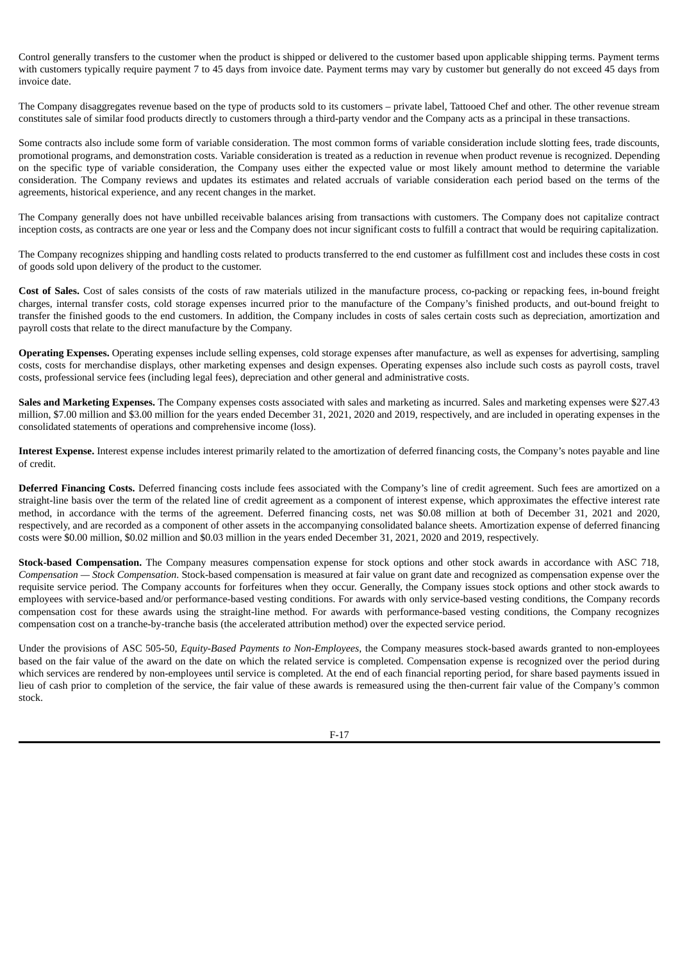Control generally transfers to the customer when the product is shipped or delivered to the customer based upon applicable shipping terms. Payment terms with customers typically require payment 7 to 45 days from invoice date. Payment terms may vary by customer but generally do not exceed 45 days from invoice date.

The Company disaggregates revenue based on the type of products sold to its customers – private label, Tattooed Chef and other. The other revenue stream constitutes sale of similar food products directly to customers through a third-party vendor and the Company acts as a principal in these transactions.

Some contracts also include some form of variable consideration. The most common forms of variable consideration include slotting fees, trade discounts, promotional programs, and demonstration costs. Variable consideration is treated as a reduction in revenue when product revenue is recognized. Depending on the specific type of variable consideration, the Company uses either the expected value or most likely amount method to determine the variable consideration. The Company reviews and updates its estimates and related accruals of variable consideration each period based on the terms of the agreements, historical experience, and any recent changes in the market.

The Company generally does not have unbilled receivable balances arising from transactions with customers. The Company does not capitalize contract inception costs, as contracts are one year or less and the Company does not incur significant costs to fulfill a contract that would be requiring capitalization.

The Company recognizes shipping and handling costs related to products transferred to the end customer as fulfillment cost and includes these costs in cost of goods sold upon delivery of the product to the customer.

**Cost of Sales.** Cost of sales consists of the costs of raw materials utilized in the manufacture process, co-packing or repacking fees, in-bound freight charges, internal transfer costs, cold storage expenses incurred prior to the manufacture of the Company's finished products, and out-bound freight to transfer the finished goods to the end customers. In addition, the Company includes in costs of sales certain costs such as depreciation, amortization and payroll costs that relate to the direct manufacture by the Company.

**Operating Expenses.** Operating expenses include selling expenses, cold storage expenses after manufacture, as well as expenses for advertising, sampling costs, costs for merchandise displays, other marketing expenses and design expenses. Operating expenses also include such costs as payroll costs, travel costs, professional service fees (including legal fees), depreciation and other general and administrative costs.

**Sales and Marketing Expenses.** The Company expenses costs associated with sales and marketing as incurred. Sales and marketing expenses were \$27.43 million, \$7.00 million and \$3.00 million for the years ended December 31, 2021, 2020 and 2019, respectively, and are included in operating expenses in the consolidated statements of operations and comprehensive income (loss).

**Interest Expense.** Interest expense includes interest primarily related to the amortization of deferred financing costs, the Company's notes payable and line of credit.

**Deferred Financing Costs.** Deferred financing costs include fees associated with the Company's line of credit agreement. Such fees are amortized on a straight-line basis over the term of the related line of credit agreement as a component of interest expense, which approximates the effective interest rate method, in accordance with the terms of the agreement. Deferred financing costs, net was \$0.08 million at both of December 31, 2021 and 2020, respectively, and are recorded as a component of other assets in the accompanying consolidated balance sheets. Amortization expense of deferred financing costs were \$0.00 million, \$0.02 million and \$0.03 million in the years ended December 31, 2021, 2020 and 2019, respectively.

**Stock-based Compensation.** The Company measures compensation expense for stock options and other stock awards in accordance with ASC 718, *Compensation — Stock Compensation*. Stock-based compensation is measured at fair value on grant date and recognized as compensation expense over the requisite service period. The Company accounts for forfeitures when they occur. Generally, the Company issues stock options and other stock awards to employees with service-based and/or performance-based vesting conditions. For awards with only service-based vesting conditions, the Company records compensation cost for these awards using the straight-line method. For awards with performance-based vesting conditions, the Company recognizes compensation cost on a tranche-by-tranche basis (the accelerated attribution method) over the expected service period.

Under the provisions of ASC 505-50, *Equity-Based Payments to Non-Employees*, the Company measures stock-based awards granted to non-employees based on the fair value of the award on the date on which the related service is completed. Compensation expense is recognized over the period during which services are rendered by non-employees until service is completed. At the end of each financial reporting period, for share based payments issued in lieu of cash prior to completion of the service, the fair value of these awards is remeasured using the then-current fair value of the Company's common stock.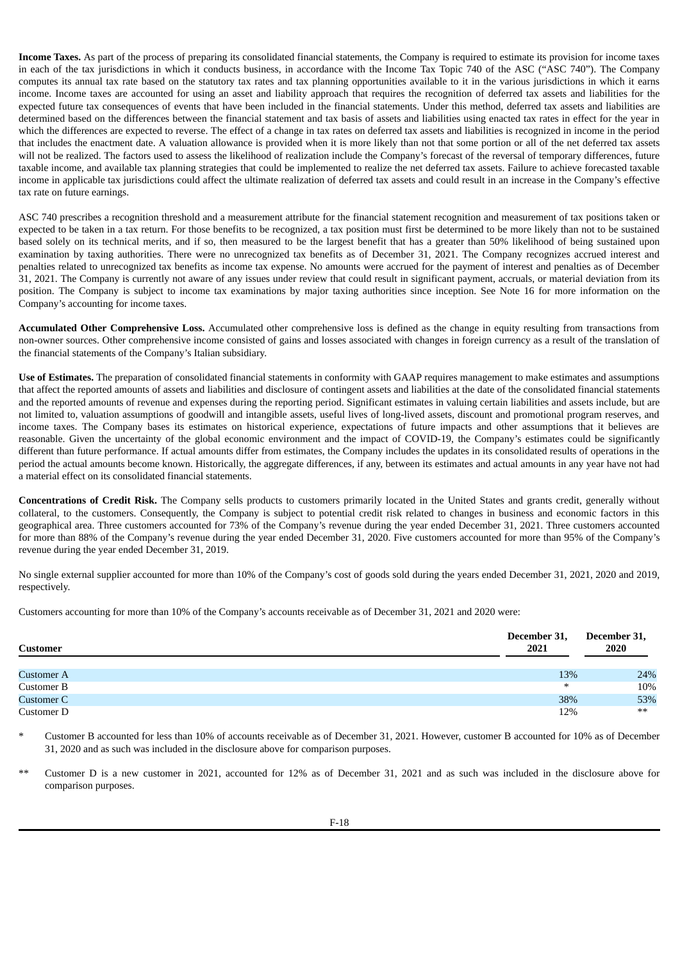**Income Taxes.** As part of the process of preparing its consolidated financial statements, the Company is required to estimate its provision for income taxes in each of the tax jurisdictions in which it conducts business, in accordance with the Income Tax Topic 740 of the ASC ("ASC 740"). The Company computes its annual tax rate based on the statutory tax rates and tax planning opportunities available to it in the various jurisdictions in which it earns income. Income taxes are accounted for using an asset and liability approach that requires the recognition of deferred tax assets and liabilities for the expected future tax consequences of events that have been included in the financial statements. Under this method, deferred tax assets and liabilities are determined based on the differences between the financial statement and tax basis of assets and liabilities using enacted tax rates in effect for the year in which the differences are expected to reverse. The effect of a change in tax rates on deferred tax assets and liabilities is recognized in income in the period that includes the enactment date. A valuation allowance is provided when it is more likely than not that some portion or all of the net deferred tax assets will not be realized. The factors used to assess the likelihood of realization include the Company's forecast of the reversal of temporary differences, future taxable income, and available tax planning strategies that could be implemented to realize the net deferred tax assets. Failure to achieve forecasted taxable income in applicable tax jurisdictions could affect the ultimate realization of deferred tax assets and could result in an increase in the Company's effective tax rate on future earnings.

ASC 740 prescribes a recognition threshold and a measurement attribute for the financial statement recognition and measurement of tax positions taken or expected to be taken in a tax return. For those benefits to be recognized, a tax position must first be determined to be more likely than not to be sustained based solely on its technical merits, and if so, then measured to be the largest benefit that has a greater than 50% likelihood of being sustained upon examination by taxing authorities. There were no unrecognized tax benefits as of December 31, 2021. The Company recognizes accrued interest and penalties related to unrecognized tax benefits as income tax expense. No amounts were accrued for the payment of interest and penalties as of December 31, 2021. The Company is currently not aware of any issues under review that could result in significant payment, accruals, or material deviation from its position. The Company is subject to income tax examinations by major taxing authorities since inception. See Note 16 for more information on the Company's accounting for income taxes.

**Accumulated Other Comprehensive Loss.** Accumulated other comprehensive loss is defined as the change in equity resulting from transactions from non-owner sources. Other comprehensive income consisted of gains and losses associated with changes in foreign currency as a result of the translation of the financial statements of the Company's Italian subsidiary.

**Use of Estimates.** The preparation of consolidated financial statements in conformity with GAAP requires management to make estimates and assumptions that affect the reported amounts of assets and liabilities and disclosure of contingent assets and liabilities at the date of the consolidated financial statements and the reported amounts of revenue and expenses during the reporting period. Significant estimates in valuing certain liabilities and assets include, but are not limited to, valuation assumptions of goodwill and intangible assets, useful lives of long-lived assets, discount and promotional program reserves, and income taxes. The Company bases its estimates on historical experience, expectations of future impacts and other assumptions that it believes are reasonable. Given the uncertainty of the global economic environment and the impact of COVID-19, the Company's estimates could be significantly different than future performance. If actual amounts differ from estimates, the Company includes the updates in its consolidated results of operations in the period the actual amounts become known. Historically, the aggregate differences, if any, between its estimates and actual amounts in any year have not had a material effect on its consolidated financial statements.

**Concentrations of Credit Risk.** The Company sells products to customers primarily located in the United States and grants credit, generally without collateral, to the customers. Consequently, the Company is subject to potential credit risk related to changes in business and economic factors in this geographical area. Three customers accounted for 73% of the Company's revenue during the year ended December 31, 2021. Three customers accounted for more than 88% of the Company's revenue during the year ended December 31, 2020. Five customers accounted for more than 95% of the Company's revenue during the year ended December 31, 2019.

No single external supplier accounted for more than 10% of the Company's cost of goods sold during the years ended December 31, 2021, 2020 and 2019, respectively.

Customers accounting for more than 10% of the Company's accounts receivable as of December 31, 2021 and 2020 were:

| <b>Customer</b> | December 31,<br>2021 | December 31,<br>2020 |
|-----------------|----------------------|----------------------|
| Customer A      | 13%                  | 24%                  |
| Customer B      | $\ast$               | 10%                  |
| Customer C      | 38%                  | 53%                  |
| Customer D      | 12%                  | $**$                 |

\* Customer B accounted for less than 10% of accounts receivable as of December 31, 2021. However, customer B accounted for 10% as of December 31, 2020 and as such was included in the disclosure above for comparison purposes.

Customer D is a new customer in 2021, accounted for 12% as of December 31, 2021 and as such was included in the disclosure above for comparison purposes.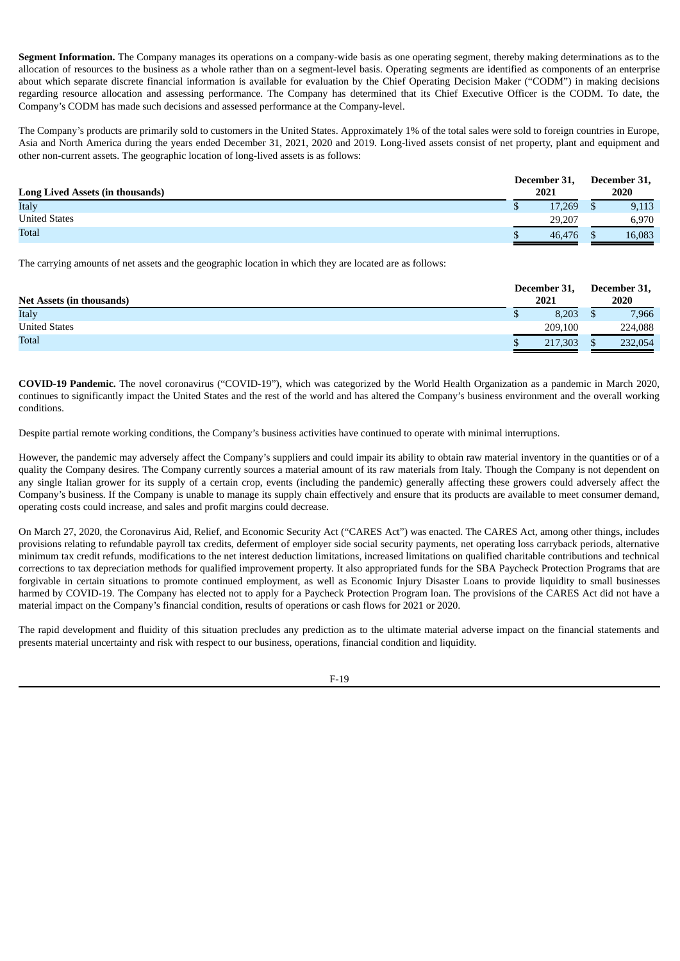**Segment Information.** The Company manages its operations on a company-wide basis as one operating segment, thereby making determinations as to the allocation of resources to the business as a whole rather than on a segment-level basis. Operating segments are identified as components of an enterprise about which separate discrete financial information is available for evaluation by the Chief Operating Decision Maker ("CODM") in making decisions regarding resource allocation and assessing performance. The Company has determined that its Chief Executive Officer is the CODM. To date, the Company's CODM has made such decisions and assessed performance at the Company-level.

The Company's products are primarily sold to customers in the United States. Approximately 1% of the total sales were sold to foreign countries in Europe, Asia and North America during the years ended December 31, 2021, 2020 and 2019. Long-lived assets consist of net property, plant and equipment and other non-current assets. The geographic location of long-lived assets is as follows:

| <b>Long Lived Assets (in thousands)</b> | December 31,<br>2021 |        | December 31,<br>2020 |        |
|-----------------------------------------|----------------------|--------|----------------------|--------|
| Italy                                   |                      | 17,269 |                      | 9,113  |
| <b>United States</b>                    |                      | 29.207 |                      | 6,970  |
| Total                                   |                      | 46,476 |                      | 16,083 |

The carrying amounts of net assets and the geographic location in which they are located are as follows:

| <b>Net Assets (in thousands)</b> | December 31,<br>2021 |         | December 31,<br>2020 |
|----------------------------------|----------------------|---------|----------------------|
| <b>Italy</b>                     |                      | 8,203   | 7,966                |
| <b>United States</b>             |                      | 209,100 | 224,088              |
| Total                            |                      | 217,303 | 232,054              |

**COVID-19 Pandemic.** The novel coronavirus ("COVID-19"), which was categorized by the World Health Organization as a pandemic in March 2020, continues to significantly impact the United States and the rest of the world and has altered the Company's business environment and the overall working conditions.

Despite partial remote working conditions, the Company's business activities have continued to operate with minimal interruptions.

However, the pandemic may adversely affect the Company's suppliers and could impair its ability to obtain raw material inventory in the quantities or of a quality the Company desires. The Company currently sources a material amount of its raw materials from Italy. Though the Company is not dependent on any single Italian grower for its supply of a certain crop, events (including the pandemic) generally affecting these growers could adversely affect the Company's business. If the Company is unable to manage its supply chain effectively and ensure that its products are available to meet consumer demand, operating costs could increase, and sales and profit margins could decrease.

On March 27, 2020, the Coronavirus Aid, Relief, and Economic Security Act ("CARES Act") was enacted. The CARES Act, among other things, includes provisions relating to refundable payroll tax credits, deferment of employer side social security payments, net operating loss carryback periods, alternative minimum tax credit refunds, modifications to the net interest deduction limitations, increased limitations on qualified charitable contributions and technical corrections to tax depreciation methods for qualified improvement property. It also appropriated funds for the SBA Paycheck Protection Programs that are forgivable in certain situations to promote continued employment, as well as Economic Injury Disaster Loans to provide liquidity to small businesses harmed by COVID-19. The Company has elected not to apply for a Paycheck Protection Program loan. The provisions of the CARES Act did not have a material impact on the Company's financial condition, results of operations or cash flows for 2021 or 2020.

The rapid development and fluidity of this situation precludes any prediction as to the ultimate material adverse impact on the financial statements and presents material uncertainty and risk with respect to our business, operations, financial condition and liquidity.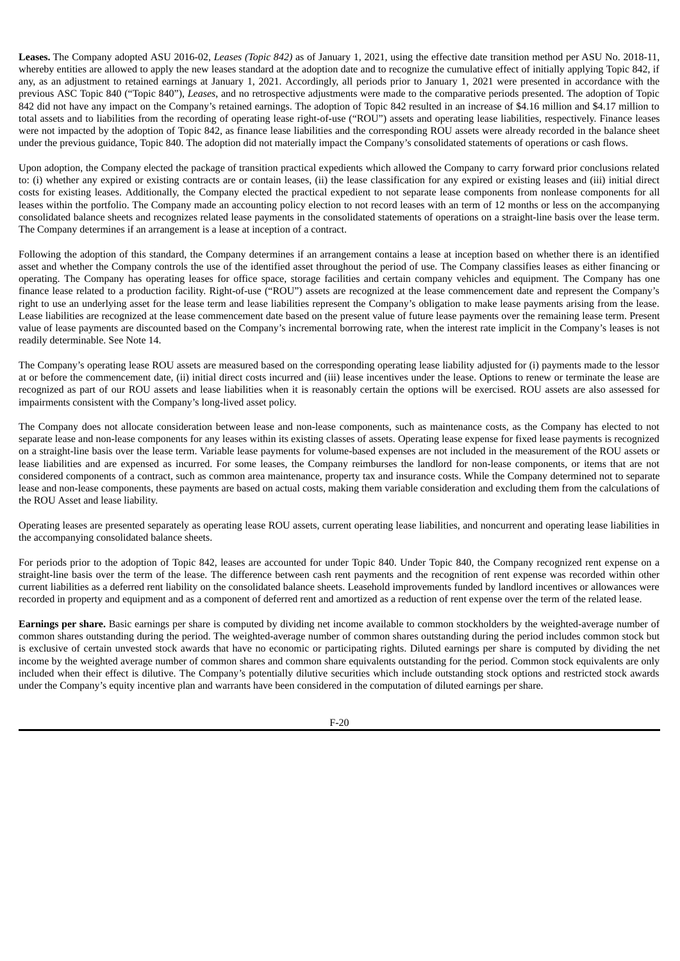**Leases.** The Company adopted ASU 2016-02, *Leases (Topic 842)* as of January 1, 2021, using the effective date transition method per ASU No. 2018-11, whereby entities are allowed to apply the new leases standard at the adoption date and to recognize the cumulative effect of initially applying Topic 842, if any, as an adjustment to retained earnings at January 1, 2021. Accordingly, all periods prior to January 1, 2021 were presented in accordance with the previous ASC Topic 840 ("Topic 840"), *Leases*, and no retrospective adjustments were made to the comparative periods presented. The adoption of Topic 842 did not have any impact on the Company's retained earnings. The adoption of Topic 842 resulted in an increase of \$4.16 million and \$4.17 million to total assets and to liabilities from the recording of operating lease right-of-use ("ROU") assets and operating lease liabilities, respectively. Finance leases were not impacted by the adoption of Topic 842, as finance lease liabilities and the corresponding ROU assets were already recorded in the balance sheet under the previous guidance, Topic 840. The adoption did not materially impact the Company's consolidated statements of operations or cash flows.

Upon adoption, the Company elected the package of transition practical expedients which allowed the Company to carry forward prior conclusions related to: (i) whether any expired or existing contracts are or contain leases, (ii) the lease classification for any expired or existing leases and (iii) initial direct costs for existing leases. Additionally, the Company elected the practical expedient to not separate lease components from nonlease components for all leases within the portfolio. The Company made an accounting policy election to not record leases with an term of 12 months or less on the accompanying consolidated balance sheets and recognizes related lease payments in the consolidated statements of operations on a straight-line basis over the lease term. The Company determines if an arrangement is a lease at inception of a contract.

Following the adoption of this standard, the Company determines if an arrangement contains a lease at inception based on whether there is an identified asset and whether the Company controls the use of the identified asset throughout the period of use. The Company classifies leases as either financing or operating. The Company has operating leases for office space, storage facilities and certain company vehicles and equipment. The Company has one finance lease related to a production facility. Right-of-use ("ROU") assets are recognized at the lease commencement date and represent the Company's right to use an underlying asset for the lease term and lease liabilities represent the Company's obligation to make lease payments arising from the lease. Lease liabilities are recognized at the lease commencement date based on the present value of future lease payments over the remaining lease term. Present value of lease payments are discounted based on the Company's incremental borrowing rate, when the interest rate implicit in the Company's leases is not readily determinable. See Note 14.

The Company's operating lease ROU assets are measured based on the corresponding operating lease liability adjusted for (i) payments made to the lessor at or before the commencement date, (ii) initial direct costs incurred and (iii) lease incentives under the lease. Options to renew or terminate the lease are recognized as part of our ROU assets and lease liabilities when it is reasonably certain the options will be exercised. ROU assets are also assessed for impairments consistent with the Company's long-lived asset policy.

The Company does not allocate consideration between lease and non-lease components, such as maintenance costs, as the Company has elected to not separate lease and non-lease components for any leases within its existing classes of assets. Operating lease expense for fixed lease payments is recognized on a straight-line basis over the lease term. Variable lease payments for volume-based expenses are not included in the measurement of the ROU assets or lease liabilities and are expensed as incurred. For some leases, the Company reimburses the landlord for non-lease components, or items that are not considered components of a contract, such as common area maintenance, property tax and insurance costs. While the Company determined not to separate lease and non-lease components, these payments are based on actual costs, making them variable consideration and excluding them from the calculations of the ROU Asset and lease liability.

Operating leases are presented separately as operating lease ROU assets, current operating lease liabilities, and noncurrent and operating lease liabilities in the accompanying consolidated balance sheets.

For periods prior to the adoption of Topic 842, leases are accounted for under Topic 840. Under Topic 840, the Company recognized rent expense on a straight-line basis over the term of the lease. The difference between cash rent payments and the recognition of rent expense was recorded within other current liabilities as a deferred rent liability on the consolidated balance sheets. Leasehold improvements funded by landlord incentives or allowances were recorded in property and equipment and as a component of deferred rent and amortized as a reduction of rent expense over the term of the related lease.

**Earnings per share.** Basic earnings per share is computed by dividing net income available to common stockholders by the weighted-average number of common shares outstanding during the period. The weighted-average number of common shares outstanding during the period includes common stock but is exclusive of certain unvested stock awards that have no economic or participating rights. Diluted earnings per share is computed by dividing the net income by the weighted average number of common shares and common share equivalents outstanding for the period. Common stock equivalents are only included when their effect is dilutive. The Company's potentially dilutive securities which include outstanding stock options and restricted stock awards under the Company's equity incentive plan and warrants have been considered in the computation of diluted earnings per share.

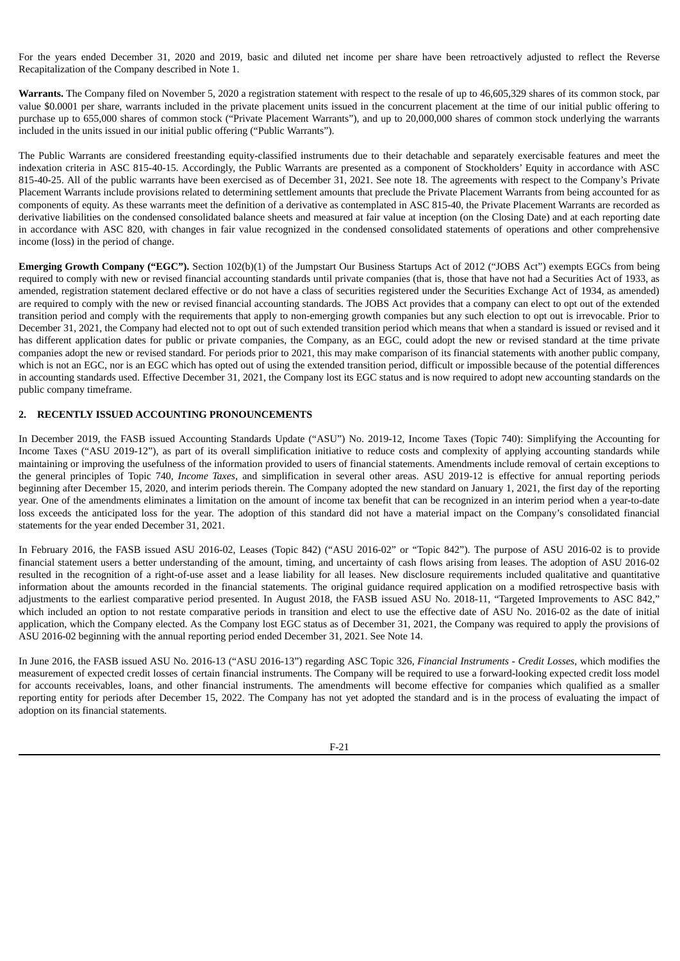For the years ended December 31, 2020 and 2019, basic and diluted net income per share have been retroactively adjusted to reflect the Reverse Recapitalization of the Company described in Note 1.

**Warrants.** The Company filed on November 5, 2020 a registration statement with respect to the resale of up to 46,605,329 shares of its common stock, par value \$0.0001 per share, warrants included in the private placement units issued in the concurrent placement at the time of our initial public offering to purchase up to 655,000 shares of common stock ("Private Placement Warrants"), and up to 20,000,000 shares of common stock underlying the warrants included in the units issued in our initial public offering ("Public Warrants").

The Public Warrants are considered freestanding equity-classified instruments due to their detachable and separately exercisable features and meet the indexation criteria in ASC 815-40-15. Accordingly, the Public Warrants are presented as a component of Stockholders' Equity in accordance with ASC 815-40-25. All of the public warrants have been exercised as of December 31, 2021. See note 18. The agreements with respect to the Company's Private Placement Warrants include provisions related to determining settlement amounts that preclude the Private Placement Warrants from being accounted for as components of equity. As these warrants meet the definition of a derivative as contemplated in ASC 815-40, the Private Placement Warrants are recorded as derivative liabilities on the condensed consolidated balance sheets and measured at fair value at inception (on the Closing Date) and at each reporting date in accordance with ASC 820, with changes in fair value recognized in the condensed consolidated statements of operations and other comprehensive income (loss) in the period of change.

**Emerging Growth Company ("EGC").** Section 102(b)(1) of the Jumpstart Our Business Startups Act of 2012 ("JOBS Act") exempts EGCs from being required to comply with new or revised financial accounting standards until private companies (that is, those that have not had a Securities Act of 1933, as amended, registration statement declared effective or do not have a class of securities registered under the Securities Exchange Act of 1934, as amended) are required to comply with the new or revised financial accounting standards. The JOBS Act provides that a company can elect to opt out of the extended transition period and comply with the requirements that apply to non-emerging growth companies but any such election to opt out is irrevocable. Prior to December 31, 2021, the Company had elected not to opt out of such extended transition period which means that when a standard is issued or revised and it has different application dates for public or private companies, the Company, as an EGC, could adopt the new or revised standard at the time private companies adopt the new or revised standard. For periods prior to 2021, this may make comparison of its financial statements with another public company, which is not an EGC, nor is an EGC which has opted out of using the extended transition period, difficult or impossible because of the potential differences in accounting standards used. Effective December 31, 2021, the Company lost its EGC status and is now required to adopt new accounting standards on the public company timeframe.

# **2. RECENTLY ISSUED ACCOUNTING PRONOUNCEMENTS**

In December 2019, the FASB issued Accounting Standards Update ("ASU") No. 2019-12, Income Taxes (Topic 740): Simplifying the Accounting for Income Taxes ("ASU 2019-12"), as part of its overall simplification initiative to reduce costs and complexity of applying accounting standards while maintaining or improving the usefulness of the information provided to users of financial statements. Amendments include removal of certain exceptions to the general principles of Topic 740, *Income Taxes*, and simplification in several other areas. ASU 2019-12 is effective for annual reporting periods beginning after December 15, 2020, and interim periods therein. The Company adopted the new standard on January 1, 2021, the first day of the reporting year. One of the amendments eliminates a limitation on the amount of income tax benefit that can be recognized in an interim period when a year-to-date loss exceeds the anticipated loss for the year. The adoption of this standard did not have a material impact on the Company's consolidated financial statements for the year ended December 31, 2021.

In February 2016, the FASB issued ASU 2016-02, Leases (Topic 842) ("ASU 2016-02" or "Topic 842"). The purpose of ASU 2016-02 is to provide financial statement users a better understanding of the amount, timing, and uncertainty of cash flows arising from leases. The adoption of ASU 2016-02 resulted in the recognition of a right-of-use asset and a lease liability for all leases. New disclosure requirements included qualitative and quantitative information about the amounts recorded in the financial statements. The original guidance required application on a modified retrospective basis with adjustments to the earliest comparative period presented. In August 2018, the FASB issued ASU No. 2018-11, "Targeted Improvements to ASC 842," which included an option to not restate comparative periods in transition and elect to use the effective date of ASU No. 2016-02 as the date of initial application, which the Company elected. As the Company lost EGC status as of December 31, 2021, the Company was required to apply the provisions of ASU 2016-02 beginning with the annual reporting period ended December 31, 2021. See Note 14.

In June 2016, the FASB issued ASU No. 2016-13 ("ASU 2016-13") regarding ASC Topic 326, *Financial Instruments - Credit Losses*, which modifies the measurement of expected credit losses of certain financial instruments. The Company will be required to use a forward-looking expected credit loss model for accounts receivables, loans, and other financial instruments. The amendments will become effective for companies which qualified as a smaller reporting entity for periods after December 15, 2022. The Company has not yet adopted the standard and is in the process of evaluating the impact of adoption on its financial statements.

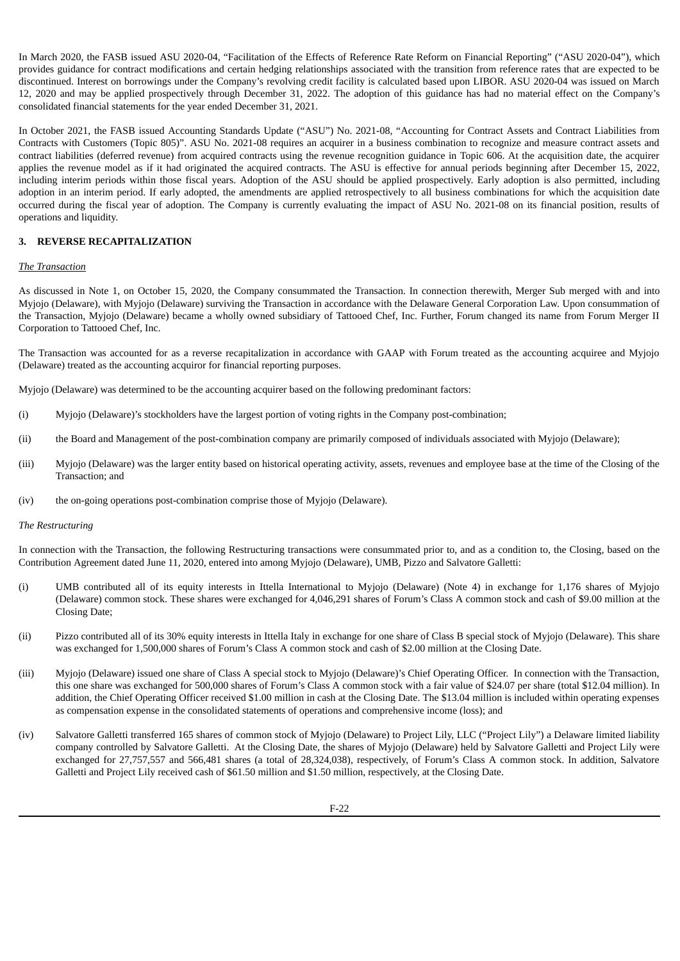In March 2020, the FASB issued ASU 2020-04, "Facilitation of the Effects of Reference Rate Reform on Financial Reporting" ("ASU 2020-04"), which provides guidance for contract modifications and certain hedging relationships associated with the transition from reference rates that are expected to be discontinued. Interest on borrowings under the Company's revolving credit facility is calculated based upon LIBOR. ASU 2020-04 was issued on March 12, 2020 and may be applied prospectively through December 31, 2022. The adoption of this guidance has had no material effect on the Company's consolidated financial statements for the year ended December 31, 2021.

In October 2021, the FASB issued Accounting Standards Update ("ASU") No. 2021-08, "Accounting for Contract Assets and Contract Liabilities from Contracts with Customers (Topic 805)". ASU No. 2021-08 requires an acquirer in a business combination to recognize and measure contract assets and contract liabilities (deferred revenue) from acquired contracts using the revenue recognition guidance in Topic 606. At the acquisition date, the acquirer applies the revenue model as if it had originated the acquired contracts. The ASU is effective for annual periods beginning after December 15, 2022, including interim periods within those fiscal years. Adoption of the ASU should be applied prospectively. Early adoption is also permitted, including adoption in an interim period. If early adopted, the amendments are applied retrospectively to all business combinations for which the acquisition date occurred during the fiscal year of adoption. The Company is currently evaluating the impact of ASU No. 2021-08 on its financial position, results of operations and liquidity.

# **3. REVERSE RECAPITALIZATION**

# *The Transaction*

As discussed in Note 1, on October 15, 2020, the Company consummated the Transaction. In connection therewith, Merger Sub merged with and into Myjojo (Delaware), with Myjojo (Delaware) surviving the Transaction in accordance with the Delaware General Corporation Law. Upon consummation of the Transaction, Myjojo (Delaware) became a wholly owned subsidiary of Tattooed Chef, Inc. Further, Forum changed its name from Forum Merger II Corporation to Tattooed Chef, Inc.

The Transaction was accounted for as a reverse recapitalization in accordance with GAAP with Forum treated as the accounting acquiree and Myjojo (Delaware) treated as the accounting acquiror for financial reporting purposes.

Myjojo (Delaware) was determined to be the accounting acquirer based on the following predominant factors:

- (i) Myjojo (Delaware)'s stockholders have the largest portion of voting rights in the Company post-combination;
- (ii) the Board and Management of the post-combination company are primarily composed of individuals associated with Myjojo (Delaware);
- (iii) Myjojo (Delaware) was the larger entity based on historical operating activity, assets, revenues and employee base at the time of the Closing of the Transaction; and
- (iv) the on-going operations post-combination comprise those of Myjojo (Delaware).

# *The Restructuring*

In connection with the Transaction, the following Restructuring transactions were consummated prior to, and as a condition to, the Closing, based on the Contribution Agreement dated June 11, 2020, entered into among Myjojo (Delaware), UMB, Pizzo and Salvatore Galletti:

- (i) UMB contributed all of its equity interests in Ittella International to Myjojo (Delaware) (Note 4) in exchange for 1,176 shares of Myjojo (Delaware) common stock. These shares were exchanged for 4,046,291 shares of Forum's Class A common stock and cash of \$9.00 million at the Closing Date;
- (ii) Pizzo contributed all of its 30% equity interests in Ittella Italy in exchange for one share of Class B special stock of Myjojo (Delaware). This share was exchanged for 1,500,000 shares of Forum's Class A common stock and cash of \$2.00 million at the Closing Date.
- (iii) Myjojo (Delaware) issued one share of Class A special stock to Myjojo (Delaware)'s Chief Operating Officer. In connection with the Transaction, this one share was exchanged for 500,000 shares of Forum's Class A common stock with a fair value of \$24.07 per share (total \$12.04 million). In addition, the Chief Operating Officer received \$1.00 million in cash at the Closing Date. The \$13.04 million is included within operating expenses as compensation expense in the consolidated statements of operations and comprehensive income (loss); and
- (iv) Salvatore Galletti transferred 165 shares of common stock of Myjojo (Delaware) to Project Lily, LLC ("Project Lily") a Delaware limited liability company controlled by Salvatore Galletti. At the Closing Date, the shares of Myjojo (Delaware) held by Salvatore Galletti and Project Lily were exchanged for 27,757,557 and 566,481 shares (a total of 28,324,038), respectively, of Forum's Class A common stock. In addition, Salvatore Galletti and Project Lily received cash of \$61.50 million and \$1.50 million, respectively, at the Closing Date.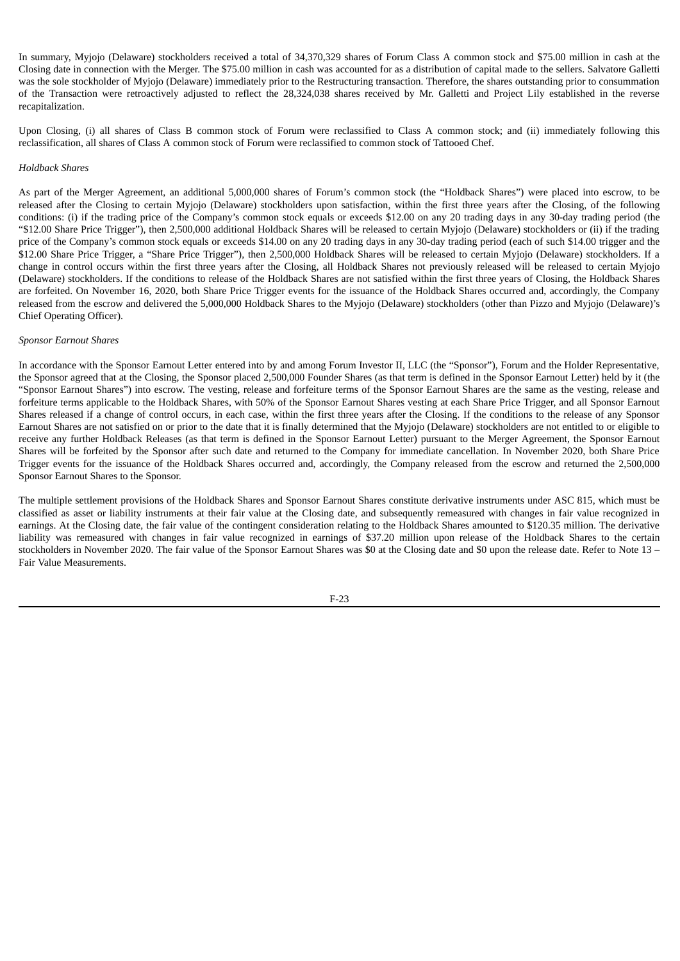In summary, Myjojo (Delaware) stockholders received a total of 34,370,329 shares of Forum Class A common stock and \$75.00 million in cash at the Closing date in connection with the Merger. The \$75.00 million in cash was accounted for as a distribution of capital made to the sellers. Salvatore Galletti was the sole stockholder of Myjojo (Delaware) immediately prior to the Restructuring transaction. Therefore, the shares outstanding prior to consummation of the Transaction were retroactively adjusted to reflect the 28,324,038 shares received by Mr. Galletti and Project Lily established in the reverse recapitalization.

Upon Closing, (i) all shares of Class B common stock of Forum were reclassified to Class A common stock; and (ii) immediately following this reclassification, all shares of Class A common stock of Forum were reclassified to common stock of Tattooed Chef.

# *Holdback Shares*

As part of the Merger Agreement, an additional 5,000,000 shares of Forum's common stock (the "Holdback Shares") were placed into escrow, to be released after the Closing to certain Myjojo (Delaware) stockholders upon satisfaction, within the first three years after the Closing, of the following conditions: (i) if the trading price of the Company's common stock equals or exceeds \$12.00 on any 20 trading days in any 30-day trading period (the "\$12.00 Share Price Trigger"), then 2,500,000 additional Holdback Shares will be released to certain Myjojo (Delaware) stockholders or (ii) if the trading price of the Company's common stock equals or exceeds \$14.00 on any 20 trading days in any 30-day trading period (each of such \$14.00 trigger and the \$12.00 Share Price Trigger, a "Share Price Trigger"), then 2,500,000 Holdback Shares will be released to certain Myjojo (Delaware) stockholders. If a change in control occurs within the first three years after the Closing, all Holdback Shares not previously released will be released to certain Myjojo (Delaware) stockholders. If the conditions to release of the Holdback Shares are not satisfied within the first three years of Closing, the Holdback Shares are forfeited. On November 16, 2020, both Share Price Trigger events for the issuance of the Holdback Shares occurred and, accordingly, the Company released from the escrow and delivered the 5,000,000 Holdback Shares to the Myjojo (Delaware) stockholders (other than Pizzo and Myjojo (Delaware)'s Chief Operating Officer).

# *Sponsor Earnout Shares*

In accordance with the Sponsor Earnout Letter entered into by and among Forum Investor II, LLC (the "Sponsor"), Forum and the Holder Representative, the Sponsor agreed that at the Closing, the Sponsor placed 2,500,000 Founder Shares (as that term is defined in the Sponsor Earnout Letter) held by it (the "Sponsor Earnout Shares") into escrow. The vesting, release and forfeiture terms of the Sponsor Earnout Shares are the same as the vesting, release and forfeiture terms applicable to the Holdback Shares, with 50% of the Sponsor Earnout Shares vesting at each Share Price Trigger, and all Sponsor Earnout Shares released if a change of control occurs, in each case, within the first three years after the Closing. If the conditions to the release of any Sponsor Earnout Shares are not satisfied on or prior to the date that it is finally determined that the Myjojo (Delaware) stockholders are not entitled to or eligible to receive any further Holdback Releases (as that term is defined in the Sponsor Earnout Letter) pursuant to the Merger Agreement, the Sponsor Earnout Shares will be forfeited by the Sponsor after such date and returned to the Company for immediate cancellation. In November 2020, both Share Price Trigger events for the issuance of the Holdback Shares occurred and, accordingly, the Company released from the escrow and returned the 2,500,000 Sponsor Earnout Shares to the Sponsor.

The multiple settlement provisions of the Holdback Shares and Sponsor Earnout Shares constitute derivative instruments under ASC 815, which must be classified as asset or liability instruments at their fair value at the Closing date, and subsequently remeasured with changes in fair value recognized in earnings. At the Closing date, the fair value of the contingent consideration relating to the Holdback Shares amounted to \$120.35 million. The derivative liability was remeasured with changes in fair value recognized in earnings of \$37.20 million upon release of the Holdback Shares to the certain stockholders in November 2020. The fair value of the Sponsor Earnout Shares was \$0 at the Closing date and \$0 upon the release date. Refer to Note 13 – Fair Value Measurements.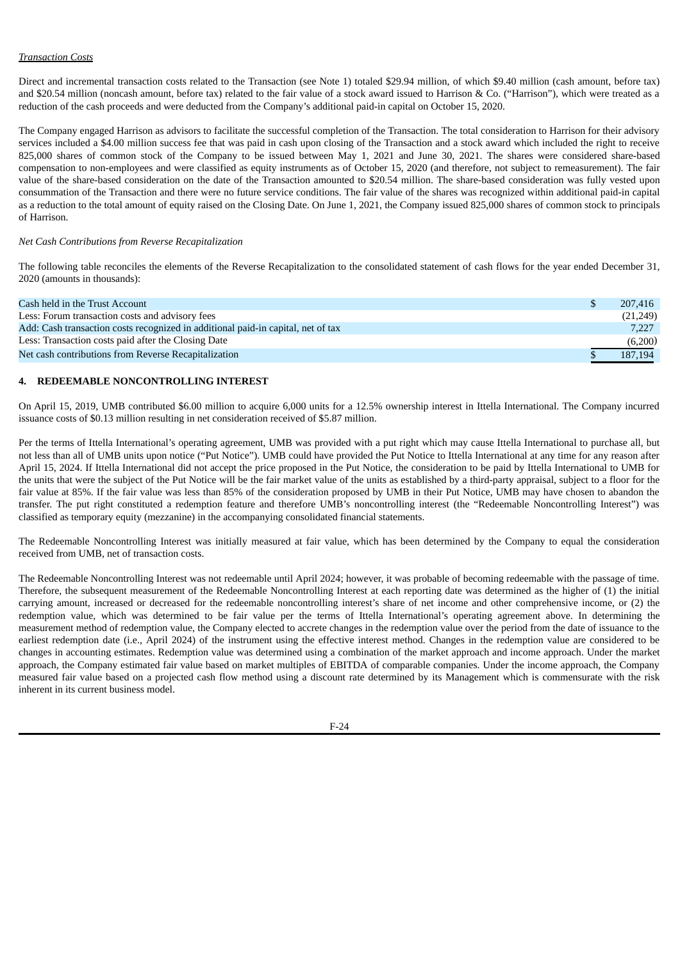# *Transaction Costs*

Direct and incremental transaction costs related to the Transaction (see Note 1) totaled \$29.94 million, of which \$9.40 million (cash amount, before tax) and \$20.54 million (noncash amount, before tax) related to the fair value of a stock award issued to Harrison & Co. ("Harrison"), which were treated as a reduction of the cash proceeds and were deducted from the Company's additional paid-in capital on October 15, 2020.

The Company engaged Harrison as advisors to facilitate the successful completion of the Transaction. The total consideration to Harrison for their advisory services included a \$4.00 million success fee that was paid in cash upon closing of the Transaction and a stock award which included the right to receive 825,000 shares of common stock of the Company to be issued between May 1, 2021 and June 30, 2021. The shares were considered share-based compensation to non-employees and were classified as equity instruments as of October 15, 2020 (and therefore, not subject to remeasurement). The fair value of the share-based consideration on the date of the Transaction amounted to \$20.54 million. The share-based consideration was fully vested upon consummation of the Transaction and there were no future service conditions. The fair value of the shares was recognized within additional paid-in capital as a reduction to the total amount of equity raised on the Closing Date. On June 1, 2021, the Company issued 825,000 shares of common stock to principals of Harrison.

#### *Net Cash Contributions from Reverse Recapitalization*

The following table reconciles the elements of the Reverse Recapitalization to the consolidated statement of cash flows for the year ended December 31, 2020 (amounts in thousands):

| Cash held in the Trust Account                                                   | 207,416  |
|----------------------------------------------------------------------------------|----------|
| Less: Forum transaction costs and advisory fees                                  | (21,249) |
| Add: Cash transaction costs recognized in additional paid-in capital, net of tax | 7,227    |
| Less: Transaction costs paid after the Closing Date                              | (6,200)  |
| Net cash contributions from Reverse Recapitalization                             | 187,194  |

# **4. REDEEMABLE NONCONTROLLING INTEREST**

On April 15, 2019, UMB contributed \$6.00 million to acquire 6,000 units for a 12.5% ownership interest in Ittella International. The Company incurred issuance costs of \$0.13 million resulting in net consideration received of \$5.87 million.

Per the terms of Ittella International's operating agreement, UMB was provided with a put right which may cause Ittella International to purchase all, but not less than all of UMB units upon notice ("Put Notice"). UMB could have provided the Put Notice to Ittella International at any time for any reason after April 15, 2024. If Ittella International did not accept the price proposed in the Put Notice, the consideration to be paid by Ittella International to UMB for the units that were the subject of the Put Notice will be the fair market value of the units as established by a third-party appraisal, subject to a floor for the fair value at 85%. If the fair value was less than 85% of the consideration proposed by UMB in their Put Notice, UMB may have chosen to abandon the transfer. The put right constituted a redemption feature and therefore UMB's noncontrolling interest (the "Redeemable Noncontrolling Interest") was classified as temporary equity (mezzanine) in the accompanying consolidated financial statements.

The Redeemable Noncontrolling Interest was initially measured at fair value, which has been determined by the Company to equal the consideration received from UMB, net of transaction costs.

The Redeemable Noncontrolling Interest was not redeemable until April 2024; however, it was probable of becoming redeemable with the passage of time. Therefore, the subsequent measurement of the Redeemable Noncontrolling Interest at each reporting date was determined as the higher of (1) the initial carrying amount, increased or decreased for the redeemable noncontrolling interest's share of net income and other comprehensive income, or (2) the redemption value, which was determined to be fair value per the terms of Ittella International's operating agreement above. In determining the measurement method of redemption value, the Company elected to accrete changes in the redemption value over the period from the date of issuance to the earliest redemption date (i.e., April 2024) of the instrument using the effective interest method. Changes in the redemption value are considered to be changes in accounting estimates. Redemption value was determined using a combination of the market approach and income approach. Under the market approach, the Company estimated fair value based on market multiples of EBITDA of comparable companies. Under the income approach, the Company measured fair value based on a projected cash flow method using a discount rate determined by its Management which is commensurate with the risk inherent in its current business model.

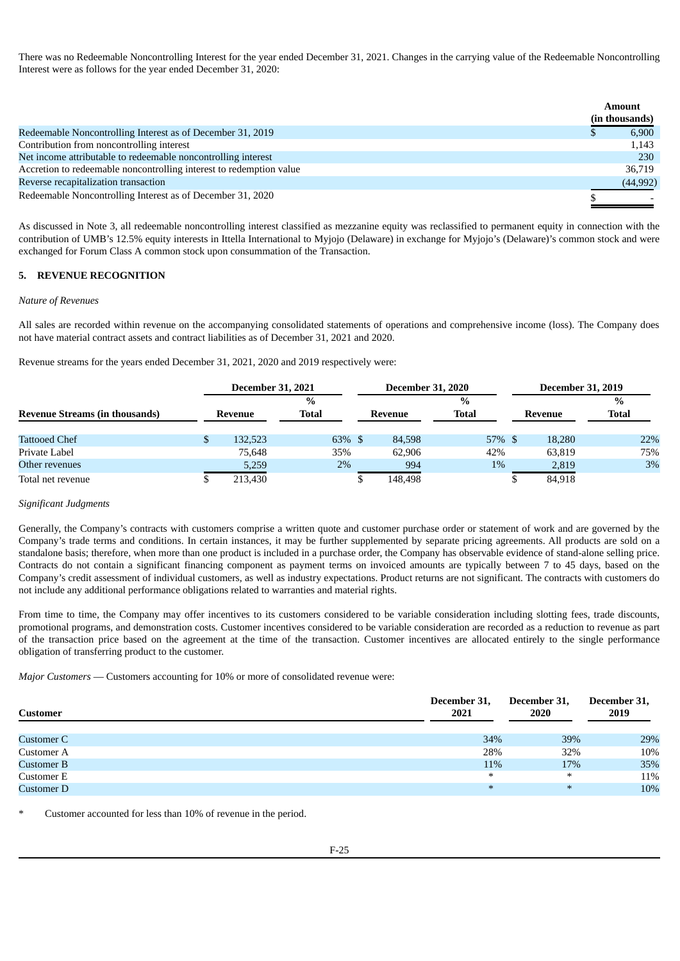There was no Redeemable Noncontrolling Interest for the year ended December 31, 2021. Changes in the carrying value of the Redeemable Noncontrolling Interest were as follows for the year ended December 31, 2020:

|                                                                     | <b>Amount</b><br>(in thousands) |
|---------------------------------------------------------------------|---------------------------------|
| Redeemable Noncontrolling Interest as of December 31, 2019          | 6.900                           |
| Contribution from noncontrolling interest                           | 1,143                           |
| Net income attributable to redeemable noncontrolling interest       | <b>230</b>                      |
| Accretion to redeemable noncontrolling interest to redemption value | 36,719                          |
| Reverse recapitalization transaction                                | (44,992)                        |
| Redeemable Noncontrolling Interest as of December 31, 2020          |                                 |

As discussed in Note 3, all redeemable noncontrolling interest classified as mezzanine equity was reclassified to permanent equity in connection with the contribution of UMB's 12.5% equity interests in Ittella International to Myjojo (Delaware) in exchange for Myjojo's (Delaware)'s common stock and were exchanged for Forum Class A common stock upon consummation of the Transaction.

# **5. REVENUE RECOGNITION**

# *Nature of Revenues*

All sales are recorded within revenue on the accompanying consolidated statements of operations and comprehensive income (loss). The Company does not have material contract assets and contract liabilities as of December 31, 2021 and 2020.

Revenue streams for the years ended December 31, 2021, 2020 and 2019 respectively were:

|                                       |  | <b>December 31, 2021</b> |           |  | <b>December 31, 2020</b> |              |           | <b>December 31, 2019</b> |              |  |  |
|---------------------------------------|--|--------------------------|-----------|--|--------------------------|--------------|-----------|--------------------------|--------------|--|--|
|                                       |  |                          | $\%$      |  |                          | $\%$         |           |                          | $\%$         |  |  |
| <b>Revenue Streams (in thousands)</b> |  | Revenue                  | Total     |  | Revenue                  | <b>Total</b> |           | Revenue                  | <b>Total</b> |  |  |
| <b>Tattooed Chef</b>                  |  | 132,523                  | $63\%$ \$ |  | 84,598                   |              | $57\%$ \$ | 18,280                   | 22%          |  |  |
| Private Label                         |  | 75.648                   | 35%       |  | 62,906                   | 42%          |           | 63,819                   | 75%          |  |  |
| Other revenues                        |  | 5,259                    | 2%        |  | 994                      | $1\%$        |           | 2,819                    | 3%           |  |  |
| Total net revenue                     |  | 213.430                  |           |  | 148,498                  |              |           | 84,918                   |              |  |  |

### *Significant Judgments*

Generally, the Company's contracts with customers comprise a written quote and customer purchase order or statement of work and are governed by the Company's trade terms and conditions. In certain instances, it may be further supplemented by separate pricing agreements. All products are sold on a standalone basis; therefore, when more than one product is included in a purchase order, the Company has observable evidence of stand-alone selling price. Contracts do not contain a significant financing component as payment terms on invoiced amounts are typically between 7 to 45 days, based on the Company's credit assessment of individual customers, as well as industry expectations. Product returns are not significant. The contracts with customers do not include any additional performance obligations related to warranties and material rights.

From time to time, the Company may offer incentives to its customers considered to be variable consideration including slotting fees, trade discounts, promotional programs, and demonstration costs. Customer incentives considered to be variable consideration are recorded as a reduction to revenue as part of the transaction price based on the agreement at the time of the transaction. Customer incentives are allocated entirely to the single performance obligation of transferring product to the customer.

*Major Customers* — Customers accounting for 10% or more of consolidated revenue were:

| <b>Customer</b>   | December 31,<br>December 31,<br>2021<br>2020 |        | December 31,<br>2019 |  |  |
|-------------------|----------------------------------------------|--------|----------------------|--|--|
| Customer C        | 34%                                          | 39%    | 29%                  |  |  |
| Customer A        | 28%                                          | 32%    | 10%                  |  |  |
| <b>Customer B</b> | 11%                                          | 17%    | 35%                  |  |  |
| Customer E        | $\ast$                                       | $\ast$ | 11%                  |  |  |
| Customer D        | $\ast$                                       | $\ast$ | 10%                  |  |  |

Customer accounted for less than 10% of revenue in the period.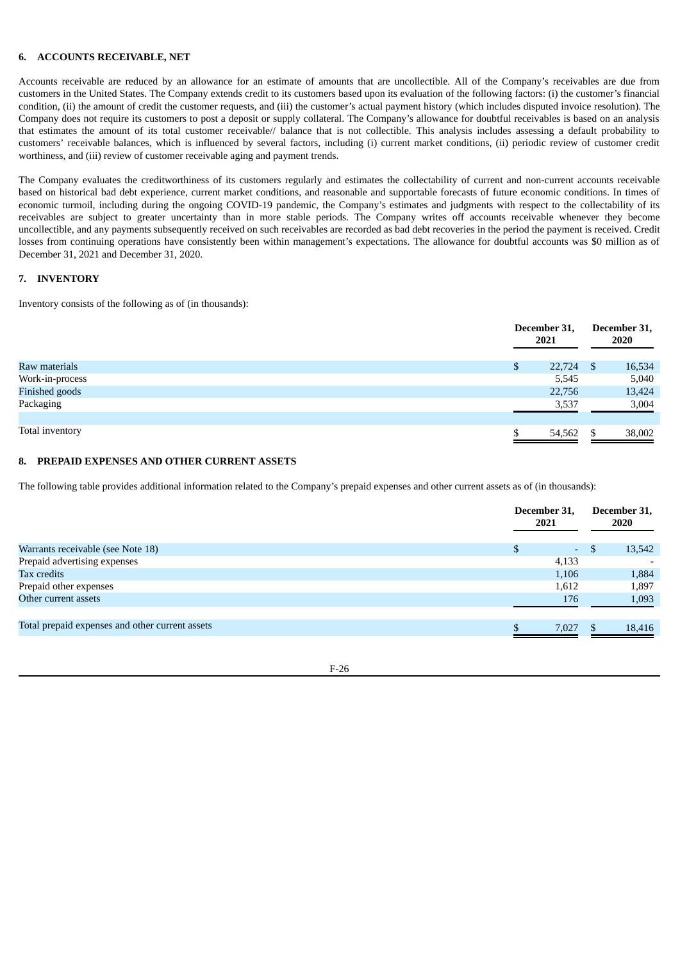# **6. ACCOUNTS RECEIVABLE, NET**

Accounts receivable are reduced by an allowance for an estimate of amounts that are uncollectible. All of the Company's receivables are due from customers in the United States. The Company extends credit to its customers based upon its evaluation of the following factors: (i) the customer's financial condition, (ii) the amount of credit the customer requests, and (iii) the customer's actual payment history (which includes disputed invoice resolution). The Company does not require its customers to post a deposit or supply collateral. The Company's allowance for doubtful receivables is based on an analysis that estimates the amount of its total customer receivable// balance that is not collectible. This analysis includes assessing a default probability to customers' receivable balances, which is influenced by several factors, including (i) current market conditions, (ii) periodic review of customer credit worthiness, and (iii) review of customer receivable aging and payment trends.

The Company evaluates the creditworthiness of its customers regularly and estimates the collectability of current and non-current accounts receivable based on historical bad debt experience, current market conditions, and reasonable and supportable forecasts of future economic conditions. In times of economic turmoil, including during the ongoing COVID-19 pandemic, the Company's estimates and judgments with respect to the collectability of its receivables are subject to greater uncertainty than in more stable periods. The Company writes off accounts receivable whenever they become uncollectible, and any payments subsequently received on such receivables are recorded as bad debt recoveries in the period the payment is received. Credit losses from continuing operations have consistently been within management's expectations. The allowance for doubtful accounts was \$0 million as of December 31, 2021 and December 31, 2020.

# **7. INVENTORY**

Inventory consists of the following as of (in thousands):

|                 |    | December 31,<br>2021 |     | December 31,<br>2020 |  |
|-----------------|----|----------------------|-----|----------------------|--|
| Raw materials   | \$ | 22,724               | \$  | 16,534               |  |
| Work-in-process |    | 5,545                |     | 5,040                |  |
| Finished goods  |    | 22,756               |     | 13,424               |  |
| Packaging       |    | 3,537                |     | 3,004                |  |
|                 |    |                      |     |                      |  |
| Total inventory |    | 54,562               | \$. | 38,002               |  |

# **8. PREPAID EXPENSES AND OTHER CURRENT ASSETS**

The following table provides additional information related to the Company's prepaid expenses and other current assets as of (in thousands):

|                                                 |    | December 31,<br>2021 | December 31,<br><b>2020</b> |        |
|-------------------------------------------------|----|----------------------|-----------------------------|--------|
| Warrants receivable (see Note 18)               | \$ | $\sim$               | -\$                         | 13,542 |
| Prepaid advertising expenses                    |    | 4,133                |                             |        |
| Tax credits                                     |    | 1,106                |                             | 1,884  |
| Prepaid other expenses                          |    | 1,612                |                             | 1,897  |
| Other current assets                            |    | 176                  |                             | 1,093  |
|                                                 |    |                      |                             |        |
| Total prepaid expenses and other current assets |    | 7,027                |                             | 18,416 |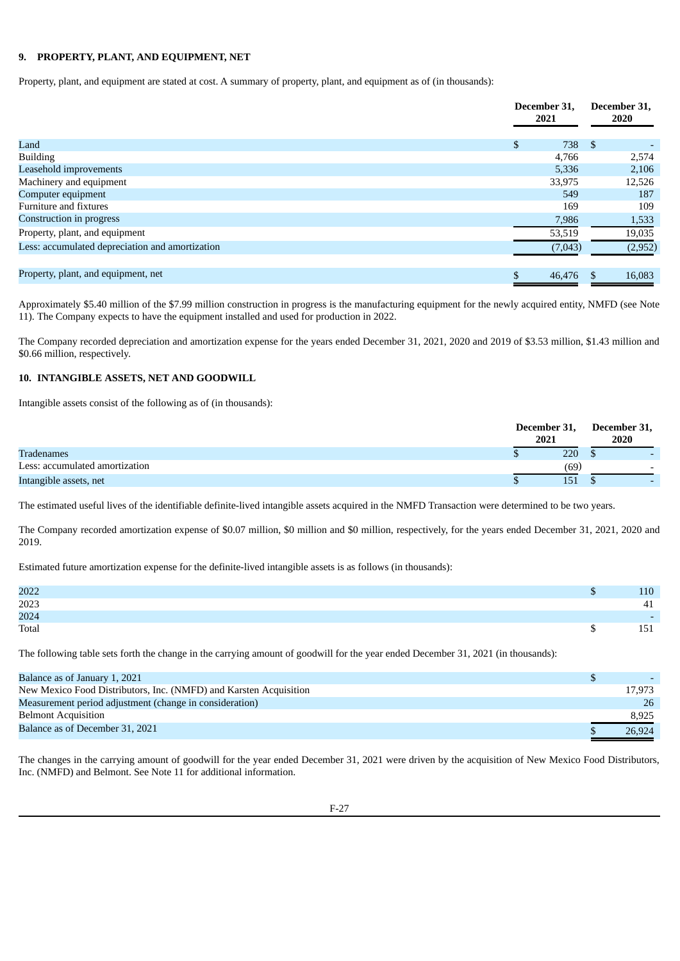# **9. PROPERTY, PLANT, AND EQUIPMENT, NET**

Property, plant, and equipment are stated at cost. A summary of property, plant, and equipment as of (in thousands):

|                                                 | December 31.<br>2021 |         | December 31,<br>2020 |         |
|-------------------------------------------------|----------------------|---------|----------------------|---------|
| Land                                            | \$                   | 738     | - \$                 |         |
| <b>Building</b>                                 |                      | 4,766   |                      | 2,574   |
| Leasehold improvements                          |                      | 5,336   |                      | 2,106   |
| Machinery and equipment                         |                      | 33,975  |                      | 12,526  |
| Computer equipment                              |                      | 549     |                      | 187     |
| Furniture and fixtures                          |                      | 169     |                      | 109     |
| Construction in progress                        |                      | 7,986   |                      | 1,533   |
| Property, plant, and equipment                  |                      | 53,519  |                      | 19,035  |
| Less: accumulated depreciation and amortization |                      | (7,043) |                      | (2,952) |
| Property, plant, and equipment, net             | \$                   | 46,476  |                      | 16,083  |

Approximately \$5.40 million of the \$7.99 million construction in progress is the manufacturing equipment for the newly acquired entity, NMFD (see Note 11). The Company expects to have the equipment installed and used for production in 2022.

The Company recorded depreciation and amortization expense for the years ended December 31, 2021, 2020 and 2019 of \$3.53 million, \$1.43 million and \$0.66 million, respectively.

# **10. INTANGIBLE ASSETS, NET AND GOODWILL**

Intangible assets consist of the following as of (in thousands):

|                                | December 31,<br>2021 |      | December 31,<br><b>2020</b> |  |
|--------------------------------|----------------------|------|-----------------------------|--|
| <b>Tradenames</b>              |                      | 220  |                             |  |
| Less: accumulated amortization |                      | (69) |                             |  |
| Intangible assets, net         |                      | 151  |                             |  |

The estimated useful lives of the identifiable definite-lived intangible assets acquired in the NMFD Transaction were determined to be two years.

The Company recorded amortization expense of \$0.07 million, \$0 million and \$0 million, respectively, for the years ended December 31, 2021, 2020 and 2019.

Estimated future amortization expense for the definite-lived intangible assets is as follows (in thousands):

| 2022  |              |
|-------|--------------|
| 2023  | $4-1$<br>ᅚᆂ  |
| 2024  |              |
| Total | 1 F 1<br>ᅩᇰᅩ |

The following table sets forth the change in the carrying amount of goodwill for the year ended December 31, 2021 (in thousands):

| 17.973 |
|--------|
| 26     |
| 8.925  |
| 26,924 |
|        |

The changes in the carrying amount of goodwill for the year ended December 31, 2021 were driven by the acquisition of New Mexico Food Distributors, Inc. (NMFD) and Belmont. See Note 11 for additional information.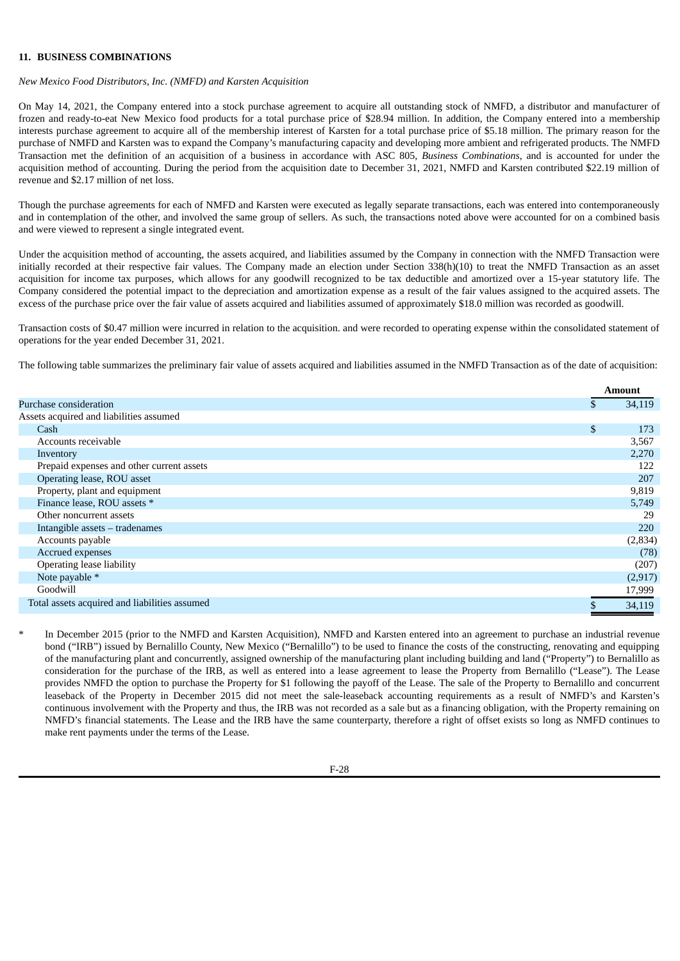# **11. BUSINESS COMBINATIONS**

# *New Mexico Food Distributors, Inc. (NMFD) and Karsten Acquisition*

On May 14, 2021, the Company entered into a stock purchase agreement to acquire all outstanding stock of NMFD, a distributor and manufacturer of frozen and ready-to-eat New Mexico food products for a total purchase price of \$28.94 million. In addition, the Company entered into a membership interests purchase agreement to acquire all of the membership interest of Karsten for a total purchase price of \$5.18 million. The primary reason for the purchase of NMFD and Karsten was to expand the Company's manufacturing capacity and developing more ambient and refrigerated products. The NMFD Transaction met the definition of an acquisition of a business in accordance with ASC 805, *Business Combinations*, and is accounted for under the acquisition method of accounting. During the period from the acquisition date to December 31, 2021, NMFD and Karsten contributed \$22.19 million of revenue and \$2.17 million of net loss.

Though the purchase agreements for each of NMFD and Karsten were executed as legally separate transactions, each was entered into contemporaneously and in contemplation of the other, and involved the same group of sellers. As such, the transactions noted above were accounted for on a combined basis and were viewed to represent a single integrated event.

Under the acquisition method of accounting, the assets acquired, and liabilities assumed by the Company in connection with the NMFD Transaction were initially recorded at their respective fair values. The Company made an election under Section 338(h)(10) to treat the NMFD Transaction as an asset acquisition for income tax purposes, which allows for any goodwill recognized to be tax deductible and amortized over a 15-year statutory life. The Company considered the potential impact to the depreciation and amortization expense as a result of the fair values assigned to the acquired assets. The excess of the purchase price over the fair value of assets acquired and liabilities assumed of approximately \$18.0 million was recorded as goodwill.

Transaction costs of \$0.47 million were incurred in relation to the acquisition. and were recorded to operating expense within the consolidated statement of operations for the year ended December 31, 2021.

The following table summarizes the preliminary fair value of assets acquired and liabilities assumed in the NMFD Transaction as of the date of acquisition:

|                                               |    | <b>Amount</b> |
|-----------------------------------------------|----|---------------|
| Purchase consideration                        | Œ  | 34,119        |
| Assets acquired and liabilities assumed       |    |               |
| Cash                                          | \$ | 173           |
| Accounts receivable                           |    | 3,567         |
| Inventory                                     |    | 2,270         |
| Prepaid expenses and other current assets     |    | 122           |
| Operating lease, ROU asset                    |    | 207           |
| Property, plant and equipment                 |    | 9,819         |
| Finance lease, ROU assets *                   |    | 5,749         |
| Other noncurrent assets                       |    | 29            |
| Intangible assets - tradenames                |    | 220           |
| Accounts payable                              |    | (2,834)       |
| Accrued expenses                              |    | (78)          |
| Operating lease liability                     |    | (207)         |
| Note payable *                                |    | (2,917)       |
| Goodwill                                      |    | 17,999        |
| Total assets acquired and liabilities assumed |    | 34,119        |

\* In December 2015 (prior to the NMFD and Karsten Acquisition), NMFD and Karsten entered into an agreement to purchase an industrial revenue bond ("IRB") issued by Bernalillo County, New Mexico ("Bernalillo") to be used to finance the costs of the constructing, renovating and equipping of the manufacturing plant and concurrently, assigned ownership of the manufacturing plant including building and land ("Property") to Bernalillo as consideration for the purchase of the IRB, as well as entered into a lease agreement to lease the Property from Bernalillo ("Lease"). The Lease provides NMFD the option to purchase the Property for \$1 following the payoff of the Lease. The sale of the Property to Bernalillo and concurrent leaseback of the Property in December 2015 did not meet the sale-leaseback accounting requirements as a result of NMFD's and Karsten's continuous involvement with the Property and thus, the IRB was not recorded as a sale but as a financing obligation, with the Property remaining on NMFD's financial statements. The Lease and the IRB have the same counterparty, therefore a right of offset exists so long as NMFD continues to make rent payments under the terms of the Lease.

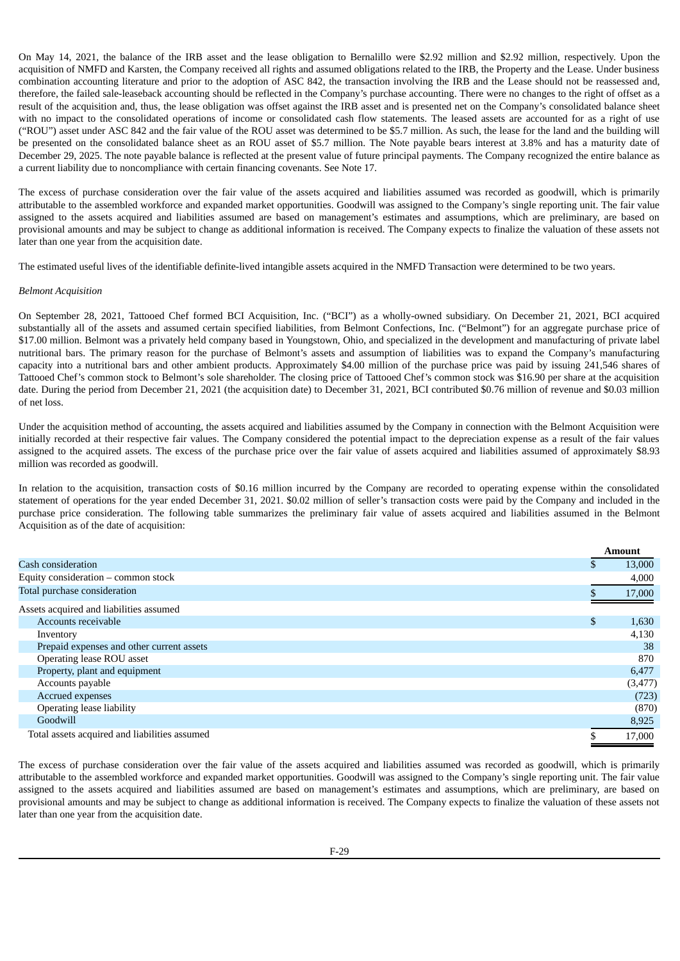On May 14, 2021, the balance of the IRB asset and the lease obligation to Bernalillo were \$2.92 million and \$2.92 million, respectively. Upon the acquisition of NMFD and Karsten, the Company received all rights and assumed obligations related to the IRB, the Property and the Lease. Under business combination accounting literature and prior to the adoption of ASC 842, the transaction involving the IRB and the Lease should not be reassessed and, therefore, the failed sale-leaseback accounting should be reflected in the Company's purchase accounting. There were no changes to the right of offset as a result of the acquisition and, thus, the lease obligation was offset against the IRB asset and is presented net on the Company's consolidated balance sheet with no impact to the consolidated operations of income or consolidated cash flow statements. The leased assets are accounted for as a right of use ("ROU") asset under ASC 842 and the fair value of the ROU asset was determined to be \$5.7 million. As such, the lease for the land and the building will be presented on the consolidated balance sheet as an ROU asset of \$5.7 million. The Note payable bears interest at 3.8% and has a maturity date of December 29, 2025. The note payable balance is reflected at the present value of future principal payments. The Company recognized the entire balance as a current liability due to noncompliance with certain financing covenants. See Note 17.

The excess of purchase consideration over the fair value of the assets acquired and liabilities assumed was recorded as goodwill, which is primarily attributable to the assembled workforce and expanded market opportunities. Goodwill was assigned to the Company's single reporting unit. The fair value assigned to the assets acquired and liabilities assumed are based on management's estimates and assumptions, which are preliminary, are based on provisional amounts and may be subject to change as additional information is received. The Company expects to finalize the valuation of these assets not later than one year from the acquisition date.

The estimated useful lives of the identifiable definite-lived intangible assets acquired in the NMFD Transaction were determined to be two years.

### *Belmont Acquisition*

On September 28, 2021, Tattooed Chef formed BCI Acquisition, Inc. ("BCI") as a wholly-owned subsidiary. On December 21, 2021, BCI acquired substantially all of the assets and assumed certain specified liabilities, from Belmont Confections, Inc. ("Belmont") for an aggregate purchase price of \$17.00 million. Belmont was a privately held company based in Youngstown, Ohio, and specialized in the development and manufacturing of private label nutritional bars. The primary reason for the purchase of Belmont's assets and assumption of liabilities was to expand the Company's manufacturing capacity into a nutritional bars and other ambient products. Approximately \$4.00 million of the purchase price was paid by issuing 241,546 shares of Tattooed Chef's common stock to Belmont's sole shareholder. The closing price of Tattooed Chef's common stock was \$16.90 per share at the acquisition date. During the period from December 21, 2021 (the acquisition date) to December 31, 2021, BCI contributed \$0.76 million of revenue and \$0.03 million of net loss.

Under the acquisition method of accounting, the assets acquired and liabilities assumed by the Company in connection with the Belmont Acquisition were initially recorded at their respective fair values. The Company considered the potential impact to the depreciation expense as a result of the fair values assigned to the acquired assets. The excess of the purchase price over the fair value of assets acquired and liabilities assumed of approximately \$8.93 million was recorded as goodwill.

In relation to the acquisition, transaction costs of \$0.16 million incurred by the Company are recorded to operating expense within the consolidated statement of operations for the year ended December 31, 2021. \$0.02 million of seller's transaction costs were paid by the Company and included in the purchase price consideration. The following table summarizes the preliminary fair value of assets acquired and liabilities assumed in the Belmont Acquisition as of the date of acquisition:

|                                               | <b>Amount</b> |
|-----------------------------------------------|---------------|
| Cash consideration                            | 13,000        |
| Equity consideration - common stock           | 4,000         |
| Total purchase consideration                  | 17,000        |
| Assets acquired and liabilities assumed       |               |
| Accounts receivable                           | \$<br>1,630   |
| Inventory                                     | 4,130         |
| Prepaid expenses and other current assets     | 38            |
| Operating lease ROU asset                     | 870           |
| Property, plant and equipment                 | 6,477         |
| Accounts payable                              | (3, 477)      |
| Accrued expenses                              | (723)         |
| Operating lease liability                     | (870)         |
| Goodwill                                      | 8,925         |
| Total assets acquired and liabilities assumed | 17,000        |

The excess of purchase consideration over the fair value of the assets acquired and liabilities assumed was recorded as goodwill, which is primarily attributable to the assembled workforce and expanded market opportunities. Goodwill was assigned to the Company's single reporting unit. The fair value assigned to the assets acquired and liabilities assumed are based on management's estimates and assumptions, which are preliminary, are based on provisional amounts and may be subject to change as additional information is received. The Company expects to finalize the valuation of these assets not later than one year from the acquisition date.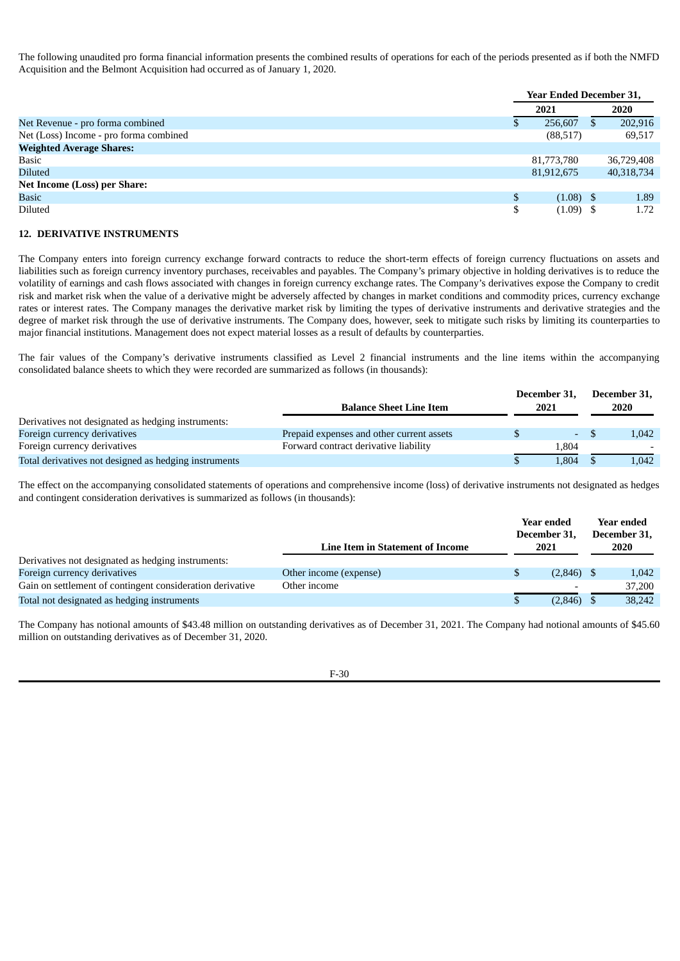The following unaudited pro forma financial information presents the combined results of operations for each of the periods presented as if both the NMFD Acquisition and the Belmont Acquisition had occurred as of January 1, 2020.

|                                        | <b>Year Ended December 31,</b> |             |  |            |
|----------------------------------------|--------------------------------|-------------|--|------------|
|                                        |                                | 2021        |  | 2020       |
| Net Revenue - pro forma combined       |                                | 256,607     |  | 202,916    |
| Net (Loss) Income - pro forma combined |                                | (88, 517)   |  | 69,517     |
| <b>Weighted Average Shares:</b>        |                                |             |  |            |
| Basic                                  |                                | 81,773,780  |  | 36,729,408 |
| <b>Diluted</b>                         |                                | 81,912,675  |  | 40,318,734 |
| Net Income (Loss) per Share:           |                                |             |  |            |
| Basic                                  | \$                             | $(1.08)$ \$ |  | 1.89       |
| Diluted                                | \$                             | $(1.09)$ \$ |  | 1.72       |

## **12. DERIVATIVE INSTRUMENTS**

The Company enters into foreign currency exchange forward contracts to reduce the short-term effects of foreign currency fluctuations on assets and liabilities such as foreign currency inventory purchases, receivables and payables. The Company's primary objective in holding derivatives is to reduce the volatility of earnings and cash flows associated with changes in foreign currency exchange rates. The Company's derivatives expose the Company to credit risk and market risk when the value of a derivative might be adversely affected by changes in market conditions and commodity prices, currency exchange rates or interest rates. The Company manages the derivative market risk by limiting the types of derivative instruments and derivative strategies and the degree of market risk through the use of derivative instruments. The Company does, however, seek to mitigate such risks by limiting its counterparties to major financial institutions. Management does not expect material losses as a result of defaults by counterparties.

The fair values of the Company's derivative instruments classified as Level 2 financial instruments and the line items within the accompanying consolidated balance sheets to which they were recorded are summarized as follows (in thousands):

|                                                       |                                           | December 31,    |  | December 31, |
|-------------------------------------------------------|-------------------------------------------|-----------------|--|--------------|
|                                                       | <b>Balance Sheet Line Item</b>            | 2021            |  | 2020         |
| Derivatives not designated as hedging instruments:    |                                           |                 |  |              |
| Foreign currency derivatives                          | Prepaid expenses and other current assets | $\sim$ 10 $\pm$ |  | 1.042        |
| Foreign currency derivatives                          | Forward contract derivative liability     | 1.804           |  |              |
| Total derivatives not designed as hedging instruments |                                           | 1.804           |  | 1.042        |

The effect on the accompanying consolidated statements of operations and comprehensive income (loss) of derivative instruments not designated as hedges and contingent consideration derivatives is summarized as follows (in thousands):

|                                                           | Line Item in Statement of Income | Year ended<br>December 31,<br>2021 | Year ended<br>December 31,<br>2020 |
|-----------------------------------------------------------|----------------------------------|------------------------------------|------------------------------------|
| Derivatives not designated as hedging instruments:        |                                  |                                    |                                    |
| Foreign currency derivatives                              | Other income (expense)           | $(2,846)$ \$                       | 1,042                              |
| Gain on settlement of contingent consideration derivative | Other income                     | $\overline{\phantom{0}}$           | 37,200                             |
| Total not designated as hedging instruments               |                                  | (2, 846)                           | 38,242                             |

The Company has notional amounts of \$43.48 million on outstanding derivatives as of December 31, 2021. The Company had notional amounts of \$45.60 million on outstanding derivatives as of December 31, 2020.

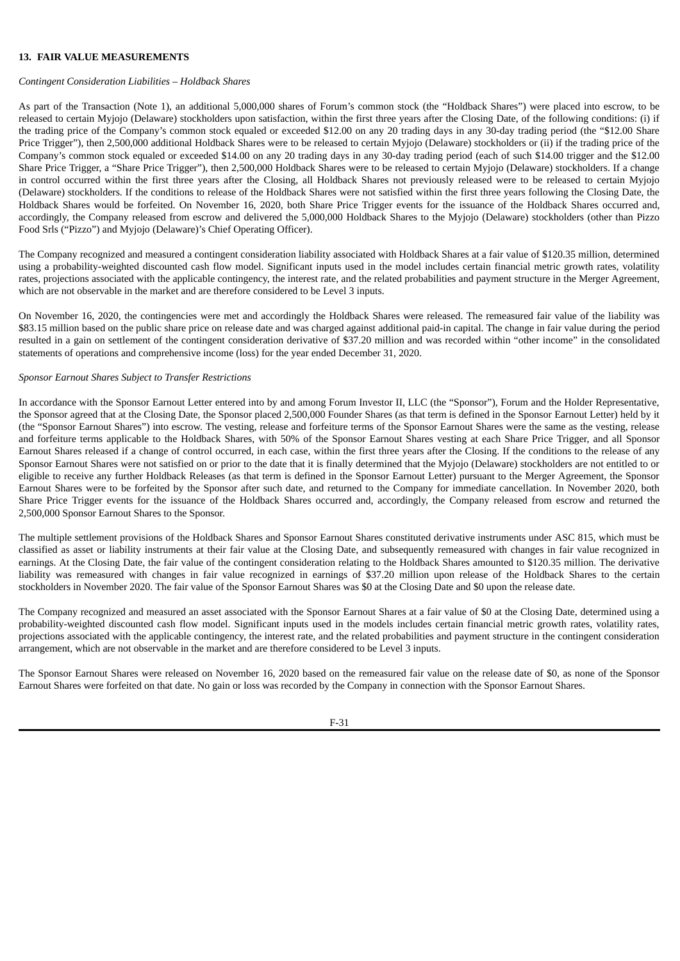## **13. FAIR VALUE MEASUREMENTS**

### *Contingent Consideration Liabilities – Holdback Shares*

As part of the Transaction (Note 1), an additional 5,000,000 shares of Forum's common stock (the "Holdback Shares") were placed into escrow, to be released to certain Myjojo (Delaware) stockholders upon satisfaction, within the first three years after the Closing Date, of the following conditions: (i) if the trading price of the Company's common stock equaled or exceeded \$12.00 on any 20 trading days in any 30-day trading period (the "\$12.00 Share Price Trigger"), then 2,500,000 additional Holdback Shares were to be released to certain Myjojo (Delaware) stockholders or (ii) if the trading price of the Company's common stock equaled or exceeded \$14.00 on any 20 trading days in any 30-day trading period (each of such \$14.00 trigger and the \$12.00 Share Price Trigger, a "Share Price Trigger"), then 2,500,000 Holdback Shares were to be released to certain Myjojo (Delaware) stockholders. If a change in control occurred within the first three years after the Closing, all Holdback Shares not previously released were to be released to certain Myjojo (Delaware) stockholders. If the conditions to release of the Holdback Shares were not satisfied within the first three years following the Closing Date, the Holdback Shares would be forfeited. On November 16, 2020, both Share Price Trigger events for the issuance of the Holdback Shares occurred and, accordingly, the Company released from escrow and delivered the 5,000,000 Holdback Shares to the Myjojo (Delaware) stockholders (other than Pizzo Food Srls ("Pizzo") and Myjojo (Delaware)'s Chief Operating Officer).

The Company recognized and measured a contingent consideration liability associated with Holdback Shares at a fair value of \$120.35 million, determined using a probability-weighted discounted cash flow model. Significant inputs used in the model includes certain financial metric growth rates, volatility rates, projections associated with the applicable contingency, the interest rate, and the related probabilities and payment structure in the Merger Agreement, which are not observable in the market and are therefore considered to be Level 3 inputs.

On November 16, 2020, the contingencies were met and accordingly the Holdback Shares were released. The remeasured fair value of the liability was \$83.15 million based on the public share price on release date and was charged against additional paid-in capital. The change in fair value during the period resulted in a gain on settlement of the contingent consideration derivative of \$37.20 million and was recorded within "other income" in the consolidated statements of operations and comprehensive income (loss) for the year ended December 31, 2020.

### *Sponsor Earnout Shares Subject to Transfer Restrictions*

In accordance with the Sponsor Earnout Letter entered into by and among Forum Investor II, LLC (the "Sponsor"), Forum and the Holder Representative, the Sponsor agreed that at the Closing Date, the Sponsor placed 2,500,000 Founder Shares (as that term is defined in the Sponsor Earnout Letter) held by it (the "Sponsor Earnout Shares") into escrow. The vesting, release and forfeiture terms of the Sponsor Earnout Shares were the same as the vesting, release and forfeiture terms applicable to the Holdback Shares, with 50% of the Sponsor Earnout Shares vesting at each Share Price Trigger, and all Sponsor Earnout Shares released if a change of control occurred, in each case, within the first three years after the Closing. If the conditions to the release of any Sponsor Earnout Shares were not satisfied on or prior to the date that it is finally determined that the Myjojo (Delaware) stockholders are not entitled to or eligible to receive any further Holdback Releases (as that term is defined in the Sponsor Earnout Letter) pursuant to the Merger Agreement, the Sponsor Earnout Shares were to be forfeited by the Sponsor after such date, and returned to the Company for immediate cancellation. In November 2020, both Share Price Trigger events for the issuance of the Holdback Shares occurred and, accordingly, the Company released from escrow and returned the 2,500,000 Sponsor Earnout Shares to the Sponsor.

The multiple settlement provisions of the Holdback Shares and Sponsor Earnout Shares constituted derivative instruments under ASC 815, which must be classified as asset or liability instruments at their fair value at the Closing Date, and subsequently remeasured with changes in fair value recognized in earnings. At the Closing Date, the fair value of the contingent consideration relating to the Holdback Shares amounted to \$120.35 million. The derivative liability was remeasured with changes in fair value recognized in earnings of \$37.20 million upon release of the Holdback Shares to the certain stockholders in November 2020. The fair value of the Sponsor Earnout Shares was \$0 at the Closing Date and \$0 upon the release date.

The Company recognized and measured an asset associated with the Sponsor Earnout Shares at a fair value of \$0 at the Closing Date, determined using a probability-weighted discounted cash flow model. Significant inputs used in the models includes certain financial metric growth rates, volatility rates, projections associated with the applicable contingency, the interest rate, and the related probabilities and payment structure in the contingent consideration arrangement, which are not observable in the market and are therefore considered to be Level 3 inputs.

The Sponsor Earnout Shares were released on November 16, 2020 based on the remeasured fair value on the release date of \$0, as none of the Sponsor Earnout Shares were forfeited on that date. No gain or loss was recorded by the Company in connection with the Sponsor Earnout Shares.

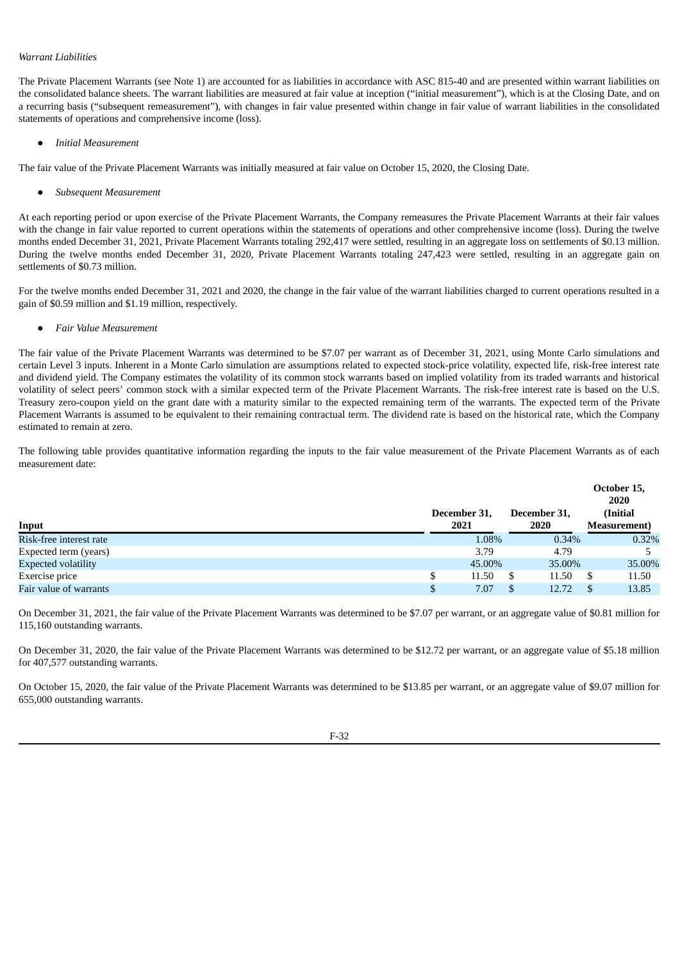## *Warrant Liabilities*

The Private Placement Warrants (see Note 1) are accounted for as liabilities in accordance with ASC 815-40 and are presented within warrant liabilities on the consolidated balance sheets. The warrant liabilities are measured at fair value at inception ("initial measurement"), which is at the Closing Date, and on a recurring basis ("subsequent remeasurement"), with changes in fair value presented within change in fair value of warrant liabilities in the consolidated statements of operations and comprehensive income (loss).

● *Initial Measurement*

The fair value of the Private Placement Warrants was initially measured at fair value on October 15, 2020, the Closing Date.

● *Subsequent Measurement*

At each reporting period or upon exercise of the Private Placement Warrants, the Company remeasures the Private Placement Warrants at their fair values with the change in fair value reported to current operations within the statements of operations and other comprehensive income (loss). During the twelve months ended December 31, 2021, Private Placement Warrants totaling 292,417 were settled, resulting in an aggregate loss on settlements of \$0.13 million. During the twelve months ended December 31, 2020, Private Placement Warrants totaling 247,423 were settled, resulting in an aggregate gain on settlements of \$0.73 million.

For the twelve months ended December 31, 2021 and 2020, the change in the fair value of the warrant liabilities charged to current operations resulted in a gain of \$0.59 million and \$1.19 million, respectively.

● *Fair Value Measurement*

The fair value of the Private Placement Warrants was determined to be \$7.07 per warrant as of December 31, 2021, using Monte Carlo simulations and certain Level 3 inputs. Inherent in a Monte Carlo simulation are assumptions related to expected stock-price volatility, expected life, risk-free interest rate and dividend yield. The Company estimates the volatility of its common stock warrants based on implied volatility from its traded warrants and historical volatility of select peers' common stock with a similar expected term of the Private Placement Warrants. The risk-free interest rate is based on the U.S. Treasury zero-coupon yield on the grant date with a maturity similar to the expected remaining term of the warrants. The expected term of the Private Placement Warrants is assumed to be equivalent to their remaining contractual term. The dividend rate is based on the historical rate, which the Company estimated to remain at zero.

The following table provides quantitative information regarding the inputs to the fair value measurement of the Private Placement Warrants as of each measurement date:

|                            | December 31, | December 31, | (Initial)            |  |
|----------------------------|--------------|--------------|----------------------|--|
| Input                      | 2021         | 2020         | <b>Measurement</b> ) |  |
| Risk-free interest rate    | 1.08%        | 0.34%        | 0.32%                |  |
| Expected term (years)      | 3.79         | 4.79         |                      |  |
| <b>Expected volatility</b> | 45.00%       | 35.00%       | 35.00%               |  |
| Exercise price             | 11.50<br>\$  | 11.50<br>S   | 11.50<br>- \$        |  |
| Fair value of warrants     | 7.07         | 12.72        | 13.85                |  |

On December 31, 2021, the fair value of the Private Placement Warrants was determined to be \$7.07 per warrant, or an aggregate value of \$0.81 million for 115,160 outstanding warrants.

On December 31, 2020, the fair value of the Private Placement Warrants was determined to be \$12.72 per warrant, or an aggregate value of \$5.18 million for 407,577 outstanding warrants.

On October 15, 2020, the fair value of the Private Placement Warrants was determined to be \$13.85 per warrant, or an aggregate value of \$9.07 million for 655,000 outstanding warrants.

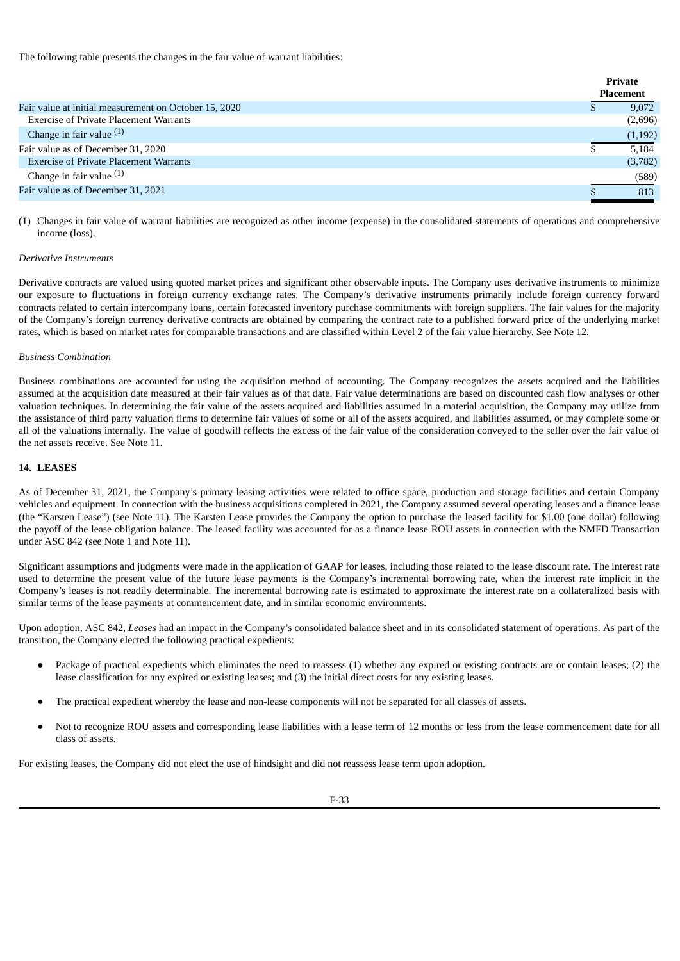The following table presents the changes in the fair value of warrant liabilities:

|                                                       | <b>Private</b>   |
|-------------------------------------------------------|------------------|
|                                                       | <b>Placement</b> |
| Fair value at initial measurement on October 15, 2020 | 9,072            |
| <b>Exercise of Private Placement Warrants</b>         | (2,696)          |
| Change in fair value $(1)$                            | (1, 192)         |
| Fair value as of December 31, 2020                    | 5.184            |
| <b>Exercise of Private Placement Warrants</b>         | (3,782)          |
| Change in fair value $(1)$                            | (589)            |
| Fair value as of December 31, 2021                    | 813              |

(1) Changes in fair value of warrant liabilities are recognized as other income (expense) in the consolidated statements of operations and comprehensive income (loss).

#### *Derivative Instruments*

Derivative contracts are valued using quoted market prices and significant other observable inputs. The Company uses derivative instruments to minimize our exposure to fluctuations in foreign currency exchange rates. The Company's derivative instruments primarily include foreign currency forward contracts related to certain intercompany loans, certain forecasted inventory purchase commitments with foreign suppliers. The fair values for the majority of the Company's foreign currency derivative contracts are obtained by comparing the contract rate to a published forward price of the underlying market rates, which is based on market rates for comparable transactions and are classified within Level 2 of the fair value hierarchy. See Note 12.

#### *Business Combination*

Business combinations are accounted for using the acquisition method of accounting. The Company recognizes the assets acquired and the liabilities assumed at the acquisition date measured at their fair values as of that date. Fair value determinations are based on discounted cash flow analyses or other valuation techniques. In determining the fair value of the assets acquired and liabilities assumed in a material acquisition, the Company may utilize from the assistance of third party valuation firms to determine fair values of some or all of the assets acquired, and liabilities assumed, or may complete some or all of the valuations internally. The value of goodwill reflects the excess of the fair value of the consideration conveyed to the seller over the fair value of the net assets receive. See Note 11.

### **14. LEASES**

As of December 31, 2021, the Company's primary leasing activities were related to office space, production and storage facilities and certain Company vehicles and equipment. In connection with the business acquisitions completed in 2021, the Company assumed several operating leases and a finance lease (the "Karsten Lease") (see Note 11). The Karsten Lease provides the Company the option to purchase the leased facility for \$1.00 (one dollar) following the payoff of the lease obligation balance. The leased facility was accounted for as a finance lease ROU assets in connection with the NMFD Transaction under ASC 842 (see Note 1 and Note 11).

Significant assumptions and judgments were made in the application of GAAP for leases, including those related to the lease discount rate. The interest rate used to determine the present value of the future lease payments is the Company's incremental borrowing rate, when the interest rate implicit in the Company's leases is not readily determinable. The incremental borrowing rate is estimated to approximate the interest rate on a collateralized basis with similar terms of the lease payments at commencement date, and in similar economic environments.

Upon adoption, ASC 842, *Leases* had an impact in the Company's consolidated balance sheet and in its consolidated statement of operations. As part of the transition, the Company elected the following practical expedients:

- Package of practical expedients which eliminates the need to reassess (1) whether any expired or existing contracts are or contain leases; (2) the lease classification for any expired or existing leases; and (3) the initial direct costs for any existing leases.
- The practical expedient whereby the lease and non-lease components will not be separated for all classes of assets.
- Not to recognize ROU assets and corresponding lease liabilities with a lease term of 12 months or less from the lease commencement date for all class of assets.

For existing leases, the Company did not elect the use of hindsight and did not reassess lease term upon adoption.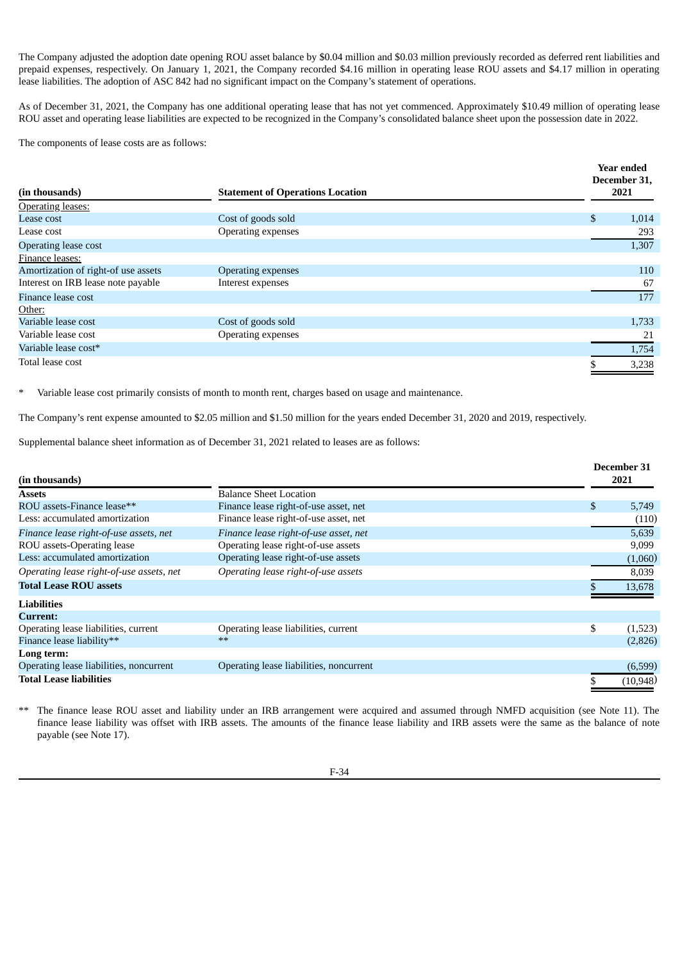The Company adjusted the adoption date opening ROU asset balance by \$0.04 million and \$0.03 million previously recorded as deferred rent liabilities and prepaid expenses, respectively. On January 1, 2021, the Company recorded \$4.16 million in operating lease ROU assets and \$4.17 million in operating lease liabilities. The adoption of ASC 842 had no significant impact on the Company's statement of operations.

As of December 31, 2021, the Company has one additional operating lease that has not yet commenced. Approximately \$10.49 million of operating lease ROU asset and operating lease liabilities are expected to be recognized in the Company's consolidated balance sheet upon the possession date in 2022.

The components of lease costs are as follows:

|                                     |                                         | <b>Year ended</b><br>December 31, |
|-------------------------------------|-----------------------------------------|-----------------------------------|
| (in thousands)                      | <b>Statement of Operations Location</b> | 2021                              |
| Operating leases:                   |                                         |                                   |
| Lease cost                          | Cost of goods sold                      | \$<br>1,014                       |
| Lease cost                          | Operating expenses                      | 293                               |
| <b>Operating lease cost</b>         |                                         | 1,307                             |
| Finance leases:                     |                                         |                                   |
| Amortization of right-of use assets | <b>Operating expenses</b>               | 110                               |
| Interest on IRB lease note payable  | Interest expenses                       | 67                                |
| Finance lease cost                  |                                         | 177                               |
| Other:                              |                                         |                                   |
| Variable lease cost                 | Cost of goods sold                      | 1,733                             |
| Variable lease cost                 | Operating expenses                      | 21                                |
| Variable lease cost*                |                                         | 1,754                             |
| Total lease cost                    |                                         | 3,238                             |

\* Variable lease cost primarily consists of month to month rent, charges based on usage and maintenance.

The Company's rent expense amounted to \$2.05 million and \$1.50 million for the years ended December 31, 2020 and 2019, respectively.

Supplemental balance sheet information as of December 31, 2021 related to leases are as follows:

| (in thousands)                           |                                         | December 31<br>2021 |
|------------------------------------------|-----------------------------------------|---------------------|
| <b>Assets</b>                            | <b>Balance Sheet Location</b>           |                     |
| ROU assets-Finance lease**               | Finance lease right-of-use asset, net   | \$<br>5,749         |
| Less: accumulated amortization           | Finance lease right-of-use asset, net   | (110)               |
| Finance lease right-of-use assets, net   | Finance lease right-of-use asset, net   | 5,639               |
| ROU assets-Operating lease               | Operating lease right-of-use assets     | 9,099               |
| Less: accumulated amortization           | Operating lease right-of-use assets     | (1,060)             |
| Operating lease right-of-use assets, net | Operating lease right-of-use assets     | 8,039               |
| <b>Total Lease ROU assets</b>            |                                         | 13,678              |
| <b>Liabilities</b>                       |                                         |                     |
| <b>Current:</b>                          |                                         |                     |
| Operating lease liabilities, current     | Operating lease liabilities, current    | \$<br>(1,523)       |
| Finance lease liability**                | $***$                                   | (2,826)             |
| Long term:                               |                                         |                     |
| Operating lease liabilities, noncurrent  | Operating lease liabilities, noncurrent | (6,599)             |
| <b>Total Lease liabilities</b>           |                                         | (10, 948)           |

\*\* The finance lease ROU asset and liability under an IRB arrangement were acquired and assumed through NMFD acquisition (see Note 11). The finance lease liability was offset with IRB assets. The amounts of the finance lease liability and IRB assets were the same as the balance of note payable (see Note 17).

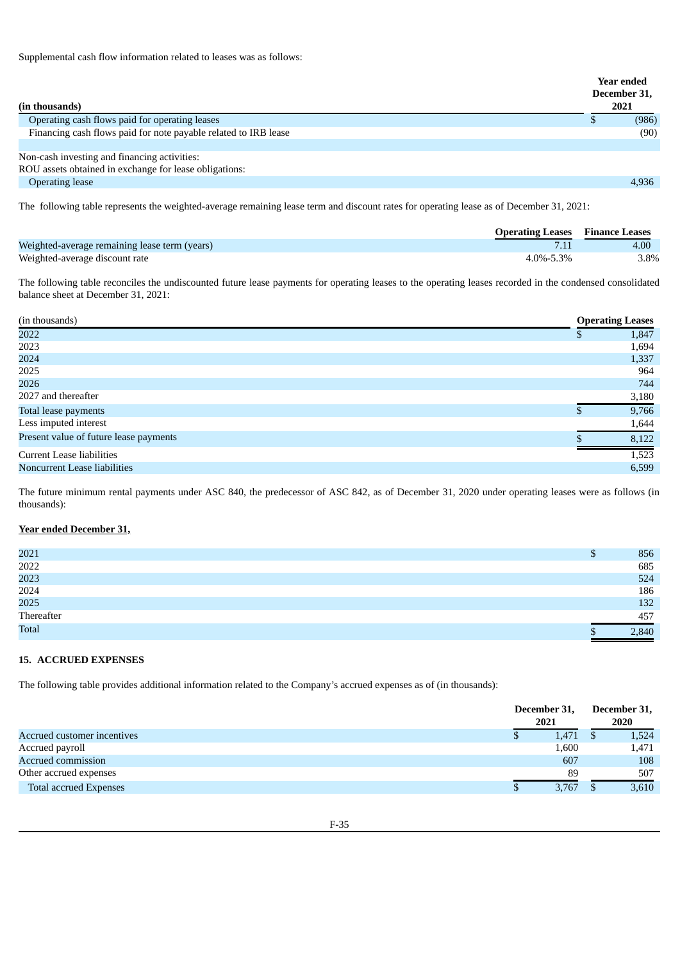Supplemental cash flow information related to leases was as follows:

| (in thousands)                                                  | <b>Year ended</b><br>December 31,<br>2021 |
|-----------------------------------------------------------------|-------------------------------------------|
| Operating cash flows paid for operating leases                  | (986)                                     |
| Financing cash flows paid for note payable related to IRB lease | (90)                                      |
|                                                                 |                                           |
| Non-cash investing and financing activities:                    |                                           |
| ROU assets obtained in exchange for lease obligations:          |                                           |
| Operating lease                                                 | 4.936                                     |

The following table represents the weighted-average remaining lease term and discount rates for operating lease as of December 31, 2021:

|                                               | <b>Operating Leases</b> Finance Leases |      |
|-----------------------------------------------|----------------------------------------|------|
| Weighted-average remaining lease term (years) |                                        | 4.00 |
| Weighted-average discount rate                | 4.0%-5.3%                              | 3.8% |

The following table reconciles the undiscounted future lease payments for operating leases to the operating leases recorded in the condensed consolidated balance sheet at December 31, 2021:

| (in thousands)                         |   | <b>Operating Leases</b> |  |
|----------------------------------------|---|-------------------------|--|
| 2022                                   | D | 1,847                   |  |
| 2023                                   |   | 1,694                   |  |
| 2024                                   |   | 1,337                   |  |
| 2025                                   |   | 964                     |  |
| 2026                                   |   | 744                     |  |
| 2027 and thereafter                    |   | 3,180                   |  |
| Total lease payments                   |   | 9,766                   |  |
| Less imputed interest                  |   | 1,644                   |  |
| Present value of future lease payments |   | 8,122                   |  |
| <b>Current Lease liabilities</b>       |   | 1,523                   |  |
| Noncurrent Lease liabilities           |   | 6,599                   |  |

The future minimum rental payments under ASC 840, the predecessor of ASC 842, as of December 31, 2020 under operating leases were as follows (in thousands):

## **Year ended December 31,**

| 2021       | ۰υ | 856   |
|------------|----|-------|
| 2022       |    | 685   |
| 2023       |    | 524   |
| 2024       |    | 186   |
| 2025       |    | 132   |
| Thereafter |    | 457   |
| Total      |    | 2,840 |
|            |    |       |

## **15. ACCRUED EXPENSES**

The following table provides additional information related to the Company's accrued expenses as of (in thousands):

|                               | December 31,<br>2021 | December 31,<br>2020 |
|-------------------------------|----------------------|----------------------|
| Accrued customer incentives   | 1.471                | 1,524                |
| Accrued payroll               | 1,600                | 1,471                |
| Accrued commission            | 607                  | 108                  |
| Other accrued expenses        | 89                   | 507                  |
| <b>Total accrued Expenses</b> | 3,767                | 3,610                |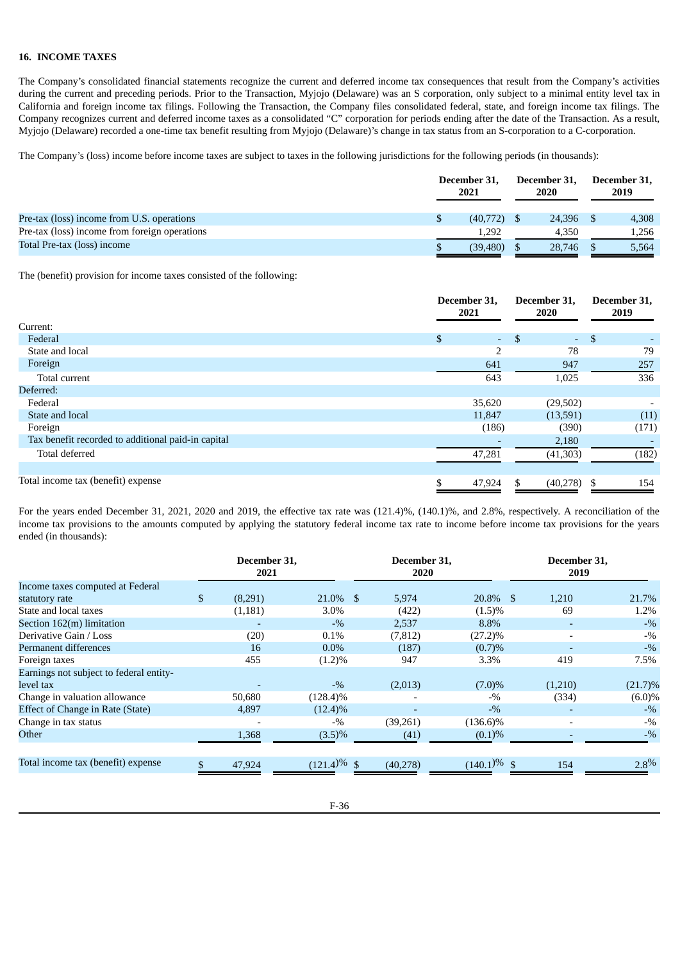## **16. INCOME TAXES**

The Company's consolidated financial statements recognize the current and deferred income tax consequences that result from the Company's activities during the current and preceding periods. Prior to the Transaction, Myjojo (Delaware) was an S corporation, only subject to a minimal entity level tax in California and foreign income tax filings. Following the Transaction, the Company files consolidated federal, state, and foreign income tax filings. The Company recognizes current and deferred income taxes as a consolidated "C" corporation for periods ending after the date of the Transaction. As a result, Myjojo (Delaware) recorded a one-time tax benefit resulting from Myjojo (Delaware)'s change in tax status from an S-corporation to a C-corporation.

The Company's (loss) income before income taxes are subject to taxes in the following jurisdictions for the following periods (in thousands):

|                                               | December 31.<br>2021 | December 31.<br>2020 |        | December 31.<br>2019 |       |
|-----------------------------------------------|----------------------|----------------------|--------|----------------------|-------|
| Pre-tax (loss) income from U.S. operations    | $(40,772)$ \$        |                      | 24.396 |                      | 4,308 |
| Pre-tax (loss) income from foreign operations | 1.292                |                      | 4.350  |                      | 1,256 |
| Total Pre-tax (loss) income                   | (39, 480)            |                      | 28,746 |                      | 5,564 |

The (benefit) provision for income taxes consisted of the following:

|                                                    | December 31,<br>2021 | December 31,<br>2020 | December 31,<br>2019 |
|----------------------------------------------------|----------------------|----------------------|----------------------|
| Current:                                           |                      |                      |                      |
| Federal                                            | \$                   | $-5$<br>$\sim$       | - \$                 |
| State and local                                    | 2                    | 78                   | 79                   |
| Foreign                                            | 641                  | 947                  | 257                  |
| Total current                                      | 643                  | 1,025                | 336                  |
| Deferred:                                          |                      |                      |                      |
| Federal                                            | 35,620               | (29,502)             |                      |
| State and local                                    | 11,847               | (13,591)             | (11)                 |
| Foreign                                            | (186)                | (390)                | (171)                |
| Tax benefit recorded to additional paid-in capital |                      | 2,180                |                      |
| Total deferred                                     | 47,281               | (41, 303)            | (182)                |
|                                                    |                      |                      |                      |
| Total income tax (benefit) expense                 | \$<br>47,924         | \$.<br>(40, 278)     | S.<br>154            |

For the years ended December 31, 2021, 2020 and 2019, the effective tax rate was (121.4)%, (140.1)%, and 2.8%, respectively. A reconciliation of the income tax provisions to the amounts computed by applying the statutory federal income tax rate to income before income tax provisions for the years ended (in thousands):

|                                         |    | December 31,<br>2021 |                             | December 31,<br>2020 |                          |                                   | 2019    | December 31,             |                                   |
|-----------------------------------------|----|----------------------|-----------------------------|----------------------|--------------------------|-----------------------------------|---------|--------------------------|-----------------------------------|
| Income taxes computed at Federal        |    |                      |                             |                      |                          |                                   |         |                          |                                   |
| statutory rate                          | S. | (8,291)              | $21.0\%$ \$                 |                      | 5,974                    | $20.8\%$ \$                       | 1,210   |                          | 21.7%                             |
| State and local taxes                   |    | (1,181)              | 3.0%                        |                      | (422)                    | $(1.5)\%$                         |         | 69                       | 1.2%                              |
| Section 162(m) limitation               |    |                      | $-9/6$                      |                      | 2,537                    | 8.8%                              |         |                          | $-9/6$                            |
| Derivative Gain / Loss                  |    | (20)                 | $0.1\%$                     |                      | (7, 812)                 | $(27.2)\%$                        |         | $\overline{\phantom{a}}$ | $-9/6$                            |
| Permanent differences                   |    | 16                   | $0.0\%$                     |                      | (187)                    | (0.7)%                            |         |                          | $-9/6$                            |
| Foreign taxes                           |    | 455                  | $(1.2)\%$                   |                      | 947                      | 3.3%                              |         | 419                      | 7.5%                              |
| Earnings not subject to federal entity- |    |                      |                             |                      |                          |                                   |         |                          |                                   |
| level tax                               |    |                      | $-$ <sup>0</sup> $\sqrt{0}$ |                      | (2,013)                  | $(7.0)\%$                         | (1,210) |                          | $(21.7)\%$                        |
| Change in valuation allowance           |    | 50,680               | $(128.4)\%$                 |                      |                          | $-9/2$                            |         | (334)                    | $(6.0)\%$                         |
| Effect of Change in Rate (State)        |    | 4,897                | $(12.4)\%$                  |                      | $\overline{\phantom{0}}$ | $-$ <sup>0</sup> $/$ <sup>0</sup> |         |                          | $-9/6$                            |
| Change in tax status                    |    |                      | $-$ <sup>0</sup> $\sqrt{0}$ |                      | (39,261)                 | $(136.6)\%$                       |         |                          | $-9/6$                            |
| Other                                   |    | 1,368                | $(3.5)\%$                   |                      | (41)                     | (0.1)%                            |         |                          | $-$ <sup>0</sup> $/$ <sup>0</sup> |
| Total income tax (benefit) expense      |    | 47,924               | $(121.4)$ % \$              |                      | (40, 278)                | $(140.1)$ % \$                    |         | 154                      | $2.8\%$                           |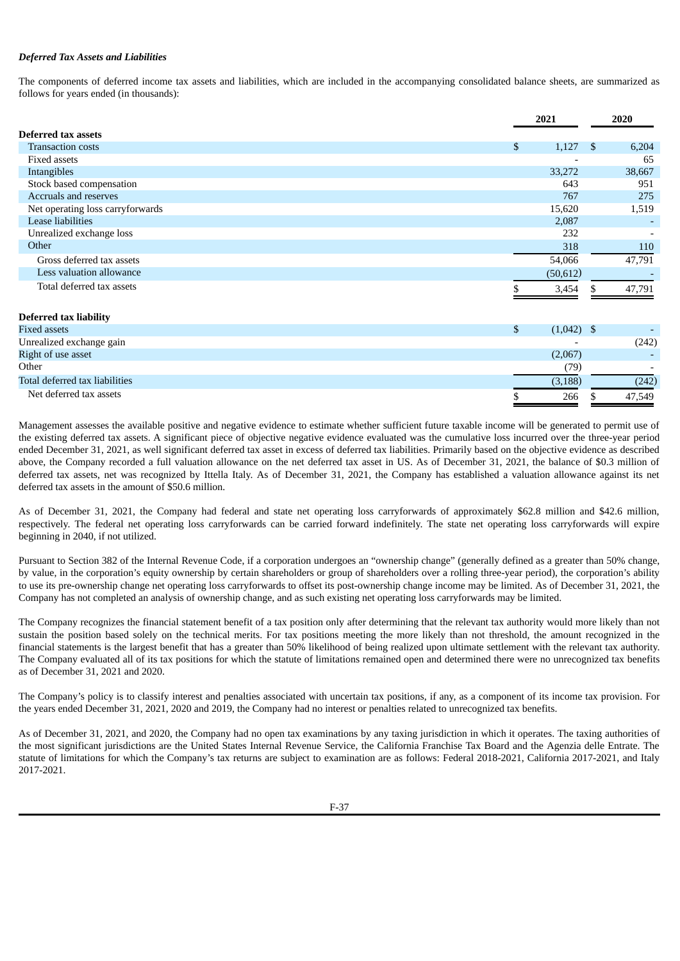## *Deferred Tax Assets and Liabilities*

The components of deferred income tax assets and liabilities, which are included in the accompanying consolidated balance sheets, are summarized as follows for years ended (in thousands):

|                                  | 2021               |    | 2020   |
|----------------------------------|--------------------|----|--------|
| <b>Deferred tax assets</b>       |                    |    |        |
| <b>Transaction costs</b>         | \$<br>1,127        | \$ | 6,204  |
| Fixed assets                     |                    |    | 65     |
| Intangibles                      | 33,272             |    | 38,667 |
| Stock based compensation         | 643                |    | 951    |
| Accruals and reserves            | 767                |    | 275    |
| Net operating loss carryforwards | 15,620             |    | 1,519  |
| Lease liabilities                | 2,087              |    |        |
| Unrealized exchange loss         | 232                |    |        |
| Other                            | 318                |    | 110    |
| Gross deferred tax assets        | 54,066             |    | 47,791 |
| Less valuation allowance         | (50, 612)          |    |        |
| Total deferred tax assets        | 3,454              |    | 47,791 |
| <b>Deferred tax liability</b>    |                    |    |        |
| <b>Fixed assets</b>              | \$<br>$(1,042)$ \$ |    |        |
| Unrealized exchange gain         |                    |    | (242)  |
| Right of use asset               | (2,067)            |    |        |
| Other                            | (79)               |    |        |
| Total deferred tax liabilities   | (3, 188)           |    | (242)  |
| Net deferred tax assets          | 266<br>\$          | S  | 47,549 |

Management assesses the available positive and negative evidence to estimate whether sufficient future taxable income will be generated to permit use of the existing deferred tax assets. A significant piece of objective negative evidence evaluated was the cumulative loss incurred over the three-year period ended December 31, 2021, as well significant deferred tax asset in excess of deferred tax liabilities. Primarily based on the objective evidence as described above, the Company recorded a full valuation allowance on the net deferred tax asset in US. As of December 31, 2021, the balance of \$0.3 million of deferred tax assets, net was recognized by Ittella Italy. As of December 31, 2021, the Company has established a valuation allowance against its net deferred tax assets in the amount of \$50.6 million.

As of December 31, 2021, the Company had federal and state net operating loss carryforwards of approximately \$62.8 million and \$42.6 million, respectively. The federal net operating loss carryforwards can be carried forward indefinitely. The state net operating loss carryforwards will expire beginning in 2040, if not utilized.

Pursuant to Section 382 of the Internal Revenue Code, if a corporation undergoes an "ownership change" (generally defined as a greater than 50% change, by value, in the corporation's equity ownership by certain shareholders or group of shareholders over a rolling three-year period), the corporation's ability to use its pre-ownership change net operating loss carryforwards to offset its post-ownership change income may be limited. As of December 31, 2021, the Company has not completed an analysis of ownership change, and as such existing net operating loss carryforwards may be limited.

The Company recognizes the financial statement benefit of a tax position only after determining that the relevant tax authority would more likely than not sustain the position based solely on the technical merits. For tax positions meeting the more likely than not threshold, the amount recognized in the financial statements is the largest benefit that has a greater than 50% likelihood of being realized upon ultimate settlement with the relevant tax authority. The Company evaluated all of its tax positions for which the statute of limitations remained open and determined there were no unrecognized tax benefits as of December 31, 2021 and 2020.

The Company's policy is to classify interest and penalties associated with uncertain tax positions, if any, as a component of its income tax provision. For the years ended December 31, 2021, 2020 and 2019, the Company had no interest or penalties related to unrecognized tax benefits.

As of December 31, 2021, and 2020, the Company had no open tax examinations by any taxing jurisdiction in which it operates. The taxing authorities of the most significant jurisdictions are the United States Internal Revenue Service, the California Franchise Tax Board and the Agenzia delle Entrate. The statute of limitations for which the Company's tax returns are subject to examination are as follows: Federal 2018-2021, California 2017-2021, and Italy 2017-2021.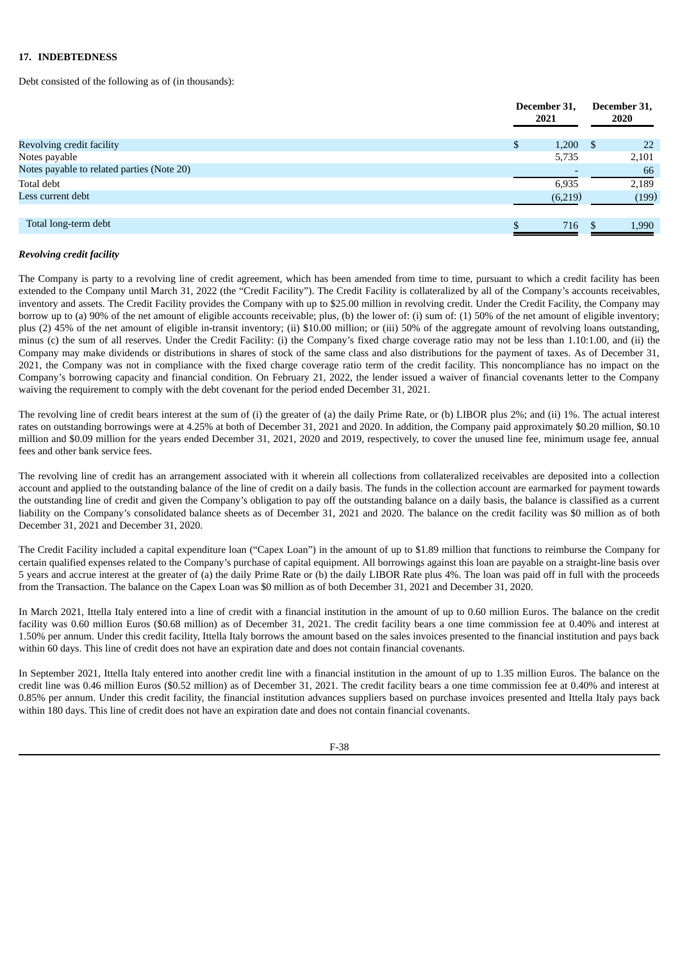## **17. INDEBTEDNESS**

Debt consisted of the following as of (in thousands):

|             | December 31,<br>2020 |           |  |
|-------------|----------------------|-----------|--|
| \$<br>1,200 | S.                   | <b>22</b> |  |
| 5,735       |                      | 2,101     |  |
|             |                      | 66        |  |
| 6,935       |                      | 2,189     |  |
| (6,219)     |                      | (199)     |  |
|             |                      |           |  |
| 716         | - \$                 | 1,990     |  |
|             | December 31,<br>2021 |           |  |

## *Revolving credit facility*

The Company is party to a revolving line of credit agreement, which has been amended from time to time, pursuant to which a credit facility has been extended to the Company until March 31, 2022 (the "Credit Facility"). The Credit Facility is collateralized by all of the Company's accounts receivables, inventory and assets. The Credit Facility provides the Company with up to \$25.00 million in revolving credit. Under the Credit Facility, the Company may borrow up to (a) 90% of the net amount of eligible accounts receivable; plus, (b) the lower of: (i) sum of: (1) 50% of the net amount of eligible inventory; plus (2) 45% of the net amount of eligible in-transit inventory; (ii) \$10.00 million; or (iii) 50% of the aggregate amount of revolving loans outstanding, minus (c) the sum of all reserves. Under the Credit Facility: (i) the Company's fixed charge coverage ratio may not be less than 1.10:1.00, and (ii) the Company may make dividends or distributions in shares of stock of the same class and also distributions for the payment of taxes. As of December 31, 2021, the Company was not in compliance with the fixed charge coverage ratio term of the credit facility. This noncompliance has no impact on the Company's borrowing capacity and financial condition. On February 21, 2022, the lender issued a waiver of financial covenants letter to the Company waiving the requirement to comply with the debt covenant for the period ended December 31, 2021.

The revolving line of credit bears interest at the sum of (i) the greater of (a) the daily Prime Rate, or (b) LIBOR plus 2%; and (ii) 1%. The actual interest rates on outstanding borrowings were at 4.25% at both of December 31, 2021 and 2020. In addition, the Company paid approximately \$0.20 million, \$0.10 million and \$0.09 million for the years ended December 31, 2021, 2020 and 2019, respectively, to cover the unused line fee, minimum usage fee, annual fees and other bank service fees.

The revolving line of credit has an arrangement associated with it wherein all collections from collateralized receivables are deposited into a collection account and applied to the outstanding balance of the line of credit on a daily basis. The funds in the collection account are earmarked for payment towards the outstanding line of credit and given the Company's obligation to pay off the outstanding balance on a daily basis, the balance is classified as a current liability on the Company's consolidated balance sheets as of December 31, 2021 and 2020. The balance on the credit facility was \$0 million as of both December 31, 2021 and December 31, 2020.

The Credit Facility included a capital expenditure loan ("Capex Loan") in the amount of up to \$1.89 million that functions to reimburse the Company for certain qualified expenses related to the Company's purchase of capital equipment. All borrowings against this loan are payable on a straight-line basis over 5 years and accrue interest at the greater of (a) the daily Prime Rate or (b) the daily LIBOR Rate plus 4%. The loan was paid off in full with the proceeds from the Transaction. The balance on the Capex Loan was \$0 million as of both December 31, 2021 and December 31, 2020.

In March 2021, Ittella Italy entered into a line of credit with a financial institution in the amount of up to 0.60 million Euros. The balance on the credit facility was 0.60 million Euros (\$0.68 million) as of December 31, 2021. The credit facility bears a one time commission fee at 0.40% and interest at 1.50% per annum. Under this credit facility, Ittella Italy borrows the amount based on the sales invoices presented to the financial institution and pays back within 60 days. This line of credit does not have an expiration date and does not contain financial covenants.

In September 2021, Ittella Italy entered into another credit line with a financial institution in the amount of up to 1.35 million Euros. The balance on the credit line was 0.46 million Euros (\$0.52 million) as of December 31, 2021. The credit facility bears a one time commission fee at 0.40% and interest at 0.85% per annum. Under this credit facility, the financial institution advances suppliers based on purchase invoices presented and Ittella Italy pays back within 180 days. This line of credit does not have an expiration date and does not contain financial covenants.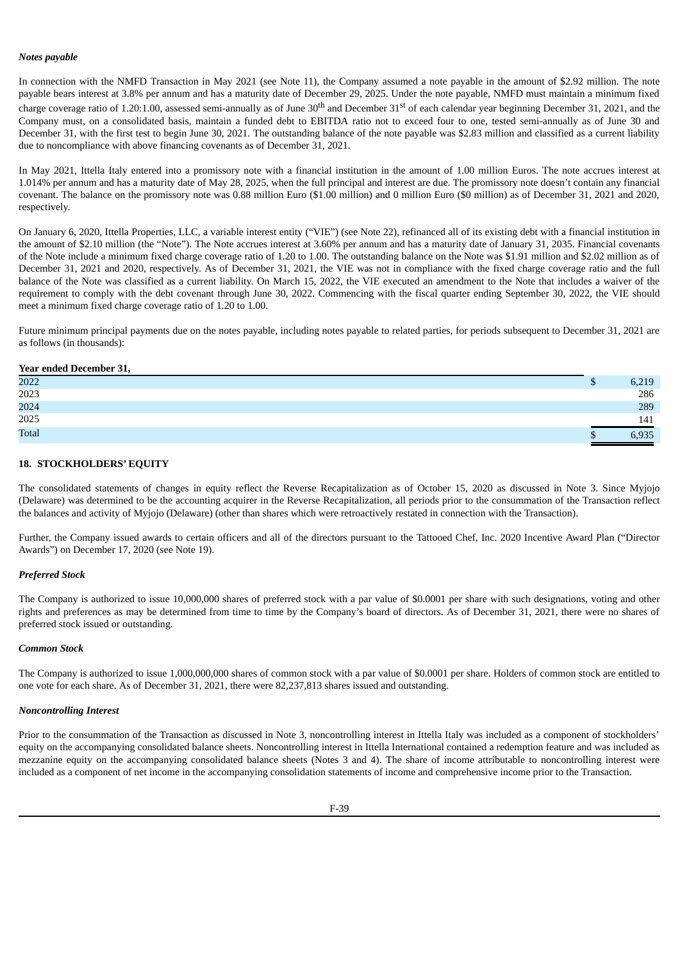## *Notes payable*

In connection with the NMFD Transaction in May 2021 (see Note 11), the Company assumed a note payable in the amount of \$2.92 million. The note payable bears interest at 3.8% per annum and has a maturity date of December 29, 2025. Under the note payable, NMFD must maintain a minimum fixed charge coverage ratio of 1.20:1.00, assessed semi-annually as of June 30<sup>th</sup> and December 31<sup>st</sup> of each calendar year beginning December 31, 2021, and the Company must, on a consolidated basis, maintain a funded debt to EBITDA ratio not to exceed four to one, tested semi-annually as of June 30 and December 31, with the first test to begin June 30, 2021. The outstanding balance of the note payable was \$2.83 million and classified as a current liability due to noncompliance with above financing covenants as of December 31, 2021.

In May 2021, Ittella Italy entered into a promissory note with a financial institution in the amount of 1.00 million Euros. The note accrues interest at 1.014% per annum and has a maturity date of May 28, 2025, when the full principal and interest are due. The promissory note doesn't contain any financial covenant. The balance on the promissory note was 0.88 million Euro (\$1.00 million) and 0 million Euro (\$0 million) as of December 31, 2021 and 2020, respectively.

On January 6, 2020, Ittella Properties, LLC, a variable interest entity ("VIE") (see Note 22), refinanced all of its existing debt with a financial institution in the amount of \$2.10 million (the "Note"). The Note accrues interest at 3.60% per annum and has a maturity date of January 31, 2035. Financial covenants of the Note include a minimum fixed charge coverage ratio of 1.20 to 1.00. The outstanding balance on the Note was \$1.91 million and \$2.02 million as of December 31, 2021 and 2020, respectively. As of December 31, 2021, the VIE was not in compliance with the fixed charge coverage ratio and the full balance of the Note was classified as a current liability. On March 15, 2022, the VIE executed an amendment to the Note that includes a waiver of the requirement to comply with the debt covenant through June 30, 2022. Commencing with the fiscal quarter ending September 30, 2022, the VIE should meet a minimum fixed charge coverage ratio of 1.20 to 1.00.

Future minimum principal payments due on the notes payable, including notes payable to related parties, for periods subsequent to December 31, 2021 are as follows (in thousands):

#### **Year ended December 31,**

| 2022         | 710   |
|--------------|-------|
| 2023         | 286   |
| 2024         | 289   |
| 2025         | 141   |
| <b>Total</b> | 5,935 |

### **18. STOCKHOLDERS' EQUITY**

The consolidated statements of changes in equity reflect the Reverse Recapitalization as of October 15, 2020 as discussed in Note 3. Since Myjojo (Delaware) was determined to be the accounting acquirer in the Reverse Recapitalization, all periods prior to the consummation of the Transaction reflect the balances and activity of Myjojo (Delaware) (other than shares which were retroactively restated in connection with the Transaction).

Further, the Company issued awards to certain officers and all of the directors pursuant to the Tattooed Chef, Inc. 2020 Incentive Award Plan ("Director Awards") on December 17, 2020 (see Note 19).

#### *Preferred Stock*

The Company is authorized to issue 10,000,000 shares of preferred stock with a par value of \$0.0001 per share with such designations, voting and other rights and preferences as may be determined from time to time by the Company's board of directors. As of December 31, 2021, there were no shares of preferred stock issued or outstanding.

#### *Common Stock*

The Company is authorized to issue 1,000,000,000 shares of common stock with a par value of \$0.0001 per share. Holders of common stock are entitled to one vote for each share. As of December 31, 2021, there were 82,237,813 shares issued and outstanding.

#### *Noncontrolling Interest*

Prior to the consummation of the Transaction as discussed in Note 3, noncontrolling interest in Ittella Italy was included as a component of stockholders' equity on the accompanying consolidated balance sheets. Noncontrolling interest in Ittella International contained a redemption feature and was included as mezzanine equity on the accompanying consolidated balance sheets (Notes 3 and 4). The share of income attributable to noncontrolling interest were included as a component of net income in the accompanying consolidation statements of income and comprehensive income prior to the Transaction.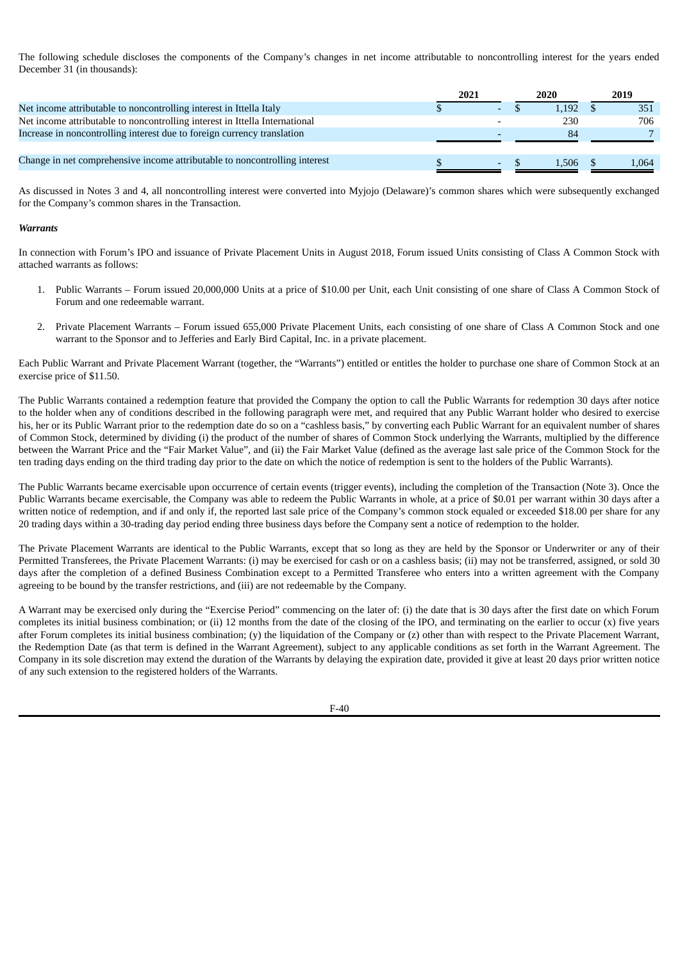The following schedule discloses the components of the Company's changes in net income attributable to noncontrolling interest for the years ended December 31 (in thousands):

|                                                                             | 2021 |        | 2020  | 2019  |
|-----------------------------------------------------------------------------|------|--------|-------|-------|
| Net income attributable to noncontrolling interest in Ittella Italy         |      |        | 1.192 | 351   |
| Net income attributable to noncontrolling interest in Ittella International |      |        | 230   | 706   |
| Increase in noncontrolling interest due to foreign currency translation     |      |        | 84    |       |
|                                                                             |      |        |       |       |
| Change in net comprehensive income attributable to noncontrolling interest  |      | $\sim$ | 1.506 | 1.064 |

As discussed in Notes 3 and 4, all noncontrolling interest were converted into Myjojo (Delaware)'s common shares which were subsequently exchanged for the Company's common shares in the Transaction.

#### *Warrants*

In connection with Forum's IPO and issuance of Private Placement Units in August 2018, Forum issued Units consisting of Class A Common Stock with attached warrants as follows:

- 1. Public Warrants Forum issued 20,000,000 Units at a price of \$10.00 per Unit, each Unit consisting of one share of Class A Common Stock of Forum and one redeemable warrant.
- 2. Private Placement Warrants Forum issued 655,000 Private Placement Units, each consisting of one share of Class A Common Stock and one warrant to the Sponsor and to Jefferies and Early Bird Capital, Inc. in a private placement.

Each Public Warrant and Private Placement Warrant (together, the "Warrants") entitled or entitles the holder to purchase one share of Common Stock at an exercise price of \$11.50.

The Public Warrants contained a redemption feature that provided the Company the option to call the Public Warrants for redemption 30 days after notice to the holder when any of conditions described in the following paragraph were met, and required that any Public Warrant holder who desired to exercise his, her or its Public Warrant prior to the redemption date do so on a "cashless basis," by converting each Public Warrant for an equivalent number of shares of Common Stock, determined by dividing (i) the product of the number of shares of Common Stock underlying the Warrants, multiplied by the difference between the Warrant Price and the "Fair Market Value", and (ii) the Fair Market Value (defined as the average last sale price of the Common Stock for the ten trading days ending on the third trading day prior to the date on which the notice of redemption is sent to the holders of the Public Warrants).

The Public Warrants became exercisable upon occurrence of certain events (trigger events), including the completion of the Transaction (Note 3). Once the Public Warrants became exercisable, the Company was able to redeem the Public Warrants in whole, at a price of \$0.01 per warrant within 30 days after a written notice of redemption, and if and only if, the reported last sale price of the Company's common stock equaled or exceeded \$18.00 per share for any 20 trading days within a 30-trading day period ending three business days before the Company sent a notice of redemption to the holder.

The Private Placement Warrants are identical to the Public Warrants, except that so long as they are held by the Sponsor or Underwriter or any of their Permitted Transferees, the Private Placement Warrants: (i) may be exercised for cash or on a cashless basis; (ii) may not be transferred, assigned, or sold 30 days after the completion of a defined Business Combination except to a Permitted Transferee who enters into a written agreement with the Company agreeing to be bound by the transfer restrictions, and (iii) are not redeemable by the Company.

A Warrant may be exercised only during the "Exercise Period" commencing on the later of: (i) the date that is 30 days after the first date on which Forum completes its initial business combination; or (ii) 12 months from the date of the closing of the IPO, and terminating on the earlier to occur (x) five years after Forum completes its initial business combination;  $(y)$  the liquidation of the Company or  $(z)$  other than with respect to the Private Placement Warrant, the Redemption Date (as that term is defined in the Warrant Agreement), subject to any applicable conditions as set forth in the Warrant Agreement. The Company in its sole discretion may extend the duration of the Warrants by delaying the expiration date, provided it give at least 20 days prior written notice of any such extension to the registered holders of the Warrants.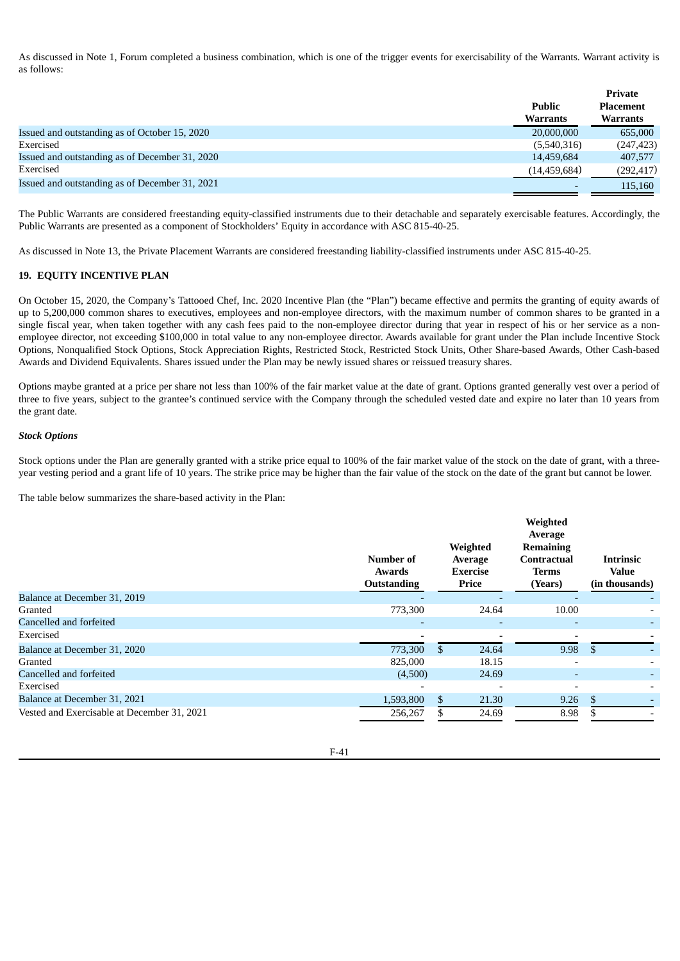As discussed in Note 1, Forum completed a business combination, which is one of the trigger events for exercisability of the Warrants. Warrant activity is as follows:

|                                                |                 | <b>Private</b>   |
|------------------------------------------------|-----------------|------------------|
|                                                | Public          | <b>Placement</b> |
|                                                | <b>Warrants</b> | <b>Warrants</b>  |
| Issued and outstanding as of October 15, 2020  | 20,000,000      | 655,000          |
| Exercised                                      | (5,540,316)     | (247, 423)       |
| Issued and outstanding as of December 31, 2020 | 14,459,684      | 407,577          |
| Exercised                                      | (14, 459, 684)  | (292, 417)       |
| Issued and outstanding as of December 31, 2021 |                 | 115,160          |

The Public Warrants are considered freestanding equity-classified instruments due to their detachable and separately exercisable features. Accordingly, the Public Warrants are presented as a component of Stockholders' Equity in accordance with ASC 815-40-25.

As discussed in Note 13, the Private Placement Warrants are considered freestanding liability-classified instruments under ASC 815-40-25.

## **19. EQUITY INCENTIVE PLAN**

On October 15, 2020, the Company's Tattooed Chef, Inc. 2020 Incentive Plan (the "Plan") became effective and permits the granting of equity awards of up to 5,200,000 common shares to executives, employees and non-employee directors, with the maximum number of common shares to be granted in a single fiscal year, when taken together with any cash fees paid to the non-employee director during that year in respect of his or her service as a nonemployee director, not exceeding \$100,000 in total value to any non-employee director. Awards available for grant under the Plan include Incentive Stock Options, Nonqualified Stock Options, Stock Appreciation Rights, Restricted Stock, Restricted Stock Units, Other Share-based Awards, Other Cash-based Awards and Dividend Equivalents. Shares issued under the Plan may be newly issued shares or reissued treasury shares.

Options maybe granted at a price per share not less than 100% of the fair market value at the date of grant. Options granted generally vest over a period of three to five years, subject to the grantee's continued service with the Company through the scheduled vested date and expire no later than 10 years from the grant date.

## *Stock Options*

Stock options under the Plan are generally granted with a strike price equal to 100% of the fair market value of the stock on the date of grant, with a threeyear vesting period and a grant life of 10 years. The strike price may be higher than the fair value of the stock on the date of the grant but cannot be lower.

The table below summarizes the share-based activity in the Plan:

|                                             | Number of<br><b>Awards</b><br>Outstanding | Weighted<br>Average<br><b>Exercise</b><br>Price | Weighted<br>Average<br><b>Remaining</b><br><b>Contractual</b><br>Terms<br>(Years) | <b>Intrinsic</b><br>Value<br>(in thousands) |
|---------------------------------------------|-------------------------------------------|-------------------------------------------------|-----------------------------------------------------------------------------------|---------------------------------------------|
| Balance at December 31, 2019                |                                           |                                                 |                                                                                   |                                             |
| Granted                                     | 773,300                                   | 24.64                                           | 10.00                                                                             |                                             |
| Cancelled and forfeited                     |                                           | $\overline{\phantom{0}}$                        | $\overline{\phantom{0}}$                                                          |                                             |
| Exercised                                   |                                           |                                                 |                                                                                   |                                             |
| Balance at December 31, 2020                | 773,300                                   | 24.64<br>\$.                                    | 9.98                                                                              | \$.                                         |
| Granted                                     | 825,000                                   | 18.15                                           |                                                                                   |                                             |
| Cancelled and forfeited                     | (4,500)                                   | 24.69                                           |                                                                                   |                                             |
| Exercised                                   | $\overline{\phantom{0}}$                  | $\overline{\phantom{a}}$                        | $\overline{\phantom{0}}$                                                          |                                             |
| Balance at December 31, 2021                | 1,593,800                                 | \$<br>21.30                                     | 9.26                                                                              | \$.                                         |
| Vested and Exercisable at December 31, 2021 | 256,267                                   | 24.69                                           | 8.98                                                                              |                                             |

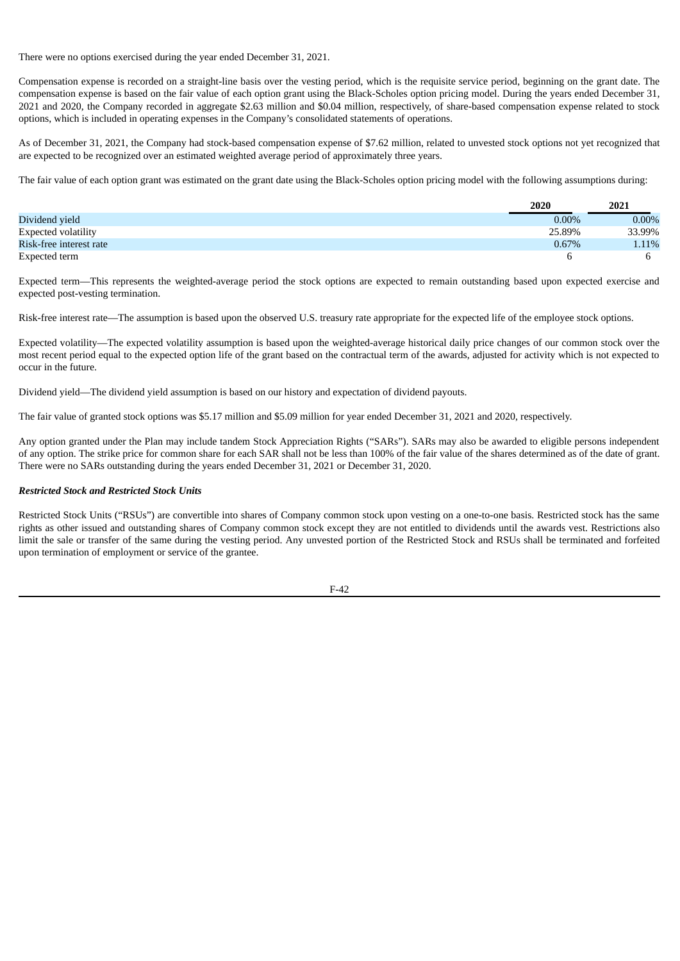There were no options exercised during the year ended December 31, 2021.

Compensation expense is recorded on a straight-line basis over the vesting period, which is the requisite service period, beginning on the grant date. The compensation expense is based on the fair value of each option grant using the Black-Scholes option pricing model. During the years ended December 31, 2021 and 2020, the Company recorded in aggregate \$2.63 million and \$0.04 million, respectively, of share-based compensation expense related to stock options, which is included in operating expenses in the Company's consolidated statements of operations.

As of December 31, 2021, the Company had stock-based compensation expense of \$7.62 million, related to unvested stock options not yet recognized that are expected to be recognized over an estimated weighted average period of approximately three years.

The fair value of each option grant was estimated on the grant date using the Black-Scholes option pricing model with the following assumptions during:

|                         | 2020     | 2021     |
|-------------------------|----------|----------|
| Dividend vield          | $0.00\%$ | $0.00\%$ |
| Expected volatility     | 25.89%   | 33.99%   |
| Risk-free interest rate | $0.67\%$ | 1.11%    |
| Expected term           |          |          |

Expected term—This represents the weighted-average period the stock options are expected to remain outstanding based upon expected exercise and expected post-vesting termination.

Risk-free interest rate—The assumption is based upon the observed U.S. treasury rate appropriate for the expected life of the employee stock options.

Expected volatility—The expected volatility assumption is based upon the weighted-average historical daily price changes of our common stock over the most recent period equal to the expected option life of the grant based on the contractual term of the awards, adjusted for activity which is not expected to occur in the future.

Dividend yield—The dividend yield assumption is based on our history and expectation of dividend payouts.

The fair value of granted stock options was \$5.17 million and \$5.09 million for year ended December 31, 2021 and 2020, respectively.

Any option granted under the Plan may include tandem Stock Appreciation Rights ("SARs"). SARs may also be awarded to eligible persons independent of any option. The strike price for common share for each SAR shall not be less than 100% of the fair value of the shares determined as of the date of grant. There were no SARs outstanding during the years ended December 31, 2021 or December 31, 2020.

#### *Restricted Stock and Restricted Stock Units*

Restricted Stock Units ("RSUs") are convertible into shares of Company common stock upon vesting on a one-to-one basis. Restricted stock has the same rights as other issued and outstanding shares of Company common stock except they are not entitled to dividends until the awards vest. Restrictions also limit the sale or transfer of the same during the vesting period. Any unvested portion of the Restricted Stock and RSUs shall be terminated and forfeited upon termination of employment or service of the grantee.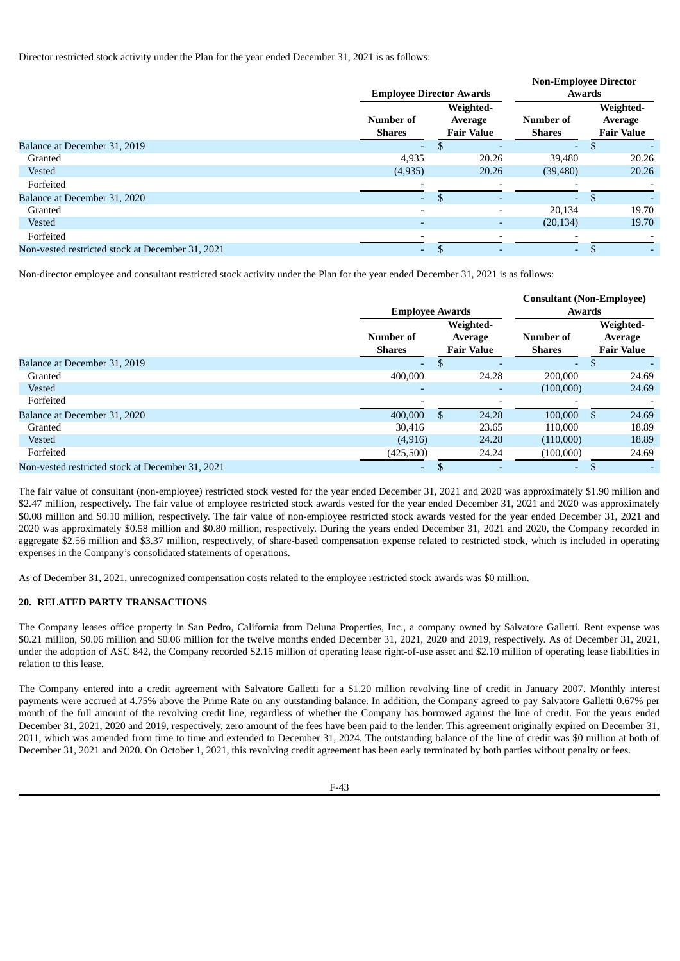Director restricted stock activity under the Plan for the year ended December 31, 2021 is as follows:

|                                                  |                            | <b>Employee Director Awards</b> |                                           |           | <b>Non-Employee Director</b><br><b>Awards</b> |                                           |  |  |  |
|--------------------------------------------------|----------------------------|---------------------------------|-------------------------------------------|-----------|-----------------------------------------------|-------------------------------------------|--|--|--|
|                                                  | Number of<br><b>Shares</b> |                                 | Weighted-<br>Average<br><b>Fair Value</b> |           |                                               | Weighted-<br>Average<br><b>Fair Value</b> |  |  |  |
| Balance at December 31, 2019                     | ٠                          | S                               |                                           | ٠         | S                                             |                                           |  |  |  |
| Granted                                          | 4,935                      |                                 | 20.26                                     | 39,480    |                                               | 20.26                                     |  |  |  |
| <b>Vested</b>                                    | (4,935)                    |                                 | 20.26                                     | (39, 480) |                                               | 20.26                                     |  |  |  |
| Forfeited                                        |                            |                                 |                                           |           |                                               |                                           |  |  |  |
| Balance at December 31, 2020                     | $\sim$                     | \$                              |                                           | $\sim$    | \$                                            |                                           |  |  |  |
| Granted                                          | $\overline{\phantom{0}}$   |                                 | $\overline{\phantom{0}}$                  | 20,134    |                                               | 19.70                                     |  |  |  |
| <b>Vested</b>                                    |                            |                                 | -                                         | (20, 134) |                                               | 19.70                                     |  |  |  |
| Forfeited                                        |                            |                                 |                                           |           |                                               |                                           |  |  |  |
| Non-vested restricted stock at December 31, 2021 | $\overline{\phantom{0}}$   |                                 |                                           | ۰         |                                               |                                           |  |  |  |

Non-director employee and consultant restricted stock activity under the Plan for the year ended December 31, 2021 is as follows:

|                                                  | <b>Employee Awards</b>     |              |                                           | <b>Consultant (Non-Employee)</b><br><b>Awards</b> |                                           |       |  |  |
|--------------------------------------------------|----------------------------|--------------|-------------------------------------------|---------------------------------------------------|-------------------------------------------|-------|--|--|
|                                                  | Number of<br><b>Shares</b> |              | Weighted-<br>Average<br><b>Fair Value</b> | Number of<br><b>Shares</b>                        | Weighted-<br>Average<br><b>Fair Value</b> |       |  |  |
| Balance at December 31, 2019                     | $\overline{\phantom{0}}$   | S            |                                           | ٠                                                 | -S                                        |       |  |  |
| Granted                                          | 400,000                    |              | 24.28                                     | 200,000                                           |                                           | 24.69 |  |  |
| <b>Vested</b>                                    |                            |              | $\qquad \qquad \blacksquare$              | (100,000)                                         |                                           | 24.69 |  |  |
| Forfeited                                        |                            |              |                                           |                                                   |                                           |       |  |  |
| Balance at December 31, 2020                     | 400,000                    | $\mathbf{S}$ | 24.28                                     | 100,000                                           | \$.                                       | 24.69 |  |  |
| Granted                                          | 30.416                     |              | 23.65                                     | 110,000                                           |                                           | 18.89 |  |  |
| <b>Vested</b>                                    | (4,916)                    |              | 24.28                                     | (110,000)                                         |                                           | 18.89 |  |  |
| Forfeited                                        | (425,500)                  |              | 24.24                                     | (100,000)                                         |                                           | 24.69 |  |  |
| Non-vested restricted stock at December 31, 2021 | ٠                          |              |                                           | $\overline{\phantom{a}}$                          |                                           |       |  |  |

The fair value of consultant (non-employee) restricted stock vested for the year ended December 31, 2021 and 2020 was approximately \$1.90 million and \$2.47 million, respectively. The fair value of employee restricted stock awards vested for the year ended December 31, 2021 and 2020 was approximately \$0.08 million and \$0.10 million, respectively. The fair value of non-employee restricted stock awards vested for the year ended December 31, 2021 and 2020 was approximately \$0.58 million and \$0.80 million, respectively. During the years ended December 31, 2021 and 2020, the Company recorded in aggregate \$2.56 million and \$3.37 million, respectively, of share-based compensation expense related to restricted stock, which is included in operating expenses in the Company's consolidated statements of operations.

As of December 31, 2021, unrecognized compensation costs related to the employee restricted stock awards was \$0 million.

## **20. RELATED PARTY TRANSACTIONS**

The Company leases office property in San Pedro, California from Deluna Properties, Inc., a company owned by Salvatore Galletti. Rent expense was \$0.21 million, \$0.06 million and \$0.06 million for the twelve months ended December 31, 2021, 2020 and 2019, respectively. As of December 31, 2021, under the adoption of ASC 842, the Company recorded \$2.15 million of operating lease right-of-use asset and \$2.10 million of operating lease liabilities in relation to this lease.

The Company entered into a credit agreement with Salvatore Galletti for a \$1.20 million revolving line of credit in January 2007. Monthly interest payments were accrued at 4.75% above the Prime Rate on any outstanding balance. In addition, the Company agreed to pay Salvatore Galletti 0.67% per month of the full amount of the revolving credit line, regardless of whether the Company has borrowed against the line of credit. For the years ended December 31, 2021, 2020 and 2019, respectively, zero amount of the fees have been paid to the lender. This agreement originally expired on December 31, 2011, which was amended from time to time and extended to December 31, 2024. The outstanding balance of the line of credit was \$0 million at both of December 31, 2021 and 2020. On October 1, 2021, this revolving credit agreement has been early terminated by both parties without penalty or fees.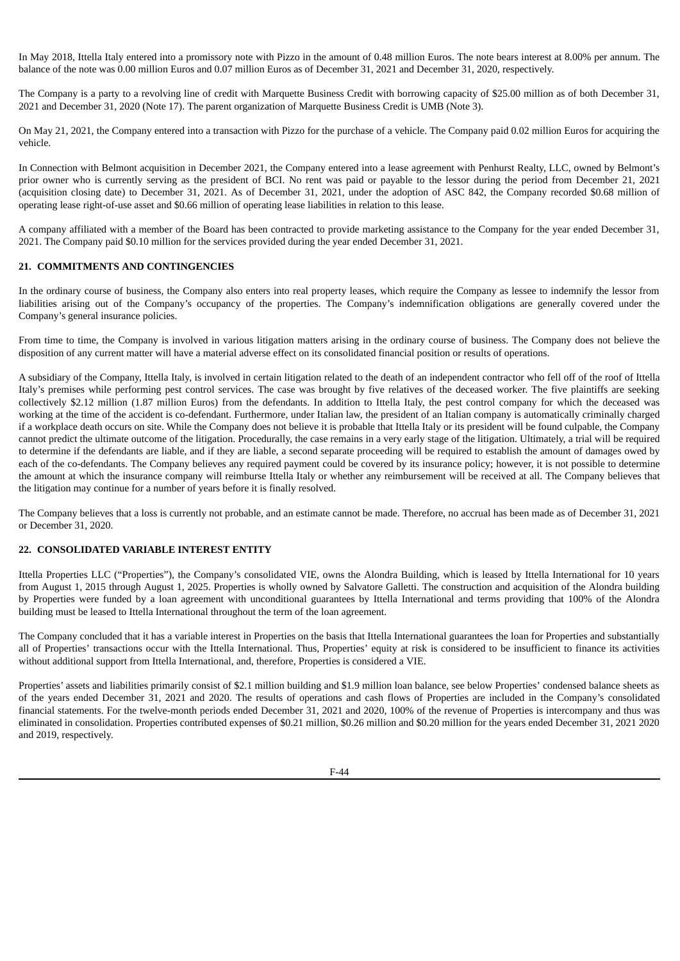In May 2018, Ittella Italy entered into a promissory note with Pizzo in the amount of 0.48 million Euros. The note bears interest at 8.00% per annum. The balance of the note was 0.00 million Euros and 0.07 million Euros as of December 31, 2021 and December 31, 2020, respectively.

The Company is a party to a revolving line of credit with Marquette Business Credit with borrowing capacity of \$25.00 million as of both December 31, 2021 and December 31, 2020 (Note 17). The parent organization of Marquette Business Credit is UMB (Note 3).

On May 21, 2021, the Company entered into a transaction with Pizzo for the purchase of a vehicle. The Company paid 0.02 million Euros for acquiring the vehicle.

In Connection with Belmont acquisition in December 2021, the Company entered into a lease agreement with Penhurst Realty, LLC, owned by Belmont's prior owner who is currently serving as the president of BCI. No rent was paid or payable to the lessor during the period from December 21, 2021 (acquisition closing date) to December 31, 2021. As of December 31, 2021, under the adoption of ASC 842, the Company recorded \$0.68 million of operating lease right-of-use asset and \$0.66 million of operating lease liabilities in relation to this lease.

A company affiliated with a member of the Board has been contracted to provide marketing assistance to the Company for the year ended December 31, 2021. The Company paid \$0.10 million for the services provided during the year ended December 31, 2021.

## **21. COMMITMENTS AND CONTINGENCIES**

In the ordinary course of business, the Company also enters into real property leases, which require the Company as lessee to indemnify the lessor from liabilities arising out of the Company's occupancy of the properties. The Company's indemnification obligations are generally covered under the Company's general insurance policies.

From time to time, the Company is involved in various litigation matters arising in the ordinary course of business. The Company does not believe the disposition of any current matter will have a material adverse effect on its consolidated financial position or results of operations.

A subsidiary of the Company, Ittella Italy, is involved in certain litigation related to the death of an independent contractor who fell off of the roof of Ittella Italy's premises while performing pest control services. The case was brought by five relatives of the deceased worker. The five plaintiffs are seeking collectively \$2.12 million (1.87 million Euros) from the defendants. In addition to Ittella Italy, the pest control company for which the deceased was working at the time of the accident is co-defendant. Furthermore, under Italian law, the president of an Italian company is automatically criminally charged if a workplace death occurs on site. While the Company does not believe it is probable that Ittella Italy or its president will be found culpable, the Company cannot predict the ultimate outcome of the litigation. Procedurally, the case remains in a very early stage of the litigation. Ultimately, a trial will be required to determine if the defendants are liable, and if they are liable, a second separate proceeding will be required to establish the amount of damages owed by each of the co-defendants. The Company believes any required payment could be covered by its insurance policy; however, it is not possible to determine the amount at which the insurance company will reimburse Ittella Italy or whether any reimbursement will be received at all. The Company believes that the litigation may continue for a number of years before it is finally resolved.

The Company believes that a loss is currently not probable, and an estimate cannot be made. Therefore, no accrual has been made as of December 31, 2021 or December 31, 2020.

## **22. CONSOLIDATED VARIABLE INTEREST ENTITY**

Ittella Properties LLC ("Properties"), the Company's consolidated VIE, owns the Alondra Building, which is leased by Ittella International for 10 years from August 1, 2015 through August 1, 2025. Properties is wholly owned by Salvatore Galletti. The construction and acquisition of the Alondra building by Properties were funded by a loan agreement with unconditional guarantees by Ittella International and terms providing that 100% of the Alondra building must be leased to Ittella International throughout the term of the loan agreement.

The Company concluded that it has a variable interest in Properties on the basis that Ittella International guarantees the loan for Properties and substantially all of Properties' transactions occur with the Ittella International. Thus, Properties' equity at risk is considered to be insufficient to finance its activities without additional support from Ittella International, and, therefore, Properties is considered a VIE.

Properties' assets and liabilities primarily consist of \$2.1 million building and \$1.9 million loan balance, see below Properties' condensed balance sheets as of the years ended December 31, 2021 and 2020. The results of operations and cash flows of Properties are included in the Company's consolidated financial statements. For the twelve-month periods ended December 31, 2021 and 2020, 100% of the revenue of Properties is intercompany and thus was eliminated in consolidation. Properties contributed expenses of \$0.21 million, \$0.26 million and \$0.20 million for the years ended December 31, 2021 2020 and 2019, respectively.

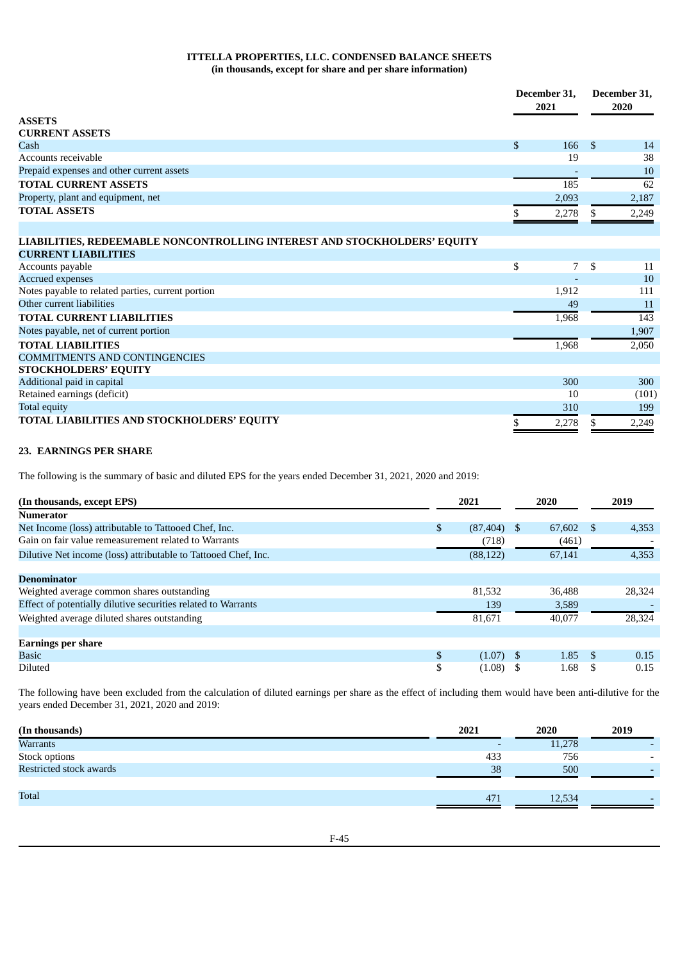## **ITTELLA PROPERTIES, LLC. CONDENSED BALANCE SHEETS (in thousands, except for share and per share information)**

|                                                                          |    | December 31.<br>2021 |                | December 31,<br>2020 |
|--------------------------------------------------------------------------|----|----------------------|----------------|----------------------|
| <b>ASSETS</b>                                                            |    |                      |                |                      |
| <b>CURRENT ASSETS</b>                                                    |    |                      |                |                      |
| Cash                                                                     | \$ | 166                  | $\mathfrak{S}$ | 14                   |
| Accounts receivable                                                      |    | 19                   |                | 38                   |
| Prepaid expenses and other current assets                                |    |                      |                | 10                   |
| <b>TOTAL CURRENT ASSETS</b>                                              |    | 185                  |                | 62                   |
| Property, plant and equipment, net                                       |    | 2,093                |                | 2,187                |
| <b>TOTAL ASSETS</b>                                                      | \$ | 2,278                | S              | 2,249                |
|                                                                          |    |                      |                |                      |
| LIABILITIES, REDEEMABLE NONCONTROLLING INTEREST AND STOCKHOLDERS' EQUITY |    |                      |                |                      |
| <b>CURRENT LIABILITIES</b>                                               |    |                      |                |                      |
| Accounts payable                                                         | \$ | 7                    | \$             | 11                   |
| <b>Accrued expenses</b>                                                  |    |                      |                | 10                   |
| Notes payable to related parties, current portion                        |    | 1,912                |                | 111                  |
| Other current liabilities                                                |    | 49                   |                | 11                   |
| TOTAL CURRENT LIABILITIES                                                |    | 1,968                |                | 143                  |
| Notes payable, net of current portion                                    |    |                      |                | 1,907                |
| <b>TOTAL LIABILITIES</b>                                                 |    | 1,968                |                | 2,050                |
| <b>COMMITMENTS AND CONTINGENCIES</b>                                     |    |                      |                |                      |
| <b>STOCKHOLDERS' EQUITY</b>                                              |    |                      |                |                      |
| Additional paid in capital                                               |    | 300                  |                | 300                  |
| Retained earnings (deficit)                                              |    | 10                   |                | (101)                |
| Total equity                                                             |    | 310                  |                | 199                  |
| TOTAL LIABILITIES AND STOCKHOLDERS' EQUITY                               |    | 2,278                | S              | 2,249                |

## **23. EARNINGS PER SHARE**

The following is the summary of basic and diluted EPS for the years ended December 31, 2021, 2020 and 2019:

| (In thousands, except EPS)                                     |     | 2021      | 2020         |        |      | 2019   |
|----------------------------------------------------------------|-----|-----------|--------------|--------|------|--------|
| <b>Numerator</b>                                               |     |           |              |        |      |        |
| Net Income (loss) attributable to Tattooed Chef, Inc.          | \$  | (87, 404) | <sup>8</sup> | 67,602 | -S   | 4,353  |
| Gain on fair value remeasurement related to Warrants           |     | (718)     |              | (461)  |      |        |
| Dilutive Net income (loss) attributable to Tattooed Chef, Inc. |     | (88, 122) |              | 67,141 |      | 4,353  |
| <b>Denominator</b>                                             |     |           |              |        |      |        |
| Weighted average common shares outstanding                     |     | 81.532    |              | 36.488 |      | 28.324 |
| Effect of potentially dilutive securities related to Warrants  |     | 139       |              | 3,589  |      |        |
| Weighted average diluted shares outstanding                    |     | 81,671    |              | 40.077 |      | 28,324 |
| <b>Earnings per share</b>                                      |     |           |              |        |      |        |
| Basic                                                          | \$. | (1.07)    | - S          | 1.85   | - \$ | 0.15   |
| Diluted                                                        | \$  | (1.08)    |              | 1.68   |      | 0.15   |

The following have been excluded from the calculation of diluted earnings per share as the effect of including them would have been anti-dilutive for the years ended December 31, 2021, 2020 and 2019:

| 2021   | 2020   | 2019 |
|--------|--------|------|
| $\sim$ | 11,278 |      |
| 433    | 756    |      |
| 38     | 500    |      |
|        |        |      |
| 471    | 12,534 |      |
|        |        |      |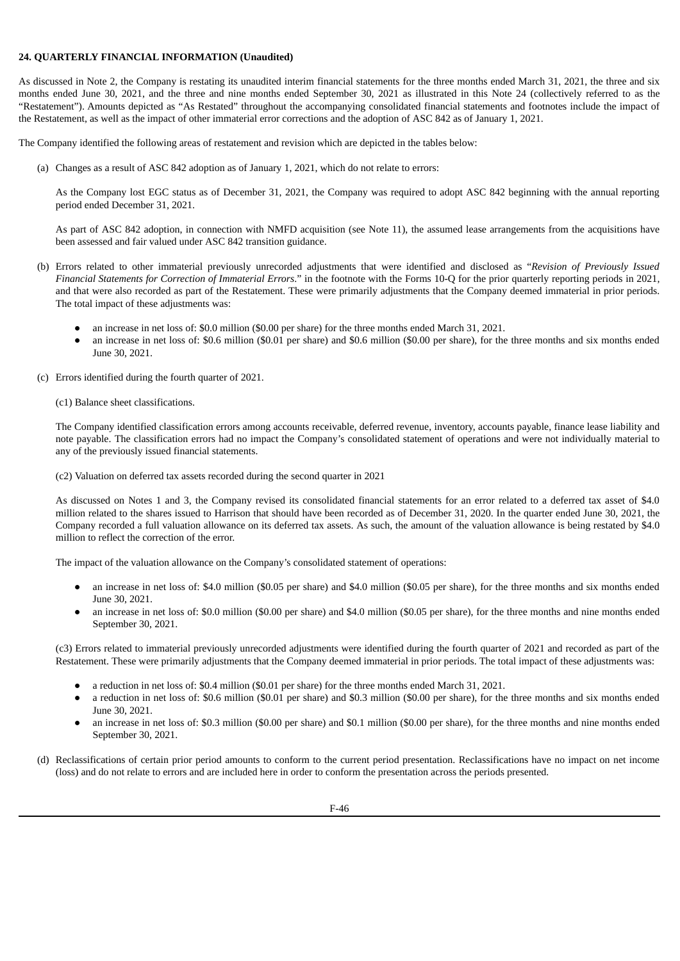## **24. QUARTERLY FINANCIAL INFORMATION (Unaudited)**

As discussed in Note 2, the Company is restating its unaudited interim financial statements for the three months ended March 31, 2021, the three and six months ended June 30, 2021, and the three and nine months ended September 30, 2021 as illustrated in this Note 24 (collectively referred to as the "Restatement"). Amounts depicted as "As Restated" throughout the accompanying consolidated financial statements and footnotes include the impact of the Restatement, as well as the impact of other immaterial error corrections and the adoption of ASC 842 as of January 1, 2021.

The Company identified the following areas of restatement and revision which are depicted in the tables below:

(a) Changes as a result of ASC 842 adoption as of January 1, 2021, which do not relate to errors:

As the Company lost EGC status as of December 31, 2021, the Company was required to adopt ASC 842 beginning with the annual reporting period ended December 31, 2021.

As part of ASC 842 adoption, in connection with NMFD acquisition (see Note 11), the assumed lease arrangements from the acquisitions have been assessed and fair valued under ASC 842 transition guidance.

- (b) Errors related to other immaterial previously unrecorded adjustments that were identified and disclosed as "*Revision of Previously Issued Financial Statements for Correction of Immaterial Errors*." in the footnote with the Forms 10-Q for the prior quarterly reporting periods in 2021, and that were also recorded as part of the Restatement. These were primarily adjustments that the Company deemed immaterial in prior periods. The total impact of these adjustments was:
	- an increase in net loss of: \$0.0 million (\$0.00 per share) for the three months ended March 31, 2021.
	- an increase in net loss of: \$0.6 million (\$0.01 per share) and \$0.6 million (\$0.00 per share), for the three months and six months ended June 30, 2021.
- (c) Errors identified during the fourth quarter of 2021.

(c1) Balance sheet classifications.

The Company identified classification errors among accounts receivable, deferred revenue, inventory, accounts payable, finance lease liability and note payable. The classification errors had no impact the Company's consolidated statement of operations and were not individually material to any of the previously issued financial statements.

(c2) Valuation on deferred tax assets recorded during the second quarter in 2021

As discussed on Notes 1 and 3, the Company revised its consolidated financial statements for an error related to a deferred tax asset of \$4.0 million related to the shares issued to Harrison that should have been recorded as of December 31, 2020. In the quarter ended June 30, 2021, the Company recorded a full valuation allowance on its deferred tax assets. As such, the amount of the valuation allowance is being restated by \$4.0 million to reflect the correction of the error.

The impact of the valuation allowance on the Company's consolidated statement of operations:

- an increase in net loss of: \$4.0 million (\$0.05 per share) and \$4.0 million (\$0.05 per share), for the three months and six months ended June 30, 2021.
- an increase in net loss of: \$0.0 million (\$0.00 per share) and \$4.0 million (\$0.05 per share), for the three months and nine months ended September 30, 2021.

(c3) Errors related to immaterial previously unrecorded adjustments were identified during the fourth quarter of 2021 and recorded as part of the Restatement. These were primarily adjustments that the Company deemed immaterial in prior periods. The total impact of these adjustments was:

- a reduction in net loss of: \$0.4 million (\$0.01 per share) for the three months ended March 31, 2021.
- a reduction in net loss of: \$0.6 million (\$0.01 per share) and \$0.3 million (\$0.00 per share), for the three months and six months ended June 30, 2021.
- an increase in net loss of: \$0.3 million (\$0.00 per share) and \$0.1 million (\$0.00 per share), for the three months and nine months ended September 30, 2021.
- (d) Reclassifications of certain prior period amounts to conform to the current period presentation. Reclassifications have no impact on net income (loss) and do not relate to errors and are included here in order to conform the presentation across the periods presented.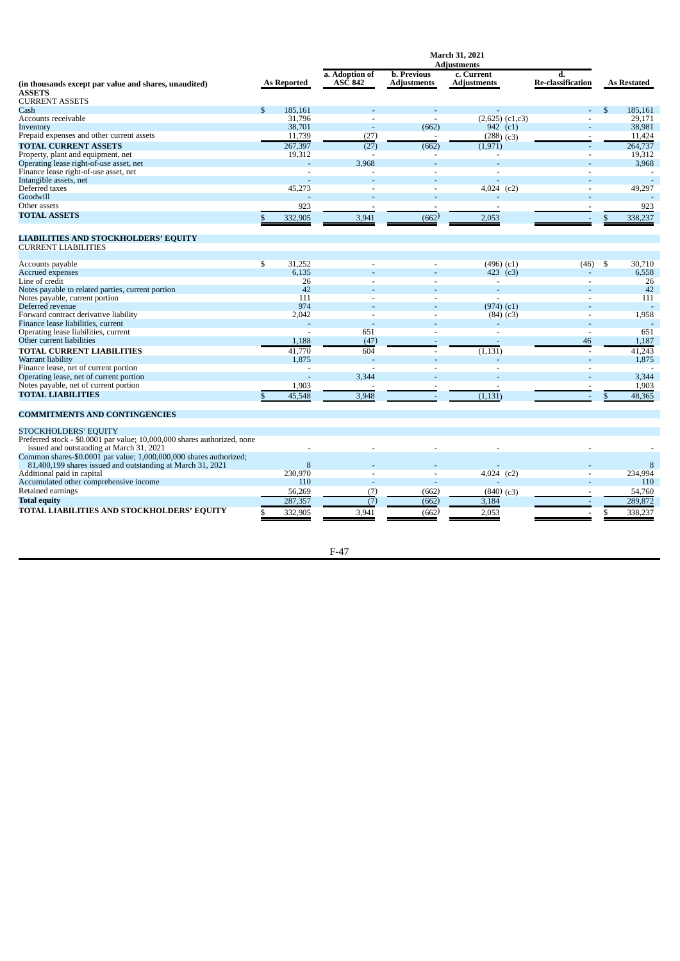| (in thousands except par value and shares, unaudited)                                                                | <b>As Reported</b>      |                          | a. Adoption of<br><b>ASC 842</b> | <b>b.</b> Previous<br><b>Adjustments</b> | c. Current<br>Adjustments | d.<br><b>Re-classification</b>   |               | <b>As Restated</b> |
|----------------------------------------------------------------------------------------------------------------------|-------------------------|--------------------------|----------------------------------|------------------------------------------|---------------------------|----------------------------------|---------------|--------------------|
| <b>ASSETS</b><br><b>CURRENT ASSETS</b>                                                                               |                         |                          |                                  |                                          |                           |                                  |               |                    |
| Cash                                                                                                                 | $\mathbf{\$}$           | 185,161                  |                                  |                                          |                           |                                  | $\mathcal{S}$ | 185.161            |
| Accounts receivable                                                                                                  |                         | 31,796                   |                                  |                                          | $(2,625)$ $(c1,c3)$       | $\overline{a}$                   |               | 29,171             |
| Inventory                                                                                                            |                         | 38,701                   | $\overline{a}$                   | (662)                                    | $942$ (c1)                |                                  |               | 38,981             |
| Prepaid expenses and other current assets                                                                            |                         | 11.739                   | (27)                             |                                          | $(288)$ (c3)              | $\overline{a}$                   |               | 11,424             |
| <b>TOTAL CURRENT ASSETS</b>                                                                                          |                         | 267,397                  | (27)                             | (662)                                    | (1, 971)                  |                                  |               | 264,737            |
| Property, plant and equipment, net                                                                                   |                         | 19,312                   |                                  |                                          |                           |                                  |               | 19,312             |
| Operating lease right-of-use asset, net                                                                              |                         |                          | 3.968                            |                                          |                           |                                  |               | 3,968              |
| Finance lease right-of-use asset, net                                                                                |                         |                          |                                  |                                          |                           |                                  |               |                    |
| Intangible assets, net                                                                                               |                         |                          |                                  |                                          |                           |                                  |               |                    |
| Deferred taxes                                                                                                       |                         | 45,273                   |                                  |                                          | 4,024 $(c2)$              | ÷,                               |               | 49,297             |
| Goodwill                                                                                                             |                         |                          |                                  |                                          |                           |                                  |               |                    |
| Other assets                                                                                                         |                         | 923                      |                                  |                                          |                           |                                  |               | 923                |
|                                                                                                                      |                         |                          |                                  |                                          |                           |                                  |               |                    |
| <b>TOTAL ASSETS</b>                                                                                                  | \$                      | 332,905                  | 3,941                            | (662)                                    | 2,053                     |                                  | £.            | 338,237            |
| <b>LIABILITIES AND STOCKHOLDERS' EQUITY</b>                                                                          |                         |                          |                                  |                                          |                           |                                  |               |                    |
| <b>CURRENT LIABILITIES</b>                                                                                           |                         |                          |                                  |                                          |                           |                                  |               |                    |
| Accounts payable                                                                                                     | $\overline{\mathbb{S}}$ | 31,252                   |                                  |                                          | $(496)$ (c1)              | (46)                             | -\$           | 30,710             |
| Accrued expenses                                                                                                     |                         | 6,135                    |                                  |                                          | 423 $(c3)$                |                                  |               | 6,558              |
| Line of credit                                                                                                       |                         | 26                       |                                  |                                          | $\overline{a}$            |                                  |               | 26                 |
| Notes payable to related parties, current portion                                                                    |                         | 42                       |                                  |                                          |                           |                                  |               | 42                 |
| Notes payable, current portion                                                                                       |                         | 111                      |                                  |                                          |                           | $\overline{\phantom{a}}$         |               | 111                |
| Deferred revenue                                                                                                     |                         | 974                      |                                  |                                          | $(974)$ $(c1)$            |                                  |               |                    |
| Forward contract derivative liability<br>Finance lease liabilities, current                                          |                         | 2,042                    |                                  |                                          | $(84)$ (c3)               | $\overline{a}$<br>$\overline{a}$ |               | 1,958              |
| Operating lease liabilities, current                                                                                 |                         | $\overline{\phantom{a}}$ | 651                              |                                          | ÷                         |                                  |               | 651                |
| Other current liabilities                                                                                            |                         | 1.188                    | (47)                             |                                          | $\overline{a}$            | 46                               |               | 1,187              |
| <b>TOTAL CURRENT LIABILITIES</b>                                                                                     |                         | 41,770                   | 604                              |                                          | (1, 131)                  |                                  |               | 41.243             |
| Warrant liability                                                                                                    |                         | 1,875                    |                                  |                                          |                           |                                  |               | 1,875              |
| Finance lease, net of current portion                                                                                |                         |                          |                                  |                                          |                           |                                  |               |                    |
| Operating lease, net of current portion                                                                              |                         |                          | 3,344                            |                                          |                           |                                  |               | 3,344              |
| Notes payable, net of current portion                                                                                |                         | 1,903                    |                                  |                                          |                           |                                  |               | 1,903              |
| <b>TOTAL LIABILITIES</b>                                                                                             |                         | 45,548                   | 3,948                            |                                          | (1, 131)                  |                                  |               | 48,365             |
| <b>COMMITMENTS AND CONTINGENCIES</b>                                                                                 |                         |                          |                                  |                                          |                           |                                  |               |                    |
| STOCKHOLDERS' EQUITY                                                                                                 |                         |                          |                                  |                                          |                           |                                  |               |                    |
| Preferred stock - \$0.0001 par value; 10,000,000 shares authorized, none<br>issued and outstanding at March 31, 2021 |                         |                          |                                  |                                          |                           |                                  |               |                    |
| Common shares-\$0.0001 par value; 1,000,000,000 shares authorized;                                                   |                         |                          |                                  |                                          |                           |                                  |               |                    |
| 81,400,199 shares issued and outstanding at March 31, 2021                                                           |                         | 8                        |                                  |                                          |                           |                                  |               | 8                  |
| Additional paid in capital                                                                                           |                         | 230,970                  |                                  |                                          | 4,024 $(c2)$              |                                  |               | 234,994            |
| Accumulated other comprehensive income                                                                               |                         | 110                      |                                  |                                          |                           |                                  |               | 110                |
| Retained earnings                                                                                                    |                         | 56,269                   | (7)                              | (662)                                    |                           |                                  |               | 54,760             |
|                                                                                                                      |                         |                          |                                  |                                          | $(840)$ (c3)              |                                  |               |                    |
| Total equity                                                                                                         |                         | 287,357                  | (7)                              | (662)                                    | 3,184                     |                                  |               | 289,872            |
| TOTAL LIABILITIES AND STOCKHOLDERS' EQUITY                                                                           |                         | 332,905                  | 3,941                            | (662)                                    | 2,053                     |                                  | \$            | 338,237            |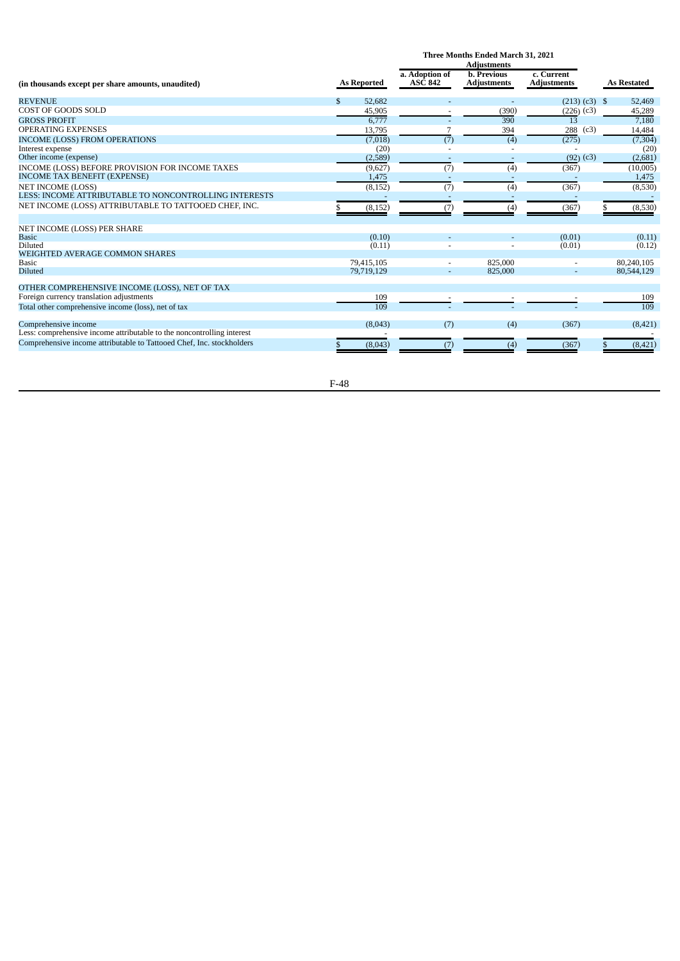|                                                                        |                    | Three Months Ended March 31, 2021<br><b>Adjustments</b> |                                  |                                          |                                  |  |                    |
|------------------------------------------------------------------------|--------------------|---------------------------------------------------------|----------------------------------|------------------------------------------|----------------------------------|--|--------------------|
| (in thousands except per share amounts, unaudited)                     | <b>As Reported</b> |                                                         | a. Adoption of<br><b>ASC 842</b> | <b>b.</b> Previous<br><b>Adjustments</b> | c. Current<br><b>Adjustments</b> |  | <b>As Restated</b> |
| <b>REVENUE</b>                                                         | \$.                | 52,682                                                  |                                  |                                          | $(213) (c3)$ \$                  |  | 52,469             |
| COST OF GOODS SOLD                                                     |                    | 45,905                                                  |                                  | (390)                                    | $(226)$ (c3)                     |  | 45,289             |
| <b>GROSS PROFIT</b>                                                    |                    | 6.777                                                   |                                  | 390                                      | 13                               |  | 7,180              |
| <b>OPERATING EXPENSES</b>                                              |                    | 13,795                                                  |                                  | 394                                      | (c3)<br>288                      |  | 14,484             |
| <b>INCOME (LOSS) FROM OPERATIONS</b>                                   |                    | (7,018)                                                 | (7)                              | (4)                                      | (275)                            |  | (7, 304)           |
| Interest expense                                                       |                    | (20)                                                    |                                  |                                          |                                  |  | (20)               |
| Other income (expense)                                                 |                    | (2,589)                                                 |                                  |                                          | $(92)$ (c3)                      |  | (2,681)            |
| INCOME (LOSS) BEFORE PROVISION FOR INCOME TAXES                        |                    | (9,627)                                                 | (7)                              | (4)                                      | (367)                            |  | (10,005)           |
| INCOME TAX BENEFIT (EXPENSE)                                           |                    | 1,475                                                   |                                  |                                          |                                  |  | 1,475              |
| <b>NET INCOME (LOSS)</b>                                               |                    | (8, 152)                                                | (7)                              | (4)                                      | (367)                            |  | (8,530)            |
| LESS: INCOME ATTRIBUTABLE TO NONCONTROLLING INTERESTS                  |                    |                                                         |                                  |                                          |                                  |  |                    |
| NET INCOME (LOSS) ATTRIBUTABLE TO TATTOOED CHEF, INC.                  |                    | (8, 152)                                                | (7)                              | (4)                                      | (367)                            |  | (8,530)            |
| NET INCOME (LOSS) PER SHARE                                            |                    |                                                         |                                  |                                          |                                  |  |                    |
| <b>Basic</b>                                                           |                    | (0.10)                                                  |                                  |                                          | (0.01)                           |  | (0.11)             |
| Diluted                                                                |                    | (0.11)                                                  |                                  |                                          | (0.01)                           |  | (0.12)             |
| <b>WEIGHTED AVERAGE COMMON SHARES</b>                                  |                    |                                                         |                                  |                                          |                                  |  |                    |
| <b>Basic</b>                                                           | 79.415.105         |                                                         | $\blacksquare$                   | 825,000                                  | ٠                                |  | 80.240.105         |
| <b>Diluted</b>                                                         | 79,719,129         |                                                         | $\overline{\phantom{a}}$         | 825,000                                  |                                  |  | 80,544,129         |
| OTHER COMPREHENSIVE INCOME (LOSS), NET OF TAX                          |                    |                                                         |                                  |                                          |                                  |  |                    |
| Foreign currency translation adjustments                               |                    | 109                                                     |                                  |                                          |                                  |  | 109                |
| Total other comprehensive income (loss), net of tax                    |                    | 109                                                     |                                  |                                          |                                  |  | 109                |
| Comprehensive income                                                   |                    | (8,043)                                                 | (7)                              | (4)                                      | (367)                            |  | (8,421)            |
| Less: comprehensive income attributable to the noncontrolling interest |                    |                                                         |                                  |                                          |                                  |  |                    |
| Comprehensive income attributable to Tattooed Chef, Inc. stockholders  |                    | (8,043)                                                 | (7)                              | (4)                                      | (367)                            |  | (8,421)            |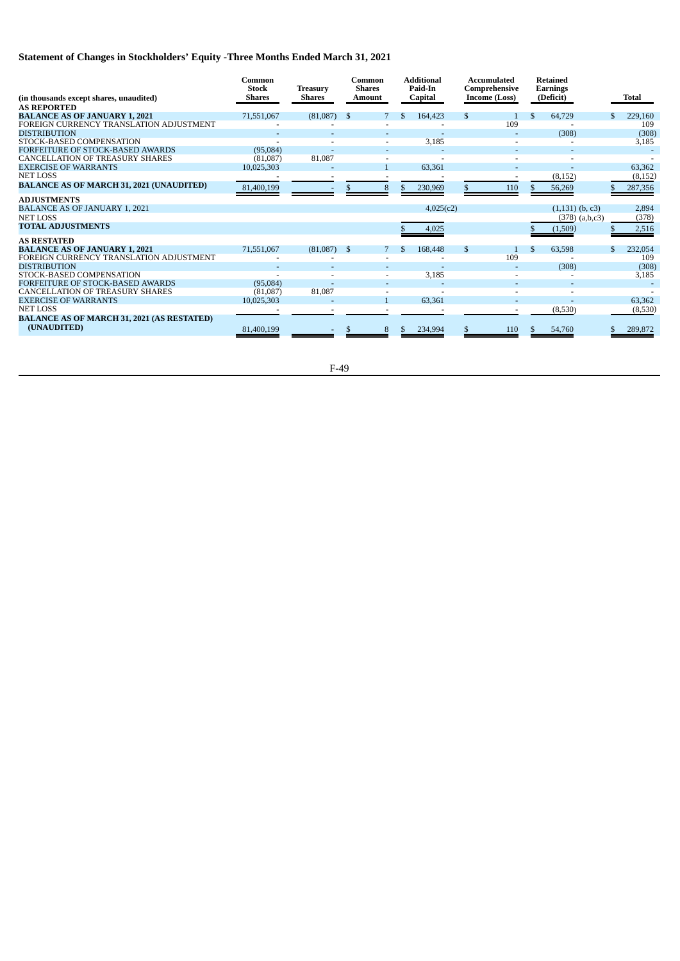# **Statement of Changes in Stockholders' Equity -Three Months Ended March 31, 2021**

| (in thousands except shares, unaudited)                          | Common<br><b>Stock</b><br><b>Shares</b> | <b>Treasury</b><br><b>Shares</b> | Common<br><b>Shares</b><br>Amount |   |   | <b>Additional</b><br>Paid-In<br>Capital |    | Accumulated<br>Comprehensive<br>Income (Loss) |   | <b>Retained</b><br><b>Earnings</b><br>(Deficit) |                  |     | <b>Total</b> |
|------------------------------------------------------------------|-----------------------------------------|----------------------------------|-----------------------------------|---|---|-----------------------------------------|----|-----------------------------------------------|---|-------------------------------------------------|------------------|-----|--------------|
| <b>AS REPORTED</b><br><b>BALANCE AS OF JANUARY 1, 2021</b>       | 71,551,067                              | (81,087)                         | -\$                               |   | S | 164,423                                 | \$ |                                               | S | 64,729                                          |                  | \$. | 229,160      |
| FOREIGN CURRENCY TRANSLATION ADJUSTMENT                          |                                         |                                  |                                   |   |   |                                         |    | 109                                           |   |                                                 |                  |     | 109          |
| <b>DISTRIBUTION</b>                                              |                                         |                                  |                                   |   |   |                                         |    |                                               |   | (308)                                           |                  |     | (308)        |
| STOCK-BASED COMPENSATION                                         |                                         |                                  |                                   |   |   | 3,185                                   |    |                                               |   |                                                 |                  |     | 3,185        |
| FORFEITURE OF STOCK-BASED AWARDS                                 | (95,084)                                |                                  |                                   |   |   |                                         |    |                                               |   |                                                 |                  |     |              |
| <b>CANCELLATION OF TREASURY SHARES</b>                           | (81,087)                                | 81,087                           |                                   |   |   |                                         |    |                                               |   |                                                 |                  |     |              |
| <b>EXERCISE OF WARRANTS</b>                                      | 10,025,303                              |                                  |                                   |   |   | 63,361                                  |    |                                               |   |                                                 |                  |     | 63,362       |
| <b>NET LOSS</b>                                                  |                                         |                                  |                                   |   |   |                                         |    |                                               |   | (8, 152)                                        |                  |     | (8, 152)     |
| <b>BALANCE AS OF MARCH 31, 2021 (UNAUDITED)</b>                  | 81,400,199                              |                                  |                                   | 8 |   | 230,969                                 |    | 110                                           |   | 56,269                                          |                  |     | 287,356      |
| <b>ADJUSTMENTS</b>                                               |                                         |                                  |                                   |   |   |                                         |    |                                               |   |                                                 |                  |     |              |
| <b>BALANCE AS OF JANUARY 1, 2021</b>                             |                                         |                                  |                                   |   |   | 4,025(c2)                               |    |                                               |   | $(1,131)$ (b, c3)                               |                  |     | 2,894        |
| <b>NET LOSS</b>                                                  |                                         |                                  |                                   |   |   |                                         |    |                                               |   |                                                 | $(378)$ (a,b,c3) |     | (378)        |
| <b>TOTAL ADJUSTMENTS</b>                                         |                                         |                                  |                                   |   |   | 4,025                                   |    |                                               |   | (1,509)                                         |                  |     | 2,516        |
| <b>AS RESTATED</b>                                               |                                         |                                  |                                   |   |   |                                         |    |                                               |   |                                                 |                  |     |              |
| <b>BALANCE AS OF JANUARY 1, 2021</b>                             | 71,551,067                              | (81,087)                         | <b>S</b>                          |   |   | 168,448                                 | \$ |                                               |   | 63,598                                          |                  |     | 232,054      |
| FOREIGN CURRENCY TRANSLATION ADJUSTMENT                          |                                         |                                  |                                   |   |   |                                         |    | 109                                           |   |                                                 |                  |     | 109          |
| <b>DISTRIBUTION</b>                                              |                                         |                                  |                                   |   |   |                                         |    |                                               |   | (308)                                           |                  |     | (308)        |
| STOCK-BASED COMPENSATION                                         |                                         |                                  |                                   |   |   | 3,185                                   |    |                                               |   |                                                 |                  |     | 3,185        |
| FORFEITURE OF STOCK-BASED AWARDS                                 | (95,084)                                |                                  |                                   |   |   |                                         |    |                                               |   |                                                 |                  |     |              |
| <b>CANCELLATION OF TREASURY SHARES</b>                           | (81.087)                                | 81,087                           |                                   |   |   |                                         |    |                                               |   |                                                 |                  |     |              |
| <b>EXERCISE OF WARRANTS</b>                                      | 10,025,303                              |                                  |                                   |   |   | 63,361                                  |    |                                               |   |                                                 |                  |     | 63,362       |
| <b>NET LOSS</b>                                                  |                                         |                                  |                                   |   |   |                                         |    |                                               |   | (8,530)                                         |                  |     | (8,530)      |
| <b>BALANCE AS OF MARCH 31, 2021 (AS RESTATED)</b><br>(UNAUDITED) | 81,400,199                              |                                  |                                   | 8 | S | 234,994                                 |    | 110                                           |   | 54,760                                          |                  |     | 289,872      |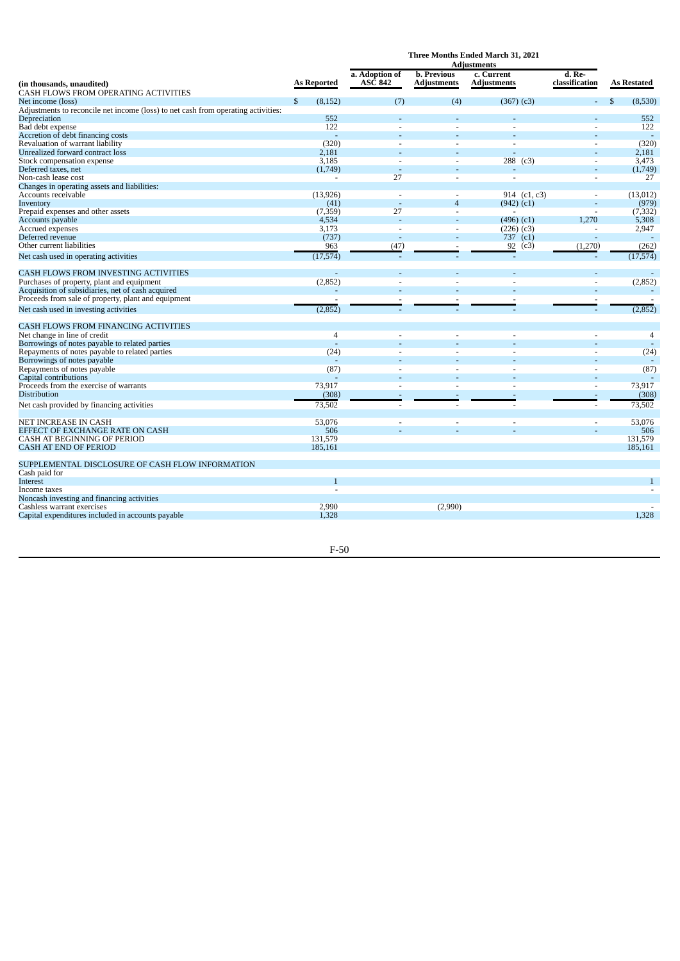|                                                                                   |                    |                                  | Three Months Ended March 31, 2021<br><b>Adjustments</b> |                                  |                          |               |                    |  |  |
|-----------------------------------------------------------------------------------|--------------------|----------------------------------|---------------------------------------------------------|----------------------------------|--------------------------|---------------|--------------------|--|--|
| (in thousands, unaudited)                                                         | <b>As Reported</b> | a. Adoption of<br><b>ASC 842</b> | <b>b.</b> Previous<br>Adjustments                       | c. Current<br><b>Adjustments</b> | d. Re-<br>classification |               | <b>As Restated</b> |  |  |
| CASH FLOWS FROM OPERATING ACTIVITIES                                              |                    |                                  |                                                         |                                  |                          |               |                    |  |  |
| Net income (loss)                                                                 | \$<br>(8, 152)     | (7)                              | (4)                                                     | $(367)$ $(c3)$                   |                          | $\mathcal{S}$ | (8,530)            |  |  |
| Adjustments to reconcile net income (loss) to net cash from operating activities: |                    |                                  |                                                         |                                  |                          |               |                    |  |  |
| Depreciation                                                                      | 552                |                                  |                                                         |                                  |                          |               | 552                |  |  |
| Bad debt expense                                                                  | 122                |                                  | $\overline{\phantom{a}}$                                |                                  |                          |               | 122                |  |  |
| Accretion of debt financing costs                                                 |                    |                                  |                                                         |                                  |                          |               |                    |  |  |
| Revaluation of warrant liability                                                  | (320)              |                                  |                                                         |                                  | $\sim$                   |               | (320)              |  |  |
| Unrealized forward contract loss                                                  | 2.181              |                                  |                                                         |                                  |                          |               | 2.181              |  |  |
| Stock compensation expense                                                        | 3,185              |                                  |                                                         | 288 $(c3)$                       | $\sim$                   |               | 3,473              |  |  |
| Deferred taxes, net                                                               | (1,749)            |                                  |                                                         |                                  | ÷.                       |               | (1,749)            |  |  |
| Non-cash lease cost                                                               |                    | 27                               |                                                         |                                  |                          |               | 27                 |  |  |
| Changes in operating assets and liabilities:                                      |                    |                                  |                                                         |                                  |                          |               |                    |  |  |
| Accounts receivable                                                               | (13, 926)          |                                  | $\sim$                                                  | 914 (c1, c3)                     | $\sim$                   |               | (13,012)           |  |  |
| Inventory                                                                         | (41)               |                                  | $\overline{\mathcal{L}}$                                | $(942)$ $(c1)$                   |                          |               | (979)              |  |  |
| Prepaid expenses and other assets                                                 | (7, 359)           | 27                               | $\sim$                                                  |                                  |                          |               | (7, 332)           |  |  |
| Accounts payable                                                                  | 4,534              |                                  |                                                         | $(496)$ $(c1)$                   | 1,270                    |               | 5,308              |  |  |
| Accrued expenses                                                                  | 3,173              |                                  | $\overline{a}$                                          | $(226)$ (c3)                     |                          |               | 2,947              |  |  |
| Deferred revenue                                                                  | (737)              |                                  |                                                         | $737$ (c1)                       |                          |               |                    |  |  |
| Other current liabilities                                                         |                    |                                  |                                                         |                                  |                          |               |                    |  |  |
|                                                                                   | 963                | (47)                             |                                                         | 92 (c3)                          | (1,270)                  |               | (262)              |  |  |
| Net cash used in operating activities                                             | (17, 574)          |                                  |                                                         |                                  |                          |               | (17, 574)          |  |  |
| CASH FLOWS FROM INVESTING ACTIVITIES                                              |                    |                                  |                                                         |                                  | $\overline{a}$           |               |                    |  |  |
| Purchases of property, plant and equipment                                        | (2,852)            |                                  |                                                         |                                  | $\sim$                   |               | (2,852)            |  |  |
| Acquisition of subsidiaries, net of cash acquired                                 |                    |                                  |                                                         |                                  |                          |               |                    |  |  |
| Proceeds from sale of property, plant and equipment                               |                    |                                  |                                                         |                                  |                          |               |                    |  |  |
| Net cash used in investing activities                                             | (2, 852)           |                                  |                                                         |                                  |                          |               | (2,852)            |  |  |
| CASH FLOWS FROM FINANCING ACTIVITIES                                              |                    |                                  |                                                         |                                  |                          |               |                    |  |  |
| Net change in line of credit                                                      | $\overline{4}$     |                                  |                                                         |                                  |                          |               | 4                  |  |  |
| Borrowings of notes payable to related parties                                    |                    |                                  |                                                         |                                  |                          |               |                    |  |  |
| Repayments of notes payable to related parties                                    | (24)               |                                  |                                                         |                                  |                          |               | (24)               |  |  |
| Borrowings of notes payable                                                       |                    |                                  |                                                         |                                  |                          |               |                    |  |  |
| Repayments of notes payable                                                       | (87)               |                                  |                                                         |                                  |                          |               | (87)               |  |  |
| Capital contributions                                                             |                    |                                  |                                                         |                                  |                          |               |                    |  |  |
| Proceeds from the exercise of warrants                                            | 73,917             |                                  |                                                         |                                  | $\sim$                   |               | 73,917             |  |  |
| <b>Distribution</b>                                                               | (308)              |                                  |                                                         |                                  |                          |               | (308)              |  |  |
|                                                                                   | 73,502             |                                  |                                                         |                                  |                          |               | 73,502             |  |  |
| Net cash provided by financing activities                                         |                    |                                  |                                                         | $\overline{\phantom{a}}$         | $\blacksquare$           |               |                    |  |  |
| NET INCREASE IN CASH                                                              | 53,076             |                                  |                                                         |                                  |                          |               | 53,076             |  |  |
| EFFECT OF EXCHANGE RATE ON CASH                                                   | 506                |                                  |                                                         |                                  |                          |               | 506                |  |  |
| CASH AT BEGINNING OF PERIOD                                                       | 131,579            |                                  |                                                         |                                  |                          |               | 131,579            |  |  |
| <b>CASH AT END OF PERIOD</b>                                                      | 185,161            |                                  |                                                         |                                  |                          |               | 185,161            |  |  |
|                                                                                   |                    |                                  |                                                         |                                  |                          |               |                    |  |  |
| SUPPLEMENTAL DISCLOSURE OF CASH FLOW INFORMATION                                  |                    |                                  |                                                         |                                  |                          |               |                    |  |  |
| Cash paid for                                                                     |                    |                                  |                                                         |                                  |                          |               |                    |  |  |
| <b>Interest</b>                                                                   | $\mathbf{1}$       |                                  |                                                         |                                  |                          |               | 1                  |  |  |
| Income taxes                                                                      |                    |                                  |                                                         |                                  |                          |               |                    |  |  |
| Noncash investing and financing activities                                        |                    |                                  |                                                         |                                  |                          |               |                    |  |  |
| Cashless warrant exercises                                                        | 2,990              |                                  | (2,990)                                                 |                                  |                          |               |                    |  |  |
| Capital expenditures included in accounts payable                                 | 1,328              |                                  |                                                         |                                  |                          |               | 1.328              |  |  |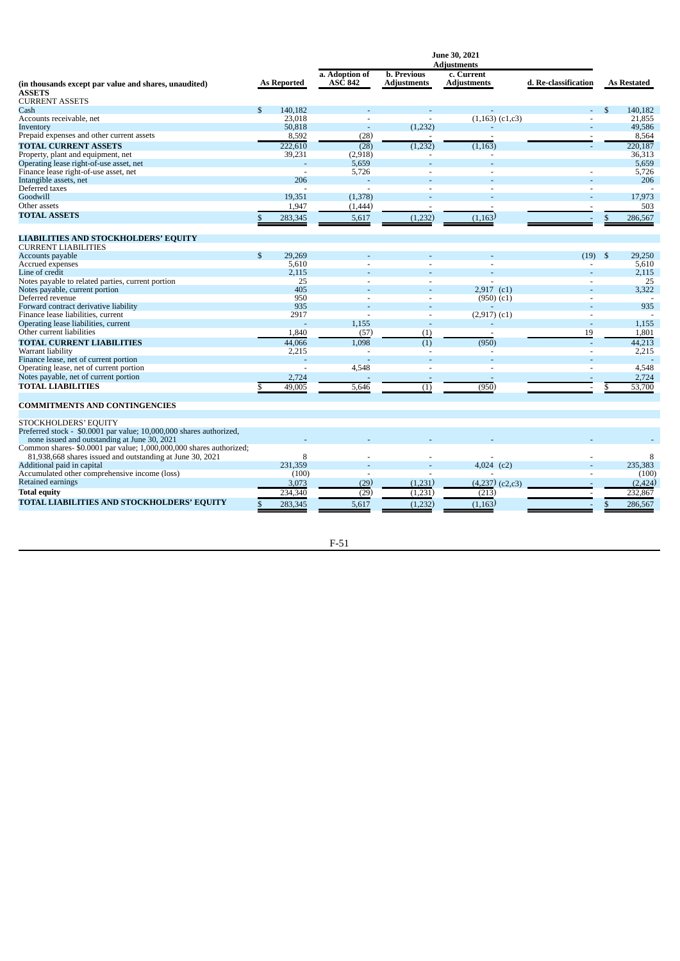| (in thousands except par value and shares, unaudited)                                                                            |              | <b>As Reported</b> | a. Adoption of<br><b>ASC 842</b> | <b>b.</b> Previous<br><b>Adjustments</b> | c. Current<br><b>Adjustments</b> | d. Re-classification     |              | <b>As Restated</b> |
|----------------------------------------------------------------------------------------------------------------------------------|--------------|--------------------|----------------------------------|------------------------------------------|----------------------------------|--------------------------|--------------|--------------------|
| <b>ASSETS</b>                                                                                                                    |              |                    |                                  |                                          |                                  |                          |              |                    |
| <b>CURRENT ASSETS</b>                                                                                                            |              |                    |                                  |                                          |                                  |                          |              |                    |
| Cash                                                                                                                             | $\mathbb{S}$ | 140.182            |                                  |                                          |                                  |                          | $\mathbf{s}$ | 140,182            |
| Accounts receivable, net                                                                                                         |              | 23,018             | $\overline{a}$                   |                                          | $(1,163)$ $(c1,c3)$              |                          |              | 21,855             |
| Inventory                                                                                                                        |              | 50,818             |                                  | (1,232)                                  |                                  |                          |              | 49,586             |
| Prepaid expenses and other current assets                                                                                        |              | 8.592              | (28)                             |                                          |                                  |                          |              | 8,564              |
| <b>TOTAL CURRENT ASSETS</b>                                                                                                      |              | 222.610            | (28)                             | (1,232)                                  | (1, 163)                         |                          |              | 220.187            |
| Property, plant and equipment, net                                                                                               |              | 39,231             | (2,918)                          |                                          |                                  |                          |              | 36,313             |
| Operating lease right-of-use asset, net                                                                                          |              |                    | 5,659                            |                                          |                                  |                          |              | 5,659              |
| Finance lease right-of-use asset, net                                                                                            |              | $\overline{a}$     | 5,726                            |                                          |                                  |                          |              | 5,726              |
| Intangible assets, net                                                                                                           |              | 206                |                                  |                                          |                                  |                          |              | 206                |
| Deferred taxes                                                                                                                   |              |                    |                                  |                                          |                                  |                          |              |                    |
| Goodwill                                                                                                                         |              | 19,351             | (1,378)                          |                                          |                                  |                          |              | 17,973             |
| Other assets                                                                                                                     |              | 1,947              | (1, 444)                         |                                          |                                  |                          |              | 503                |
| <b>TOTAL ASSETS</b>                                                                                                              |              | 283,345            | 5,617                            | (1,232)                                  | (1, 163)                         |                          | S            | 286,567            |
|                                                                                                                                  |              |                    |                                  |                                          |                                  |                          |              |                    |
| <b>LIABILITIES AND STOCKHOLDERS' EQUITY</b>                                                                                      |              |                    |                                  |                                          |                                  |                          |              |                    |
| <b>CURRENT LIABILITIES</b>                                                                                                       |              |                    |                                  |                                          |                                  |                          |              |                    |
| Accounts payable                                                                                                                 | $\mathbb{S}$ | 29,269             |                                  |                                          |                                  | (19)                     | - \$         | 29,250             |
| Accrued expenses                                                                                                                 |              | 5.610              |                                  |                                          |                                  |                          |              | 5.610              |
| Line of credit                                                                                                                   |              | 2,115              |                                  |                                          |                                  |                          |              | 2,115              |
| Notes payable to related parties, current portion                                                                                |              | 25                 |                                  |                                          |                                  |                          |              | 25                 |
| Notes payable, current portion                                                                                                   |              | 405                |                                  |                                          | 2,917<br>(c1)                    |                          |              | 3,322              |
| Deferred revenue                                                                                                                 |              | 950                |                                  |                                          | $(950)$ $(c1)$                   |                          |              |                    |
| Forward contract derivative liability                                                                                            |              | 935                |                                  |                                          |                                  |                          |              | 935                |
| Finance lease liabilities, current                                                                                               |              | 2917               |                                  |                                          | $(2,917)$ $(c1)$                 |                          |              |                    |
| Operating lease liabilities, current                                                                                             |              |                    | 1,155                            |                                          |                                  |                          |              | 1,155              |
| Other current liabilities                                                                                                        |              | 1,840              | (57)                             | (1)                                      |                                  | 19                       |              | 1,801              |
| <b>TOTAL CURRENT LIABILITIES</b>                                                                                                 |              | 44,066             | 1,098                            | (1)                                      | (950)                            |                          |              | 44,213             |
| Warrant liability                                                                                                                |              | 2,215              | $\overline{a}$                   | $\overline{\phantom{a}}$                 | $\sim$                           | $\overline{\phantom{a}}$ |              | 2,215              |
|                                                                                                                                  |              |                    |                                  |                                          |                                  |                          |              |                    |
| Finance lease, net of current portion<br>Operating lease, net of current portion                                                 |              | $\overline{a}$     | 4,548                            |                                          | $\overline{a}$                   |                          |              | 4,548              |
|                                                                                                                                  |              |                    |                                  |                                          |                                  |                          |              |                    |
| Notes payable, net of current portion                                                                                            |              | 2,724              |                                  |                                          |                                  |                          |              | 2,724              |
| <b>TOTAL LIABILITIES</b>                                                                                                         |              | 49.005             | 5,646                            | (1)                                      | (950)                            |                          |              | 53.700             |
| <b>COMMITMENTS AND CONTINGENCIES</b>                                                                                             |              |                    |                                  |                                          |                                  |                          |              |                    |
| STOCKHOLDERS' EQUITY                                                                                                             |              |                    |                                  |                                          |                                  |                          |              |                    |
| Preferred stock - \$0.0001 par value; 10,000,000 shares authorized,<br>none issued and outstanding at June 30, 2021              |              |                    |                                  |                                          |                                  |                          |              |                    |
| Common shares- \$0.0001 par value; 1,000,000,000 shares authorized;<br>81,938,668 shares issued and outstanding at June 30, 2021 |              | 8                  |                                  |                                          |                                  |                          |              | 8                  |
| Additional paid in capital                                                                                                       |              | 231,359            |                                  |                                          | $4,024$ (c2)                     |                          |              | 235.383            |
| Accumulated other comprehensive income (loss)                                                                                    |              | (100)              |                                  |                                          |                                  |                          |              | (100)              |
| Retained earnings                                                                                                                |              | 3,073              | (29)                             | (1,231)                                  | $(4,237)$ (c2,c3)                |                          |              | (2, 424)           |
| <b>Total equity</b>                                                                                                              |              | 234,340            | (29)                             | (1,231)                                  | (213)                            |                          |              | 232,867            |
| TOTAL LIABILITIES AND STOCKHOLDERS' EQUITY                                                                                       |              |                    |                                  |                                          |                                  |                          |              |                    |
|                                                                                                                                  |              | 283,345            | 5,617                            | (1,232)                                  | (1, 163)                         |                          | \$           | 286,567            |
|                                                                                                                                  |              |                    |                                  |                                          |                                  |                          |              |                    |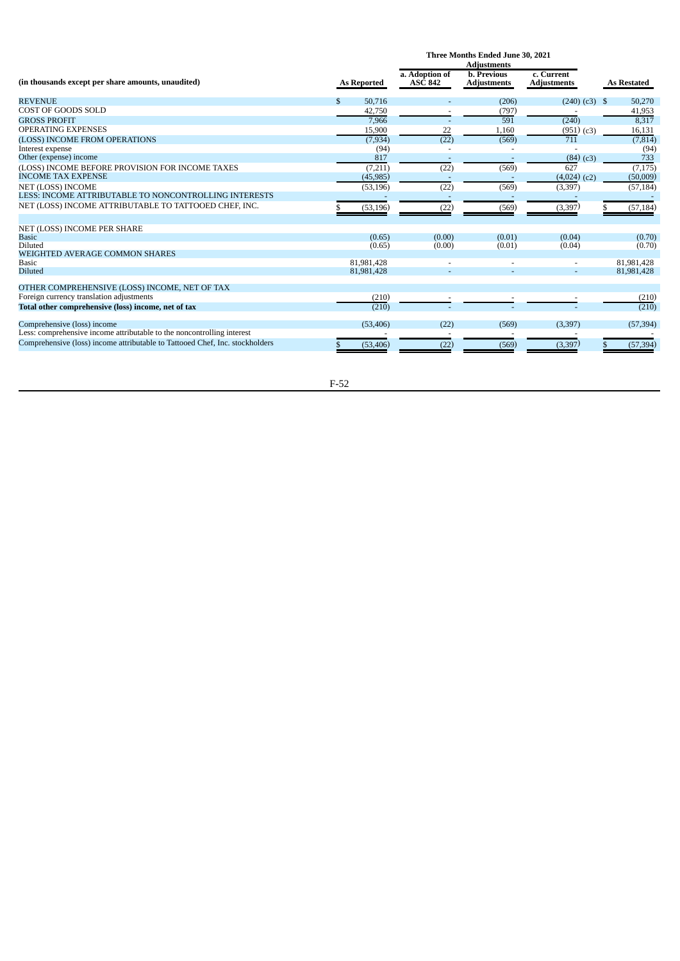|                                                                                   |                    |                                  | Three Months Ended June 30, 2021         |                                  |                    |
|-----------------------------------------------------------------------------------|--------------------|----------------------------------|------------------------------------------|----------------------------------|--------------------|
| (in thousands except per share amounts, unaudited)                                | <b>As Reported</b> | a. Adoption of<br><b>ASC 842</b> | <b>b.</b> Previous<br><b>Adjustments</b> | c. Current<br><b>Adjustments</b> | <b>As Restated</b> |
| <b>REVENUE</b>                                                                    | 50,716<br>\$.      |                                  | (206)                                    | $(240)$ (c3) \$                  | 50,270             |
| COST OF GOODS SOLD                                                                | 42,750             |                                  | (797)                                    |                                  | 41,953             |
| <b>GROSS PROFIT</b>                                                               | 7,966              |                                  | 591                                      | (240)                            | 8,317              |
| <b>OPERATING EXPENSES</b>                                                         | 15,900             | 22                               | 1,160                                    | $(951)$ (c3)                     | 16,131             |
| (LOSS) INCOME FROM OPERATIONS                                                     | (7,934)            | (22)                             | (569)                                    | 711                              | (7, 814)           |
| Interest expense                                                                  | (94)               |                                  |                                          |                                  | (94)               |
| Other (expense) income                                                            | 817                |                                  |                                          | $(84)$ (c3)                      | 733                |
| (LOSS) INCOME BEFORE PROVISION FOR INCOME TAXES                                   | (7,211)            | (22)                             | (569)                                    | 627                              | (7, 175)           |
| <b>INCOME TAX EXPENSE</b>                                                         | (45, 985)          |                                  |                                          | $(4,024)$ (c2)                   | (50,009)           |
| <b>NET (LOSS) INCOME</b><br>LESS: INCOME ATTRIBUTABLE TO NONCONTROLLING INTERESTS | (53, 196)          | (22)                             | (569)                                    | (3, 397)                         | (57, 184)          |
|                                                                                   |                    |                                  |                                          |                                  |                    |
| NET (LOSS) INCOME ATTRIBUTABLE TO TATTOOED CHEF, INC.                             | (53, 196)          | (22)                             | (569)                                    | (3,397)                          | (57, 184)          |
| NET (LOSS) INCOME PER SHARE                                                       |                    |                                  |                                          |                                  |                    |
| <b>Basic</b>                                                                      | (0.65)             | (0.00)                           | (0.01)                                   | (0.04)                           | (0.70)             |
| Diluted                                                                           | (0.65)             | (0.00)                           | (0.01)                                   | (0.04)                           | (0.70)             |
| <b>WEIGHTED AVERAGE COMMON SHARES</b>                                             |                    |                                  |                                          |                                  |                    |
| <b>Basic</b>                                                                      | 81.981.428         | $\overline{\phantom{a}}$         |                                          | -                                | 81.981.428         |
| <b>Diluted</b>                                                                    | 81,981,428         | $\overline{\phantom{a}}$         |                                          |                                  | 81,981,428         |
| OTHER COMPREHENSIVE (LOSS) INCOME, NET OF TAX                                     |                    |                                  |                                          |                                  |                    |
| Foreign currency translation adjustments                                          | (210)              |                                  |                                          |                                  | (210)              |
| Total other comprehensive (loss) income, net of tax                               | (210)              |                                  |                                          |                                  | (210)              |
| Comprehensive (loss) income                                                       | (53, 406)          | (22)                             | (569)                                    | (3, 397)                         | (57, 394)          |
| Less: comprehensive income attributable to the noncontrolling interest            |                    |                                  |                                          |                                  |                    |
| Comprehensive (loss) income attributable to Tattooed Chef, Inc. stockholders      | (53, 406)          | (22)                             | (569)                                    | (3,397)                          | (57, 394)          |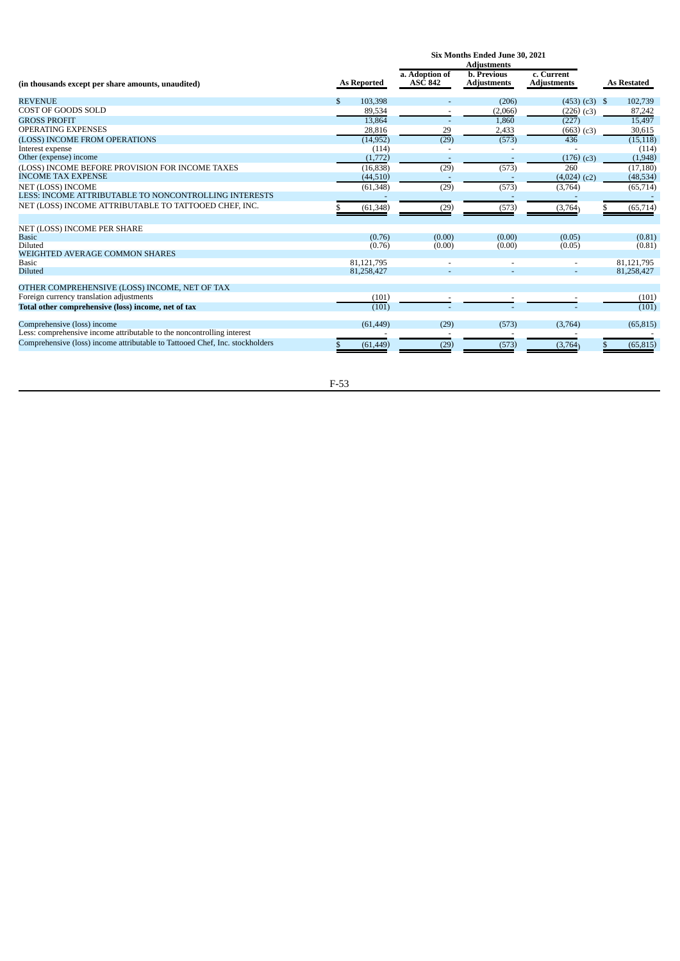|                                                                                   |                    |           | Six Months Ended June 30, 2021   |                                          |                                  |                    |
|-----------------------------------------------------------------------------------|--------------------|-----------|----------------------------------|------------------------------------------|----------------------------------|--------------------|
| (in thousands except per share amounts, unaudited)                                | <b>As Reported</b> |           | a. Adoption of<br><b>ASC 842</b> | <b>b.</b> Previous<br><b>Adjustments</b> | c. Current<br><b>Adjustments</b> | <b>As Restated</b> |
| <b>REVENUE</b>                                                                    | \$                 | 103,398   |                                  | (206)                                    | $(453) (c3)$ \$                  | 102,739            |
| COST OF GOODS SOLD                                                                |                    | 89,534    |                                  | (2,066)                                  | $(226)$ (c3)                     | 87,242             |
| <b>GROSS PROFIT</b>                                                               |                    | 13,864    |                                  | 1,860                                    | (227)                            | 15,497             |
| <b>OPERATING EXPENSES</b>                                                         |                    | 28,816    | 29                               | 2,433                                    | $(663)$ (c3)                     | 30,615             |
| (LOSS) INCOME FROM OPERATIONS                                                     |                    | (14, 952) | (29)                             | (573)                                    | 436                              | (15, 118)          |
| Interest expense                                                                  |                    | (114)     |                                  |                                          |                                  | (114)              |
| Other (expense) income                                                            |                    | (1,772)   | $\overline{\phantom{m}}$         |                                          | $\overline{(176)}$ (c3)          | (1,948)            |
| (LOSS) INCOME BEFORE PROVISION FOR INCOME TAXES                                   |                    | (16, 838) | (29)                             | (573)                                    | 260                              | (17, 180)          |
| <b>INCOME TAX EXPENSE</b>                                                         |                    | (44, 510) |                                  |                                          | $(4,024)$ (c2)                   | (48, 534)          |
| <b>NET (LOSS) INCOME</b><br>LESS: INCOME ATTRIBUTABLE TO NONCONTROLLING INTERESTS |                    | (61, 348) | (29)                             | (573)                                    | (3,764)                          | (65, 714)          |
| NET (LOSS) INCOME ATTRIBUTABLE TO TATTOOED CHEF, INC.                             |                    | (61, 348) | (29)                             | (573)                                    | (3,764)                          | (65, 714)          |
| NET (LOSS) INCOME PER SHARE                                                       |                    |           |                                  |                                          |                                  |                    |
| <b>Basic</b>                                                                      |                    | (0.76)    | (0.00)                           | (0.00)                                   | (0.05)                           | (0.81)             |
| Diluted                                                                           |                    | (0.76)    | (0.00)                           | (0.00)                                   | (0.05)                           | (0.81)             |
| <b>WEIGHTED AVERAGE COMMON SHARES</b>                                             |                    |           |                                  |                                          |                                  |                    |
| <b>Basic</b>                                                                      | 81.121.795         |           | $\overline{\phantom{a}}$         |                                          | ٠                                | 81.121.795         |
| <b>Diluted</b>                                                                    | 81,258,427         |           | $\overline{\phantom{a}}$         |                                          |                                  | 81,258,427         |
| OTHER COMPREHENSIVE (LOSS) INCOME, NET OF TAX                                     |                    |           |                                  |                                          |                                  |                    |
| Foreign currency translation adjustments                                          |                    | (101)     |                                  |                                          |                                  | (101)              |
| Total other comprehensive (loss) income, net of tax                               |                    | (101)     |                                  |                                          |                                  | (101)              |
| Comprehensive (loss) income                                                       |                    | (61, 449) | (29)                             | (573)                                    | (3,764)                          | (65, 815)          |
| Less: comprehensive income attributable to the noncontrolling interest            |                    |           |                                  |                                          |                                  |                    |
| Comprehensive (loss) income attributable to Tattooed Chef, Inc. stockholders      |                    | (61, 449) | (29)                             | (573)                                    | (3,764)                          | (65, 815)          |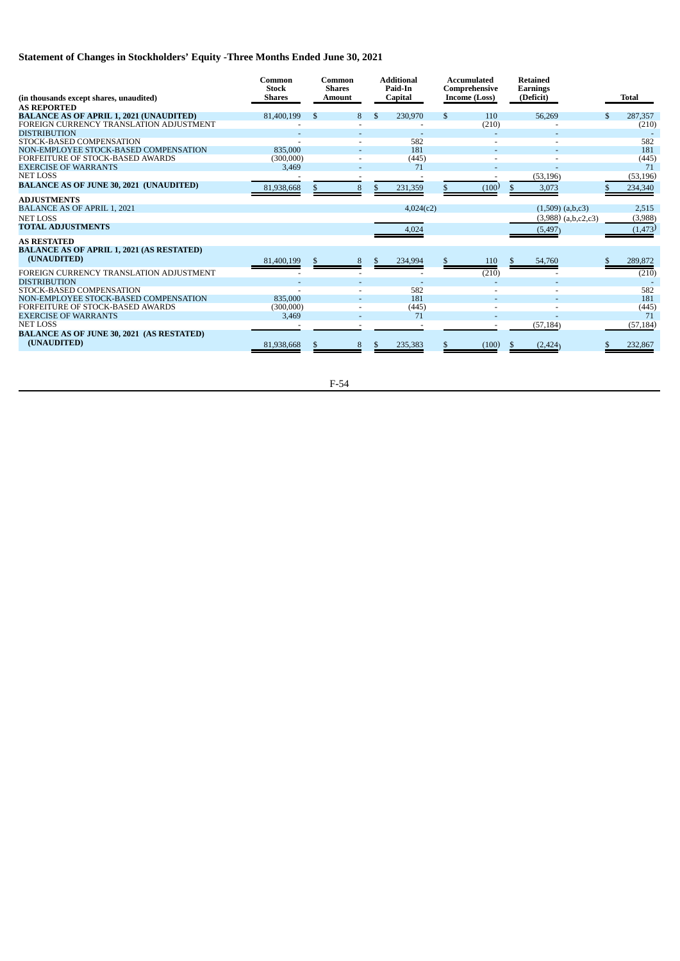# **Statement of Changes in Stockholders' Equity -Three Months Ended June 30, 2021**

| (in thousands except shares, unaudited)          | Common<br><b>Stock</b><br><b>Shares</b> | Common<br><b>Shares</b><br><b>Amount</b> |   |    | <b>Additional</b><br>Paid-In<br>Capital | Accumulated<br>Comprehensive<br>Income (Loss) |       | <b>Retained</b><br>Earnings<br>(Deficit) |   | <b>Total</b> |
|--------------------------------------------------|-----------------------------------------|------------------------------------------|---|----|-----------------------------------------|-----------------------------------------------|-------|------------------------------------------|---|--------------|
| <b>AS REPORTED</b>                               |                                         |                                          |   |    |                                         |                                               |       |                                          |   |              |
| <b>BALANCE AS OF APRIL 1, 2021 (UNAUDITED)</b>   | 81,400,199                              |                                          | 8 | £. | 230,970                                 | \$                                            | 110   | 56,269                                   | S | 287,357      |
| FOREIGN CURRENCY TRANSLATION ADJUSTMENT          |                                         |                                          |   |    |                                         |                                               | (210) |                                          |   | (210)        |
| <b>DISTRIBUTION</b>                              |                                         |                                          |   |    |                                         |                                               |       |                                          |   |              |
| STOCK-BASED COMPENSATION                         |                                         |                                          |   |    | 582                                     |                                               |       |                                          |   | 582          |
| NON-EMPLOYEE STOCK-BASED COMPENSATION            | 835,000                                 |                                          |   |    | 181                                     |                                               |       |                                          |   | 181          |
| FORFEITURE OF STOCK-BASED AWARDS                 | (300,000)                               |                                          |   |    | (445)                                   |                                               |       |                                          |   | (445)        |
| <b>EXERCISE OF WARRANTS</b>                      | 3,469                                   |                                          |   |    | 71                                      |                                               |       |                                          |   | 71           |
| <b>NET LOSS</b>                                  |                                         |                                          |   |    |                                         |                                               |       | (53, 196)                                |   | (53, 196)    |
| <b>BALANCE AS OF JUNE 30, 2021 (UNAUDITED)</b>   | 81,938,668                              | æ.                                       |   |    | 231,359                                 |                                               | (100) | 3,073                                    |   | 234,340      |
| <b>ADJUSTMENTS</b>                               |                                         |                                          |   |    |                                         |                                               |       |                                          |   |              |
| <b>BALANCE AS OF APRIL 1, 2021</b>               |                                         |                                          |   |    | 4,024(c2)                               |                                               |       | $(1,509)$ $(a,b,c3)$                     |   | 2,515        |
| <b>NET LOSS</b>                                  |                                         |                                          |   |    |                                         |                                               |       | $(3,988)$ (a,b,c2,c3)                    |   | (3,988)      |
| <b>TOTAL ADJUSTMENTS</b>                         |                                         |                                          |   |    | 4,024                                   |                                               |       | (5,497)                                  |   | (1, 473)     |
| <b>AS RESTATED</b>                               |                                         |                                          |   |    |                                         |                                               |       |                                          |   |              |
| <b>BALANCE AS OF APRIL 1, 2021 (AS RESTATED)</b> |                                         |                                          |   |    |                                         |                                               |       |                                          |   |              |
| (UNAUDITED)                                      | 81,400,199                              |                                          |   |    | 234,994                                 |                                               | 110   | 54,760                                   |   | 289,872      |
| FOREIGN CURRENCY TRANSLATION ADJUSTMENT          |                                         |                                          |   |    |                                         |                                               | (210) |                                          |   | (210)        |
| <b>DISTRIBUTION</b>                              |                                         |                                          |   |    |                                         |                                               |       |                                          |   |              |
| STOCK-BASED COMPENSATION                         |                                         |                                          |   |    | 582                                     |                                               |       |                                          |   | 582          |
| NON-EMPLOYEE STOCK-BASED COMPENSATION            | 835,000                                 |                                          |   |    | 181                                     |                                               |       |                                          |   | 181          |
| FORFEITURE OF STOCK-BASED AWARDS                 | (300,000)                               |                                          |   |    | (445)                                   |                                               |       |                                          |   | (445)        |
| <b>EXERCISE OF WARRANTS</b>                      | 3,469                                   |                                          |   |    | 71                                      |                                               |       |                                          |   | 71           |
| <b>NET LOSS</b>                                  |                                         |                                          |   |    |                                         |                                               |       | (57, 184)                                |   | (57, 184)    |
| <b>BALANCE AS OF JUNE 30, 2021 (AS RESTATED)</b> |                                         |                                          |   |    |                                         |                                               |       |                                          |   |              |
| (UNAUDITED)                                      | 81,938,668                              |                                          |   |    | 235,383                                 |                                               | (100) | (2, 424)                                 |   | 232,867      |
|                                                  |                                         |                                          |   |    |                                         |                                               |       |                                          |   |              |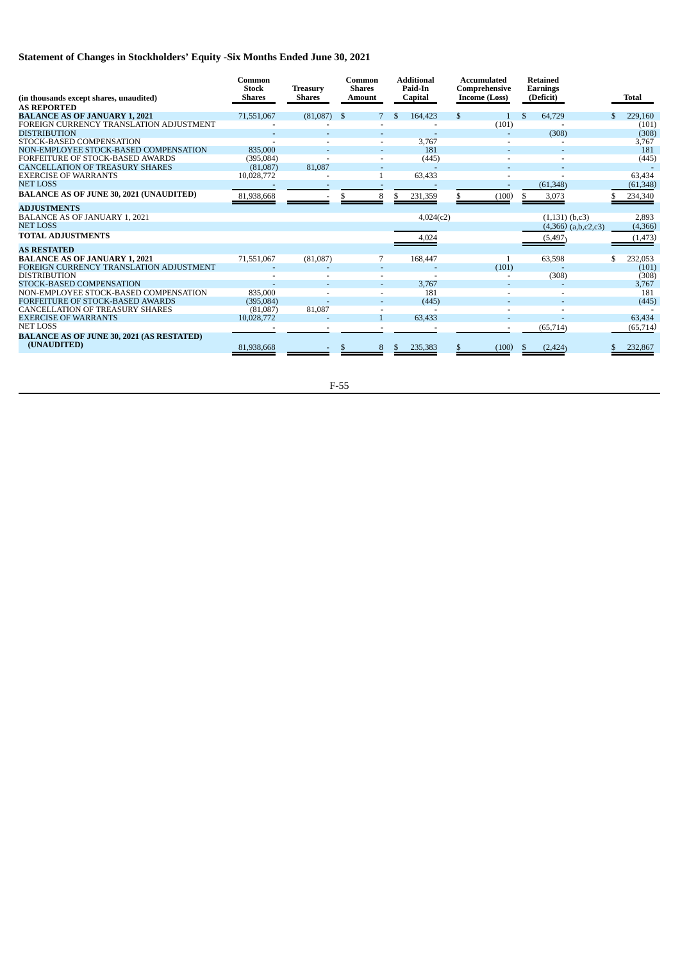# **Statement of Changes in Stockholders' Equity -Six Months Ended June 30, 2021**

| (in thousands except shares, unaudited)          | Common<br><b>Stock</b><br><b>Shares</b> | <b>Treasury</b><br><b>Shares</b> | Common<br><b>Shares</b><br>Amount |                          |    | <b>Additional</b><br>Paid-In<br>Capital |     | <b>Accumulated</b><br>Comprehensive<br>Income (Loss) |    | <b>Retained</b><br><b>Earnings</b><br>(Deficit) |                       | Total     |
|--------------------------------------------------|-----------------------------------------|----------------------------------|-----------------------------------|--------------------------|----|-----------------------------------------|-----|------------------------------------------------------|----|-------------------------------------------------|-----------------------|-----------|
| <b>AS REPORTED</b>                               |                                         |                                  |                                   |                          |    |                                         |     |                                                      |    |                                                 |                       |           |
| <b>BALANCE AS OF JANUARY 1, 2021</b>             | 71,551,067                              | (81,087)                         | -S                                |                          |    | 164,423                                 | \$. |                                                      | .S | 64,729                                          |                       | 229,160   |
| FOREIGN CURRENCY TRANSLATION ADJUSTMENT          |                                         |                                  |                                   |                          |    |                                         |     | (101)                                                |    |                                                 |                       | (101)     |
| <b>DISTRIBUTION</b>                              |                                         |                                  |                                   |                          |    |                                         |     |                                                      |    | (308)                                           |                       | (308)     |
| STOCK-BASED COMPENSATION                         |                                         |                                  |                                   | $\overline{\phantom{a}}$ |    | 3,767                                   |     |                                                      |    |                                                 |                       | 3,767     |
| NON-EMPLOYEE STOCK-BASED COMPENSATION            | 835,000                                 |                                  |                                   |                          |    | 181                                     |     | $\overline{\phantom{a}}$                             |    |                                                 |                       | 181       |
| FORFEITURE OF STOCK-BASED AWARDS                 | (395,084)                               |                                  |                                   |                          |    | (445)                                   |     |                                                      |    |                                                 |                       | (445)     |
| <b>CANCELLATION OF TREASURY SHARES</b>           | (81.087)                                | 81,087                           |                                   |                          |    |                                         |     |                                                      |    |                                                 |                       |           |
| <b>EXERCISE OF WARRANTS</b>                      | 10,028,772                              |                                  |                                   |                          |    | 63,433                                  |     |                                                      |    |                                                 |                       | 63,434    |
| <b>NET LOSS</b>                                  |                                         |                                  |                                   |                          |    |                                         |     |                                                      |    | (61,348)                                        |                       | (61, 348) |
| <b>BALANCE AS OF JUNE 30, 2021 (UNAUDITED)</b>   | 81,938,668                              |                                  |                                   | 8                        | .S | 231,359                                 |     | (100)                                                |    | 3,073                                           |                       | 234,340   |
| <b>ADJUSTMENTS</b>                               |                                         |                                  |                                   |                          |    |                                         |     |                                                      |    |                                                 |                       |           |
| <b>BALANCE AS OF JANUARY 1, 2021</b>             |                                         |                                  |                                   |                          |    | 4,024(c2)                               |     |                                                      |    | $(1,131)$ (b,c3)                                |                       | 2,893     |
| <b>NET LOSS</b>                                  |                                         |                                  |                                   |                          |    |                                         |     |                                                      |    |                                                 | $(4,366)$ (a,b,c2,c3) | (4,366)   |
| <b>TOTAL ADJUSTMENTS</b>                         |                                         |                                  |                                   |                          |    | 4,024                                   |     |                                                      |    | (5,497)                                         |                       | (1, 473)  |
| <b>AS RESTATED</b>                               |                                         |                                  |                                   |                          |    |                                         |     |                                                      |    |                                                 |                       |           |
| <b>BALANCE AS OF JANUARY 1, 2021</b>             | 71,551,067                              | (81,087)                         |                                   | 7                        |    | 168,447                                 |     | 1                                                    |    | 63,598                                          |                       | 232,053   |
| FOREIGN CURRENCY TRANSLATION ADJUSTMENT          |                                         |                                  |                                   |                          |    |                                         |     | (101)                                                |    |                                                 |                       | (101)     |
| <b>DISTRIBUTION</b>                              |                                         |                                  |                                   |                          |    |                                         |     |                                                      |    | (308)                                           |                       | (308)     |
| STOCK-BASED COMPENSATION                         |                                         |                                  |                                   |                          |    | 3,767                                   |     | $\overline{\phantom{a}}$                             |    |                                                 |                       | 3,767     |
| NON-EMPLOYEE STOCK-BASED COMPENSATION            | 835,000                                 |                                  |                                   |                          |    | 181                                     |     |                                                      |    |                                                 |                       | 181       |
| <b>FORFEITURE OF STOCK-BASED AWARDS</b>          | (395,084)                               |                                  |                                   | ٠                        |    | (445)                                   |     |                                                      |    |                                                 |                       | (445)     |
| CANCELLATION OF TREASURY SHARES                  | (81,087)                                | 81,087                           |                                   |                          |    |                                         |     |                                                      |    |                                                 |                       |           |
| <b>EXERCISE OF WARRANTS</b>                      | 10,028,772                              |                                  |                                   | $\overline{1}$           |    | 63,433                                  |     |                                                      |    |                                                 |                       | 63,434    |
| <b>NET LOSS</b>                                  |                                         |                                  |                                   |                          |    |                                         |     |                                                      |    | (65, 714)                                       |                       | (65, 714) |
| <b>BALANCE AS OF JUNE 30, 2021 (AS RESTATED)</b> |                                         |                                  |                                   |                          |    |                                         |     |                                                      |    |                                                 |                       |           |
| (UNAUDITED)                                      | 81,938,668                              |                                  |                                   | 8                        |    | 235,383                                 |     | (100)                                                |    | (2, 424)                                        |                       | 232,867   |
|                                                  |                                         |                                  |                                   |                          |    |                                         |     |                                                      |    |                                                 |                       |           |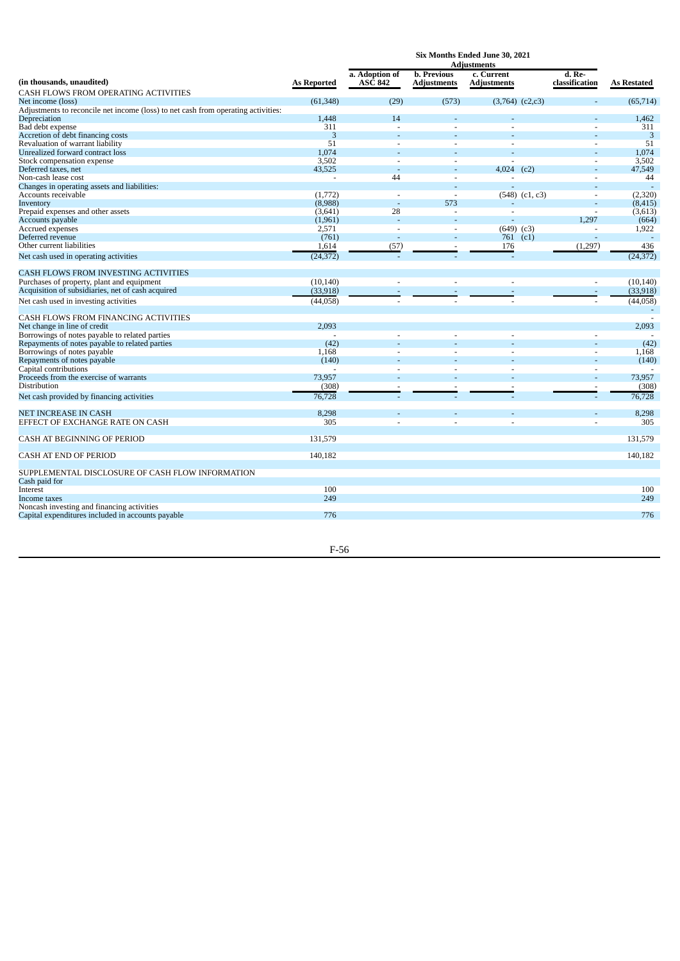| (in thousands, unaudited)                                                         | <b>As Reported</b> | a. Adoption of<br><b>ASC 842</b> | <b>b.</b> Previous<br>Adjustments | c. Current<br>Adjustments | d. Re-<br>classification | <b>As Restated</b> |
|-----------------------------------------------------------------------------------|--------------------|----------------------------------|-----------------------------------|---------------------------|--------------------------|--------------------|
| CASH FLOWS FROM OPERATING ACTIVITIES                                              |                    |                                  |                                   |                           |                          |                    |
| Net income (loss)                                                                 | (61, 348)          | (29)                             | (573)                             | $(3,764)$ $(c2,c3)$       |                          | (65, 714)          |
| Adjustments to reconcile net income (loss) to net cash from operating activities: |                    |                                  |                                   |                           |                          |                    |
| Depreciation                                                                      | 1.448              | 14                               |                                   |                           |                          | 1.462              |
| Bad debt expense                                                                  | 311                | $\sim$                           |                                   |                           |                          | 311                |
| Accretion of debt financing costs                                                 | 3                  |                                  |                                   |                           |                          | 3                  |
| Revaluation of warrant liability                                                  | 51                 |                                  |                                   |                           |                          | 51                 |
| Unrealized forward contract loss                                                  | 1,074              |                                  |                                   |                           |                          | 1,074              |
| Stock compensation expense                                                        | 3,502              |                                  |                                   |                           | $\overline{a}$           | 3,502              |
| Deferred taxes, net                                                               | 43.525             |                                  |                                   | 4,024<br>(c2)             | $\overline{a}$           | 47,549             |
| Non-cash lease cost                                                               | ÷,                 | 44                               |                                   | $\sim$                    | L,                       | 44                 |
| Changes in operating assets and liabilities:                                      |                    |                                  |                                   |                           |                          |                    |
| Accounts receivable                                                               | (1,772)            |                                  | $\overline{\phantom{a}}$          | $(548)$ $(c1, c3)$        | $\overline{\phantom{a}}$ | (2,320)            |
| Inventory                                                                         | (8,988)            |                                  | 573                               |                           |                          | (8, 415)           |
| Prepaid expenses and other assets                                                 | (3,641)            | 28                               | $\overline{a}$                    | $\overline{\phantom{a}}$  | ÷,                       | (3,613)            |
| <b>Accounts payable</b>                                                           | (1,961)            |                                  |                                   |                           | 1.297                    | (664)              |
| Accrued expenses                                                                  | 2,571              |                                  | ÷,                                | $(649)$ $(c3)$            | ÷.                       | 1,922              |
| Deferred revenue                                                                  | (761)              |                                  |                                   | $761$ (c1)                |                          |                    |
| Other current liabilities                                                         | 1,614              | (57)                             |                                   | 176                       | (1,297)                  | 436                |
| Net cash used in operating activities                                             | (24, 372)          |                                  |                                   |                           |                          | (24, 372)          |
|                                                                                   |                    |                                  |                                   |                           |                          |                    |
| CASH FLOWS FROM INVESTING ACTIVITIES                                              |                    |                                  |                                   |                           |                          |                    |
| Purchases of property, plant and equipment                                        | (10, 140)          |                                  |                                   |                           |                          | (10, 140)          |
| Acquisition of subsidiaries, net of cash acquired                                 | (33,918)           |                                  |                                   |                           |                          | (33, 918)          |
|                                                                                   | (44,058)           |                                  |                                   |                           |                          | (44,058)           |
| Net cash used in investing activities                                             |                    |                                  |                                   |                           |                          |                    |
| CASH FLOWS FROM FINANCING ACTIVITIES                                              |                    |                                  |                                   |                           |                          |                    |
| Net change in line of credit                                                      | 2,093              |                                  |                                   |                           |                          | 2,093              |
| Borrowings of notes payable to related parties                                    |                    |                                  |                                   |                           |                          |                    |
| Repayments of notes payable to related parties                                    | (42)               |                                  |                                   |                           |                          | (42)               |
| Borrowings of notes payable                                                       | 1,168              |                                  |                                   |                           | L,                       | 1,168              |
| Repayments of notes payable                                                       | (140)              |                                  |                                   |                           |                          | (140)              |
| Capital contributions                                                             |                    |                                  |                                   |                           |                          |                    |
| Proceeds from the exercise of warrants                                            | 73,957             |                                  |                                   |                           | L,                       | 73,957             |
| Distribution                                                                      | (308)              | $\overline{a}$                   |                                   | $\overline{a}$            | $\overline{a}$           | (308)              |
|                                                                                   |                    |                                  |                                   |                           |                          |                    |
| Net cash provided by financing activities                                         | 76,728             |                                  |                                   |                           |                          | 76,728             |
| NET INCREASE IN CASH                                                              | 8.298              |                                  |                                   |                           |                          |                    |
|                                                                                   |                    |                                  |                                   |                           |                          | 8,298              |
| EFFECT OF EXCHANGE RATE ON CASH                                                   | 305                |                                  |                                   |                           |                          | 305                |
| CASH AT BEGINNING OF PERIOD                                                       | 131,579            |                                  |                                   |                           |                          | 131,579            |
|                                                                                   |                    |                                  |                                   |                           |                          |                    |
| CASH AT END OF PERIOD                                                             | 140,182            |                                  |                                   |                           |                          | 140,182            |
|                                                                                   |                    |                                  |                                   |                           |                          |                    |
| SUPPLEMENTAL DISCLOSURE OF CASH FLOW INFORMATION                                  |                    |                                  |                                   |                           |                          |                    |
| Cash paid for                                                                     |                    |                                  |                                   |                           |                          |                    |
| Interest                                                                          | 100                |                                  |                                   |                           |                          | 100                |
| Income taxes                                                                      | 249                |                                  |                                   |                           |                          | 249                |
| Noncash investing and financing activities                                        |                    |                                  |                                   |                           |                          |                    |
| Capital expenditures included in accounts payable                                 | 776                |                                  |                                   |                           |                          | 776                |
|                                                                                   |                    |                                  |                                   |                           |                          |                    |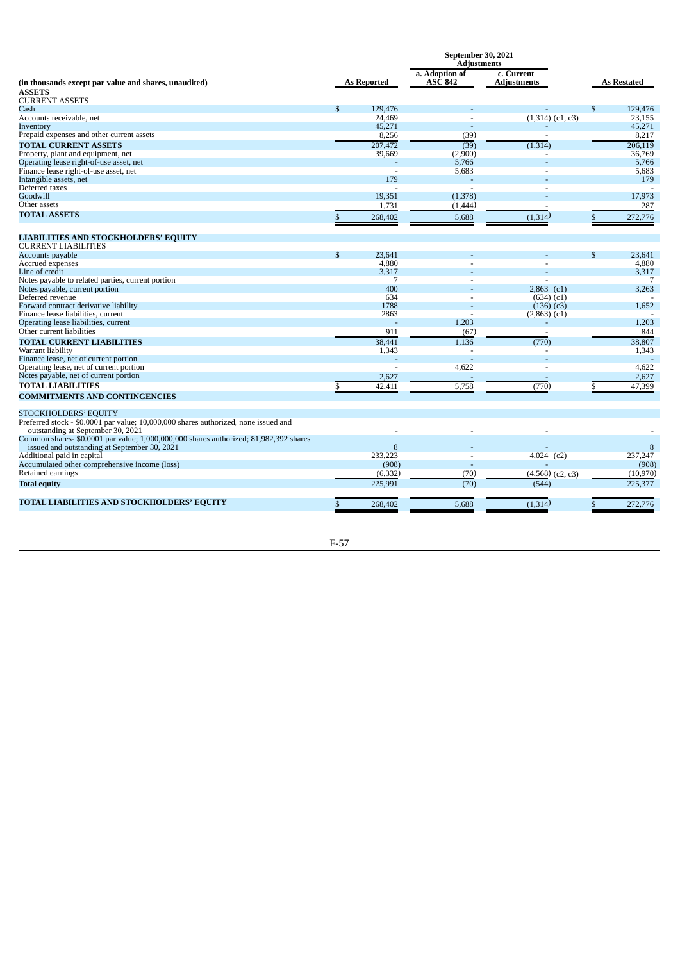|                                                                                                                          |                    | September 30, 2021<br><b>Adjustments</b> |                           |              |                    |  |  |
|--------------------------------------------------------------------------------------------------------------------------|--------------------|------------------------------------------|---------------------------|--------------|--------------------|--|--|
| (in thousands except par value and shares, unaudited)                                                                    | <b>As Reported</b> | a. Adoption of<br><b>ASC 842</b>         | c. Current<br>Adjustments |              | <b>As Restated</b> |  |  |
| <b>ASSETS</b>                                                                                                            |                    |                                          |                           |              |                    |  |  |
| <b>CURRENT ASSETS</b>                                                                                                    |                    |                                          |                           |              |                    |  |  |
| Cash                                                                                                                     | \$<br>129,476      |                                          |                           | $\mathbb{S}$ | 129,476            |  |  |
| Accounts receivable, net                                                                                                 | 24.469             |                                          | $(1,314)$ (c1, c3)        |              | 23.155             |  |  |
| Inventory                                                                                                                | 45,271             |                                          |                           |              | 45,271             |  |  |
| Prepaid expenses and other current assets                                                                                | 8,256              | (39)                                     |                           |              | 8,217              |  |  |
| <b>TOTAL CURRENT ASSETS</b>                                                                                              | 207,472            | (39)                                     | (1,314)                   |              | 206.119            |  |  |
| Property, plant and equipment, net                                                                                       | 39,669             |                                          |                           |              | 36,769             |  |  |
| Operating lease right-of-use asset, net                                                                                  |                    | (2,900)<br>5,766                         |                           |              | 5,766              |  |  |
| Finance lease right-of-use asset, net                                                                                    |                    |                                          |                           |              |                    |  |  |
|                                                                                                                          | 179                | 5,683                                    |                           |              | 5,683              |  |  |
| Intangible assets, net<br>Deferred taxes                                                                                 |                    |                                          |                           |              | 179                |  |  |
| Goodwill                                                                                                                 |                    |                                          |                           |              |                    |  |  |
|                                                                                                                          | 19,351             | (1, 378)                                 |                           |              | 17,973             |  |  |
| Other assets                                                                                                             | 1,731              | (1, 444)                                 |                           |              | 287                |  |  |
| <b>TOTAL ASSETS</b>                                                                                                      | 268,402            | 5,688                                    | (1,314)                   | \$           | 272,776            |  |  |
| <b>LIABILITIES AND STOCKHOLDERS' EQUITY</b>                                                                              |                    |                                          |                           |              |                    |  |  |
| <b>CURRENT LIABILITIES</b>                                                                                               |                    |                                          |                           |              |                    |  |  |
| Accounts payable                                                                                                         | \$<br>23.641       |                                          |                           | \$           | 23.641             |  |  |
| Accrued expenses                                                                                                         | 4.880              |                                          |                           |              | 4.880              |  |  |
| Line of credit                                                                                                           | 3,317              |                                          |                           |              | 3,317              |  |  |
| Notes payable to related parties, current portion                                                                        | 7                  |                                          |                           |              | 7                  |  |  |
| Notes payable, current portion                                                                                           | 400                |                                          | $2,863$ (c1)              |              | 3,263              |  |  |
| Deferred revenue                                                                                                         | 634                |                                          | (634) (c1)                |              |                    |  |  |
| Forward contract derivative liability                                                                                    | 1788               |                                          | $(136)$ $(c3)$            |              | 1.652              |  |  |
| Finance lease liabilities, current                                                                                       | 2863               |                                          | $(2,863)$ (c1)            |              |                    |  |  |
| Operating lease liabilities, current                                                                                     |                    | 1,203                                    |                           |              | 1,203              |  |  |
| Other current liabilities                                                                                                | 911                |                                          | $\overline{a}$            |              | 844                |  |  |
|                                                                                                                          |                    | (67)                                     |                           |              |                    |  |  |
| <b>TOTAL CURRENT LIABILITIES</b>                                                                                         | 38.441             | 1.136                                    | (770)                     |              | 38.807             |  |  |
| Warrant liability                                                                                                        | 1,343              | $\overline{\phantom{a}}$                 | $\overline{\phantom{a}}$  |              | 1,343              |  |  |
| Finance lease, net of current portion                                                                                    |                    |                                          |                           |              |                    |  |  |
| Operating lease, net of current portion                                                                                  |                    | 4,622                                    |                           |              | 4,622              |  |  |
| Notes payable, net of current portion                                                                                    | 2,627              |                                          |                           |              | 2,627              |  |  |
| <b>TOTAL LIABILITIES</b>                                                                                                 | \$<br>42,411       | 5,758                                    | (770)                     | \$           | 47,399             |  |  |
| <b>COMMITMENTS AND CONTINGENCIES</b>                                                                                     |                    |                                          |                           |              |                    |  |  |
| <b>STOCKHOLDERS' EQUITY</b>                                                                                              |                    |                                          |                           |              |                    |  |  |
| Preferred stock - \$0.0001 par value; 10,000,000 shares authorized, none issued and<br>outstanding at September 30, 2021 |                    |                                          |                           |              |                    |  |  |
| Common shares- \$0,0001 par value; 1,000,000,000 shares authorized; 81,982,392 shares                                    |                    |                                          |                           |              |                    |  |  |
| issued and outstanding at September 30, 2021                                                                             | 8                  |                                          |                           |              | 8                  |  |  |
| Additional paid in capital                                                                                               | 233.223            |                                          | 4,024 $(c2)$              |              | 237.247            |  |  |
| Accumulated other comprehensive income (loss)                                                                            | (908)              |                                          |                           |              | (908)              |  |  |
| Retained earnings                                                                                                        | (6, 332)           | (70)                                     | $(4,568)$ (c2, c3)        |              | (10,970)           |  |  |
| <b>Total equity</b>                                                                                                      | 225,991            | (70)                                     | (544)                     |              | 225,377            |  |  |
| TOTAL LIABILITIES AND STOCKHOLDERS' EQUITY                                                                               |                    |                                          |                           |              |                    |  |  |
|                                                                                                                          | 268,402            | 5,688                                    | (1,314)                   |              | 272,776            |  |  |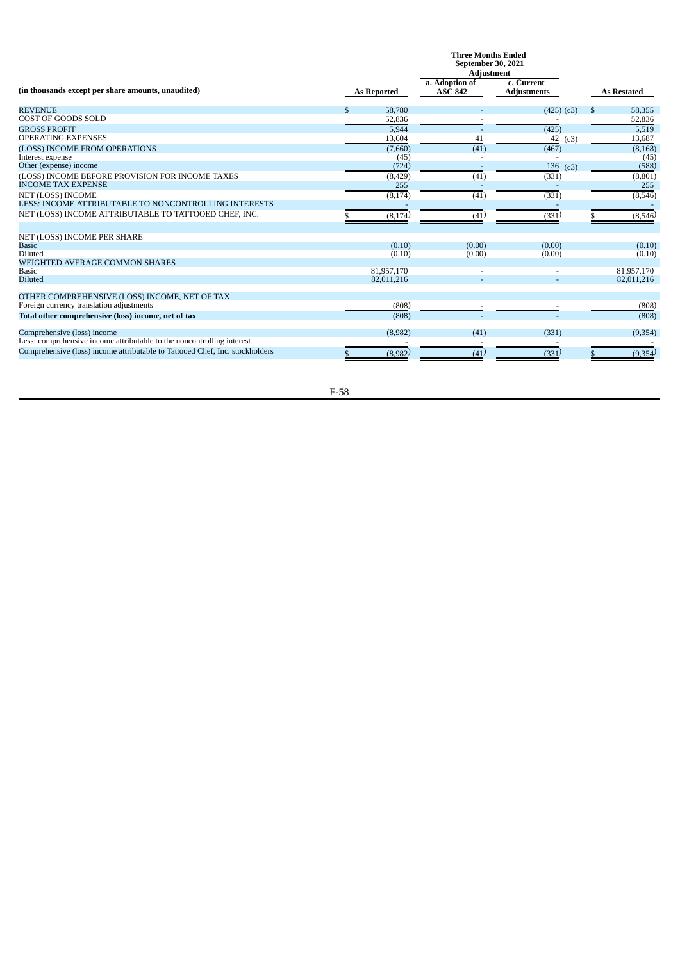|                                                                                   |    |                    | <b>Three Months Ended</b><br>September 30, 2021<br><b>Adjustment</b> |                                  |                    |
|-----------------------------------------------------------------------------------|----|--------------------|----------------------------------------------------------------------|----------------------------------|--------------------|
| (in thousands except per share amounts, unaudited)                                |    | <b>As Reported</b> | a. Adoption of<br>ASČ 842                                            | c. Current<br><b>Adjustments</b> | <b>As Restated</b> |
| <b>REVENUE</b>                                                                    | \$ | 58,780             |                                                                      | $(425)$ (c3)                     | \$<br>58,355       |
| COST OF GOODS SOLD                                                                |    | 52,836             |                                                                      |                                  | 52,836             |
| <b>GROSS PROFIT</b>                                                               |    | 5,944              |                                                                      | (425)                            | 5,519              |
| <b>OPERATING EXPENSES</b>                                                         |    | 13,604             | 41                                                                   | 42<br>(c3)                       | 13,687             |
| (LOSS) INCOME FROM OPERATIONS<br>Interest expense                                 |    | (7,660)<br>(45)    | (41)                                                                 | (467)                            | (8, 168)<br>(45)   |
| Other (expense) income                                                            |    | (724)              |                                                                      | 136<br>(c3)                      | (588)              |
| (LOSS) INCOME BEFORE PROVISION FOR INCOME TAXES                                   |    | (8, 429)           | (41)                                                                 | (331)                            | (8, 801)           |
| <b>INCOME TAX EXPENSE</b>                                                         |    | 255                |                                                                      |                                  | 255                |
| <b>NET (LOSS) INCOME</b><br>LESS: INCOME ATTRIBUTABLE TO NONCONTROLLING INTERESTS |    | (8, 174)           | (41)                                                                 | (331)                            | (8,546)            |
| NET (LOSS) INCOME ATTRIBUTABLE TO TATTOOED CHEF, INC.                             |    | (8, 174)           | (41)                                                                 | (331)                            | (8,546)            |
|                                                                                   |    |                    |                                                                      |                                  |                    |
| NET (LOSS) INCOME PER SHARE<br><b>Basic</b>                                       |    | (0.10)             | (0.00)                                                               | (0.00)                           | (0.10)             |
| Diluted                                                                           |    | (0.10)             | (0.00)                                                               | (0.00)                           | (0.10)             |
| WEIGHTED AVERAGE COMMON SHARES                                                    |    |                    |                                                                      |                                  |                    |
| <b>Basic</b>                                                                      |    | 81.957.170         |                                                                      |                                  | 81,957,170         |
| <b>Diluted</b>                                                                    |    | 82,011,216         |                                                                      |                                  | 82,011,216         |
| OTHER COMPREHENSIVE (LOSS) INCOME, NET OF TAX                                     |    |                    |                                                                      |                                  |                    |
| Foreign currency translation adjustments                                          |    | (808)              |                                                                      |                                  | (808)              |
| Total other comprehensive (loss) income, net of tax                               |    | (808)              |                                                                      |                                  | (808)              |
| Comprehensive (loss) income                                                       |    | (8,982)            | (41)                                                                 | (331)                            | (9, 354)           |
| Less: comprehensive income attributable to the noncontrolling interest            |    |                    |                                                                      |                                  |                    |
| Comprehensive (loss) income attributable to Tattooed Chef, Inc. stockholders      |    | (8,982)            | (41)                                                                 | (331)                            | (9,354)            |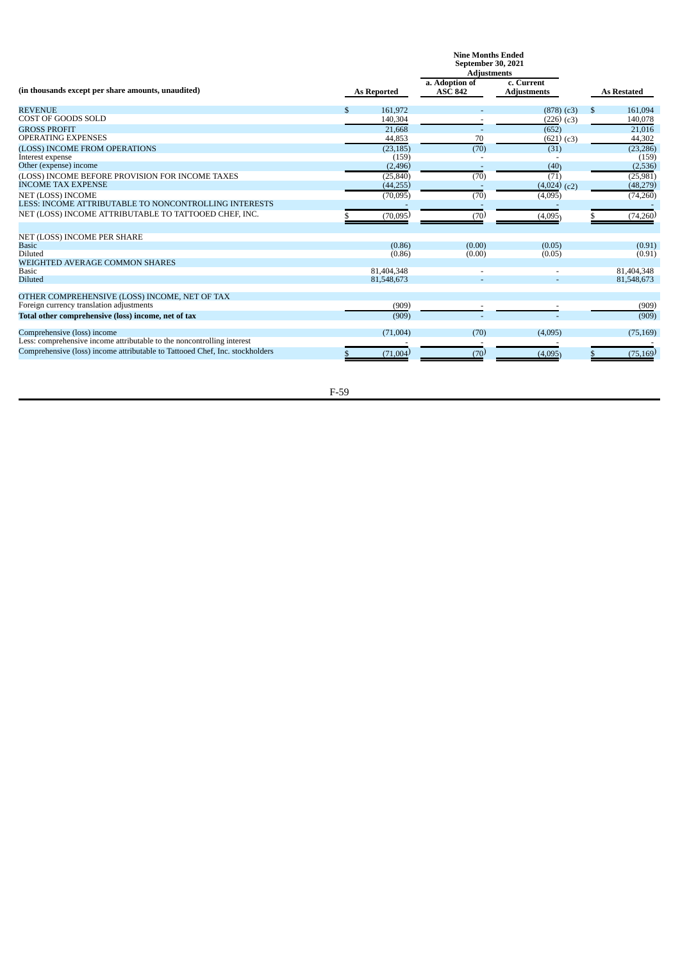|                                                                              |    |                    | <b>Nine Months Ended</b><br>September 30, 2021<br><b>Adjustments</b> |                                  |                    |
|------------------------------------------------------------------------------|----|--------------------|----------------------------------------------------------------------|----------------------------------|--------------------|
| (in thousands except per share amounts, unaudited)                           |    | As Reported        | a. Adoption of<br><b>ASC 842</b>                                     | c. Current<br><b>Adiustments</b> | <b>As Restated</b> |
| <b>REVENUE</b>                                                               | \$ | 161,972            |                                                                      | $(878)$ (c3)                     | \$<br>161,094      |
| COST OF GOODS SOLD                                                           |    | 140,304            |                                                                      | $(226)$ (c3)                     | 140,078            |
| <b>GROSS PROFIT</b>                                                          |    | 21,668             |                                                                      | (652)                            | 21,016             |
| <b>OPERATING EXPENSES</b>                                                    |    | 44,853             | 70                                                                   | $(621)$ (c3)                     | 44,302             |
| (LOSS) INCOME FROM OPERATIONS<br>Interest expense                            |    | (23, 185)<br>(159) | (70)                                                                 | (31)                             | (23, 286)<br>(159) |
| Other (expense) income                                                       |    | (2, 496)           |                                                                      | (40)                             | (2,536)            |
| (LOSS) INCOME BEFORE PROVISION FOR INCOME TAXES                              |    | (25, 840)          | (70)                                                                 | (71)                             | (25, 981)          |
| <b>INCOME TAX EXPENSE</b>                                                    |    | (44, 255)          |                                                                      | $(4,024)$ (c2)                   | (48, 279)          |
| NET (LOSS) INCOME                                                            |    | (70,095)           | (70)                                                                 | (4,095)                          | (74,260)           |
| LESS: INCOME ATTRIBUTABLE TO NONCONTROLLING INTERESTS                        |    |                    |                                                                      |                                  |                    |
| NET (LOSS) INCOME ATTRIBUTABLE TO TATTOOED CHEF, INC.                        |    | (70,095)           | (70)                                                                 | (4,095)                          | (74,260)           |
| NET (LOSS) INCOME PER SHARE                                                  |    |                    |                                                                      |                                  |                    |
| <b>Basic</b>                                                                 |    | (0.86)             | (0.00)                                                               | (0.05)                           | (0.91)             |
| Diluted                                                                      |    | (0.86)             | (0.00)                                                               | (0.05)                           | (0.91)             |
| WEIGHTED AVERAGE COMMON SHARES                                               |    |                    |                                                                      |                                  |                    |
| <b>Basic</b>                                                                 |    | 81,404,348         |                                                                      |                                  | 81,404,348         |
| <b>Diluted</b>                                                               |    | 81,548,673         |                                                                      |                                  | 81,548,673         |
| OTHER COMPREHENSIVE (LOSS) INCOME, NET OF TAX                                |    |                    |                                                                      |                                  |                    |
| Foreign currency translation adjustments                                     |    | (909)              |                                                                      |                                  | (909)              |
| Total other comprehensive (loss) income, net of tax                          |    | (909)              |                                                                      |                                  | (909)              |
| Comprehensive (loss) income                                                  |    | (71,004)           | (70)                                                                 | (4,095)                          | (75, 169)          |
| Less: comprehensive income attributable to the noncontrolling interest       |    |                    |                                                                      |                                  |                    |
| Comprehensive (loss) income attributable to Tattooed Chef, Inc. stockholders |    | (71,004)           | (70)                                                                 | (4,095)                          | (75, 169)          |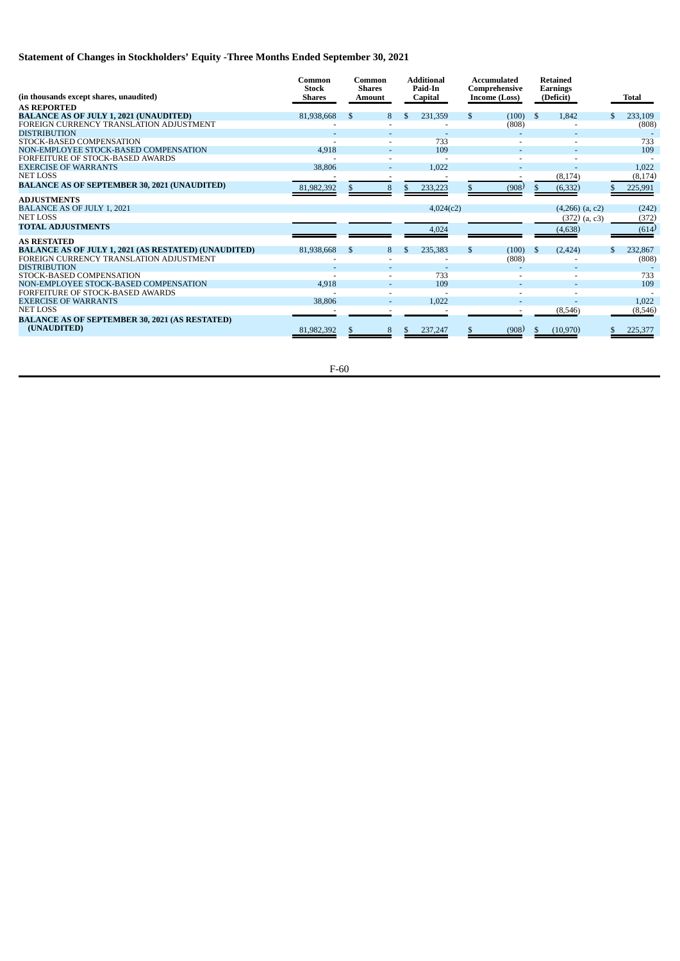# **Statement of Changes in Stockholders' Equity -Three Months Ended September 30, 2021**

| (in thousands except shares, unaudited)                     | Common<br><b>Stock</b><br><b>Shares</b> | Common<br><b>Shares</b><br>Amount |                          |     | <b>Additional</b><br>Paid-In<br><b>Capital</b> |              | Accumulated<br>Comprehensive<br>Income (Loss) |          | <b>Retained</b><br><b>Earnings</b><br>(Deficit) |    | Total   |
|-------------------------------------------------------------|-----------------------------------------|-----------------------------------|--------------------------|-----|------------------------------------------------|--------------|-----------------------------------------------|----------|-------------------------------------------------|----|---------|
| <b>AS REPORTED</b>                                          |                                         |                                   |                          |     |                                                |              |                                               |          |                                                 |    |         |
| <b>BALANCE AS OF JULY 1, 2021 (UNAUDITED)</b>               | 81,938,668                              | -S                                | 8                        | -S  | 231,359                                        | $\mathbb{S}$ | (100)                                         | <b>S</b> | 1.842                                           | S. | 233,109 |
| FOREIGN CURRENCY TRANSLATION ADJUSTMENT                     |                                         |                                   |                          |     |                                                |              | (808)                                         |          |                                                 |    | (808)   |
| <b>DISTRIBUTION</b>                                         |                                         |                                   |                          |     |                                                |              |                                               |          |                                                 |    |         |
| STOCK-BASED COMPENSATION                                    |                                         |                                   |                          |     | 733                                            |              |                                               |          |                                                 |    | 733     |
| NON-EMPLOYEE STOCK-BASED COMPENSATION                       | 4,918                                   |                                   |                          |     | 109                                            |              |                                               |          |                                                 |    | 109     |
| FORFEITURE OF STOCK-BASED AWARDS                            |                                         |                                   |                          |     |                                                |              |                                               |          |                                                 |    |         |
| <b>EXERCISE OF WARRANTS</b>                                 | 38,806                                  |                                   | $\overline{\phantom{a}}$ |     | 1,022                                          |              |                                               |          |                                                 |    | 1,022   |
| <b>NET LOSS</b>                                             |                                         |                                   |                          |     |                                                |              |                                               |          | (8, 174)                                        |    | (8,174) |
| <b>BALANCE AS OF SEPTEMBER 30, 2021 (UNAUDITED)</b>         | 81,982,392                              |                                   | 8                        | \$  | 233,223                                        |              | (908)                                         | Ж,       | (6, 332)                                        |    | 225,991 |
| <b>ADJUSTMENTS</b>                                          |                                         |                                   |                          |     |                                                |              |                                               |          |                                                 |    |         |
| <b>BALANCE AS OF JULY 1, 2021</b>                           |                                         |                                   |                          |     | 4,024(c2)                                      |              |                                               |          | $(4,266)$ (a, c2)                               |    | (242)   |
| <b>NET LOSS</b>                                             |                                         |                                   |                          |     |                                                |              |                                               |          | $(372)$ (a, c3)                                 |    | (372)   |
| <b>TOTAL ADJUSTMENTS</b>                                    |                                         |                                   |                          |     | 4,024                                          |              |                                               |          | (4,638)                                         |    | (614)   |
|                                                             |                                         |                                   |                          |     |                                                |              |                                               |          |                                                 |    |         |
| <b>AS RESTATED</b>                                          |                                         |                                   |                          |     |                                                |              |                                               |          |                                                 |    |         |
| <b>BALANCE AS OF JULY 1, 2021 (AS RESTATED) (UNAUDITED)</b> | 81,938,668                              | $\mathbf{s}$                      | 8                        | \$. | 235,383                                        | $\mathbb{S}$ | (100)                                         | \$       | (2, 424)                                        | \$ | 232,867 |
| FOREIGN CURRENCY TRANSLATION ADJUSTMENT                     |                                         |                                   |                          |     |                                                |              | (808)                                         |          |                                                 |    | (808)   |
| <b>DISTRIBUTION</b>                                         | $\overline{a}$                          |                                   | $\overline{\phantom{a}}$ |     |                                                |              |                                               |          | ٠                                               |    |         |
| STOCK-BASED COMPENSATION                                    |                                         |                                   | $\overline{\phantom{a}}$ |     | 733                                            |              |                                               |          |                                                 |    | 733     |
| NON-EMPLOYEE STOCK-BASED COMPENSATION                       | 4,918                                   |                                   | $\overline{a}$           |     | 109                                            |              |                                               |          |                                                 |    | 109     |
| FORFEITURE OF STOCK-BASED AWARDS                            |                                         |                                   |                          |     |                                                |              |                                               |          |                                                 |    |         |
| <b>EXERCISE OF WARRANTS</b>                                 | 38,806                                  |                                   | $\overline{\phantom{a}}$ |     | 1,022                                          |              |                                               |          |                                                 |    | 1,022   |
| <b>NET LOSS</b>                                             |                                         |                                   |                          |     |                                                |              |                                               |          | (8,546)                                         |    | (8,546) |
| <b>BALANCE AS OF SEPTEMBER 30, 2021 (AS RESTATED)</b>       |                                         |                                   |                          |     |                                                |              |                                               |          |                                                 |    |         |
| (UNAUDITED)                                                 | 81,982,392                              |                                   |                          | S   | 237,247                                        |              | (908)                                         |          | (10, 970)                                       |    | 225,377 |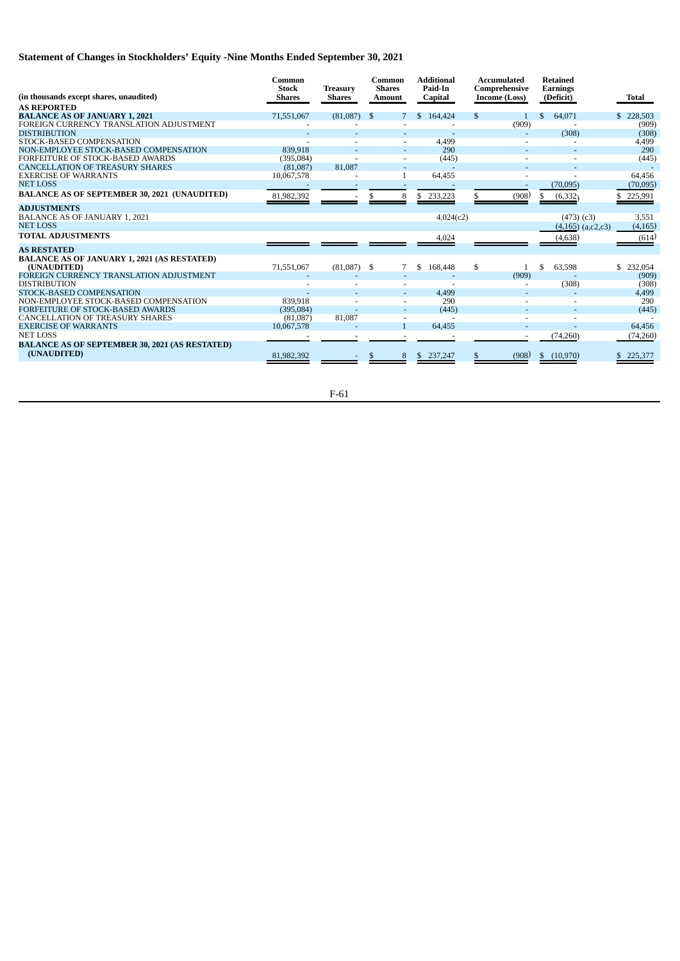# **Statement of Changes in Stockholders' Equity -Nine Months Ended September 30, 2021**

| (in thousands except shares, unaudited)               | Common<br><b>Stock</b><br><b>Shares</b> | <b>Treasury</b><br><b>Shares</b> | Common<br><b>Shares</b><br><b>Amount</b> | <b>Additional</b><br>Paid-In<br>Capital | Accumulated<br>Comprehensive<br>Income (Loss) | <b>Retained</b><br>Earnings<br>(Deficit) | Total         |
|-------------------------------------------------------|-----------------------------------------|----------------------------------|------------------------------------------|-----------------------------------------|-----------------------------------------------|------------------------------------------|---------------|
| <b>AS REPORTED</b>                                    |                                         |                                  |                                          |                                         |                                               |                                          |               |
| <b>BALANCE AS OF JANUARY 1, 2021</b>                  | 71,551,067                              | (81,087)                         | -\$                                      | 164,424<br>$\mathbb{S}$                 | \$                                            | 64,071<br>\$.                            | \$ 228,503    |
| FOREIGN CURRENCY TRANSLATION ADJUSTMENT               |                                         |                                  |                                          |                                         | (909)                                         |                                          | (909)         |
| <b>DISTRIBUTION</b>                                   |                                         |                                  |                                          |                                         | $\overline{a}$                                | (308)                                    | (308)         |
| STOCK-BASED COMPENSATION                              |                                         |                                  | ÷                                        | 4,499                                   |                                               |                                          | 4,499         |
| NON-EMPLOYEE STOCK-BASED COMPENSATION                 | 839.918                                 |                                  |                                          | 290                                     |                                               |                                          | 290           |
| FORFEITURE OF STOCK-BASED AWARDS                      | (395.084)                               |                                  |                                          | (445)                                   |                                               |                                          | (445)         |
| <b>CANCELLATION OF TREASURY SHARES</b>                | (81.087)                                | 81,087                           |                                          |                                         |                                               |                                          |               |
| <b>EXERCISE OF WARRANTS</b>                           | 10,067,578                              |                                  |                                          | 64,455                                  |                                               |                                          | 64,456        |
| <b>NET LOSS</b>                                       |                                         |                                  |                                          |                                         |                                               | (70,095)                                 | (70,095)      |
| <b>BALANCE AS OF SEPTEMBER 30, 2021 (UNAUDITED)</b>   | 81,982,392                              |                                  | 8                                        | 233,223<br>\$                           | (908)                                         | (6,332)<br>S                             | 225,991       |
| <b>ADJUSTMENTS</b>                                    |                                         |                                  |                                          |                                         |                                               |                                          |               |
| <b>BALANCE AS OF JANUARY 1, 2021</b>                  |                                         |                                  |                                          | 4,024(c2)                               |                                               | $(473)$ (c3)                             | 3,551         |
| <b>NET LOSS</b>                                       |                                         |                                  |                                          |                                         |                                               | $\left(4,165\right)$ (a,c2,c3)           | (4, 165)      |
| <b>TOTAL ADJUSTMENTS</b>                              |                                         |                                  |                                          | 4,024                                   |                                               | (4,638)                                  | (614)         |
| <b>AS RESTATED</b>                                    |                                         |                                  |                                          |                                         |                                               |                                          |               |
| <b>BALANCE AS OF JANUARY 1, 2021 (AS RESTATED)</b>    |                                         |                                  |                                          |                                         |                                               |                                          |               |
| (UNAUDITED)                                           | 71,551,067                              | (81,087)                         | \$                                       | 168,448<br>\$                           | \$                                            | \$<br>63,598                             | \$<br>232,054 |
| FOREIGN CURRENCY TRANSLATION ADJUSTMENT               |                                         |                                  |                                          |                                         | (909)                                         |                                          | (909)         |
| <b>DISTRIBUTION</b>                                   |                                         |                                  |                                          |                                         | $\overline{a}$                                | (308)                                    | (308)         |
| STOCK-BASED COMPENSATION                              |                                         |                                  | $\overline{\phantom{a}}$                 | 4,499                                   | $\overline{\phantom{a}}$                      |                                          | 4,499         |
| NON-EMPLOYEE STOCK-BASED COMPENSATION                 | 839.918                                 |                                  | $\overline{\phantom{0}}$                 | 290                                     |                                               |                                          | 290           |
| <b>FORFEITURE OF STOCK-BASED AWARDS</b>               | (395,084)                               |                                  | $\overline{\phantom{a}}$                 | (445)                                   | $\overline{a}$                                | $\overline{\phantom{a}}$                 | (445)         |
| <b>CANCELLATION OF TREASURY SHARES</b>                | (81.087)                                | 81,087                           |                                          |                                         |                                               |                                          |               |
| <b>EXERCISE OF WARRANTS</b>                           | 10,067,578                              |                                  |                                          | 64,455                                  |                                               |                                          | 64,456        |
| <b>NET LOSS</b>                                       |                                         |                                  |                                          |                                         |                                               | (74,260)                                 | (74,260)      |
| <b>BALANCE AS OF SEPTEMBER 30, 2021 (AS RESTATED)</b> |                                         |                                  |                                          |                                         |                                               |                                          |               |
| (UNAUDITED)                                           | 81,982,392                              |                                  | 8                                        | 237,247<br>\$                           | (908)                                         | (10, 970)<br>\$                          | 225,377       |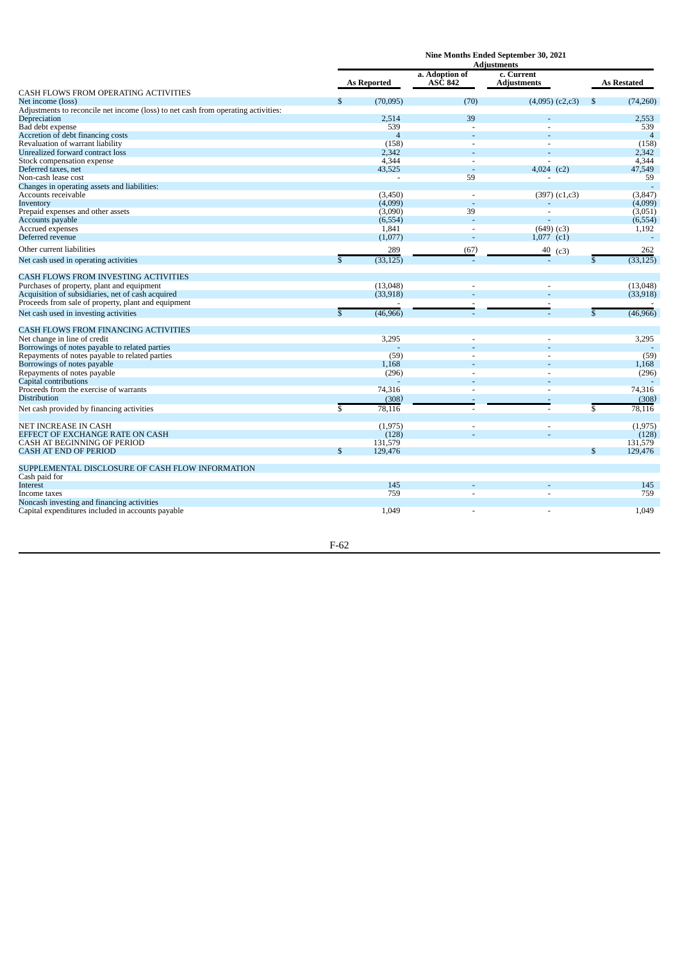|                                                                                                   |                         | <b>As Reported</b> | a. Adoption of<br><b>ASC 842</b> | c. Current<br><b>Adjustments</b> |                         | <b>As Restated</b> |
|---------------------------------------------------------------------------------------------------|-------------------------|--------------------|----------------------------------|----------------------------------|-------------------------|--------------------|
| CASH FLOWS FROM OPERATING ACTIVITIES                                                              | $\mathbb{S}$            |                    |                                  |                                  |                         |                    |
| Net income (loss)                                                                                 |                         | (70,095)           | (70)                             | $(4,095)$ (c2,c3)                | $\mathbb{S}$            | (74,260)           |
| Adjustments to reconcile net income (loss) to net cash from operating activities:<br>Depreciation |                         | 2,514              | 39                               |                                  |                         | 2,553              |
| Bad debt expense                                                                                  |                         | 539                | $\overline{a}$                   |                                  |                         | 539                |
| Accretion of debt financing costs                                                                 |                         | $\overline{4}$     |                                  |                                  |                         | $\overline{4}$     |
| Revaluation of warrant liability                                                                  |                         | (158)              |                                  |                                  |                         | (158)              |
| Unrealized forward contract loss                                                                  |                         | 2.342              |                                  |                                  |                         | 2,342              |
| Stock compensation expense                                                                        |                         | 4,344              |                                  |                                  |                         | 4,344              |
| Deferred taxes, net                                                                               |                         | 43,525             |                                  | $4,024$ (c2)                     |                         | 47,549             |
| Non-cash lease cost                                                                               |                         | ÷,                 | 59                               | ÷,                               |                         | 59                 |
| Changes in operating assets and liabilities:                                                      |                         |                    |                                  |                                  |                         |                    |
| Accounts receivable                                                                               |                         | (3, 450)           | $\overline{a}$                   | $(397)$ $(c1,c3)$                |                         | (3, 847)           |
| Inventory                                                                                         |                         | (4,099)            |                                  |                                  |                         | (4,099)            |
| Prepaid expenses and other assets                                                                 |                         | (3,090)            | 39                               | $\sim$                           |                         | (3,051)            |
| Accounts payable                                                                                  |                         | (6, 554)           |                                  |                                  |                         | (6, 554)           |
| Accrued expenses                                                                                  |                         | 1,841              | $\overline{a}$                   | $(649)$ $(c3)$                   |                         | 1,192              |
| Deferred revenue                                                                                  |                         | (1,077)            |                                  | $1,077$ (c1)                     |                         |                    |
|                                                                                                   |                         |                    |                                  |                                  |                         |                    |
| Other current liabilities                                                                         |                         | 289                | (67)                             | 40<br>(c3)                       |                         | 262                |
| Net cash used in operating activities                                                             | $\overline{\mathbb{S}}$ | (33, 125)          |                                  |                                  | $\overline{\mathbb{S}}$ | (33, 125)          |
| <b>CASH FLOWS FROM INVESTING ACTIVITIES</b>                                                       |                         |                    |                                  |                                  |                         |                    |
| Purchases of property, plant and equipment                                                        |                         | (13,048)           |                                  |                                  |                         | (13,048)           |
| Acquisition of subsidiaries, net of cash acquired                                                 |                         | (33,918)           |                                  |                                  |                         | (33,918)           |
| Proceeds from sale of property, plant and equipment                                               |                         |                    |                                  |                                  |                         |                    |
| Net cash used in investing activities                                                             | $\overline{\mathbb{S}}$ | (46,966)           |                                  |                                  | $\overline{\mathbb{S}}$ | (46, 966)          |
| <b>CASH FLOWS FROM FINANCING ACTIVITIES</b>                                                       |                         |                    |                                  |                                  |                         |                    |
| Net change in line of credit                                                                      |                         | 3,295              |                                  |                                  |                         | 3,295              |
| Borrowings of notes payable to related parties                                                    |                         |                    |                                  |                                  |                         |                    |
| Repayments of notes payable to related parties                                                    |                         | (59)               |                                  |                                  |                         | (59)               |
| Borrowings of notes payable                                                                       |                         | 1,168              |                                  |                                  |                         | 1,168              |
| Repayments of notes payable                                                                       |                         | (296)              |                                  |                                  |                         | (296)              |
| Capital contributions                                                                             |                         |                    |                                  |                                  |                         |                    |
| Proceeds from the exercise of warrants                                                            |                         | 74,316             | ÷,                               |                                  |                         | 74,316             |
| <b>Distribution</b>                                                                               |                         | (308)              |                                  |                                  |                         | (308)              |
| Net cash provided by financing activities                                                         | \$.                     | 78,116             |                                  |                                  | \$                      | 78,116             |
| NET INCREASE IN CASH                                                                              |                         | (1, 975)           |                                  |                                  |                         | (1, 975)           |
| EFFECT OF EXCHANGE RATE ON CASH                                                                   |                         | (128)              |                                  |                                  |                         | (128)              |
| CASH AT BEGINNING OF PERIOD                                                                       |                         | 131,579            |                                  |                                  |                         | 131,579            |
| <b>CASH AT END OF PERIOD</b>                                                                      | \$                      | 129,476            |                                  |                                  | $\mathbb{S}$            | 129,476            |
|                                                                                                   |                         |                    |                                  |                                  |                         |                    |
| SUPPLEMENTAL DISCLOSURE OF CASH FLOW INFORMATION<br>Cash paid for                                 |                         |                    |                                  |                                  |                         |                    |
| <b>Interest</b>                                                                                   |                         | 145                |                                  |                                  |                         | 145                |
| Income taxes                                                                                      |                         | 759                |                                  |                                  |                         | 759                |
| Noncash investing and financing activities                                                        |                         |                    |                                  |                                  |                         |                    |
| Capital expenditures included in accounts payable                                                 |                         | 1,049              |                                  |                                  |                         | 1,049              |
|                                                                                                   |                         |                    |                                  |                                  |                         |                    |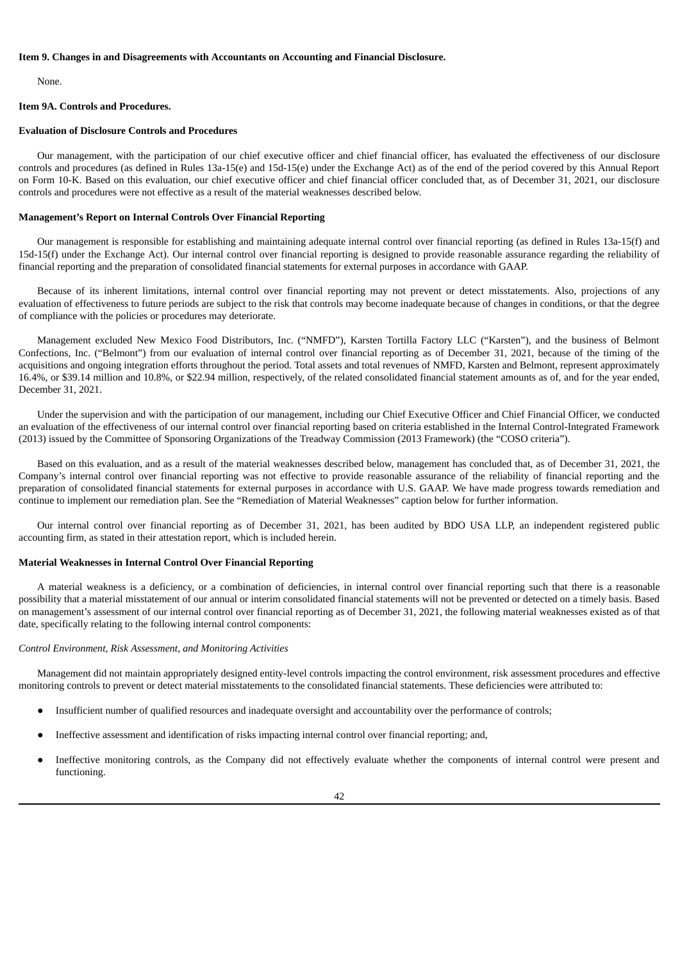### **Item 9. Changes in and Disagreements with Accountants on Accounting and Financial Disclosure.**

None.

## **Item 9A. Controls and Procedures.**

#### **Evaluation of Disclosure Controls and Procedures**

Our management, with the participation of our chief executive officer and chief financial officer, has evaluated the effectiveness of our disclosure controls and procedures (as defined in Rules 13a-15(e) and 15d-15(e) under the Exchange Act) as of the end of the period covered by this Annual Report on Form 10-K. Based on this evaluation, our chief executive officer and chief financial officer concluded that, as of December 31, 2021, our disclosure controls and procedures were not effective as a result of the material weaknesses described below.

### **Management's Report on Internal Controls Over Financial Reporting**

Our management is responsible for establishing and maintaining adequate internal control over financial reporting (as defined in Rules 13a-15(f) and 15d-15(f) under the Exchange Act). Our internal control over financial reporting is designed to provide reasonable assurance regarding the reliability of financial reporting and the preparation of consolidated financial statements for external purposes in accordance with GAAP.

Because of its inherent limitations, internal control over financial reporting may not prevent or detect misstatements. Also, projections of any evaluation of effectiveness to future periods are subject to the risk that controls may become inadequate because of changes in conditions, or that the degree of compliance with the policies or procedures may deteriorate.

Management excluded New Mexico Food Distributors, Inc. ("NMFD"), Karsten Tortilla Factory LLC ("Karsten"), and the business of Belmont Confections, Inc. ("Belmont") from our evaluation of internal control over financial reporting as of December 31, 2021, because of the timing of the acquisitions and ongoing integration efforts throughout the period. Total assets and total revenues of NMFD, Karsten and Belmont, represent approximately 16.4%, or \$39.14 million and 10.8%, or \$22.94 million, respectively, of the related consolidated financial statement amounts as of, and for the year ended, December 31, 2021.

Under the supervision and with the participation of our management, including our Chief Executive Officer and Chief Financial Officer, we conducted an evaluation of the effectiveness of our internal control over financial reporting based on criteria established in the Internal Control-Integrated Framework (2013) issued by the Committee of Sponsoring Organizations of the Treadway Commission (2013 Framework) (the "COSO criteria").

Based on this evaluation, and as a result of the material weaknesses described below, management has concluded that, as of December 31, 2021, the Company's internal control over financial reporting was not effective to provide reasonable assurance of the reliability of financial reporting and the preparation of consolidated financial statements for external purposes in accordance with U.S. GAAP. We have made progress towards remediation and continue to implement our remediation plan. See the "Remediation of Material Weaknesses" caption below for further information.

Our internal control over financial reporting as of December 31, 2021, has been audited by BDO USA LLP, an independent registered public accounting firm, as stated in their attestation report, which is included herein.

#### **Material Weaknesses in Internal Control Over Financial Reporting**

A material weakness is a deficiency, or a combination of deficiencies, in internal control over financial reporting such that there is a reasonable possibility that a material misstatement of our annual or interim consolidated financial statements will not be prevented or detected on a timely basis. Based on management's assessment of our internal control over financial reporting as of December 31, 2021, the following material weaknesses existed as of that date, specifically relating to the following internal control components:

#### *Control Environment, Risk Assessment, and Monitoring Activities*

Management did not maintain appropriately designed entity-level controls impacting the control environment, risk assessment procedures and effective monitoring controls to prevent or detect material misstatements to the consolidated financial statements. These deficiencies were attributed to:

- Insufficient number of qualified resources and inadequate oversight and accountability over the performance of controls;
- Ineffective assessment and identification of risks impacting internal control over financial reporting; and,
- Ineffective monitoring controls, as the Company did not effectively evaluate whether the components of internal control were present and functioning.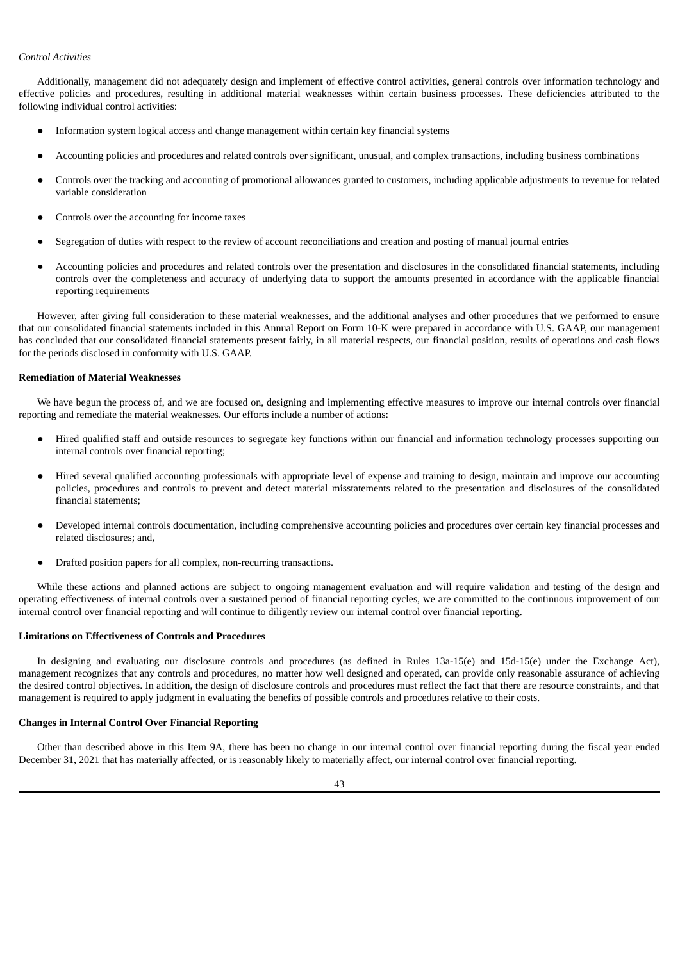## *Control Activities*

Additionally, management did not adequately design and implement of effective control activities, general controls over information technology and effective policies and procedures, resulting in additional material weaknesses within certain business processes. These deficiencies attributed to the following individual control activities:

- Information system logical access and change management within certain key financial systems
- Accounting policies and procedures and related controls over significant, unusual, and complex transactions, including business combinations
- Controls over the tracking and accounting of promotional allowances granted to customers, including applicable adjustments to revenue for related variable consideration
- Controls over the accounting for income taxes
- Segregation of duties with respect to the review of account reconciliations and creation and posting of manual journal entries
- Accounting policies and procedures and related controls over the presentation and disclosures in the consolidated financial statements, including controls over the completeness and accuracy of underlying data to support the amounts presented in accordance with the applicable financial reporting requirements

However, after giving full consideration to these material weaknesses, and the additional analyses and other procedures that we performed to ensure that our consolidated financial statements included in this Annual Report on Form 10-K were prepared in accordance with U.S. GAAP, our management has concluded that our consolidated financial statements present fairly, in all material respects, our financial position, results of operations and cash flows for the periods disclosed in conformity with U.S. GAAP.

#### **Remediation of Material Weaknesses**

We have begun the process of, and we are focused on, designing and implementing effective measures to improve our internal controls over financial reporting and remediate the material weaknesses. Our efforts include a number of actions:

- Hired qualified staff and outside resources to segregate key functions within our financial and information technology processes supporting our internal controls over financial reporting;
- Hired several qualified accounting professionals with appropriate level of expense and training to design, maintain and improve our accounting policies, procedures and controls to prevent and detect material misstatements related to the presentation and disclosures of the consolidated financial statements;
- Developed internal controls documentation, including comprehensive accounting policies and procedures over certain key financial processes and related disclosures; and,
- Drafted position papers for all complex, non-recurring transactions.

While these actions and planned actions are subject to ongoing management evaluation and will require validation and testing of the design and operating effectiveness of internal controls over a sustained period of financial reporting cycles, we are committed to the continuous improvement of our internal control over financial reporting and will continue to diligently review our internal control over financial reporting.

#### **Limitations on Effectiveness of Controls and Procedures**

In designing and evaluating our disclosure controls and procedures (as defined in Rules 13a-15(e) and 15d-15(e) under the Exchange Act), management recognizes that any controls and procedures, no matter how well designed and operated, can provide only reasonable assurance of achieving the desired control objectives. In addition, the design of disclosure controls and procedures must reflect the fact that there are resource constraints, and that management is required to apply judgment in evaluating the benefits of possible controls and procedures relative to their costs.

#### **Changes in Internal Control Over Financial Reporting**

Other than described above in this Item 9A, there has been no change in our internal control over financial reporting during the fiscal year ended December 31, 2021 that has materially affected, or is reasonably likely to materially affect, our internal control over financial reporting.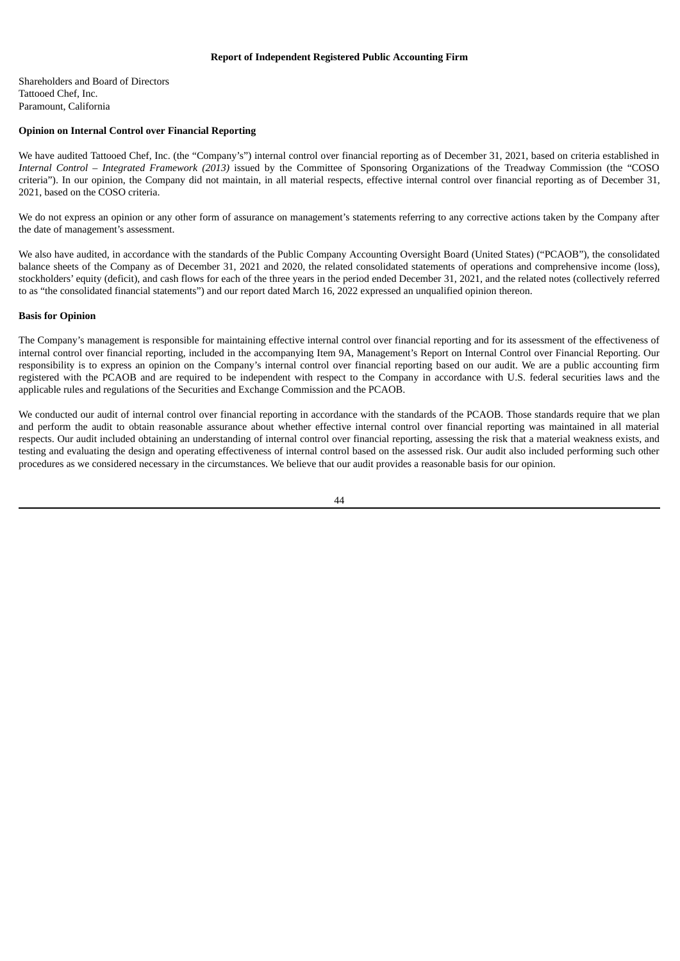### **Report of Independent Registered Public Accounting Firm**

Shareholders and Board of Directors Tattooed Chef, Inc. Paramount, California

### **Opinion on Internal Control over Financial Reporting**

We have audited Tattooed Chef, Inc. (the "Company's") internal control over financial reporting as of December 31, 2021, based on criteria established in *Internal Control – Integrated Framework (2013)* issued by the Committee of Sponsoring Organizations of the Treadway Commission (the "COSO criteria"). In our opinion, the Company did not maintain, in all material respects, effective internal control over financial reporting as of December 31, 2021, based on the COSO criteria.

We do not express an opinion or any other form of assurance on management's statements referring to any corrective actions taken by the Company after the date of management's assessment.

We also have audited, in accordance with the standards of the Public Company Accounting Oversight Board (United States) ("PCAOB"), the consolidated balance sheets of the Company as of December 31, 2021 and 2020, the related consolidated statements of operations and comprehensive income (loss), stockholders' equity (deficit), and cash flows for each of the three years in the period ended December 31, 2021, and the related notes (collectively referred to as "the consolidated financial statements") and our report dated March 16, 2022 expressed an unqualified opinion thereon.

### **Basis for Opinion**

The Company's management is responsible for maintaining effective internal control over financial reporting and for its assessment of the effectiveness of internal control over financial reporting, included in the accompanying Item 9A, Management's Report on Internal Control over Financial Reporting. Our responsibility is to express an opinion on the Company's internal control over financial reporting based on our audit. We are a public accounting firm registered with the PCAOB and are required to be independent with respect to the Company in accordance with U.S. federal securities laws and the applicable rules and regulations of the Securities and Exchange Commission and the PCAOB.

We conducted our audit of internal control over financial reporting in accordance with the standards of the PCAOB. Those standards require that we plan and perform the audit to obtain reasonable assurance about whether effective internal control over financial reporting was maintained in all material respects. Our audit included obtaining an understanding of internal control over financial reporting, assessing the risk that a material weakness exists, and testing and evaluating the design and operating effectiveness of internal control based on the assessed risk. Our audit also included performing such other procedures as we considered necessary in the circumstances. We believe that our audit provides a reasonable basis for our opinion.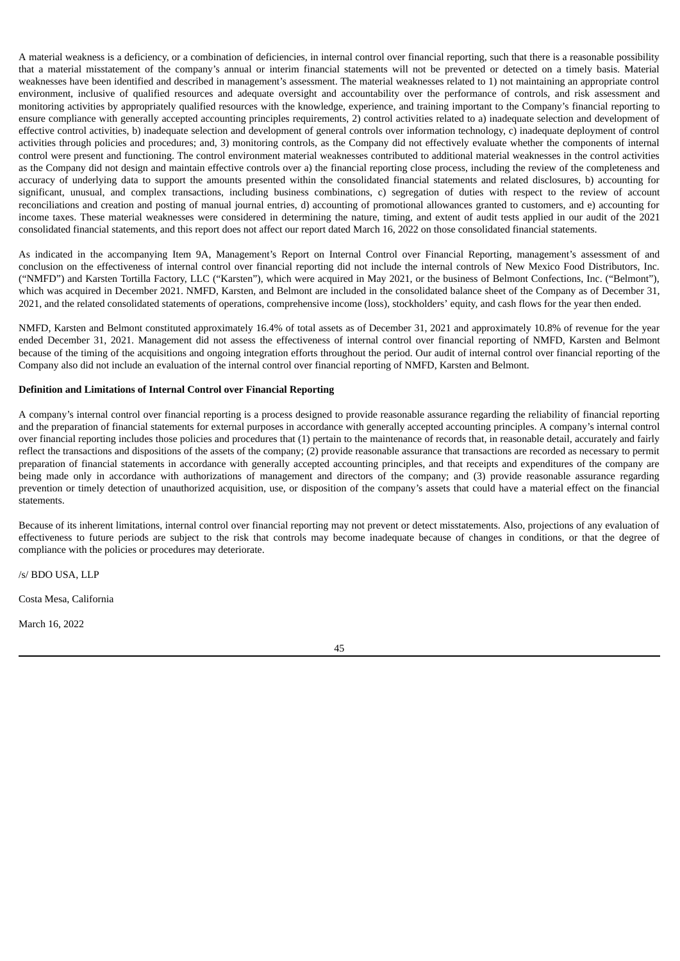A material weakness is a deficiency, or a combination of deficiencies, in internal control over financial reporting, such that there is a reasonable possibility that a material misstatement of the company's annual or interim financial statements will not be prevented or detected on a timely basis. Material weaknesses have been identified and described in management's assessment. The material weaknesses related to 1) not maintaining an appropriate control environment, inclusive of qualified resources and adequate oversight and accountability over the performance of controls, and risk assessment and monitoring activities by appropriately qualified resources with the knowledge, experience, and training important to the Company's financial reporting to ensure compliance with generally accepted accounting principles requirements, 2) control activities related to a) inadequate selection and development of effective control activities, b) inadequate selection and development of general controls over information technology, c) inadequate deployment of control activities through policies and procedures; and, 3) monitoring controls, as the Company did not effectively evaluate whether the components of internal control were present and functioning. The control environment material weaknesses contributed to additional material weaknesses in the control activities as the Company did not design and maintain effective controls over a) the financial reporting close process, including the review of the completeness and accuracy of underlying data to support the amounts presented within the consolidated financial statements and related disclosures, b) accounting for significant, unusual, and complex transactions, including business combinations, c) segregation of duties with respect to the review of account reconciliations and creation and posting of manual journal entries, d) accounting of promotional allowances granted to customers, and e) accounting for income taxes. These material weaknesses were considered in determining the nature, timing, and extent of audit tests applied in our audit of the 2021 consolidated financial statements, and this report does not affect our report dated March 16, 2022 on those consolidated financial statements.

As indicated in the accompanying Item 9A, Management's Report on Internal Control over Financial Reporting, management's assessment of and conclusion on the effectiveness of internal control over financial reporting did not include the internal controls of New Mexico Food Distributors, Inc. ("NMFD") and Karsten Tortilla Factory, LLC ("Karsten"), which were acquired in May 2021, or the business of Belmont Confections, Inc. ("Belmont"), which was acquired in December 2021. NMFD, Karsten, and Belmont are included in the consolidated balance sheet of the Company as of December 31, 2021, and the related consolidated statements of operations, comprehensive income (loss), stockholders' equity, and cash flows for the year then ended.

NMFD, Karsten and Belmont constituted approximately 16.4% of total assets as of December 31, 2021 and approximately 10.8% of revenue for the year ended December 31, 2021. Management did not assess the effectiveness of internal control over financial reporting of NMFD, Karsten and Belmont because of the timing of the acquisitions and ongoing integration efforts throughout the period. Our audit of internal control over financial reporting of the Company also did not include an evaluation of the internal control over financial reporting of NMFD, Karsten and Belmont.

### **Definition and Limitations of Internal Control over Financial Reporting**

A company's internal control over financial reporting is a process designed to provide reasonable assurance regarding the reliability of financial reporting and the preparation of financial statements for external purposes in accordance with generally accepted accounting principles. A company's internal control over financial reporting includes those policies and procedures that (1) pertain to the maintenance of records that, in reasonable detail, accurately and fairly reflect the transactions and dispositions of the assets of the company; (2) provide reasonable assurance that transactions are recorded as necessary to permit preparation of financial statements in accordance with generally accepted accounting principles, and that receipts and expenditures of the company are being made only in accordance with authorizations of management and directors of the company; and (3) provide reasonable assurance regarding prevention or timely detection of unauthorized acquisition, use, or disposition of the company's assets that could have a material effect on the financial statements.

Because of its inherent limitations, internal control over financial reporting may not prevent or detect misstatements. Also, projections of any evaluation of effectiveness to future periods are subject to the risk that controls may become inadequate because of changes in conditions, or that the degree of compliance with the policies or procedures may deteriorate.

/s/ BDO USA, LLP

Costa Mesa, California

March 16, 2022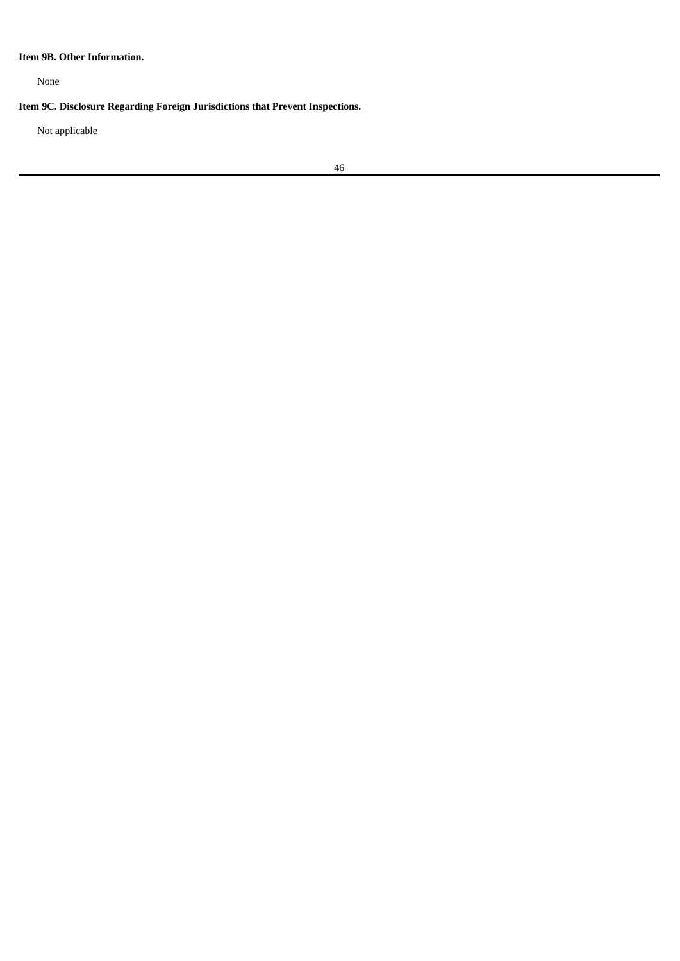# **Item 9B. Other Information.**

None

# **Item 9C. Disclosure Regarding Foreign Jurisdictions that Prevent Inspections.**

Not applicable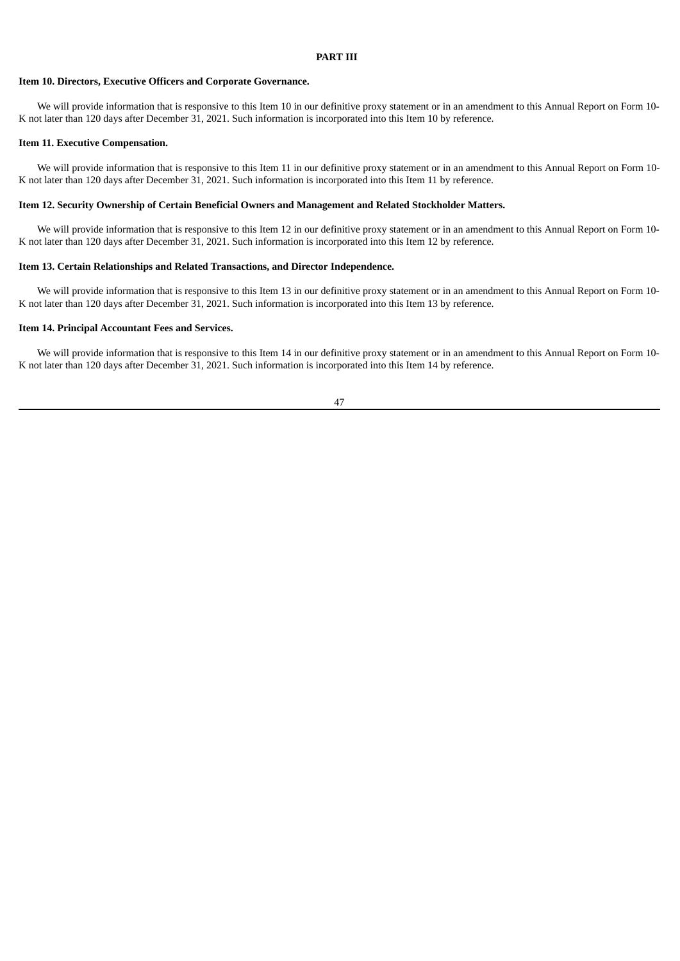#### **PART III**

# **Item 10. Directors, Executive Officers and Corporate Governance.**

We will provide information that is responsive to this Item 10 in our definitive proxy statement or in an amendment to this Annual Report on Form 10- K not later than 120 days after December 31, 2021. Such information is incorporated into this Item 10 by reference.

### **Item 11. Executive Compensation.**

We will provide information that is responsive to this Item 11 in our definitive proxy statement or in an amendment to this Annual Report on Form 10- K not later than 120 days after December 31, 2021. Such information is incorporated into this Item 11 by reference.

#### **Item 12. Security Ownership of Certain Beneficial Owners and Management and Related Stockholder Matters.**

We will provide information that is responsive to this Item 12 in our definitive proxy statement or in an amendment to this Annual Report on Form 10- K not later than 120 days after December 31, 2021. Such information is incorporated into this Item 12 by reference.

### **Item 13. Certain Relationships and Related Transactions, and Director Independence.**

We will provide information that is responsive to this Item 13 in our definitive proxy statement or in an amendment to this Annual Report on Form 10- K not later than 120 days after December 31, 2021. Such information is incorporated into this Item 13 by reference.

#### **Item 14. Principal Accountant Fees and Services.**

We will provide information that is responsive to this Item 14 in our definitive proxy statement or in an amendment to this Annual Report on Form 10- K not later than 120 days after December 31, 2021. Such information is incorporated into this Item 14 by reference.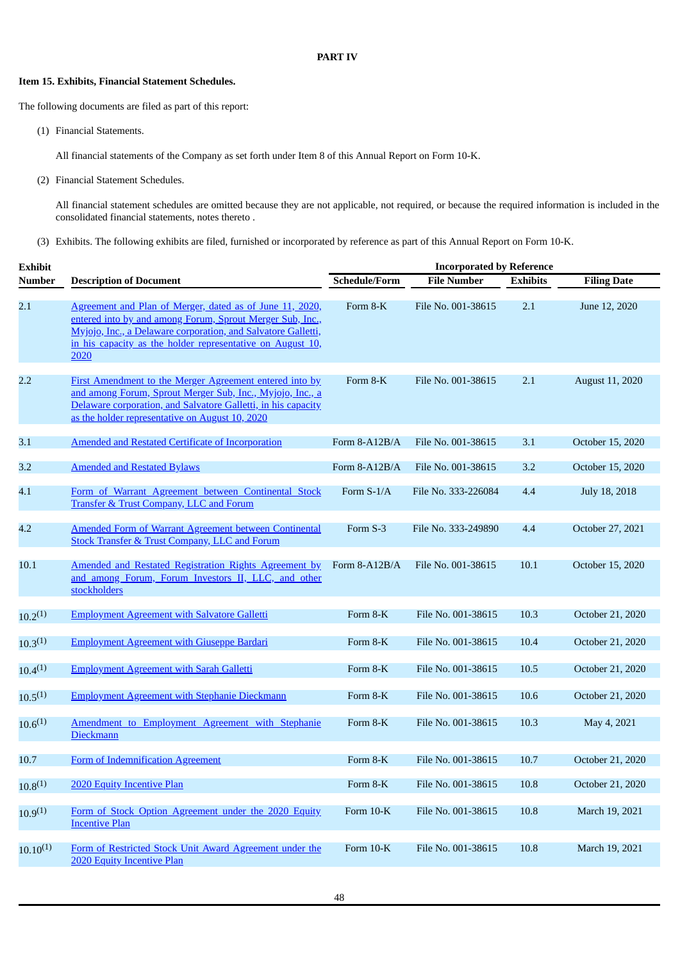# **PART IV**

# **Item 15. Exhibits, Financial Statement Schedules.**

The following documents are filed as part of this report:

(1) Financial Statements.

All financial statements of the Company as set forth under Item 8 of this Annual Report on Form 10-K.

(2) Financial Statement Schedules.

All financial statement schedules are omitted because they are not applicable, not required, or because the required information is included in the consolidated financial statements, notes thereto .

(3) Exhibits. The following exhibits are filed, furnished or incorporated by reference as part of this Annual Report on Form 10-K.

| <b>Exhibit</b> |                                                                                                                                                                                                                                                              | <b>Incorporated by Reference</b> |                     |                 |                        |
|----------------|--------------------------------------------------------------------------------------------------------------------------------------------------------------------------------------------------------------------------------------------------------------|----------------------------------|---------------------|-----------------|------------------------|
| <b>Number</b>  | <b>Description of Document</b>                                                                                                                                                                                                                               | Schedule/Form                    | <b>File Number</b>  | <b>Exhibits</b> | <b>Filing Date</b>     |
| 2.1            | Agreement and Plan of Merger, dated as of June 11, 2020,<br>entered into by and among Forum, Sprout Merger Sub, Inc.,<br>Myjojo, Inc., a Delaware corporation, and Salvatore Galletti,<br>in his capacity as the holder representative on August 10,<br>2020 | Form 8-K                         | File No. 001-38615  | 2.1             | June 12, 2020          |
| 2.2            | First Amendment to the Merger Agreement entered into by<br>and among Forum, Sprout Merger Sub, Inc., Myjojo, Inc., a<br>Delaware corporation, and Salvatore Galletti, in his capacity<br>as the holder representative on August 10, 2020                     | Form 8-K                         | File No. 001-38615  | 2.1             | <b>August 11, 2020</b> |
| 3.1            | <b>Amended and Restated Certificate of Incorporation</b>                                                                                                                                                                                                     | Form 8-A12B/A                    | File No. 001-38615  | 3.1             | October 15, 2020       |
| 3.2            | <b>Amended and Restated Bylaws</b>                                                                                                                                                                                                                           | Form 8-A12B/A                    | File No. 001-38615  | 3.2             | October 15, 2020       |
| 4.1            | Form of Warrant Agreement between Continental Stock<br>Transfer & Trust Company, LLC and Forum                                                                                                                                                               | Form S-1/A                       | File No. 333-226084 | 4.4             | July 18, 2018          |
| 4.2            | Amended Form of Warrant Agreement between Continental<br><b>Stock Transfer &amp; Trust Company, LLC and Forum</b>                                                                                                                                            | Form S-3                         | File No. 333-249890 | 4.4             | October 27, 2021       |
| 10.1           | Amended and Restated Registration Rights Agreement by<br>and among Forum, Forum Investors II, LLC, and other<br>stockholders                                                                                                                                 | Form 8-A12B/A                    | File No. 001-38615  | 10.1            | October 15, 2020       |
| $10.2^{(1)}$   | <b>Employment Agreement with Salvatore Galletti</b>                                                                                                                                                                                                          | Form 8-K                         | File No. 001-38615  | 10.3            | October 21, 2020       |
| $10.3^{(1)}$   | <b>Employment Agreement with Giuseppe Bardari</b>                                                                                                                                                                                                            | Form 8-K                         | File No. 001-38615  | 10.4            | October 21, 2020       |
| $10.4^{(1)}$   | <b>Employment Agreement with Sarah Galletti</b>                                                                                                                                                                                                              | Form 8-K                         | File No. 001-38615  | 10.5            | October 21, 2020       |
| $10.5^{(1)}$   | <b>Employment Agreement with Stephanie Dieckmann</b>                                                                                                                                                                                                         | Form 8-K                         | File No. 001-38615  | 10.6            | October 21, 2020       |
| $10.6^{(1)}$   | Amendment to Employment Agreement with Stephanie<br>Dieckmann                                                                                                                                                                                                | Form 8-K                         | File No. 001-38615  | 10.3            | May 4, 2021            |
| 10.7           | Form of Indemnification Agreement                                                                                                                                                                                                                            | Form 8-K                         | File No. 001-38615  | 10.7            | October 21, 2020       |
| $10.8^{(1)}$   | 2020 Equity Incentive Plan                                                                                                                                                                                                                                   | Form 8-K                         | File No. 001-38615  | 10.8            | October 21, 2020       |
| $10.9^{(1)}$   | Form of Stock Option Agreement under the 2020 Equity<br><b>Incentive Plan</b>                                                                                                                                                                                | Form 10-K                        | File No. 001-38615  | 10.8            | March 19, 2021         |
| $10.10^{(1)}$  | Form of Restricted Stock Unit Award Agreement under the<br>2020 Equity Incentive Plan                                                                                                                                                                        | Form 10-K                        | File No. 001-38615  | 10.8            | March 19, 2021         |
|                |                                                                                                                                                                                                                                                              |                                  |                     |                 |                        |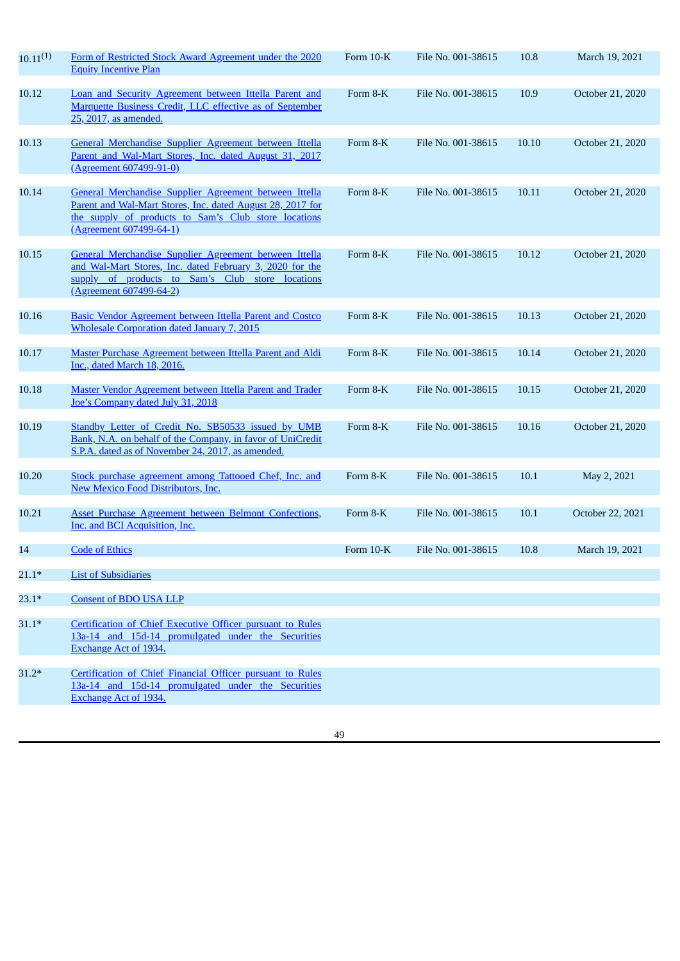| $10.11^{(1)}$ | Form of Restricted Stock Award Agreement under the 2020<br><b>Equity Incentive Plan</b>                                                                                                                 | Form 10-K | File No. 001-38615 | 10.8  | March 19, 2021   |
|---------------|---------------------------------------------------------------------------------------------------------------------------------------------------------------------------------------------------------|-----------|--------------------|-------|------------------|
| 10.12         | Loan and Security Agreement between Ittella Parent and<br>Marquette Business Credit, LLC effective as of September<br>25, 2017, as amended.                                                             | Form 8-K  | File No. 001-38615 | 10.9  | October 21, 2020 |
| 10.13         | General Merchandise Supplier Agreement between Ittella<br>Parent and Wal-Mart Stores, Inc. dated August 31, 2017<br>(Agreement 607499-91-0)                                                             | Form 8-K  | File No. 001-38615 | 10.10 | October 21, 2020 |
| 10.14         | General Merchandise Supplier Agreement between Ittella<br>Parent and Wal-Mart Stores, Inc. dated August 28, 2017 for<br>the supply of products to Sam's Club store locations<br>(Agreement 607499-64-1) | Form 8-K  | File No. 001-38615 | 10.11 | October 21, 2020 |
| 10.15         | General Merchandise Supplier Agreement between Ittella<br>and Wal-Mart Stores, Inc. dated February 3, 2020 for the<br>supply of products to Sam's Club store locations<br>(Agreement 607499-64-2)       | Form 8-K  | File No. 001-38615 | 10.12 | October 21, 2020 |
| 10.16         | Basic Vendor Agreement between Ittella Parent and Costco<br><b>Wholesale Corporation dated January 7, 2015</b>                                                                                          | Form 8-K  | File No. 001-38615 | 10.13 | October 21, 2020 |
| 10.17         | Master Purchase Agreement between Ittella Parent and Aldi<br>Inc., dated March 18, 2016.                                                                                                                | Form 8-K  | File No. 001-38615 | 10.14 | October 21, 2020 |
| 10.18         | Master Vendor Agreement between Ittella Parent and Trader<br>Joe's Company dated July 31, 2018                                                                                                          | Form 8-K  | File No. 001-38615 | 10.15 | October 21, 2020 |
| 10.19         | Standby Letter of Credit No. SB50533 issued by UMB<br>Bank, N.A. on behalf of the Company, in favor of UniCredit<br>S.P.A. dated as of November 24, 2017, as amended.                                   | Form 8-K  | File No. 001-38615 | 10.16 | October 21, 2020 |
| 10.20         | Stock purchase agreement among Tattooed Chef, Inc. and<br>New Mexico Food Distributors, Inc.                                                                                                            | Form 8-K  | File No. 001-38615 | 10.1  | May 2, 2021      |
| 10.21         | Asset Purchase Agreement between Belmont Confections,<br>Inc. and BCI Acquisition, Inc.                                                                                                                 | Form 8-K  | File No. 001-38615 | 10.1  | October 22, 2021 |
| 14            | <b>Code of Ethics</b>                                                                                                                                                                                   | Form 10-K | File No. 001-38615 | 10.8  | March 19, 2021   |
| $21.1*$       | <b>List of Subsidiaries</b>                                                                                                                                                                             |           |                    |       |                  |
| $23.1*$       | <b>Consent of BDO USA LLP</b>                                                                                                                                                                           |           |                    |       |                  |
| $31.1*$       | Certification of Chief Executive Officer pursuant to Rules<br>13a-14 and 15d-14 promulgated under the Securities<br><b>Exchange Act of 1934.</b>                                                        |           |                    |       |                  |
| $31.2*$       | Certification of Chief Financial Officer pursuant to Rules<br>13a-14 and 15d-14 promulgated under the Securities<br><b>Exchange Act of 1934.</b>                                                        |           |                    |       |                  |
|               |                                                                                                                                                                                                         |           |                    |       |                  |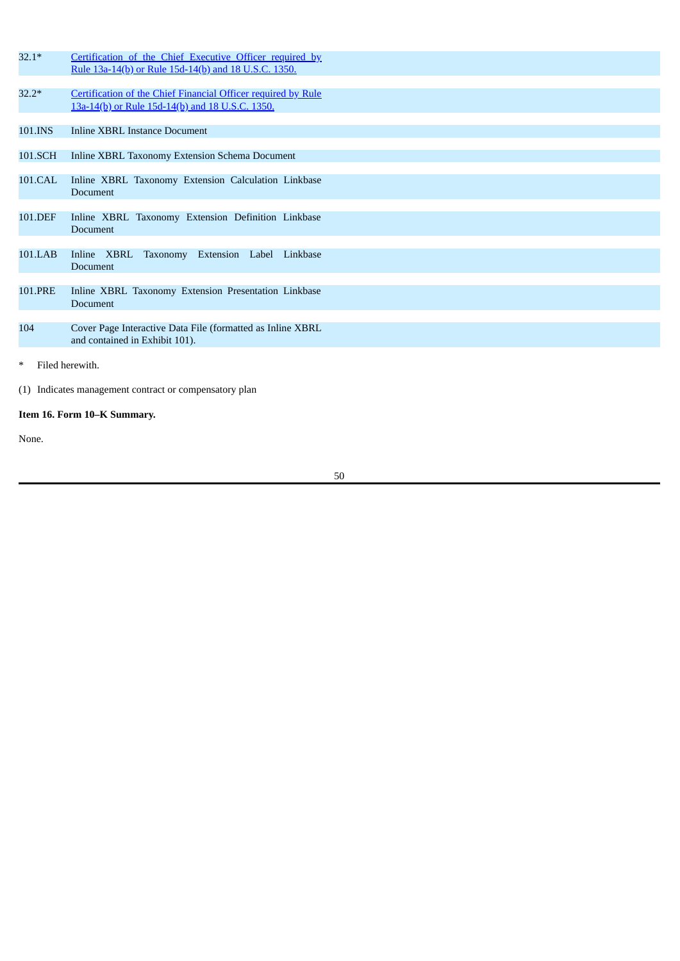| $32.1*$                     | Certification of the Chief Executive Officer required by<br>Rule 13a-14(b) or Rule 15d-14(b) and 18 U.S.C. 1350. |  |  |
|-----------------------------|------------------------------------------------------------------------------------------------------------------|--|--|
| $32.2*$                     | Certification of the Chief Financial Officer required by Rule<br>13a-14(b) or Rule 15d-14(b) and 18 U.S.C. 1350. |  |  |
| 101.INS                     | <b>Inline XBRL Instance Document</b>                                                                             |  |  |
| 101.SCH                     | Inline XBRL Taxonomy Extension Schema Document                                                                   |  |  |
| 101.CAL                     | Inline XBRL Taxonomy Extension Calculation Linkbase<br>Document                                                  |  |  |
| 101.DEF                     | Inline XBRL Taxonomy Extension Definition Linkbase<br>Document                                                   |  |  |
| 101.LAB                     | Inline XBRL Taxonomy Extension Label Linkbase<br>Document                                                        |  |  |
| 101.PRE                     | Inline XBRL Taxonomy Extension Presentation Linkbase<br>Document                                                 |  |  |
| 104                         | Cover Page Interactive Data File (formatted as Inline XBRL<br>and contained in Exhibit 101).                     |  |  |
| $\ast$                      | Filed herewith.                                                                                                  |  |  |
|                             | (1) Indicates management contract or compensatory plan                                                           |  |  |
| Item 16. Form 10–K Summary. |                                                                                                                  |  |  |

50

None.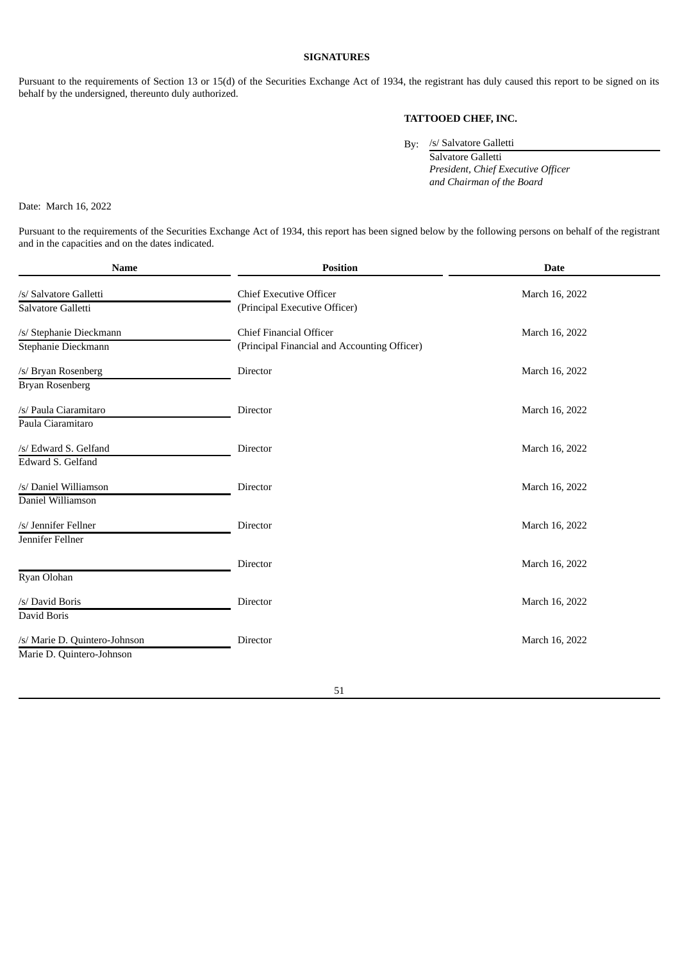## **SIGNATURES**

Pursuant to the requirements of Section 13 or 15(d) of the Securities Exchange Act of 1934, the registrant has duly caused this report to be signed on its behalf by the undersigned, thereunto duly authorized.

# **TATTOOED CHEF, INC.**

By: /s/ Salvatore Galletti

Salvatore Galletti *President, Chief Executive Officer and Chairman of the Board*

Date: March 16, 2022

Pursuant to the requirements of the Securities Exchange Act of 1934, this report has been signed below by the following persons on behalf of the registrant and in the capacities and on the dates indicated.

| <b>Name</b>                   | <b>Position</b>                              | <b>Date</b>    |
|-------------------------------|----------------------------------------------|----------------|
| /s/ Salvatore Galletti        | <b>Chief Executive Officer</b>               | March 16, 2022 |
| Salvatore Galletti            | (Principal Executive Officer)                |                |
| /s/ Stephanie Dieckmann       | <b>Chief Financial Officer</b>               | March 16, 2022 |
| Stephanie Dieckmann           | (Principal Financial and Accounting Officer) |                |
| /s/ Bryan Rosenberg           | Director                                     | March 16, 2022 |
| Bryan Rosenberg               |                                              |                |
| /s/ Paula Ciaramitaro         | Director                                     | March 16, 2022 |
| Paula Ciaramitaro             |                                              |                |
| /s/ Edward S. Gelfand         | Director                                     | March 16, 2022 |
| Edward S. Gelfand             |                                              |                |
| /s/ Daniel Williamson         | Director                                     | March 16, 2022 |
| Daniel Williamson             |                                              |                |
| /s/ Jennifer Fellner          | Director                                     | March 16, 2022 |
| Jennifer Fellner              |                                              |                |
|                               | Director                                     | March 16, 2022 |
| Ryan Olohan                   |                                              |                |
| /s/ David Boris               | <b>Director</b>                              | March 16, 2022 |
| David Boris                   |                                              |                |
| /s/ Marie D. Quintero-Johnson | Director                                     | March 16, 2022 |
| Marie D. Quintero-Johnson     |                                              |                |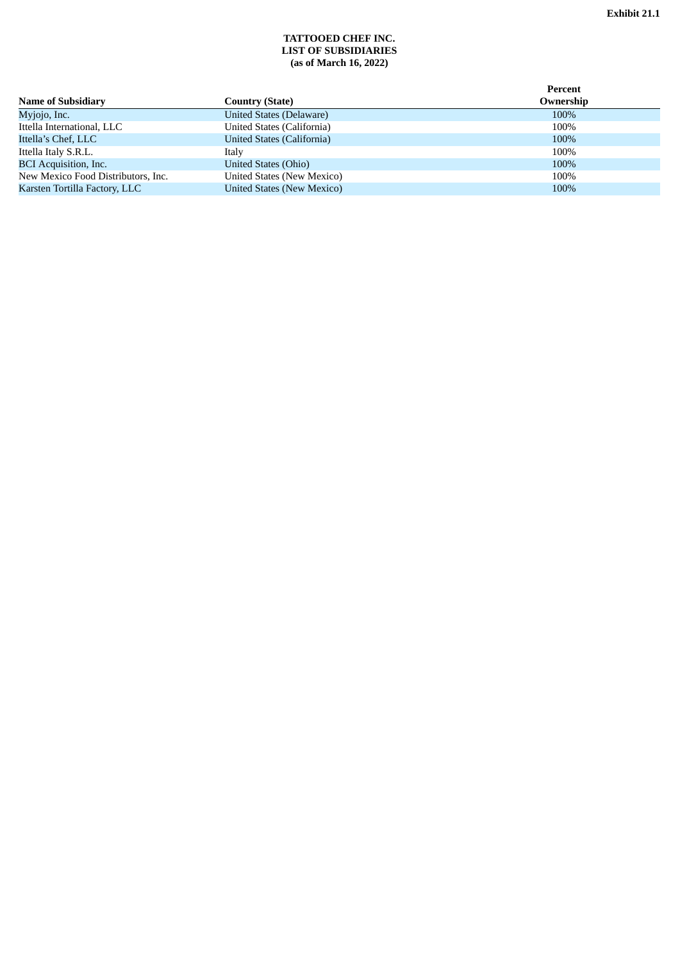# **TATTOOED CHEF INC. LIST OF SUBSIDIARIES (as of March 16, 2022)**

<span id="page-116-0"></span>

|                                    |                                   | Percent   |
|------------------------------------|-----------------------------------|-----------|
| <b>Name of Subsidiary</b>          | <b>Country (State)</b>            | Ownership |
| Myjojo, Inc.                       | United States (Delaware)          | 100%      |
| Ittella International, LLC         | United States (California)        | 100%      |
| Ittella's Chef, LLC                | United States (California)        | 100%      |
| Ittella Italy S.R.L.               | Italy                             | 100%      |
| <b>BCI</b> Acquisition, Inc.       | United States (Ohio)              | 100%      |
| New Mexico Food Distributors, Inc. | United States (New Mexico)        | 100%      |
| Karsten Tortilla Factory, LLC      | <b>United States (New Mexico)</b> | 100%      |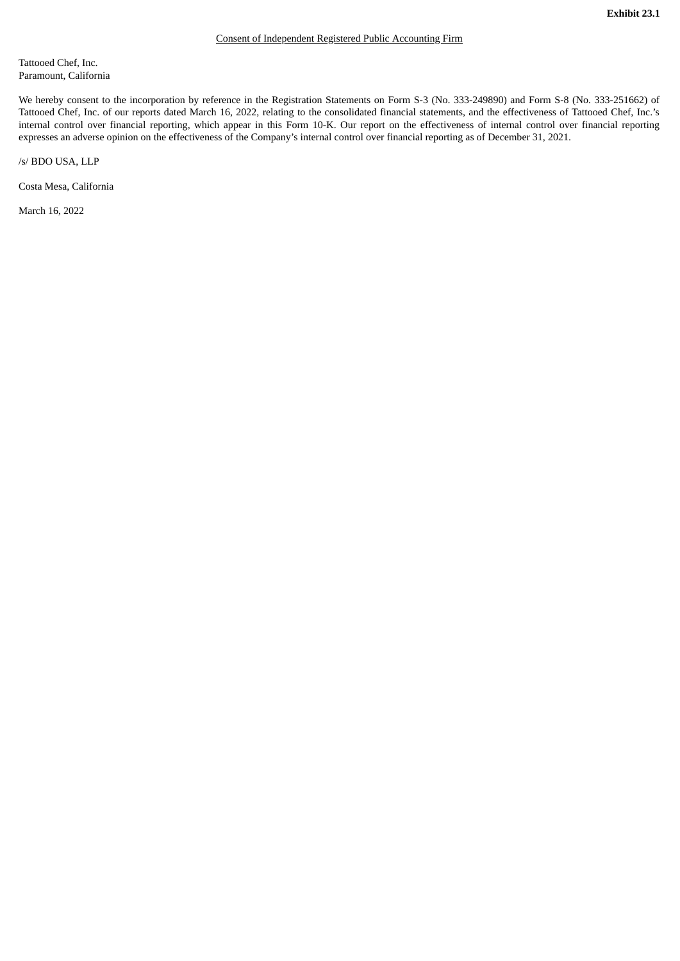<span id="page-117-0"></span>Tattooed Chef, Inc. Paramount, California

We hereby consent to the incorporation by reference in the Registration Statements on Form S-3 (No. 333-249890) and Form S-8 (No. 333-251662) of Tattooed Chef, Inc. of our reports dated March 16, 2022, relating to the consolidated financial statements, and the effectiveness of Tattooed Chef, Inc.'s internal control over financial reporting, which appear in this Form 10-K. Our report on the effectiveness of internal control over financial reporting expresses an adverse opinion on the effectiveness of the Company's internal control over financial reporting as of December 31, 2021.

/s/ BDO USA, LLP

Costa Mesa, California

March 16, 2022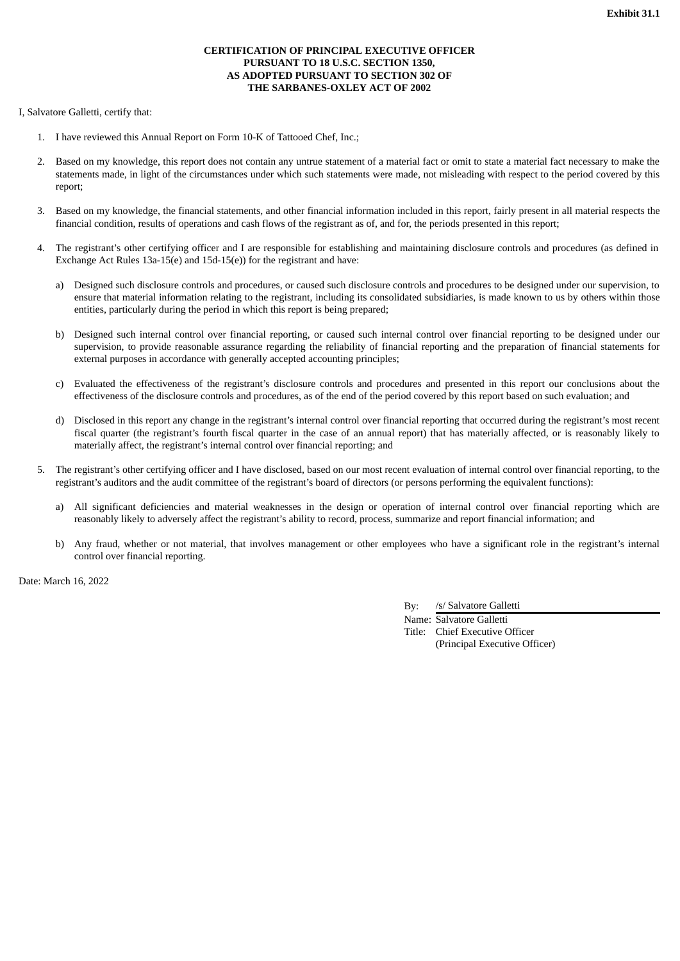# **CERTIFICATION OF PRINCIPAL EXECUTIVE OFFICER PURSUANT TO 18 U.S.C. SECTION 1350, AS ADOPTED PURSUANT TO SECTION 302 OF THE SARBANES-OXLEY ACT OF 2002**

<span id="page-118-0"></span>I, Salvatore Galletti, certify that:

- 1. I have reviewed this Annual Report on Form 10-K of Tattooed Chef, Inc.;
- 2. Based on my knowledge, this report does not contain any untrue statement of a material fact or omit to state a material fact necessary to make the statements made, in light of the circumstances under which such statements were made, not misleading with respect to the period covered by this report;
- 3. Based on my knowledge, the financial statements, and other financial information included in this report, fairly present in all material respects the financial condition, results of operations and cash flows of the registrant as of, and for, the periods presented in this report;
- 4. The registrant's other certifying officer and I are responsible for establishing and maintaining disclosure controls and procedures (as defined in Exchange Act Rules 13a-15(e) and 15d-15(e)) for the registrant and have:
	- a) Designed such disclosure controls and procedures, or caused such disclosure controls and procedures to be designed under our supervision, to ensure that material information relating to the registrant, including its consolidated subsidiaries, is made known to us by others within those entities, particularly during the period in which this report is being prepared;
	- b) Designed such internal control over financial reporting, or caused such internal control over financial reporting to be designed under our supervision, to provide reasonable assurance regarding the reliability of financial reporting and the preparation of financial statements for external purposes in accordance with generally accepted accounting principles;
	- c) Evaluated the effectiveness of the registrant's disclosure controls and procedures and presented in this report our conclusions about the effectiveness of the disclosure controls and procedures, as of the end of the period covered by this report based on such evaluation; and
	- d) Disclosed in this report any change in the registrant's internal control over financial reporting that occurred during the registrant's most recent fiscal quarter (the registrant's fourth fiscal quarter in the case of an annual report) that has materially affected, or is reasonably likely to materially affect, the registrant's internal control over financial reporting; and
- 5. The registrant's other certifying officer and I have disclosed, based on our most recent evaluation of internal control over financial reporting, to the registrant's auditors and the audit committee of the registrant's board of directors (or persons performing the equivalent functions):
	- a) All significant deficiencies and material weaknesses in the design or operation of internal control over financial reporting which are reasonably likely to adversely affect the registrant's ability to record, process, summarize and report financial information; and
	- b) Any fraud, whether or not material, that involves management or other employees who have a significant role in the registrant's internal control over financial reporting.

Date: March 16, 2022

By: /s/ Salvatore Galletti

Name: Salvatore Galletti Title: Chief Executive Officer (Principal Executive Officer)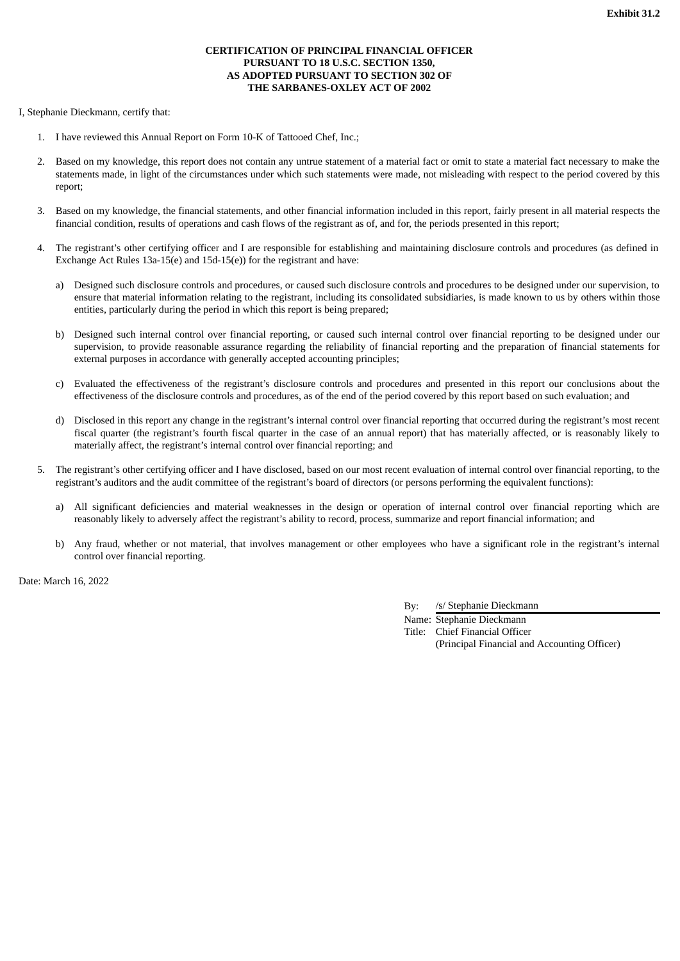# **CERTIFICATION OF PRINCIPAL FINANCIAL OFFICER PURSUANT TO 18 U.S.C. SECTION 1350, AS ADOPTED PURSUANT TO SECTION 302 OF THE SARBANES-OXLEY ACT OF 2002**

<span id="page-119-0"></span>I, Stephanie Dieckmann, certify that:

- 1. I have reviewed this Annual Report on Form 10-K of Tattooed Chef, Inc.;
- 2. Based on my knowledge, this report does not contain any untrue statement of a material fact or omit to state a material fact necessary to make the statements made, in light of the circumstances under which such statements were made, not misleading with respect to the period covered by this report;
- 3. Based on my knowledge, the financial statements, and other financial information included in this report, fairly present in all material respects the financial condition, results of operations and cash flows of the registrant as of, and for, the periods presented in this report;
- 4. The registrant's other certifying officer and I are responsible for establishing and maintaining disclosure controls and procedures (as defined in Exchange Act Rules 13a-15(e) and 15d-15(e)) for the registrant and have:
	- a) Designed such disclosure controls and procedures, or caused such disclosure controls and procedures to be designed under our supervision, to ensure that material information relating to the registrant, including its consolidated subsidiaries, is made known to us by others within those entities, particularly during the period in which this report is being prepared;
	- b) Designed such internal control over financial reporting, or caused such internal control over financial reporting to be designed under our supervision, to provide reasonable assurance regarding the reliability of financial reporting and the preparation of financial statements for external purposes in accordance with generally accepted accounting principles;
	- c) Evaluated the effectiveness of the registrant's disclosure controls and procedures and presented in this report our conclusions about the effectiveness of the disclosure controls and procedures, as of the end of the period covered by this report based on such evaluation; and
	- d) Disclosed in this report any change in the registrant's internal control over financial reporting that occurred during the registrant's most recent fiscal quarter (the registrant's fourth fiscal quarter in the case of an annual report) that has materially affected, or is reasonably likely to materially affect, the registrant's internal control over financial reporting; and
- 5. The registrant's other certifying officer and I have disclosed, based on our most recent evaluation of internal control over financial reporting, to the registrant's auditors and the audit committee of the registrant's board of directors (or persons performing the equivalent functions):
	- a) All significant deficiencies and material weaknesses in the design or operation of internal control over financial reporting which are reasonably likely to adversely affect the registrant's ability to record, process, summarize and report financial information; and
	- b) Any fraud, whether or not material, that involves management or other employees who have a significant role in the registrant's internal control over financial reporting.

Date: March 16, 2022

By: /s/ Stephanie Dieckmann

Name: Stephanie Dieckmann Title: Chief Financial Officer (Principal Financial and Accounting Officer)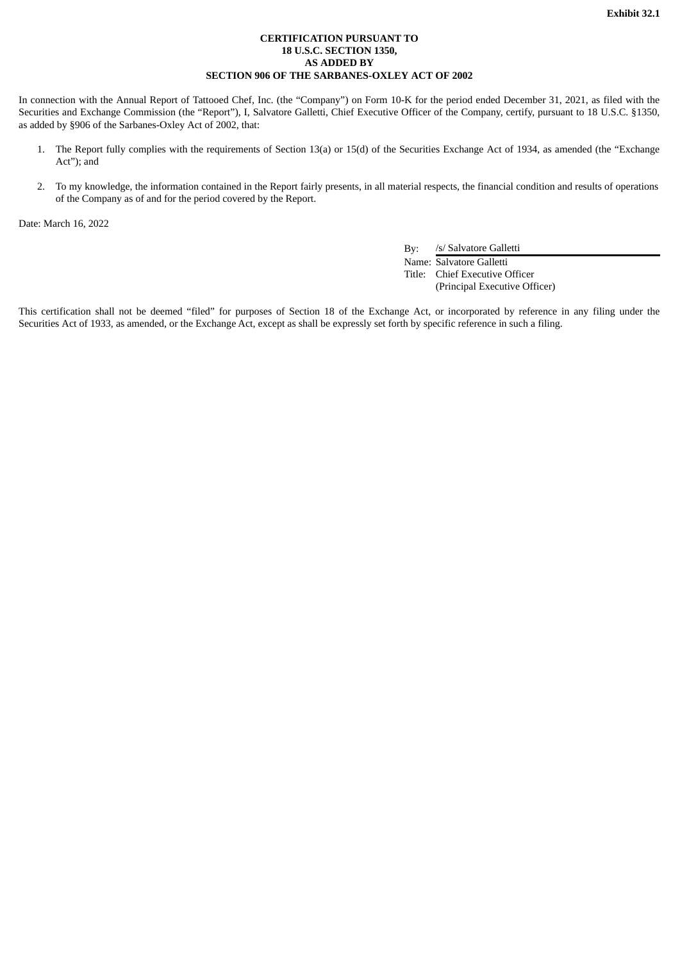## **CERTIFICATION PURSUANT TO 18 U.S.C. SECTION 1350, AS ADDED BY SECTION 906 OF THE SARBANES-OXLEY ACT OF 2002**

<span id="page-120-0"></span>In connection with the Annual Report of Tattooed Chef, Inc. (the "Company") on Form 10-K for the period ended December 31, 2021, as filed with the Securities and Exchange Commission (the "Report"), I, Salvatore Galletti, Chief Executive Officer of the Company, certify, pursuant to 18 U.S.C. §1350, as added by §906 of the Sarbanes-Oxley Act of 2002, that:

- 1. The Report fully complies with the requirements of Section 13(a) or 15(d) of the Securities Exchange Act of 1934, as amended (the "Exchange Act"); and
- 2. To my knowledge, the information contained in the Report fairly presents, in all material respects, the financial condition and results of operations of the Company as of and for the period covered by the Report.

Date: March 16, 2022

By: /s/ Salvatore Galletti

Name: Salvatore Galletti Title: Chief Executive Officer (Principal Executive Officer)

This certification shall not be deemed "filed" for purposes of Section 18 of the Exchange Act, or incorporated by reference in any filing under the Securities Act of 1933, as amended, or the Exchange Act, except as shall be expressly set forth by specific reference in such a filing.